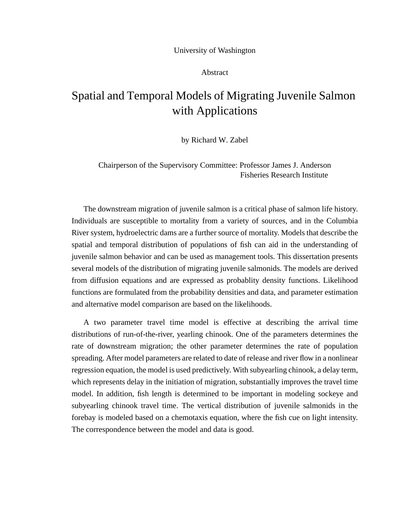## University of Washington

## Abstract

## Spatial and Temporal Models of Migrating Juvenile Salmon with Applications

by Richard W. Zabel

Chairperson of the Supervisory Committee: Professor James J. Anderson Fisheries Research Institute

The downstream migration of juvenile salmon is a critical phase of salmon life history. Individuals are susceptible to mortality from a variety of sources, and in the Columbia River system, hydroelectric dams are a further source of mortality. Models that describe the spatial and temporal distribution of populations of fish can aid in the understanding of juvenile salmon behavior and can be used as management tools. This dissertation presents several models of the distribution of migrating juvenile salmonids. The models are derived from diffusion equations and are expressed as probablity density functions. Likelihood functions are formulated from the probability densities and data, and parameter estimation and alternative model comparison are based on the likelihoods.

A two parameter travel time model is effective at describing the arrival time distributions of run-of-the-river, yearling chinook. One of the parameters determines the rate of downstream migration; the other parameter determines the rate of population spreading. After model parameters are related to date of release and river flow in a nonlinear regression equation, the model is used predictively. With subyearling chinook, a delay term, which represents delay in the initiation of migration, substantially improves the travel time model. In addition, fish length is determined to be important in modeling sockeye and subyearling chinook travel time. The vertical distribution of juvenile salmonids in the forebay is modeled based on a chemotaxis equation, where the fish cue on light intensity. The correspondence between the model and data is good.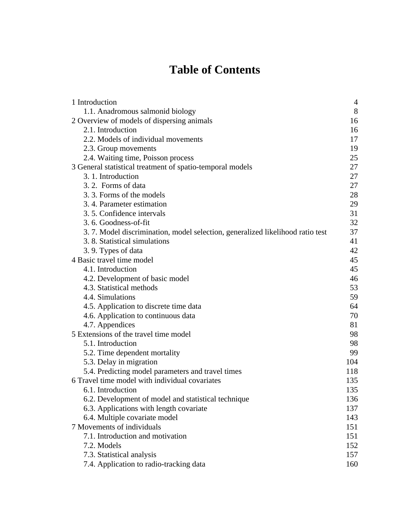# **Table of Contents**

| 1 Introduction                                                                | $\overline{4}$ |
|-------------------------------------------------------------------------------|----------------|
| 1.1. Anadromous salmonid biology                                              | 8              |
| 2 Overview of models of dispersing animals                                    | 16             |
| 2.1. Introduction                                                             | 16             |
| 2.2. Models of individual movements                                           | 17             |
| 2.3. Group movements                                                          | 19             |
| 2.4. Waiting time, Poisson process                                            | 25             |
| 3 General statistical treatment of spatio-temporal models                     | 27             |
| 3. 1. Introduction                                                            | 27             |
| 3.2. Forms of data                                                            | 27             |
| 3.3. Forms of the models                                                      | 28             |
| 3.4. Parameter estimation                                                     | 29             |
| 3.5. Confidence intervals                                                     | 31             |
| 3.6. Goodness-of-fit                                                          | 32             |
| 3.7. Model discrimination, model selection, generalized likelihood ratio test | 37             |
| 3.8. Statistical simulations                                                  | 41             |
| 3.9. Types of data                                                            | 42             |
| 4 Basic travel time model                                                     | 45             |
| 4.1. Introduction                                                             | 45             |
| 4.2. Development of basic model                                               | 46             |
| 4.3. Statistical methods                                                      | 53             |
| 4.4. Simulations                                                              | 59             |
| 4.5. Application to discrete time data                                        | 64             |
| 4.6. Application to continuous data                                           | 70             |
| 4.7. Appendices                                                               | 81             |
| 5 Extensions of the travel time model                                         | 98             |
| 5.1. Introduction                                                             | 98             |
| 5.2. Time dependent mortality                                                 | 99             |
| 5.3. Delay in migration                                                       | 104            |
| 5.4. Predicting model parameters and travel times                             | 118            |
| 6 Travel time model with individual covariates                                | 135            |
| 6.1. Introduction                                                             | 135            |
| 6.2. Development of model and statistical technique                           | 136            |
| 6.3. Applications with length covariate                                       | 137            |
| 6.4. Multiple covariate model                                                 | 143            |
| 7 Movements of individuals                                                    | 151            |
| 7.1. Introduction and motivation                                              | 151            |
| 7.2. Models                                                                   | 152            |
| 7.3. Statistical analysis                                                     | 157            |
| 7.4. Application to radio-tracking data                                       | 160            |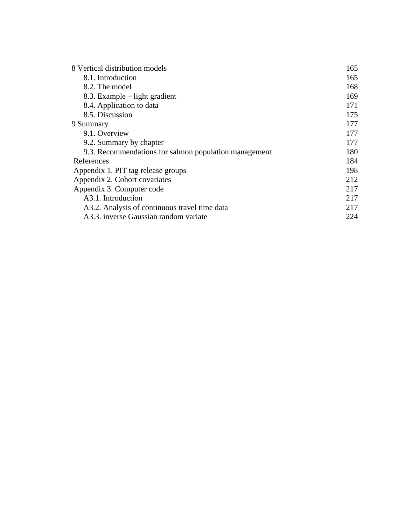| 8 Vertical distribution models                        | 165 |
|-------------------------------------------------------|-----|
| 8.1. Introduction                                     | 165 |
| 8.2. The model                                        | 168 |
| 8.3. Example – light gradient                         | 169 |
| 8.4. Application to data                              | 171 |
| 8.5. Discussion                                       | 175 |
| 9 Summary                                             | 177 |
| 9.1. Overview                                         | 177 |
| 9.2. Summary by chapter                               | 177 |
| 9.3. Recommendations for salmon population management | 180 |
| References                                            | 184 |
| Appendix 1. PIT tag release groups                    | 198 |
| Appendix 2. Cohort covariates                         | 212 |
| Appendix 3. Computer code                             | 217 |
| A3.1. Introduction                                    | 217 |
| A3.2. Analysis of continuous travel time data         | 217 |
| A3.3. inverse Gaussian random variate                 | 224 |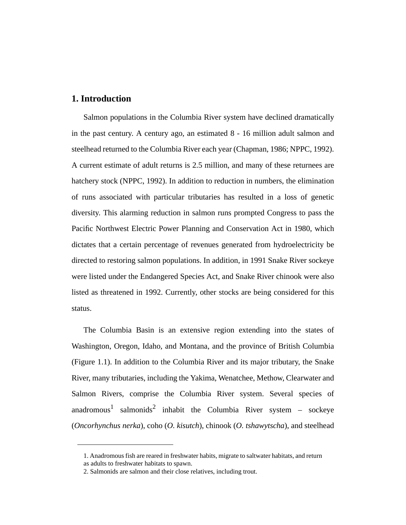## <span id="page-3-0"></span>**1. Introduction**

Salmon populations in the Columbia River system have declined dramatically in the past century. A century ago, an estimated 8 - 16 million adult salmon and steelhead returned to the Columbia River each year (Chapman, 1986; NPPC, 1992). A current estimate of adult returns is 2.5 million, and many of these returnees are hatchery stock (NPPC, 1992). In addition to reduction in numbers, the elimination of runs associated with particular tributaries has resulted in a loss of genetic diversity. This alarming reduction in salmon runs prompted Congress to pass the Pacific Northwest Electric Power Planning and Conservation Act in 1980, which dictates that a certain percentage of revenues generated from hydroelectricity be directed to restoring salmon populations. In addition, in 1991 Snake River sockeye were listed under the Endangered Species Act, and Snake River chinook were also listed as threatened in 1992. Currently, other stocks are being considered for this status.

The Columbia Basin is an extensive region extending into the states of Washington, Oregon, Idaho, and Montana, and the province of British Columbia ([Figure 1.1](#page-4-0)). In addition to the Columbia River and its major tributary, the Snake River, many tributaries, including the Yakima, Wenatchee, Methow, Clearwater and Salmon Rivers, comprise the Columbia River system. Several species of anadromous<sup>1</sup> salmonids<sup>2</sup> inhabit the Columbia River system – sockeye (*Oncorhynchus nerka*), coho (*O. kisutch*), chinook (*O. tshawytscha*), and steelhead

<sup>1.</sup> Anadromous fish are reared in freshwater habits, migrate to saltwater habitats, and return as adults to freshwater habitats to spawn.

<sup>2.</sup> Salmonids are salmon and their close relatives, including trout.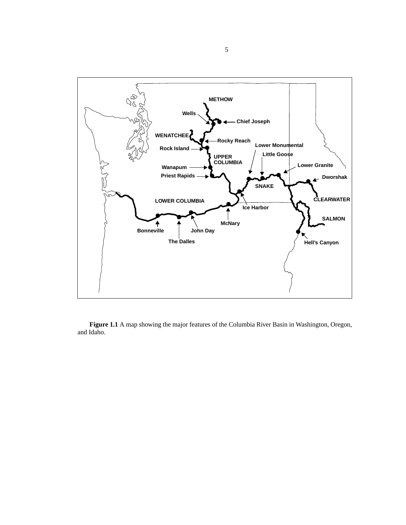<span id="page-4-0"></span>

**Figure 1.1** A map showing the major features of the Columbia River Basin in Washington, Oregon, and Idaho.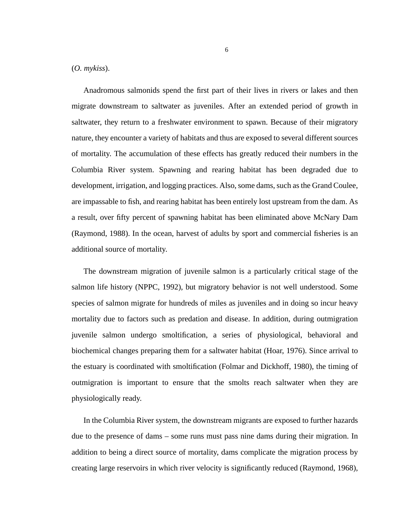#### (*O. mykiss*).

Anadromous salmonids spend the first part of their lives in rivers or lakes and then migrate downstream to saltwater as juveniles. After an extended period of growth in saltwater, they return to a freshwater environment to spawn. Because of their migratory nature, they encounter a variety of habitats and thus are exposed to several different sources of mortality. The accumulation of these effects has greatly reduced their numbers in the Columbia River system. Spawning and rearing habitat has been degraded due to development, irrigation, and logging practices. Also, some dams, such as the Grand Coulee, are impassable to fish, and rearing habitat has been entirely lost upstream from the dam. As a result, over fifty percent of spawning habitat has been eliminated above McNary Dam (Raymond, 1988). In the ocean, harvest of adults by sport and commercial fisheries is an additional source of mortality.

The downstream migration of juvenile salmon is a particularly critical stage of the salmon life history (NPPC, 1992), but migratory behavior is not well understood. Some species of salmon migrate for hundreds of miles as juveniles and in doing so incur heavy mortality due to factors such as predation and disease. In addition, during outmigration juvenile salmon undergo smoltification, a series of physiological, behavioral and biochemical changes preparing them for a saltwater habitat (Hoar, 1976). Since arrival to the estuary is coordinated with smoltification (Folmar and Dickhoff, 1980), the timing of outmigration is important to ensure that the smolts reach saltwater when they are physiologically ready.

In the Columbia River system, the downstream migrants are exposed to further hazards due to the presence of dams – some runs must pass nine dams during their migration. In addition to being a direct source of mortality, dams complicate the migration process by creating large reservoirs in which river velocity is significantly reduced (Raymond, 1968),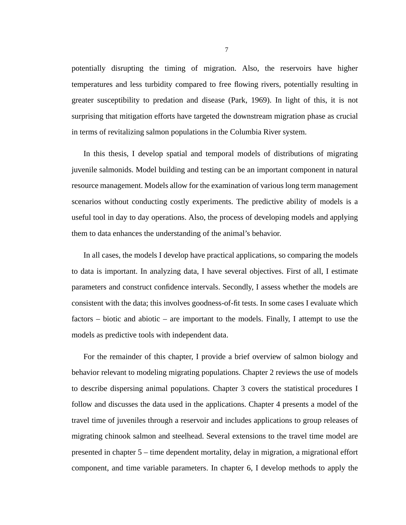potentially disrupting the timing of migration. Also, the reservoirs have higher temperatures and less turbidity compared to free flowing rivers, potentially resulting in greater susceptibility to predation and disease (Park, 1969). In light of this, it is not surprising that mitigation efforts have targeted the downstream migration phase as crucial in terms of revitalizing salmon populations in the Columbia River system.

In this thesis, I develop spatial and temporal models of distributions of migrating juvenile salmonids. Model building and testing can be an important component in natural resource management. Models allow for the examination of various long term management scenarios without conducting costly experiments. The predictive ability of models is a useful tool in day to day operations. Also, the process of developing models and applying them to data enhances the understanding of the animal's behavior.

In all cases, the models I develop have practical applications, so comparing the models to data is important. In analyzing data, I have several objectives. First of all, I estimate parameters and construct confidence intervals. Secondly, I assess whether the models are consistent with the data; this involves goodness-of-fit tests. In some cases I evaluate which factors – biotic and abiotic – are important to the models. Finally, I attempt to use the models as predictive tools with independent data.

For the remainder of this chapter, I provide a brief overview of salmon biology and behavior relevant to modeling migrating populations. Chapter 2 reviews the use of models to describe dispersing animal populations. Chapter 3 covers the statistical procedures I follow and discusses the data used in the applications. Chapter 4 presents a model of the travel time of juveniles through a reservoir and includes applications to group releases of migrating chinook salmon and steelhead. Several extensions to the travel time model are presented in chapter 5 – time dependent mortality, delay in migration, a migrational effort component, and time variable parameters. In chapter 6, I develop methods to apply the

7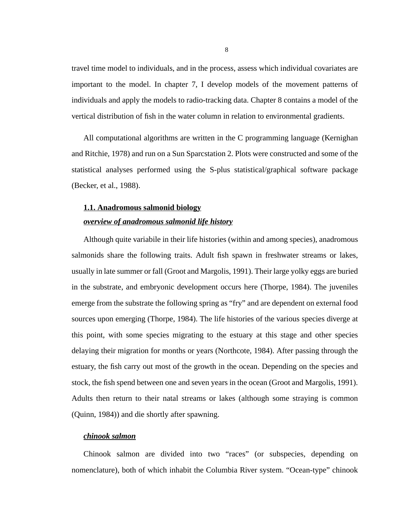<span id="page-7-0"></span>travel time model to individuals, and in the process, assess which individual covariates are important to the model. In chapter 7, I develop models of the movement patterns of individuals and apply the models to radio-tracking data. Chapter 8 contains a model of the vertical distribution of fish in the water column in relation to environmental gradients.

All computational algorithms are written in the C programming language (Kernighan and Ritchie, 1978) and run on a Sun Sparcstation 2. Plots were constructed and some of the statistical analyses performed using the S-plus statistical/graphical software package (Becker, et al., 1988).

## **1.1. Anadromous salmonid biology**

#### *overview of anadromous salmonid life history*

Although quite variabile in their life histories (within and among species), anadromous salmonids share the following traits. Adult fish spawn in freshwater streams or lakes, usually in late summer or fall (Groot and Margolis, 1991). Their large yolky eggs are buried in the substrate, and embryonic development occurs here (Thorpe, 1984). The juveniles emerge from the substrate the following spring as "fry" and are dependent on external food sources upon emerging (Thorpe, 1984). The life histories of the various species diverge at this point, with some species migrating to the estuary at this stage and other species delaying their migration for months or years (Northcote, 1984). After passing through the estuary, the fish carry out most of the growth in the ocean. Depending on the species and stock, the fish spend between one and seven years in the ocean (Groot and Margolis, 1991). Adults then return to their natal streams or lakes (although some straying is common (Quinn, 1984)) and die shortly after spawning.

## *chinook salmon*

Chinook salmon are divided into two "races" (or subspecies, depending on nomenclature), both of which inhabit the Columbia River system. "Ocean-type" chinook

8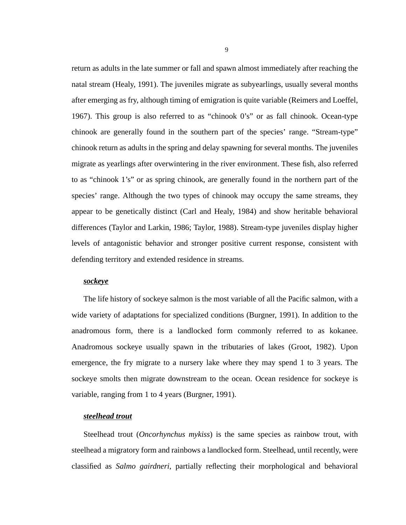return as adults in the late summer or fall and spawn almost immediately after reaching the natal stream (Healy, 1991). The juveniles migrate as subyearlings, usually several months after emerging as fry, although timing of emigration is quite variable (Reimers and Loeffel, 1967). This group is also referred to as "chinook 0's" or as fall chinook. Ocean-type chinook are generally found in the southern part of the species' range. "Stream-type" chinook return as adults in the spring and delay spawning for several months. The juveniles migrate as yearlings after overwintering in the river environment. These fish, also referred to as "chinook 1's" or as spring chinook, are generally found in the northern part of the species' range. Although the two types of chinook may occupy the same streams, they appear to be genetically distinct (Carl and Healy, 1984) and show heritable behavioral differences (Taylor and Larkin, 1986; Taylor, 1988). Stream-type juveniles display higher levels of antagonistic behavior and stronger positive current response, consistent with defending territory and extended residence in streams.

#### *sockeye*

The life history of sockeye salmon is the most variable of all the Pacific salmon, with a wide variety of adaptations for specialized conditions (Burgner, 1991). In addition to the anadromous form, there is a landlocked form commonly referred to as kokanee. Anadromous sockeye usually spawn in the tributaries of lakes (Groot, 1982). Upon emergence, the fry migrate to a nursery lake where they may spend 1 to 3 years. The sockeye smolts then migrate downstream to the ocean. Ocean residence for sockeye is variable, ranging from 1 to 4 years (Burgner, 1991).

#### *steelhead trout*

Steelhead trout (*Oncorhynchus mykiss*) is the same species as rainbow trout, with steelhead a migratory form and rainbows a landlocked form. Steelhead, until recently, were classified as *Salmo gairdneri*, partially reflecting their morphological and behavioral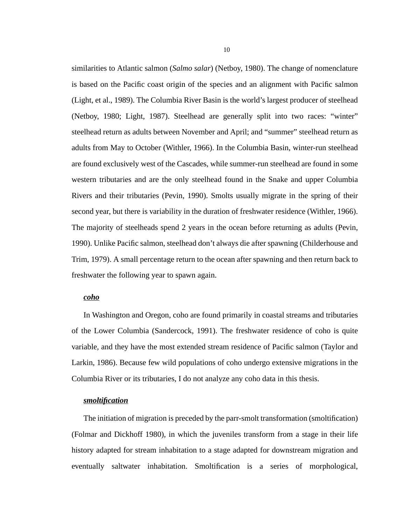similarities to Atlantic salmon (*Salmo salar*) (Netboy, 1980). The change of nomenclature is based on the Pacific coast origin of the species and an alignment with Pacific salmon (Light, et al., 1989). The Columbia River Basin is the world's largest producer of steelhead (Netboy, 1980; Light, 1987). Steelhead are generally split into two races: "winter" steelhead return as adults between November and April; and "summer" steelhead return as adults from May to October (Withler, 1966). In the Columbia Basin, winter-run steelhead are found exclusively west of the Cascades, while summer-run steelhead are found in some western tributaries and are the only steelhead found in the Snake and upper Columbia Rivers and their tributaries (Pevin, 1990). Smolts usually migrate in the spring of their second year, but there is variability in the duration of freshwater residence (Withler, 1966). The majority of steelheads spend 2 years in the ocean before returning as adults (Pevin, 1990). Unlike Pacific salmon, steelhead don't always die after spawning (Childerhouse and Trim, 1979). A small percentage return to the ocean after spawning and then return back to freshwater the following year to spawn again.

#### *coho*

In Washington and Oregon, coho are found primarily in coastal streams and tributaries of the Lower Columbia (Sandercock, 1991). The freshwater residence of coho is quite variable, and they have the most extended stream residence of Pacific salmon (Taylor and Larkin, 1986). Because few wild populations of coho undergo extensive migrations in the Columbia River or its tributaries, I do not analyze any coho data in this thesis.

#### *smoltification*

The initiation of migration is preceded by the parr-smolt transformation (smoltification) (Folmar and Dickhoff 1980), in which the juveniles transform from a stage in their life history adapted for stream inhabitation to a stage adapted for downstream migration and eventually saltwater inhabitation. Smoltification is a series of morphological,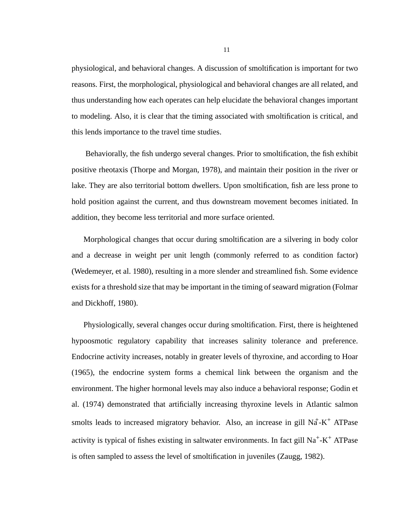physiological, and behavioral changes. A discussion of smoltification is important for two reasons. First, the morphological, physiological and behavioral changes are all related, and thus understanding how each operates can help elucidate the behavioral changes important to modeling. Also, it is clear that the timing associated with smoltification is critical, and this lends importance to the travel time studies.

 Behaviorally, the fish undergo several changes. Prior to smoltification, the fish exhibit positive rheotaxis (Thorpe and Morgan, 1978), and maintain their position in the river or lake. They are also territorial bottom dwellers. Upon smoltification, fish are less prone to hold position against the current, and thus downstream movement becomes initiated. In addition, they become less territorial and more surface oriented.

Morphological changes that occur during smoltification are a silvering in body color and a decrease in weight per unit length (commonly referred to as condition factor) (Wedemeyer, et al. 1980), resulting in a more slender and streamlined fish. Some evidence exists for a threshold size that may be important in the timing of seaward migration (Folmar and Dickhoff, 1980).

Physiologically, several changes occur during smoltification. First, there is heightened hypoosmotic regulatory capability that increases salinity tolerance and preference. Endocrine activity increases, notably in greater levels of thyroxine, and according to Hoar (1965), the endocrine system forms a chemical link between the organism and the environment. The higher hormonal levels may also induce a behavioral response; Godin et al. (1974) demonstrated that artificially increasing thyroxine levels in Atlantic salmon smolts leads to increased migratory behavior. Also, an increase in gill  $N\ddot{a}$ -K<sup>+</sup> ATPase activity is typical of fishes existing in saltwater environments. In fact gill Na+-K+ ATPase is often sampled to assess the level of smoltification in juveniles (Zaugg, 1982).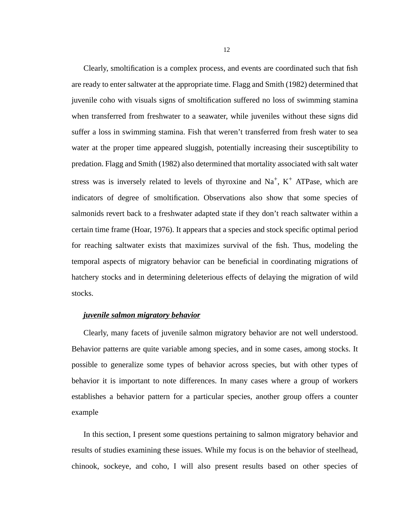Clearly, smoltification is a complex process, and events are coordinated such that fish are ready to enter saltwater at the appropriate time. Flagg and Smith (1982) determined that juvenile coho with visuals signs of smoltification suffered no loss of swimming stamina when transferred from freshwater to a seawater, while juveniles without these signs did suffer a loss in swimming stamina. Fish that weren't transferred from fresh water to sea water at the proper time appeared sluggish, potentially increasing their susceptibility to predation. Flagg and Smith (1982) also determined that mortality associated with salt water stress was is inversely related to levels of thyroxine and  $Na<sup>+</sup>$ ,  $K<sup>+</sup>$  ATPase, which are indicators of degree of smoltification. Observations also show that some species of salmonids revert back to a freshwater adapted state if they don't reach saltwater within a certain time frame (Hoar, 1976). It appears that a species and stock specific optimal period for reaching saltwater exists that maximizes survival of the fish. Thus, modeling the temporal aspects of migratory behavior can be beneficial in coordinating migrations of hatchery stocks and in determining deleterious effects of delaying the migration of wild stocks.

## *juvenile salmon migratory behavior*

Clearly, many facets of juvenile salmon migratory behavior are not well understood. Behavior patterns are quite variable among species, and in some cases, among stocks. It possible to generalize some types of behavior across species, but with other types of behavior it is important to note differences. In many cases where a group of workers establishes a behavior pattern for a particular species, another group offers a counter example

In this section, I present some questions pertaining to salmon migratory behavior and results of studies examining these issues. While my focus is on the behavior of steelhead, chinook, sockeye, and coho, I will also present results based on other species of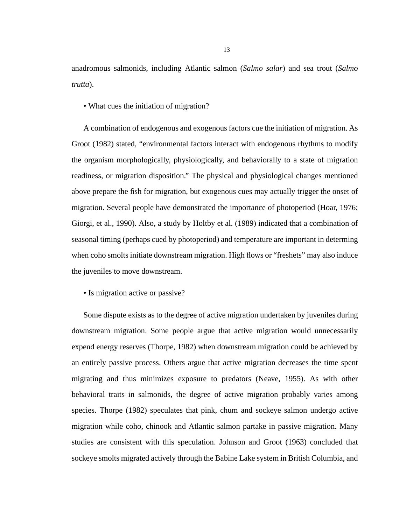anadromous salmonids, including Atlantic salmon (*Salmo salar*) and sea trout (*Salmo trutta*).

• What cues the initiation of migration?

A combination of endogenous and exogenous factors cue the initiation of migration. As Groot (1982) stated, "environmental factors interact with endogenous rhythms to modify the organism morphologically, physiologically, and behaviorally to a state of migration readiness, or migration disposition." The physical and physiological changes mentioned above prepare the fish for migration, but exogenous cues may actually trigger the onset of migration. Several people have demonstrated the importance of photoperiod (Hoar, 1976; Giorgi, et al., 1990). Also, a study by Holtby et al. (1989) indicated that a combination of seasonal timing (perhaps cued by photoperiod) and temperature are important in determing when coho smolts initiate downstream migration. High flows or "freshets" may also induce the juveniles to move downstream.

• Is migration active or passive?

Some dispute exists as to the degree of active migration undertaken by juveniles during downstream migration. Some people argue that active migration would unnecessarily expend energy reserves (Thorpe, 1982) when downstream migration could be achieved by an entirely passive process. Others argue that active migration decreases the time spent migrating and thus minimizes exposure to predators (Neave, 1955). As with other behavioral traits in salmonids, the degree of active migration probably varies among species. Thorpe (1982) speculates that pink, chum and sockeye salmon undergo active migration while coho, chinook and Atlantic salmon partake in passive migration. Many studies are consistent with this speculation. Johnson and Groot (1963) concluded that sockeye smolts migrated actively through the Babine Lake system in British Columbia, and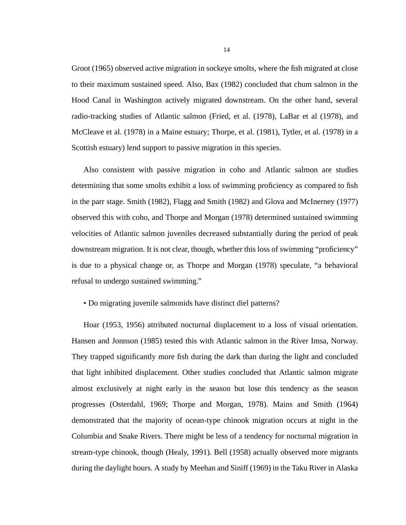Groot (1965) observed active migration in sockeye smolts, where the fish migrated at close to their maximum sustained speed. Also, Bax (1982) concluded that chum salmon in the Hood Canal in Washington actively migrated downstream. On the other hand, several radio-tracking studies of Atlantic salmon (Fried, et al. (1978), LaBar et al (1978), and McCleave et al. (1978) in a Maine estuary; Thorpe, et al. (1981), Tytler, et al. (1978) in a Scottish estuary) lend support to passive migration in this species.

Also consistent with passive migration in coho and Atlantic salmon are studies determining that some smolts exhibit a loss of swimming proficiency as compared to fish in the parr stage. Smith (1982), Flagg and Smith (1982) and Glova and McInerney (1977) observed this with coho, and Thorpe and Morgan (1978) determined sustained swimming velocities of Atlantic salmon juveniles decreased substantially during the period of peak downstream migration. It is not clear, though, whether this loss of swimming "proficiency" is due to a physical change or, as Thorpe and Morgan (1978) speculate, "a behavioral refusal to undergo sustained swimming."

• Do migrating juvenile salmonids have distinct diel patterns?

Hoar (1953, 1956) attributed nocturnal displacement to a loss of visual orientation. Hansen and Jonnson (1985) tested this with Atlantic salmon in the River Imsa, Norway. They trapped significantly more fish during the dark than during the light and concluded that light inhibited displacement. Other studies concluded that Atlantic salmon migrate almost exclusively at night early in the season but lose this tendency as the season progresses (Osterdahl, 1969; Thorpe and Morgan, 1978). Mains and Smith (1964) demonstrated that the majority of ocean-type chinook migration occurs at night in the Columbia and Snake Rivers. There might be less of a tendency for nocturnal migration in stream-type chinook, though (Healy, 1991). Bell (1958) actually observed more migrants during the daylight hours. A study by Meehan and Siniff (1969) in the Taku River in Alaska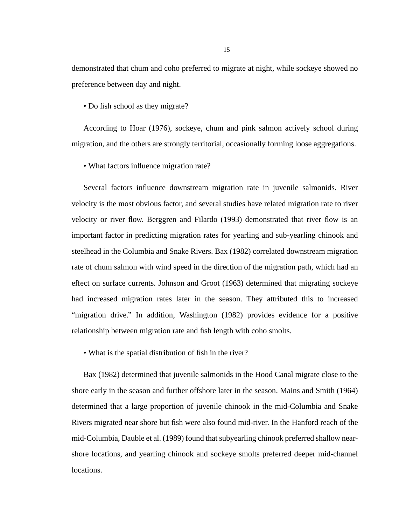demonstrated that chum and coho preferred to migrate at night, while sockeye showed no preference between day and night.

• Do fish school as they migrate?

According to Hoar (1976), sockeye, chum and pink salmon actively school during migration, and the others are strongly territorial, occasionally forming loose aggregations.

• What factors influence migration rate?

Several factors influence downstream migration rate in juvenile salmonids. River velocity is the most obvious factor, and several studies have related migration rate to river velocity or river flow. Berggren and Filardo (1993) demonstrated that river flow is an important factor in predicting migration rates for yearling and sub-yearling chinook and steelhead in the Columbia and Snake Rivers. Bax (1982) correlated downstream migration rate of chum salmon with wind speed in the direction of the migration path, which had an effect on surface currents. Johnson and Groot (1963) determined that migrating sockeye had increased migration rates later in the season. They attributed this to increased "migration drive." In addition, Washington (1982) provides evidence for a positive relationship between migration rate and fish length with coho smolts.

• What is the spatial distribution of fish in the river?

Bax (1982) determined that juvenile salmonids in the Hood Canal migrate close to the shore early in the season and further offshore later in the season. Mains and Smith (1964) determined that a large proportion of juvenile chinook in the mid-Columbia and Snake Rivers migrated near shore but fish were also found mid-river. In the Hanford reach of the mid-Columbia, Dauble et al. (1989) found that subyearling chinook preferred shallow nearshore locations, and yearling chinook and sockeye smolts preferred deeper mid-channel locations.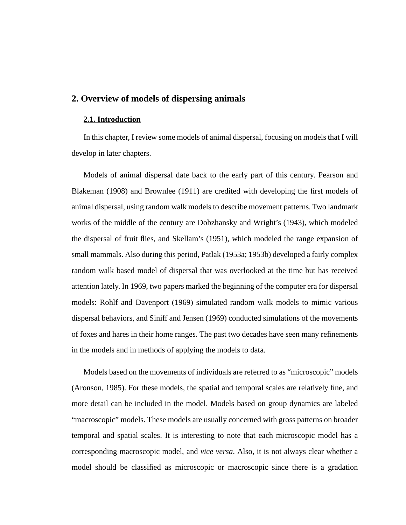## <span id="page-15-0"></span>**2. Overview of models of dispersing animals**

#### **2.1. Introduction**

In this chapter, I review some models of animal dispersal, focusing on models that I will develop in later chapters.

Models of animal dispersal date back to the early part of this century. Pearson and Blakeman (1908) and Brownlee (1911) are credited with developing the first models of animal dispersal, using random walk models to describe movement patterns. Two landmark works of the middle of the century are Dobzhansky and Wright's (1943), which modeled the dispersal of fruit flies, and Skellam's (1951), which modeled the range expansion of small mammals. Also during this period, Patlak (1953a; 1953b) developed a fairly complex random walk based model of dispersal that was overlooked at the time but has received attention lately. In 1969, two papers marked the beginning of the computer era for dispersal models: Rohlf and Davenport (1969) simulated random walk models to mimic various dispersal behaviors, and Siniff and Jensen (1969) conducted simulations of the movements of foxes and hares in their home ranges. The past two decades have seen many refinements in the models and in methods of applying the models to data.

Models based on the movements of individuals are referred to as "microscopic" models (Aronson, 1985). For these models, the spatial and temporal scales are relatively fine, and more detail can be included in the model. Models based on group dynamics are labeled "macroscopic" models. These models are usually concerned with gross patterns on broader temporal and spatial scales. It is interesting to note that each microscopic model has a corresponding macroscopic model, and *vice versa*. Also, it is not always clear whether a model should be classified as microscopic or macroscopic since there is a gradation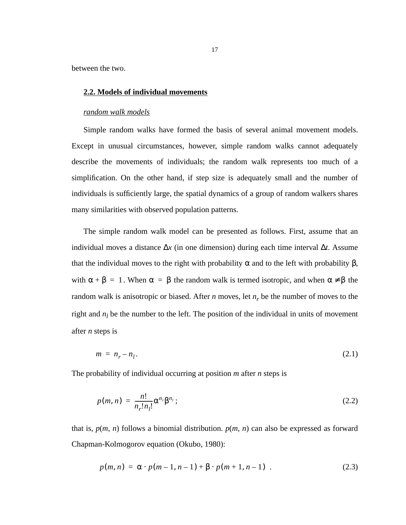<span id="page-16-0"></span>between the two.

## **2.2. Models of individual movements**

#### *random walk models*

Simple random walks have formed the basis of several animal movement models. Except in unusual circumstances, however, simple random walks cannot adequately describe the movements of individuals; the random walk represents too much of a simplification. On the other hand, if step size is adequately small and the number of individuals is sufficiently large, the spatial dynamics of a group of random walkers shares many similarities with observed population patterns.

The simple random walk model can be presented as follows. First, assume that an individual moves a distance ∆*x* (in one dimension) during each time interval ∆*t*. Assume that the individual moves to the right with probability  $\alpha$  and to the left with probability  $\beta$ , with  $\alpha + \beta = 1$ . When  $\alpha = \beta$  the random walk is termed isotropic, and when  $\alpha \neq \beta$  the random walk is anisotropic or biased. After  $n$  moves, let  $n_r$  be the number of moves to the right and  $n_l$  be the number to the left. The position of the individual in units of movement after *n* steps is

$$
m = n_r - n_l. \tag{2.1}
$$

The probability of individual occurring at position *m* after *n* steps is

$$
p(m,n) = \frac{n!}{n_r! n_l!} \alpha^{n_r} \beta^{n_l};
$$
\n(2.2)

that is,  $p(m, n)$  follows a binomial distribution.  $p(m, n)$  can also be expressed as forward Chapman-Kolmogorov equation (Okubo, 1980):

$$
p(m, n) = \alpha \cdot p(m-1, n-1) + \beta \cdot p(m+1, n-1) \tag{2.3}
$$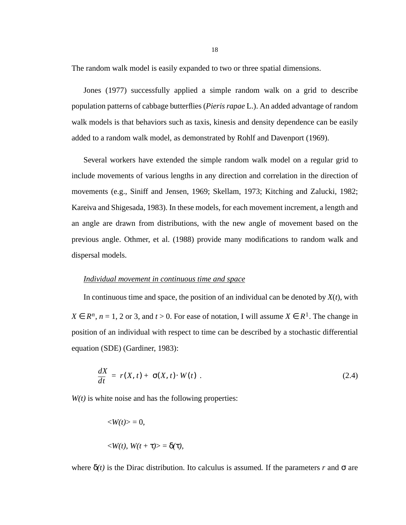The random walk model is easily expanded to two or three spatial dimensions.

Jones (1977) successfully applied a simple random walk on a grid to describe population patterns of cabbage butterflies (*Pieris rapae* L.). An added advantage of random walk models is that behaviors such as taxis, kinesis and density dependence can be easily added to a random walk model, as demonstrated by Rohlf and Davenport (1969).

Several workers have extended the simple random walk model on a regular grid to include movements of various lengths in any direction and correlation in the direction of movements (e.g., Siniff and Jensen, 1969; Skellam, 1973; Kitching and Zalucki, 1982; Kareiva and Shigesada, 1983). In these models, for each movement increment, a length and an angle are drawn from distributions, with the new angle of movement based on the previous angle. Othmer, et al. (1988) provide many modifications to random walk and dispersal models.

#### *Individual movement in continuous time and space*

In continuous time and space, the position of an individual can be denoted by  $X(t)$ , with  $X \in R^n$ ,  $n = 1, 2$  or 3, and  $t > 0$ . For ease of notation, I will assume  $X \in R^1$ . The change in position of an individual with respect to time can be described by a stochastic differential equation (SDE) (Gardiner, 1983):

$$
\frac{dX}{dt} = r(X, t) + \sigma(X, t) \cdot W(t) \tag{2.4}
$$

 $W(t)$  is white noise and has the following properties:

$$
\langle W(t) \rangle = 0,
$$
  

$$
\langle W(t), W(t + \tau) \rangle = \delta(\tau),
$$

where  $\delta(t)$  is the Dirac distribution. Ito calculus is assumed. If the parameters *r* and  $\sigma$  are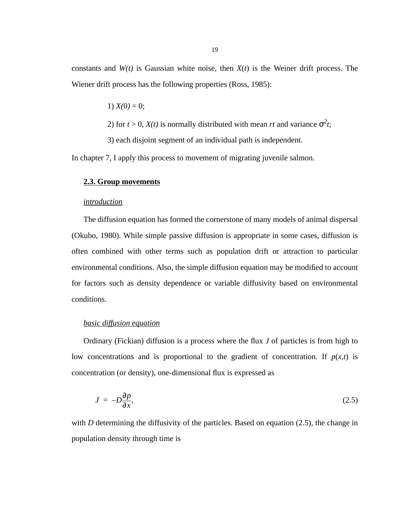<span id="page-18-0"></span>constants and *W(t)* is Gaussian white noise, then *X*(*t*) is the Weiner drift process. The Wiener drift process has the following properties (Ross, 1985):

1) 
$$
X(0) = 0;
$$

2) for  $t > 0$ ,  $X(t)$  is normally distributed with mean *rt* and variance  $\sigma^2 t$ ;

3) each disjoint segment of an individual path is independent.

In chapter 7, I apply this process to movement of migrating juvenile salmon.

## **2.3. Group movements**

## *introduction*

The diffusion equation has formed the cornerstone of many models of animal dispersal (Okubo, 1980). While simple passive diffusion is appropriate in some cases, diffusion is often combined with other terms such as population drift or attraction to particular environmental conditions. Also, the simple diffusion equation may be modified to account for factors such as density dependence or variable diffusivity based on environmental conditions.

#### *basic diffusion equation*

Ordinary (Fickian) diffusion is a process where the flux *J* of particles is from high to low concentrations and is proportional to the gradient of concentration. If  $p(x,t)$  is concentration (or density), one-dimensional flux is expressed as

$$
J = -D\frac{\partial p}{\partial x},\tag{2.5}
$$

with *D* determining the diffusivity of the particles. Based on equation (2.5), the change in population density through time is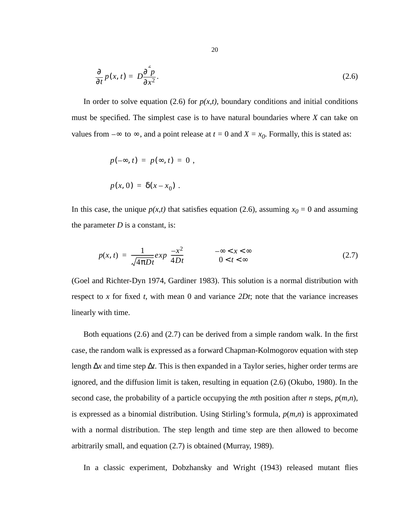<span id="page-19-0"></span>
$$
\frac{\partial}{\partial t}p(x,t) = D\frac{\partial^2 p}{\partial x^2}.
$$
\n(2.6)

In order to solve equation (2.6) for  $p(x,t)$ , boundary conditions and initial conditions must be specified. The simplest case is to have natural boundaries where *X* can take on values from  $-\infty$  to  $\infty$ , and a point release at  $t = 0$  and  $X = x_0$ . Formally, this is stated as:

$$
p(-\infty, t) = p(\infty, t) = 0,
$$
  

$$
p(x, 0) = \delta(x - x_0).
$$

In this case, the unique  $p(x,t)$  that satisfies equation (2.6), assuming  $x_0 = 0$  and assuming the parameter  $D$  is a constant, is:

$$
p(x,t) = \frac{1}{\sqrt{4\pi Dt}} exp\left(\frac{-x^2}{4Dt}\right) \qquad \left(\begin{matrix} -\infty < x < \infty \\ 0 < t < \infty \end{matrix}\right) \tag{2.7}
$$

(Goel and Richter-Dyn 1974, Gardiner 1983). This solution is a normal distribution with respect to *x* for fixed *t*, with mean 0 and variance *2Dt*; note that the variance increases linearly with time.

Both equations (2.6) and (2.7) can be derived from a simple random walk. In the first case, the random walk is expressed as a forward Chapman-Kolmogorov equation with step length ∆*x* and time step ∆*t*. This is then expanded in a Taylor series, higher order terms are ignored, and the diffusion limit is taken, resulting in equation (2.6) (Okubo, 1980). In the second case, the probability of a particle occupying the *m*th position after *n* steps,  $p(m,n)$ , is expressed as a binomial distribution. Using Stirling's formula, *p*(*m*,*n*) is approximated with a normal distribution. The step length and time step are then allowed to become arbitrarily small, and equation (2.7) is obtained (Murray, 1989).

In a classic experiment, Dobzhansky and Wright (1943) released mutant flies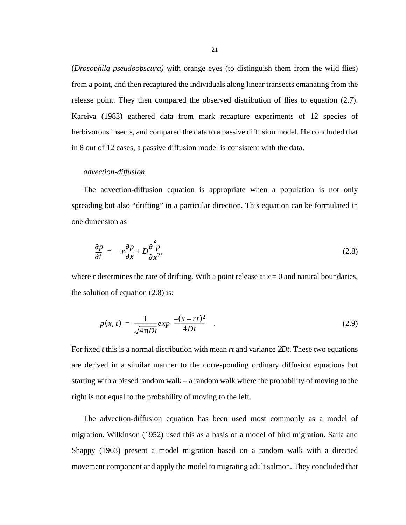(*Drosophila pseudoobscura)* with orange eyes (to distinguish them from the wild flies) from a point, and then recaptured the individuals along linear transects emanating from the release point. They then compared the observed distribution of flies to equation [\(2.7\)](#page-19-0). Kareiva (1983) gathered data from mark recapture experiments of 12 species of herbivorous insects, and compared the data to a passive diffusion model. He concluded that in 8 out of 12 cases, a passive diffusion model is consistent with the data.

#### *advection-diffusion*

The advection-diffusion equation is appropriate when a population is not only spreading but also "drifting" in a particular direction. This equation can be formulated in one dimension as

$$
\frac{\partial p}{\partial t} = -r \frac{\partial p}{\partial x} + D \frac{\partial^2 p}{\partial x^2},\tag{2.8}
$$

where *r* determines the rate of drifting. With a point release at  $x = 0$  and natural boundaries, the solution of equation (2.8) is:

$$
p(x,t) = \frac{1}{\sqrt{4\pi Dt}} exp\left(\frac{-(x-rt)^2}{4Dt}\right).
$$
 (2.9)

For fixed *t* this is a normal distribution with mean *rt* and variance 2*Dt*. These two equations are derived in a similar manner to the corresponding ordinary diffusion equations but starting with a biased random walk – a random walk where the probability of moving to the right is not equal to the probability of moving to the left.

The advection-diffusion equation has been used most commonly as a model of migration. Wilkinson (1952) used this as a basis of a model of bird migration. Saila and Shappy (1963) present a model migration based on a random walk with a directed movement component and apply the model to migrating adult salmon. They concluded that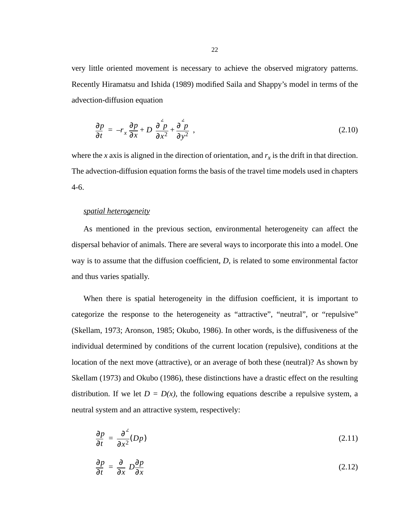<span id="page-21-0"></span>very little oriented movement is necessary to achieve the observed migratory patterns. Recently Hiramatsu and Ishida (1989) modified Saila and Shappy's model in terms of the advection-diffusion equation

$$
\frac{\partial p}{\partial t} = -r_x \frac{\partial p}{\partial x} + D \left( \frac{\partial^2 p}{\partial x^2} + \frac{\partial^2 p}{\partial y^2} \right),\tag{2.10}
$$

where the *x* axis is aligned in the direction of orientation, and  $r_x$  is the drift in that direction. The advection-diffusion equation forms the basis of the travel time models used in chapters 4-6.

## *spatial heterogeneity*

As mentioned in the previous section, environmental heterogeneity can affect the dispersal behavior of animals. There are several ways to incorporate this into a model. One way is to assume that the diffusion coefficient, *D*, is related to some environmental factor and thus varies spatially.

When there is spatial heterogeneity in the diffusion coefficient, it is important to categorize the response to the heterogeneity as "attractive", "neutral", or "repulsive" (Skellam, 1973; Aronson, 1985; Okubo, 1986). In other words, is the diffusiveness of the individual determined by conditions of the current location (repulsive), conditions at the location of the next move (attractive), or an average of both these (neutral)? As shown by Skellam (1973) and Okubo (1986), these distinctions have a drastic effect on the resulting distribution. If we let  $D = D(x)$ , the following equations describe a repulsive system, a neutral system and an attractive system, respectively:

$$
\frac{\partial p}{\partial t} = \frac{\partial^2}{\partial x^2} (Dp) \tag{2.11}
$$

$$
\frac{\partial p}{\partial t} = \frac{\partial}{\partial x} \left( D \frac{\partial p}{\partial x} \right) \tag{2.12}
$$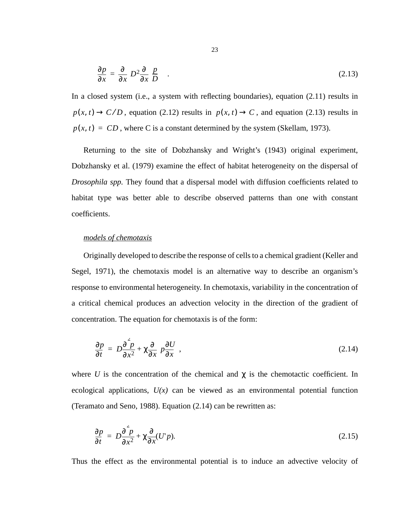$$
\frac{\partial p}{\partial x} = \frac{\partial}{\partial x} \left( D^2 \frac{\partial}{\partial x} \left( \frac{p}{D} \right) \right). \tag{2.13}
$$

In a closed system (i.e., a system with reflecting boundaries), equation [\(2.11\)](#page-21-0) results in  $p(x, t) \rightarrow C/D$ , equation [\(2.12\)](#page-21-0) results in  $p(x, t) \rightarrow C$ , and equation (2.13) results in  $p(x, t) = CD$ , where C is a constant determined by the system (Skellam, 1973).

Returning to the site of Dobzhansky and Wright's (1943) original experiment, Dobzhansky et al. (1979) examine the effect of habitat heterogeneity on the dispersal of *Drosophila spp.* They found that a dispersal model with diffusion coefficients related to habitat type was better able to describe observed patterns than one with constant coefficients.

#### *models of chemotaxis*

Originally developed to describe the response of cells to a chemical gradient (Keller and Segel, 1971), the chemotaxis model is an alternative way to describe an organism's response to environmental heterogeneity. In chemotaxis, variability in the concentration of a critical chemical produces an advection velocity in the direction of the gradient of concentration. The equation for chemotaxis is of the form:

$$
\frac{\partial p}{\partial t} = D \frac{\partial^2 p}{\partial x^2} + \chi \frac{\partial}{\partial x} \left( p \frac{\partial U}{\partial x} \right),\tag{2.14}
$$

where *U* is the concentration of the chemical and  $\chi$  is the chemotactic coefficient. In ecological applications,  $U(x)$  can be viewed as an environmental potential function (Teramato and Seno, 1988). Equation (2.14) can be rewritten as:

$$
\frac{\partial p}{\partial t} = D \frac{\partial^2 p}{\partial x^2} + \chi \frac{\partial}{\partial x} (U'p). \tag{2.15}
$$

Thus the effect as the environmental potential is to induce an advective velocity of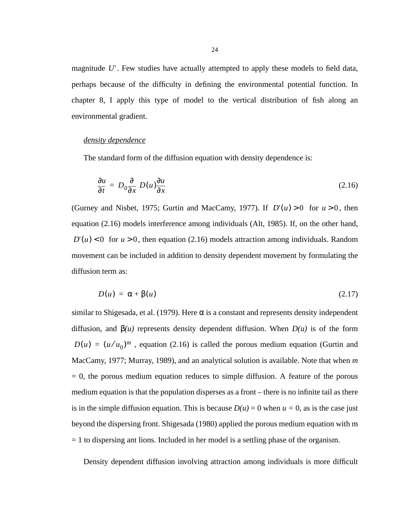magnitude  $U'$ . Few studies have actually attempted to apply these models to field data, perhaps because of the difficulty in defining the environmental potential function. In chapter 8, I apply this type of model to the vertical distribution of fish along an environmental gradient.

## *density dependence*

The standard form of the diffusion equation with density dependence is:

$$
\frac{\partial u}{\partial t} = D_0 \frac{\partial}{\partial x} \left( D(u) \frac{\partial u}{\partial x} \right) \tag{2.16}
$$

(Gurney and Nisbet, 1975; Gurtin and MacCamy, 1977). If  $D'(u) > 0$  for  $u > 0$ , then equation (2.16) models interference among individuals (Alt, 1985). If, on the other hand,  $D'(u) < 0$  for  $u > 0$ , then equation (2.16) models attraction among individuals. Random movement can be included in addition to density dependent movement by formulating the diffusion term as:

$$
D(u) = \alpha + \beta(u) \tag{2.17}
$$

similar to Shigesada, et al. (1979). Here  $\alpha$  is a constant and represents density independent diffusion, and  $\beta(u)$  represents density dependent diffusion. When  $D(u)$  is of the form  $D(u) = (u/u_0)^m$ , equation (2.16) is called the porous medium equation (Gurtin and MacCamy, 1977; Murray, 1989), and an analytical solution is available. Note that when *m*  $= 0$ , the porous medium equation reduces to simple diffusion. A feature of the porous medium equation is that the population disperses as a front – there is no infinite tail as there is in the simple diffusion equation. This is because  $D(u) = 0$  when  $u = 0$ , as is the case just beyond the dispersing front. Shigesada (1980) applied the porous medium equation with m = 1 to dispersing ant lions. Included in her model is a settling phase of the organism.

Density dependent diffusion involving attraction among individuals is more difficult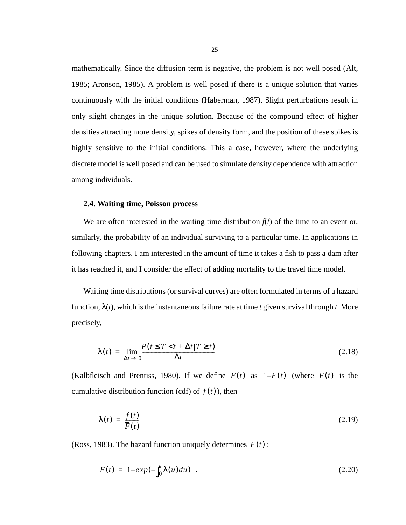<span id="page-24-0"></span>mathematically. Since the diffusion term is negative, the problem is not well posed (Alt, 1985; Aronson, 1985). A problem is well posed if there is a unique solution that varies continuously with the initial conditions (Haberman, 1987). Slight perturbations result in only slight changes in the unique solution. Because of the compound effect of higher densities attracting more density, spikes of density form, and the position of these spikes is highly sensitive to the initial conditions. This a case, however, where the underlying discrete model is well posed and can be used to simulate density dependence with attraction among individuals.

## **2.4. Waiting time, Poisson process**

We are often interested in the waiting time distribution  $f(t)$  of the time to an event or, similarly, the probability of an individual surviving to a particular time. In applications in following chapters, I am interested in the amount of time it takes a fish to pass a dam after it has reached it, and I consider the effect of adding mortality to the travel time model.

Waiting time distributions (or survival curves) are often formulated in terms of a hazard function, λ(*t*), which is the instantaneous failure rate at time *t* given survival through *t*. More precisely,

$$
\lambda(t) = \lim_{\Delta t \to 0} \frac{P(t \le T < t + \Delta t | T \ge t)}{\Delta t}
$$
\n(2.18)

(Kalbfleisch and Prentiss, 1980). If we define  $\overline{F}(t)$  as  $1-F(t)$  (where  $F(t)$  is the cumulative distribution function (cdf) of  $f(t)$ ), then

$$
\lambda(t) = \frac{f(t)}{\overline{F}(t)}\tag{2.19}
$$

(Ross, 1983). The hazard function uniquely determines  $F(t)$ :

$$
F(t) = 1 - exp(-\int_0^t \lambda(u) du) \quad . \tag{2.20}
$$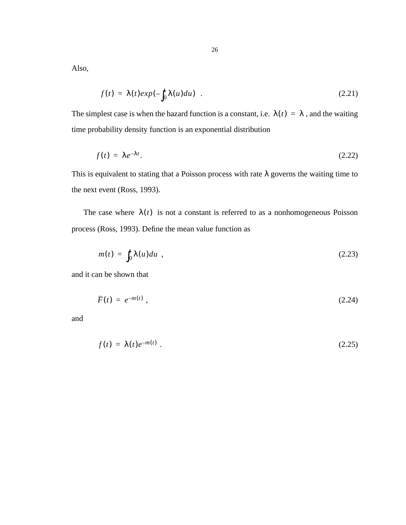Also,

$$
f(t) = \lambda(t) exp(-\int_0^t \lambda(u) du) \quad . \tag{2.21}
$$

The simplest case is when the hazard function is a constant, i.e.  $\lambda(t) = \lambda$ , and the waiting time probability density function is an exponential distribution

$$
f(t) = \lambda e^{-\lambda t}.
$$
 (2.22)

This is equivalent to stating that a Poisson process with rate  $\lambda$  governs the waiting time to the next event (Ross, 1993).

The case where  $\lambda(t)$  is not a constant is referred to as a nonhomogeneous Poisson process (Ross, 1993). Define the mean value function as

$$
m(t) = \int_0^t \lambda(u) du , \qquad (2.23)
$$

and it can be shown that

$$
\overline{F}(t) = e^{-m(t)} \tag{2.24}
$$

and

$$
f(t) = \lambda(t)e^{-m(t)}.
$$
\n(2.25)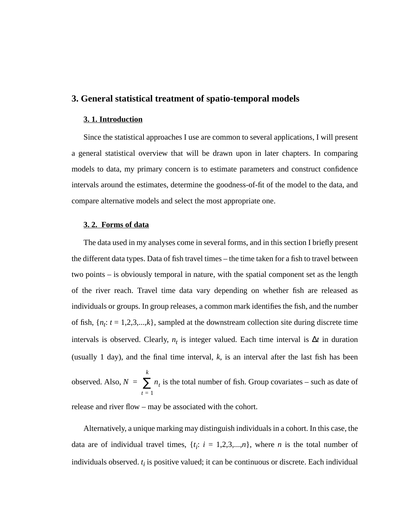## <span id="page-26-0"></span>**3. General statistical treatment of spatio-temporal models**

#### **3. 1. Introduction**

Since the statistical approaches I use are common to several applications, I will present a general statistical overview that will be drawn upon in later chapters. In comparing models to data, my primary concern is to estimate parameters and construct confidence intervals around the estimates, determine the goodness-of-fit of the model to the data, and compare alternative models and select the most appropriate one.

#### **3. 2. Forms of data**

The data used in my analyses come in several forms, and in this section I briefly present the different data types. Data of fish travel times – the time taken for a fish to travel between two points – is obviously temporal in nature, with the spatial component set as the length of the river reach. Travel time data vary depending on whether fish are released as individuals or groups. In group releases, a common mark identifies the fish, and the number of fish,  $\{n_t: t = 1, 2, 3, \ldots, k\}$ , sampled at the downstream collection site during discrete time intervals is observed. Clearly,  $n_t$  is integer valued. Each time interval is  $\Delta t$  in duration (usually 1 day), and the final time interval,  $k$ , is an interval after the last fish has been observed. Also,  $N = \sum_{i} n_i$  is the total number of fish. Group covariates – such as date of release and river flow – may be associated with the cohort. *t* = 1 *k* <sup>=</sup> ∑

Alternatively, a unique marking may distinguish individuals in a cohort. In this case, the data are of individual travel times,  $\{t_i: i = 1, 2, 3, \ldots, n\}$ , where *n* is the total number of individuals observed.  $t_i$  is positive valued; it can be continuous or discrete. Each individual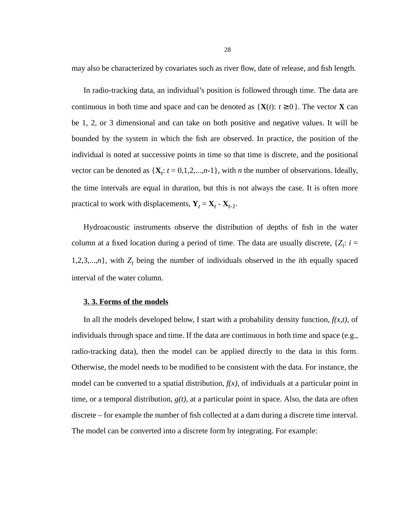<span id="page-27-0"></span>may also be characterized by covariates such as river flow, date of release, and fish length.

In radio-tracking data, an individual's position is followed through time. The data are continuous in both time and space and can be denoted as  $\{X(t): t \ge 0\}$ . The vector **X** can be 1, 2, or 3 dimensional and can take on both positive and negative values. It will be bounded by the system in which the fish are observed. In practice, the position of the individual is noted at successive points in time so that time is discrete, and the positional vector can be denoted as  $\{X_t: t = 0, 1, 2, \ldots, n-1\}$ , with *n* the number of observations. Ideally, the time intervals are equal in duration, but this is not always the case. It is often more practical to work with displacements,  $\mathbf{Y}_t = \mathbf{X}_t - \mathbf{X}_{t-1}$ .

Hydroacoustic instruments observe the distribution of depths of fish in the water column at a fixed location during a period of time. The data are usually discrete,  $\{Z_i: i =$ 1,2,3,...,*n*}, with  $Z_i$  being the number of individuals observed in the *i*th equally spaced interval of the water column.

#### **3. 3. Forms of the models**

In all the models developed below, I start with a probability density function,  $f(x,t)$ , of individuals through space and time. If the data are continuous in both time and space (e.g., radio-tracking data), then the model can be applied directly to the data in this form. Otherwise, the model needs to be modified to be consistent with the data. For instance, the model can be converted to a spatial distribution,  $f(x)$ , of individuals at a particular point in time, or a temporal distribution,  $g(t)$ , at a particular point in space. Also, the data are often discrete – for example the number of fish collected at a dam during a discrete time interval. The model can be converted into a discrete form by integrating. For example: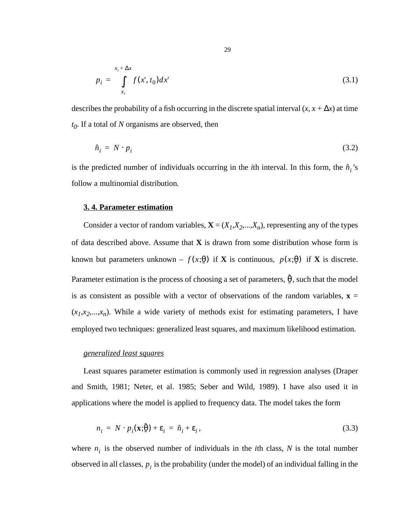<span id="page-28-0"></span>
$$
p_i = \int_{x_i}^{x_i + \Delta x} f(x, t_0) dx
$$
 (3.1)

describes the probability of a fish occurring in the discrete spatial interval  $(x, x + \Delta x)$  at time *t0*. If a total of *N* organisms are observed, then

$$
\hat{n}_i = N \cdot p_i \tag{3.2}
$$

is the predicted number of individuals occurring in the *i*th interval. In this form, the  $\hat{n}$ <sup>*'*</sup><sub>*i*</sub>'s follow a multinomial distribution*.*

### **3. 4. Parameter estimation**

Consider a vector of random variables,  $\mathbf{X} = (X_1, X_2, \dots, X_n)$ , representing any of the types of data described above. Assume that **X** is drawn from some distribution whose form is known but parameters unknown –  $f(x;\theta)$  if **X** is continuous,  $p(x;\theta)$  if **X** is discrete. Parameter estimation is the process of choosing a set of parameters,  $\hat{\theta}$ , such that the model is as consistent as possible with a vector of observations of the random variables,  $\mathbf{x} =$  $(x_1, x_2, \ldots, x_n)$ . While a wide variety of methods exist for estimating parameters, I have employed two techniques: generalized least squares, and maximum likelihood estimation. ˜

#### *generalized least squares*

Least squares parameter estimation is commonly used in regression analyses (Draper and Smith, 1981; Neter, et al. 1985; Seber and Wild, 1989). I have also used it in applications where the model is applied to frequency data. The model takes the form

$$
n_i = N \cdot p_i(\mathbf{x}; \hat{\theta}) + \varepsilon_i = \hat{n}_i + \varepsilon_i, \tag{3.3}
$$

where  $n_i$  is the observed number of individuals in the *i*th class, *N* is the total number observed in all classes,  $p_i$  is the probability (under the model) of an individual falling in the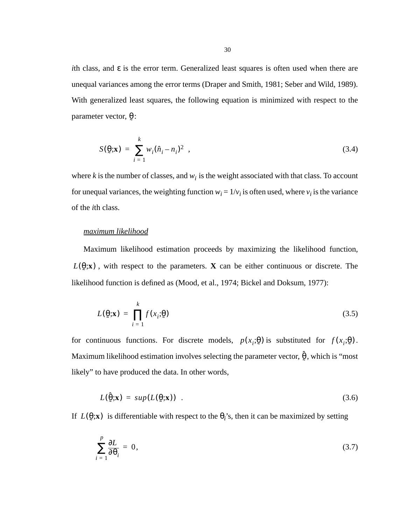*i*th class, and ε is the error term. Generalized least squares is often used when there are unequal variances among the error terms (Draper and Smith, 1981; Seber and Wild, 1989). With generalized least squares, the following equation is minimized with respect to the parameter vector,  $\theta$ : ˜

$$
S(\mathbf{\Theta}; \mathbf{x}) = \sum_{i=1}^{k} w_i (\hat{n}_i - n_i)^2 , \qquad (3.4)
$$

where  $k$  is the number of classes, and  $w_i$  is the weight associated with that class. To account for unequal variances, the weighting function  $w_i = 1/v_i$  is often used, where  $v_i$  is the variance of the *i*th class.

## *maximum likelihood*

Maximum likelihood estimation proceeds by maximizing the likelihood function,  $L(\theta; \mathbf{x})$ , with respect to the parameters. **X** can be either continuous or discrete. The likelihood function is defined as (Mood, et al., 1974; Bickel and Doksum, 1977): ˜  $(\theta; \mathbf{x})$ 

$$
L(\mathbf{\Theta}; \mathbf{x}) = \prod_{i=1}^{k} f(x_i; \mathbf{\Theta})
$$
\n(3.5)

for continuous functions. For discrete models,  $p(x_i; \theta)$  is substituted for  $f(x_i; \theta)$ . Maximum likelihood estimation involves selecting the parameter vector,  $\hat{\theta}$ , which is "most likely" to have produced the data. In other words, ˜

$$
L(\hat{\theta}; \mathbf{x}) = sup(L(\theta; \mathbf{x})) \quad . \tag{3.6}
$$

If  $L(\mathfrak{g}; \mathbf{x})$  is differentiable with respect to the  $\theta_i$ 's, then it can be maximized by setting ˜  $(\theta; \mathbf{x})$ 

$$
\sum_{i=1}^{p} \frac{\partial L}{\partial \theta_i} = 0, \tag{3.7}
$$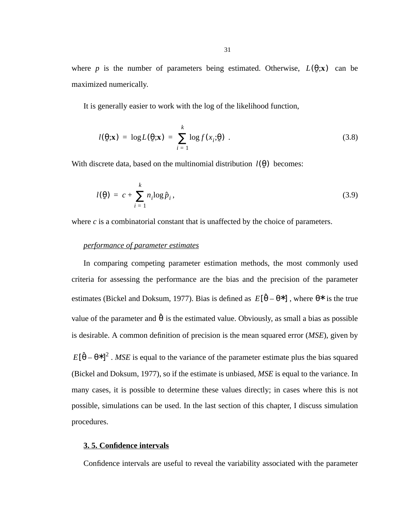<span id="page-30-0"></span>where *p* is the number of parameters being estimated. Otherwise,  $L(\theta; \mathbf{x})$  can be maximized numerically. ˜  $(\theta; \mathbf{x})$ 

It is generally easier to work with the log of the likelihood function,

$$
l(\mathbf{\Theta}; \mathbf{x}) = \log L(\mathbf{\Theta}; \mathbf{x}) = \sum_{i=1}^{k} \log f(x_i; \mathbf{\Theta}). \tag{3.8}
$$

With discrete data, based on the multinomial distribution  $l(\theta)$  becomes: ˜  $(\hat{\theta})$ 

$$
l(\underline{\theta}) = c + \sum_{i=1}^{k} n_i \log \hat{p}_i, \qquad (3.9)
$$

where *c* is a combinatorial constant that is unaffected by the choice of parameters.

## *performance of parameter estimates*

In comparing competing parameter estimation methods, the most commonly used criteria for assessing the performance are the bias and the precision of the parameter estimates (Bickel and Doksum, 1977). Bias is defined as  $E[\hat{\theta} - \theta^*]$ , where  $\theta^*$  is the true value of the parameter and  $\hat{\theta}$  is the estimated value. Obviously, as small a bias as possible is desirable. A common definition of precision is the mean squared error (*MSE*), given by  $E[\hat{\theta} - \theta^*]^2$ . *MSE* is equal to the variance of the parameter estimate plus the bias squared (Bickel and Doksum, 1977), so if the estimate is unbiased, *MSE* is equal to the variance. In many cases, it is possible to determine these values directly; in cases where this is not possible, simulations can be used. In the last section of this chapter, I discuss simulation procedures.

#### **3. 5. Confidence intervals**

Confidence intervals are useful to reveal the variability associated with the parameter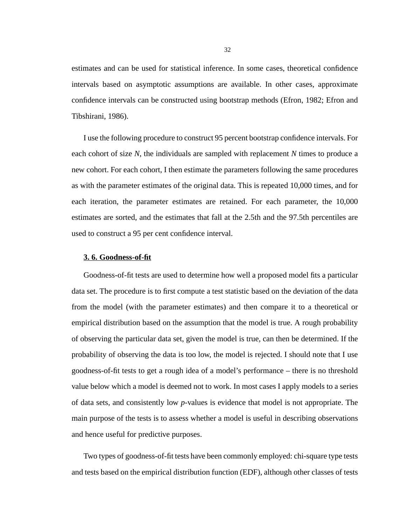<span id="page-31-0"></span>estimates and can be used for statistical inference. In some cases, theoretical confidence intervals based on asymptotic assumptions are available. In other cases, approximate confidence intervals can be constructed using bootstrap methods (Efron, 1982; Efron and Tibshirani, 1986).

I use the following procedure to construct 95 percent bootstrap confidence intervals. For each cohort of size *N*, the individuals are sampled with replacement *N* times to produce a new cohort. For each cohort, I then estimate the parameters following the same procedures as with the parameter estimates of the original data. This is repeated 10,000 times, and for each iteration, the parameter estimates are retained. For each parameter, the 10,000 estimates are sorted, and the estimates that fall at the 2.5th and the 97.5th percentiles are used to construct a 95 per cent confidence interval.

#### **3. 6. Goodness-of-fit**

Goodness-of-fit tests are used to determine how well a proposed model fits a particular data set. The procedure is to first compute a test statistic based on the deviation of the data from the model (with the parameter estimates) and then compare it to a theoretical or empirical distribution based on the assumption that the model is true. A rough probability of observing the particular data set, given the model is true, can then be determined. If the probability of observing the data is too low, the model is rejected. I should note that I use goodness-of-fit tests to get a rough idea of a model's performance – there is no threshold value below which a model is deemed not to work. In most cases I apply models to a series of data sets, and consistently low *p*-values is evidence that model is not appropriate. The main purpose of the tests is to assess whether a model is useful in describing observations and hence useful for predictive purposes.

Two types of goodness-of-fit tests have been commonly employed: chi-square type tests and tests based on the empirical distribution function (EDF), although other classes of tests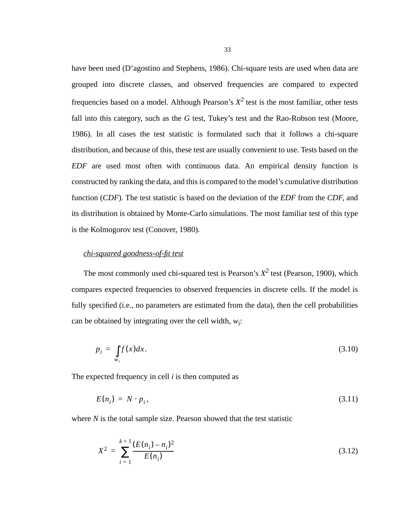have been used (D'agostino and Stephens, 1986). Chi-square tests are used when data are grouped into discrete classes, and observed frequencies are compared to expected frequencies based on a model. Although Pearson's  $X^2$  test is the most familiar, other tests fall into this category, such as the *G* test, Tukey's test and the Rao-Robson test (Moore, 1986). In all cases the test statistic is formulated such that it follows a chi-square distribution, and because of this, these test are usually convenient to use. Tests based on the *EDF* are used most often with continuous data. An empirical density function is constructed by ranking the data, and this is compared to the model's cumulative distribution function (*CDF*). The test statistic is based on the deviation of the *EDF* from the *CDF*, and its distribution is obtained by Monte-Carlo simulations. The most familiar test of this type is the Kolmogorov test (Conover, 1980).

## *chi-squared goodness-of-fit test*

The most commonly used chi-squared test is Pearson's  $X^2$  test (Pearson, 1900), which compares expected frequencies to observed frequencies in discrete cells. If the model is fully specified (i.e., no parameters are estimated from the data), then the cell probabilities can be obtained by integrating over the cell width,  $w_i$ :

$$
p_i = \int_{w_i} f(x) dx.
$$
 (3.10)

The expected frequency in cell *i* is then computed as

$$
E(n_i) = N \cdot p_i,\tag{3.11}
$$

where *N* is the total sample size. Pearson showed that the test statistic

$$
X^{2} = \sum_{i=1}^{k+1} \frac{(E(n_{i}) - n_{i})^{2}}{E(n_{i})}
$$
(3.12)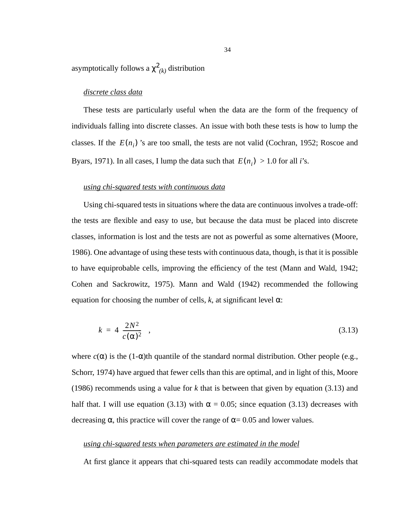asymptotically follows a  $\chi^2_{\;\; (k)}$  distribution

## *discrete class data*

These tests are particularly useful when the data are the form of the frequency of individuals falling into discrete classes. An issue with both these tests is how to lump the classes. If the  $E(n_i)$  's are too small, the tests are not valid (Cochran, 1952; Roscoe and Byars, 1971). In all cases, I lump the data such that  $E(n_i) > 1.0$  for all *i*'s.

#### *using chi-squared tests with continuous data*

Using chi-squared tests in situations where the data are continuous involves a trade-off: the tests are flexible and easy to use, but because the data must be placed into discrete classes, information is lost and the tests are not as powerful as some alternatives (Moore, 1986). One advantage of using these tests with continuous data, though, is that it is possible to have equiprobable cells, improving the efficiency of the test (Mann and Wald, 1942; Cohen and Sackrowitz, 1975). Mann and Wald (1942) recommended the following equation for choosing the number of cells,  $k$ , at significant level  $\alpha$ :

$$
k = 4\left(\frac{2N^2}{c(\alpha)^2}\right),\tag{3.13}
$$

where  $c(\alpha)$  is the (1- $\alpha$ )th quantile of the standard normal distribution. Other people (e.g., Schorr, 1974) have argued that fewer cells than this are optimal, and in light of this, Moore (1986) recommends using a value for *k* that is between that given by equation (3.13) and half that. I will use equation (3.13) with  $\alpha = 0.05$ ; since equation (3.13) decreases with decreasing  $\alpha$ , this practice will cover the range of  $\alpha$  = 0.05 and lower values.

## *using chi-squared tests when parameters are estimated in the model*

At first glance it appears that chi-squared tests can readily accommodate models that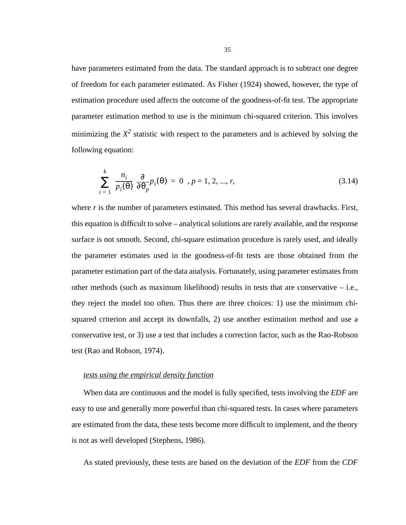have parameters estimated from the data. The standard approach is to subtract one degree of freedom for each parameter estimated. As Fisher (1924) showed, however, the type of estimation procedure used affects the outcome of the goodness-of-fit test. The appropriate parameter estimation method to use is the minimum chi-squared criterion. This involves minimizing the  $X^2$  statistic with respect to the parameters and is achieved by solving the following equation:

$$
\sum_{i=1}^{k} \left( \frac{n_i}{p_i(\theta)} \right) \frac{\partial}{\partial \theta_p} p_i(\theta) = 0, p = 1, 2, ..., r,
$$
\n(3.14)

where *r* is the number of parameters estimated. This method has several drawbacks. First, this equation is difficult to solve – analytical solutions are rarely available, and the response surface is not smooth. Second, chi-square estimation procedure is rarely used, and ideally the parameter estimates used in the goodness-of-fit tests are those obtained from the parameter estimation part of the data analysis. Fortunately, using parameter estimates from other methods (such as maximum likelihood) results in tests that are conservative  $-$  i.e., they reject the model too often. Thus there are three choices: 1) use the minimum chisquared criterion and accept its downfalls, 2) use another estimation method and use a conservative test, or 3) use a test that includes a correction factor, such as the Rao-Robson test (Rao and Robson, 1974).

#### *tests using the empirical density function*

When data are continuous and the model is fully specified, tests involving the *EDF* are easy to use and generally more powerful than chi-squared tests. In cases where parameters are estimated from the data, these tests become more difficult to implement, and the theory is not as well developed (Stephens, 1986).

As stated previously, these tests are based on the deviation of the *EDF* from the *CDF*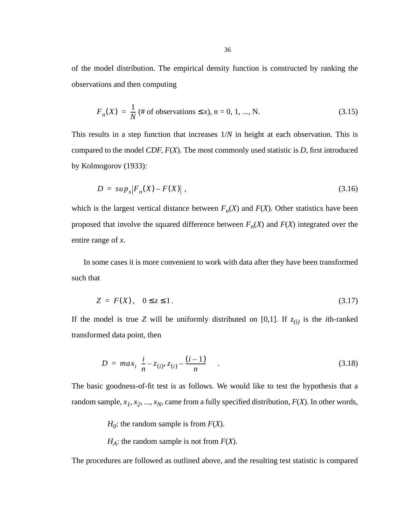of the model distribution. The empirical density function is constructed by ranking the observations and then computing

$$
F_n(X) = \frac{1}{N} \text{ ($\#$ of observations } \le x), \, n = 0, 1, \dots, N. \tag{3.15}
$$

This results in a step function that increases 1/*N* in height at each observation. This is compared to the model *CDF*, *F*(*X*). The most commonly used statistic is *D*, first introduced by Kolmogorov (1933):

$$
D = \sup_{x} |F_n(X) - F(X)| \tag{3.16}
$$

which is the largest vertical distance between  $F_n(X)$  and  $F(X)$ . Other statistics have been proposed that involve the squared difference between  $F_n(X)$  and  $F(X)$  integrated over the entire range of *x*.

In some cases it is more convenient to work with data after they have been transformed such that

$$
Z = F(X), \quad 0 \le z \le 1. \tag{3.17}
$$

If the model is true *Z* will be uniformly distributed on [0,1]. If  $z_{(i)}$  is the *i*th-ranked transformed data point, then

$$
D = max_{i} \left\{ \frac{i}{n} - z_{(i)}, z_{(i)} - \frac{(i-1)}{n} \right\} .
$$
 (3.18)

The basic goodness-of-fit test is as follows. We would like to test the hypothesis that a random sample,  $x_1, x_2, ..., x_N$ , came from a fully specified distribution,  $F(X)$ . In other words,

*H*<sup>0</sup>: the random sample is from  $F(X)$ .

*HA*: the random sample is not from *F*(*X*).

The procedures are followed as outlined above, and the resulting test statistic is compared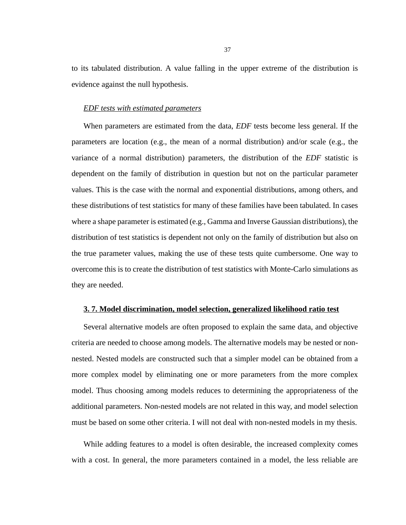to its tabulated distribution. A value falling in the upper extreme of the distribution is evidence against the null hypothesis.

#### *EDF tests with estimated parameters*

When parameters are estimated from the data, *EDF* tests become less general. If the parameters are location (e.g., the mean of a normal distribution) and/or scale (e.g., the variance of a normal distribution) parameters, the distribution of the *EDF* statistic is dependent on the family of distribution in question but not on the particular parameter values. This is the case with the normal and exponential distributions, among others, and these distributions of test statistics for many of these families have been tabulated. In cases where a shape parameter is estimated (e.g., Gamma and Inverse Gaussian distributions), the distribution of test statistics is dependent not only on the family of distribution but also on the true parameter values, making the use of these tests quite cumbersome. One way to overcome this is to create the distribution of test statistics with Monte-Carlo simulations as they are needed.

### **3. 7. Model discrimination, model selection, generalized likelihood ratio test**

Several alternative models are often proposed to explain the same data, and objective criteria are needed to choose among models. The alternative models may be nested or nonnested. Nested models are constructed such that a simpler model can be obtained from a more complex model by eliminating one or more parameters from the more complex model. Thus choosing among models reduces to determining the appropriateness of the additional parameters. Non-nested models are not related in this way, and model selection must be based on some other criteria. I will not deal with non-nested models in my thesis.

While adding features to a model is often desirable, the increased complexity comes with a cost. In general, the more parameters contained in a model, the less reliable are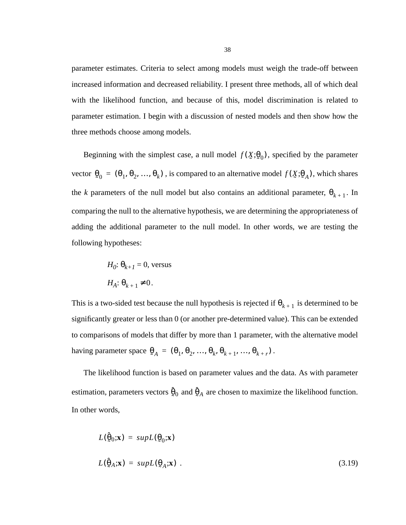parameter estimates. Criteria to select among models must weigh the trade-off between increased information and decreased reliability. I present three methods, all of which deal with the likelihood function, and because of this, model discrimination is related to parameter estimation. I begin with a discussion of nested models and then show how the three methods choose among models.

Beginning with the simplest case, a null model  $f(\mathfrak{X}; \theta_0)$ , specified by the parameter vector  $\Theta_0 = (\Theta_1, \Theta_2, ..., \Theta_k)$ , is compared to an alternative model  $f(\chi; \Theta_A)$ , which shares the *k* parameters of the null model but also contains an additional parameter,  $\theta_{k+1}$ . In comparing the null to the alternative hypothesis, we are determining the appropriateness of adding the additional parameter to the null model. In other words, we are testing the following hypotheses:

$$
H_0: \Theta_{k+1} = 0, \text{ versus}
$$
  

$$
H_A: \Theta_{k+1} \neq 0.
$$

This is a two-sided test because the null hypothesis is rejected if  $\theta_{k+1}$  is determined to be significantly greater or less than 0 (or another pre-determined value). This can be extended to comparisons of models that differ by more than 1 parameter, with the alternative model having parameter space  $\theta_A = (\theta_1, \theta_2, ..., \theta_k, \theta_{k+1}, ..., \theta_{k+r})$ .

The likelihood function is based on parameter values and the data. As with parameter estimation, parameters vectors  $\hat{\theta}_0$  and  $\hat{\theta}_A$  are chosen to maximize the likelihood function. In other words,  $\hat{\theta}_0$  and  $\hat{\theta}_A$ 

$$
L(\hat{\theta}_0; \mathbf{x}) = supL(\theta_0; \mathbf{x})
$$
  

$$
L(\hat{\theta}_A; \mathbf{x}) = supL(\theta_A; \mathbf{x})
$$
 (3.19)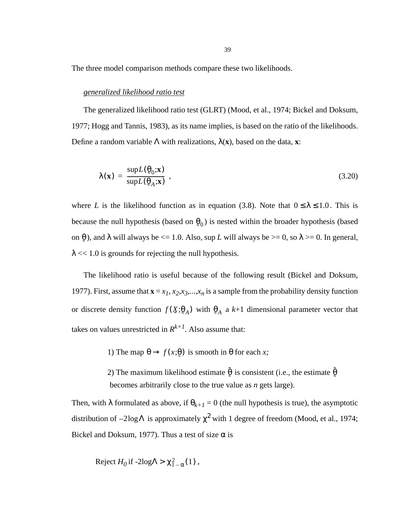The three model comparison methods compare these two likelihoods.

#### *generalized likelihood ratio test*

The generalized likelihood ratio test (GLRT) (Mood, et al., 1974; Bickel and Doksum, 1977; Hogg and Tannis, 1983), as its name implies, is based on the ratio of the likelihoods. Define a random variable Λ with realizations, λ(**x**), based on the data, **x**:

$$
\lambda(\mathbf{x}) = \frac{\sup L(\mathbf{\hat{g}}_0; \mathbf{x})}{\sup L(\mathbf{\hat{g}}_A; \mathbf{x})},
$$
\n(3.20)

where *L* is the likelihood function as in equation [\(3.8\).](#page-30-0) Note that  $0 \le \lambda \le 1.0$ . This is because the null hypothesis (based on  $\theta_0$ ) is nested within the broader hypothesis (based on  $\theta$ ), and  $\lambda$  will always be  $\leq 1.0$ . Also, sup *L* will always be  $\geq 0$ , so  $\lambda \geq 0$ . In general,  $\lambda \ll 1.0$  is grounds for rejecting the null hypothesis. ˜

The likelihood ratio is useful because of the following result (Bickel and Doksum, 1977). First, assume that  $\mathbf{x} = x_1, x_2, x_3, \dots, x_n$  is a sample from the probability density function or discrete density function  $f(\mathbf{X}; \theta_A)$  with  $\theta_A$  a  $k+1$  dimensional parameter vector that takes on values unrestricted in  $R^{k+1}$ . Also assume that:

1) The map  $θ \rightarrow f(x; θ)$  is smooth in  $θ$  for each *x*;

2) The maximum likelihood estimate  $\hat{\theta}$  is consistent (i.e., the estimate  $\hat{\theta}$ becomes arbitrarily close to the true value as *n* gets large).

Then, with  $\lambda$  formulated as above, if  $\theta_{k+1} = 0$  (the null hypothesis is true), the asymptotic distribution of  $-2\log\Lambda$  is approximately  $\chi^2$  with 1 degree of freedom (Mood, et al., 1974; Bickel and Doksum, 1977). Thus a test of size  $\alpha$  is

$$
Reject H_0 \text{ if } -2\text{log}\Lambda > \chi^2_{1-\alpha}(1),
$$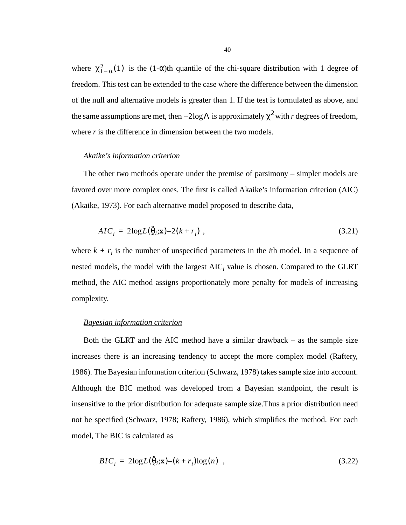where  $\chi^2_{1-\alpha}(1)$  is the (1- $\alpha$ )th quantile of the chi-square distribution with 1 degree of freedom. This test can be extended to the case where the difference between the dimension of the null and alternative models is greater than 1. If the test is formulated as above, and the same assumptions are met, then  $-2\logΛ$  is approximately  $\chi^2$  with *r* degrees of freedom, where *r* is the difference in dimension between the two models.

## *Akaike's information criterion*

The other two methods operate under the premise of parsimony – simpler models are favored over more complex ones. The first is called Akaike's information criterion (AIC) (Akaike, 1973). For each alternative model proposed to describe data,

$$
AIC_i = 2\log L(\hat{\theta}_i; \mathbf{x}) - 2(k + r_i) \tag{3.21}
$$

where  $k + r_i$  is the number of unspecified parameters in the *i*th model. In a sequence of nested models, the model with the largest  $AIC<sub>i</sub>$  value is chosen. Compared to the GLRT method, the AIC method assigns proportionately more penalty for models of increasing complexity.

#### *Bayesian information criterion*

Both the GLRT and the AIC method have a similar drawback – as the sample size increases there is an increasing tendency to accept the more complex model (Raftery, 1986). The Bayesian information criterion (Schwarz, 1978) takes sample size into account. Although the BIC method was developed from a Bayesian standpoint, the result is insensitive to the prior distribution for adequate sample size.Thus a prior distribution need not be specified (Schwarz, 1978; Raftery, 1986), which simplifies the method. For each model, The BIC is calculated as

$$
BIC_i = 2\log L(\hat{\theta}_i; \mathbf{x}) - (k + r_i)\log(n) \quad , \tag{3.22}
$$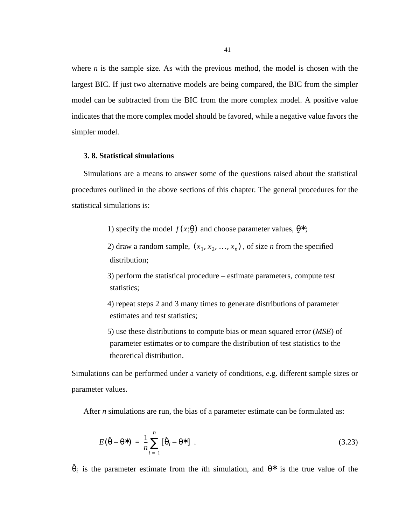where  $n$  is the sample size. As with the previous method, the model is chosen with the largest BIC. If just two alternative models are being compared, the BIC from the simpler model can be subtracted from the BIC from the more complex model. A positive value indicates that the more complex model should be favored, while a negative value favors the simpler model.

# **3. 8. Statistical simulations**

Simulations are a means to answer some of the questions raised about the statistical procedures outlined in the above sections of this chapter. The general procedures for the statistical simulations is:

1) specify the model  $f(x;\theta)$  and choose parameter values,  $\theta^*$ ;

2) draw a random sample,  $(x_1, x_2, ..., x_n)$ , of size *n* from the specified distribution;

3) perform the statistical procedure – estimate parameters, compute test statistics;

4) repeat steps 2 and 3 many times to generate distributions of parameter estimates and test statistics;

5) use these distributions to compute bias or mean squared error (*MSE*) of parameter estimates or to compare the distribution of test statistics to the theoretical distribution.

Simulations can be performed under a variety of conditions, e.g. different sample sizes or parameter values.

After *n* simulations are run, the bias of a parameter estimate can be formulated as:

$$
E(\hat{\theta} - \theta^*) = \frac{1}{n} \sum_{i=1}^{n} [\hat{\theta}_i - \theta^*] \tag{3.23}
$$

 $\hat{\theta}_i$  is the parameter estimate from the *i*th simulation, and  $\theta^*$  is the true value of the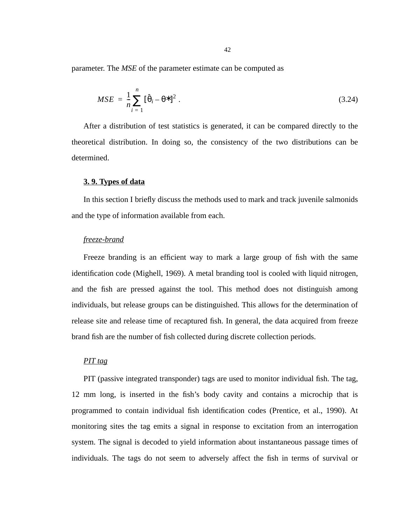parameter. The *MSE* of the parameter estimate can be computed as

$$
MSE = \frac{1}{n} \sum_{i=1}^{n} [\hat{\theta}_{i} - \theta^{*}]^{2}.
$$
 (3.24)

After a distribution of test statistics is generated, it can be compared directly to the theoretical distribution. In doing so, the consistency of the two distributions can be determined.

## **3. 9. Types of data**

In this section I briefly discuss the methods used to mark and track juvenile salmonids and the type of information available from each.

#### *freeze-brand*

Freeze branding is an efficient way to mark a large group of fish with the same identification code (Mighell, 1969). A metal branding tool is cooled with liquid nitrogen, and the fish are pressed against the tool. This method does not distinguish among individuals, but release groups can be distinguished. This allows for the determination of release site and release time of recaptured fish. In general, the data acquired from freeze brand fish are the number of fish collected during discrete collection periods.

# *PIT tag*

PIT (passive integrated transponder) tags are used to monitor individual fish. The tag, 12 mm long, is inserted in the fish's body cavity and contains a microchip that is programmed to contain individual fish identification codes (Prentice, et al., 1990). At monitoring sites the tag emits a signal in response to excitation from an interrogation system. The signal is decoded to yield information about instantaneous passage times of individuals. The tags do not seem to adversely affect the fish in terms of survival or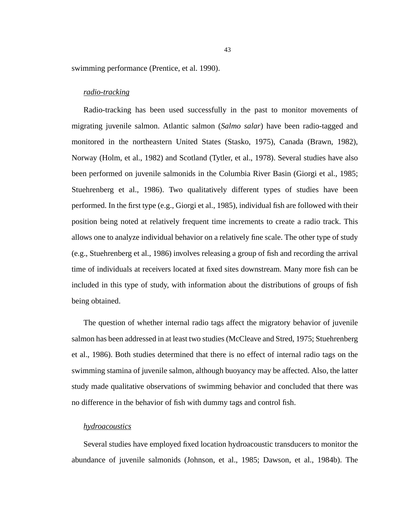swimming performance (Prentice, et al. 1990).

## *radio-tracking*

Radio-tracking has been used successfully in the past to monitor movements of migrating juvenile salmon. Atlantic salmon (*Salmo salar*) have been radio-tagged and monitored in the northeastern United States (Stasko, 1975), Canada (Brawn, 1982), Norway (Holm, et al., 1982) and Scotland (Tytler, et al., 1978). Several studies have also been performed on juvenile salmonids in the Columbia River Basin (Giorgi et al., 1985; Stuehrenberg et al., 1986). Two qualitatively different types of studies have been performed. In the first type (e.g., Giorgi et al., 1985), individual fish are followed with their position being noted at relatively frequent time increments to create a radio track. This allows one to analyze individual behavior on a relatively fine scale. The other type of study (e.g., Stuehrenberg et al., 1986) involves releasing a group of fish and recording the arrival time of individuals at receivers located at fixed sites downstream. Many more fish can be included in this type of study, with information about the distributions of groups of fish being obtained.

The question of whether internal radio tags affect the migratory behavior of juvenile salmon has been addressed in at least two studies (McCleave and Stred, 1975; Stuehrenberg et al., 1986). Both studies determined that there is no effect of internal radio tags on the swimming stamina of juvenile salmon, although buoyancy may be affected. Also, the latter study made qualitative observations of swimming behavior and concluded that there was no difference in the behavior of fish with dummy tags and control fish.

# *hydroacoustics*

Several studies have employed fixed location hydroacoustic transducers to monitor the abundance of juvenile salmonids (Johnson, et al., 1985; Dawson, et al., 1984b). The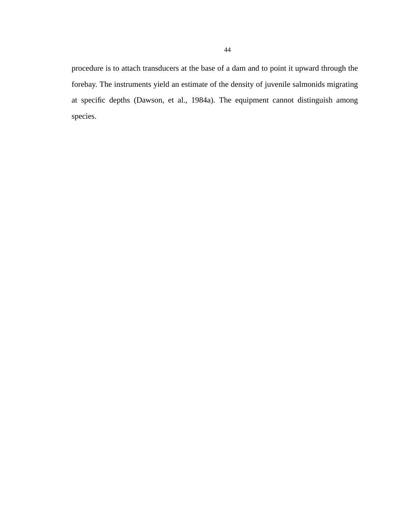procedure is to attach transducers at the base of a dam and to point it upward through the forebay. The instruments yield an estimate of the density of juvenile salmonids migrating at specific depths (Dawson, et al., 1984a). The equipment cannot distinguish among species.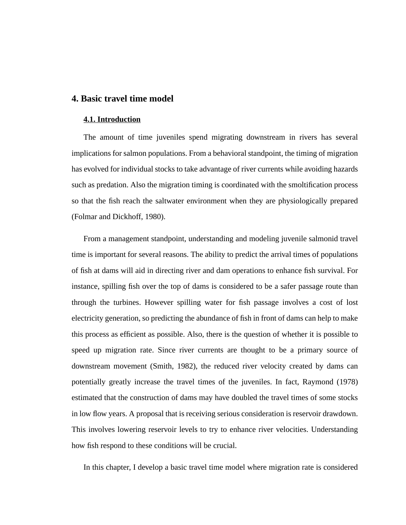# **4. Basic travel time model**

#### **4.1. Introduction**

The amount of time juveniles spend migrating downstream in rivers has several implications for salmon populations. From a behavioral standpoint, the timing of migration has evolved for individual stocks to take advantage of river currents while avoiding hazards such as predation. Also the migration timing is coordinated with the smoltification process so that the fish reach the saltwater environment when they are physiologically prepared (Folmar and Dickhoff, 1980).

From a management standpoint, understanding and modeling juvenile salmonid travel time is important for several reasons. The ability to predict the arrival times of populations of fish at dams will aid in directing river and dam operations to enhance fish survival. For instance, spilling fish over the top of dams is considered to be a safer passage route than through the turbines. However spilling water for fish passage involves a cost of lost electricity generation, so predicting the abundance of fish in front of dams can help to make this process as efficient as possible. Also, there is the question of whether it is possible to speed up migration rate. Since river currents are thought to be a primary source of downstream movement (Smith, 1982), the reduced river velocity created by dams can potentially greatly increase the travel times of the juveniles. In fact, Raymond (1978) estimated that the construction of dams may have doubled the travel times of some stocks in low flow years. A proposal that is receiving serious consideration is reservoir drawdown. This involves lowering reservoir levels to try to enhance river velocities. Understanding how fish respond to these conditions will be crucial.

In this chapter, I develop a basic travel time model where migration rate is considered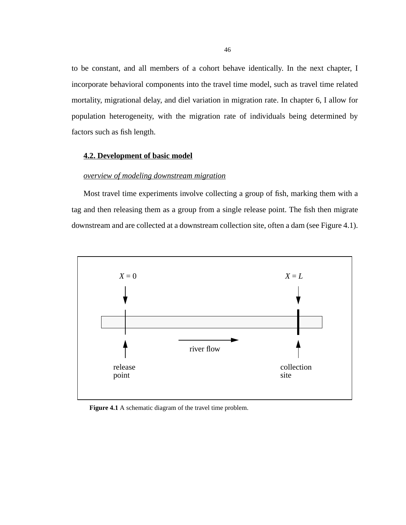<span id="page-45-0"></span>to be constant, and all members of a cohort behave identically. In the next chapter, I incorporate behavioral components into the travel time model, such as travel time related mortality, migrational delay, and diel variation in migration rate. In chapter 6, I allow for population heterogeneity, with the migration rate of individuals being determined by factors such as fish length.

### **4.2. Development of basic model**

## *overview of modeling downstream migration*

Most travel time experiments involve collecting a group of fish, marking them with a tag and then releasing them as a group from a single release point. The fish then migrate downstream and are collected at a downstream collection site, often a dam (see Figure 4.1).



Figure 4.1 A schematic diagram of the travel time problem.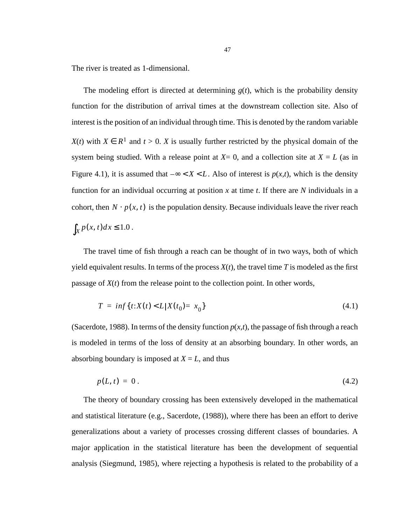The river is treated as 1-dimensional.

The modeling effort is directed at determining  $g(t)$ , which is the probability density function for the distribution of arrival times at the downstream collection site. Also of interest is the position of an individual through time. This is denoted by the random variable *X*(*t*) with  $X \in R^1$  and *t* > 0. *X* is usually further restricted by the physical domain of the system being studied. With a release point at  $X=0$ , and a collection site at  $X=L$  (as in [Figure 4.1\)](#page-45-0), it is assumed that  $-\infty < X < L$ . Also of interest is  $p(x,t)$ , which is the density function for an individual occurring at position *x* at time *t*. If there are *N* individuals in a cohort, then  $N \cdot p(x, t)$  is the population density. Because individuals leave the river reach  $\int_X p(x, t) dx \leq 1.0$ .

The travel time of fish through a reach can be thought of in two ways, both of which yield equivalent results. In terms of the process  $X(t)$ , the travel time T is modeled as the first passage of *X*(*t*) from the release point to the collection point. In other words,

$$
T = \inf\{t: X(t) < L | X(t_0) = x_0\} \tag{4.1}
$$

(Sacerdote, 1988). In terms of the density function  $p(x,t)$ , the passage of fish through a reach is modeled in terms of the loss of density at an absorbing boundary. In other words, an absorbing boundary is imposed at  $X = L$ , and thus

$$
p(L, t) = 0. \tag{4.2}
$$

The theory of boundary crossing has been extensively developed in the mathematical and statistical literature (e.g., Sacerdote,  $(1988)$ ), where there has been an effort to derive generalizations about a variety of processes crossing different classes of boundaries. A major application in the statistical literature has been the development of sequential analysis (Siegmund, 1985), where rejecting a hypothesis is related to the probability of a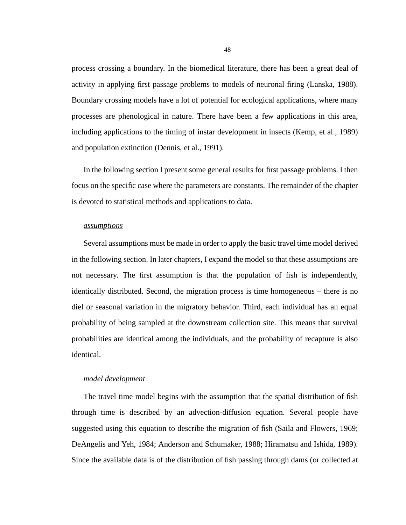process crossing a boundary. In the biomedical literature, there has been a great deal of activity in applying first passage problems to models of neuronal firing (Lanska, 1988). Boundary crossing models have a lot of potential for ecological applications, where many processes are phenological in nature. There have been a few applications in this area, including applications to the timing of instar development in insects (Kemp, et al., 1989) and population extinction (Dennis, et al., 1991).

In the following section I present some general results for first passage problems. I then focus on the specific case where the parameters are constants. The remainder of the chapter is devoted to statistical methods and applications to data.

### *assumptions*

Several assumptions must be made in order to apply the basic travel time model derived in the following section. In later chapters, I expand the model so that these assumptions are not necessary. The first assumption is that the population of fish is independently, identically distributed. Second, the migration process is time homogeneous – there is no diel or seasonal variation in the migratory behavior. Third, each individual has an equal probability of being sampled at the downstream collection site. This means that survival probabilities are identical among the individuals, and the probability of recapture is also identical.

## *model development*

The travel time model begins with the assumption that the spatial distribution of fish through time is described by an advection-diffusion equation. Several people have suggested using this equation to describe the migration of fish (Saila and Flowers, 1969; DeAngelis and Yeh, 1984; Anderson and Schumaker, 1988; Hiramatsu and Ishida, 1989). Since the available data is of the distribution of fish passing through dams (or collected at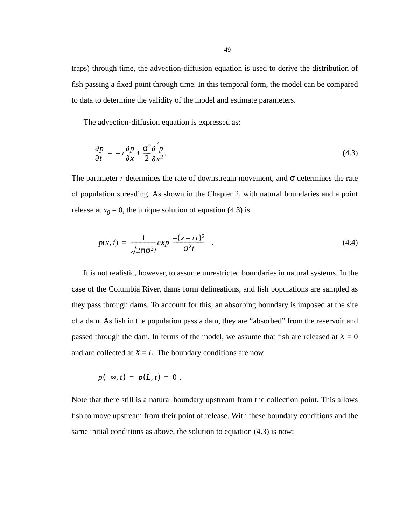<span id="page-48-0"></span>traps) through time, the advection-diffusion equation is used to derive the distribution of fish passing a fixed point through time. In this temporal form, the model can be compared to data to determine the validity of the model and estimate parameters.

The advection-diffusion equation is expressed as:

$$
\frac{\partial p}{\partial t} = -r \frac{\partial p}{\partial x} + \frac{\sigma^2 \partial^2 p}{2 \partial x^2}.
$$
\n(4.3)

The parameter *r* determines the rate of downstream movement, and  $\sigma$  determines the rate of population spreading. As shown in the Chapter 2, with natural boundaries and a point release at  $x_0 = 0$ , the unique solution of equation (4.3) is

$$
p(x,t) = \frac{1}{\sqrt{2\pi\sigma^2 t}} exp\left(\frac{-(x-rt)^2}{\sigma^2 t}\right).
$$
\n(4.4)

It is not realistic, however, to assume unrestricted boundaries in natural systems. In the case of the Columbia River, dams form delineations, and fish populations are sampled as they pass through dams. To account for this, an absorbing boundary is imposed at the site of a dam. As fish in the population pass a dam, they are "absorbed" from the reservoir and passed through the dam. In terms of the model, we assume that fish are released at  $X = 0$ and are collected at  $X = L$ . The boundary conditions are now

$$
p(-\infty, t) = p(L, t) = 0.
$$

Note that there still is a natural boundary upstream from the collection point. This allows fish to move upstream from their point of release. With these boundary conditions and the same initial conditions as above, the solution to equation (4.3) is now: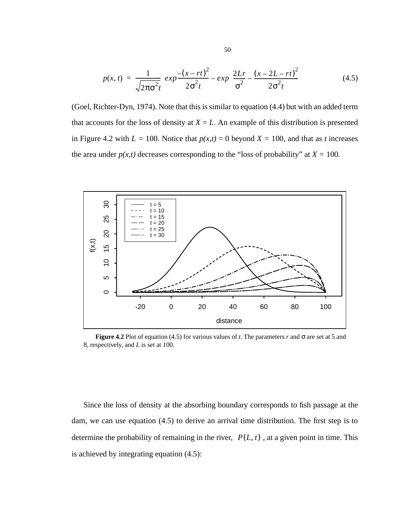$$
p(x,t) = \frac{1}{\sqrt{2\pi\sigma^2 t}} \left( exp \frac{-(x-rt)^2}{2\sigma^2 t} - exp \left( \frac{2Lr}{\sigma^2} - \frac{(x-2L-rt)^2}{2\sigma^2 t} \right) \right)
$$
(4.5)

(Goel, Richter-Dyn, 1974). Note that this is similar to equation [\(4.4\)](#page-48-0) but with an added term that accounts for the loss of density at  $X = L$ . An example of this distribution is presented in Figure 4.2 with  $L = 100$ . Notice that  $p(x,t) = 0$  beyond  $X = 100$ , and that as *t* increases the area under  $p(x,t)$  decreases corresponding to the "loss of probability" at  $X = 100$ .



**Figure 4.2** Plot of equation (4.5) for various values of *t*. The parameters *r* and  $\sigma$  are set at 5 and 8, respectively, and *L* is set at 100.

Since the loss of density at the absorbing boundary corresponds to fish passage at the dam, we can use equation (4.5) to derive an arrival time distribution. The first step is to determine the probability of remaining in the river,  $P(L, t)$ , at a given point in time. This is achieved by integrating equation (4.5):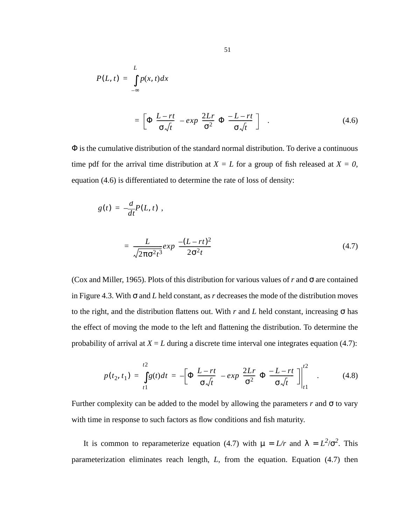<span id="page-50-0"></span>
$$
P(L, t) = \int_{-\infty}^{L} p(x, t) dx
$$
  
= 
$$
\left[ \Phi \left( \frac{L - rt}{\sigma \sqrt{t}} \right) - exp \left( \frac{2Lr}{\sigma^2} \right) \Phi \left( \frac{-L - rt}{\sigma \sqrt{t}} \right) \right]
$$
 (4.6)

Φ is the cumulative distribution of the standard normal distribution. To derive a continuous time pdf for the arrival time distribution at  $X = L$  for a group of fish released at  $X = 0$ , equation (4.6) is differentiated to determine the rate of loss of density:

$$
g(t) = -\frac{d}{dt}P(L, t) ,
$$
  

$$
= \frac{L}{\sqrt{2\pi\sigma^2 t^3}} exp\left(\frac{-(L - rt)^2}{2\sigma^2 t}\right)
$$
(4.7)

(Cox and Miller, 1965). Plots of this distribution for various values of *r* and σ are contained in [Figure 4.3.](#page-51-0) With  $\sigma$  and *L* held constant, as *r* decreases the mode of the distribution moves to the right, and the distribution flattens out. With *r* and *L* held constant, increasing σ has the effect of moving the mode to the left and flattening the distribution. To determine the probability of arrival at  $X = L$  during a discrete time interval one integrates equation (4.7):

$$
p(t_2, t_1) = \int_{t_1}^{t_2} g(t)dt = -\left[\Phi\left(\frac{L-rt}{\sigma\sqrt{t}}\right) - \exp\left(\frac{2Lr}{\sigma^2}\right)\Phi\left(\frac{-L-rt}{\sigma\sqrt{t}}\right)\right]\Big|_{t_1}^{t_2} \quad . \tag{4.8}
$$

Further complexity can be added to the model by allowing the parameters  $r$  and  $\sigma$  to vary with time in response to such factors as flow conditions and fish maturity.

It is common to reparameterize equation (4.7) with  $\mu = L/r$  and  $\lambda = L^2/\sigma^2$ . This parameterization eliminates reach length, *L*, from the equation. Equation (4.7) then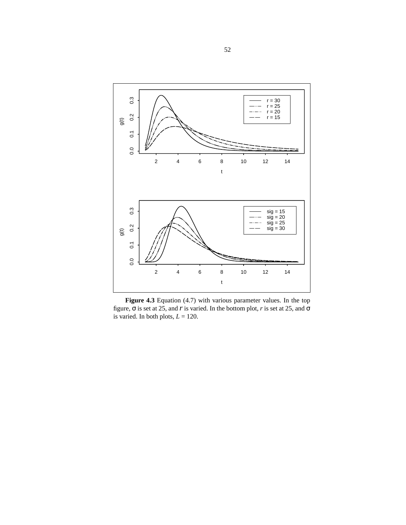<span id="page-51-0"></span>

**Figure 4.3** Equation [\(4.7\)](#page-50-0) with various parameter values. In the top figure, σ is set at 25, and *r* is varied. In the bottom plot, *r* is set at 25, and σ is varied. In both plots,  $L = 120$ .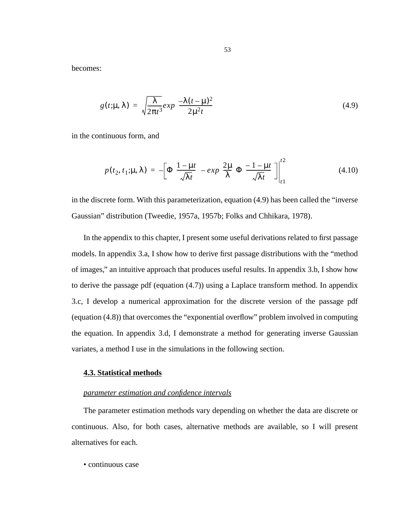<span id="page-52-0"></span>becomes:

$$
g(t; \mu, \lambda) = \sqrt{\frac{\lambda}{2\pi t^3}} exp\left(\frac{-\lambda(t-\mu)^2}{2\mu^2 t}\right)
$$
(4.9)

in the continuous form, and

$$
p(t_2, t_1; \mu, \lambda) = -\left[\Phi\left(\frac{1-\mu t}{\sqrt{\lambda t}}\right) - \exp\left(\frac{2\mu}{\lambda}\right)\Phi\left(\frac{-1-\mu t}{\sqrt{\lambda t}}\right)\right]\Big|_{t_1}^{t_2}
$$
(4.10)

in the discrete form. With this parameterization, equation (4.9) has been called the "inverse Gaussian" distribution (Tweedie, 1957a, 1957b; Folks and Chhikara, 1978).

In the appendix to this chapter, I present some useful derivations related to first passage models. In appendix 3.a, I show how to derive first passage distributions with the "method of images," an intuitive approach that produces useful results. In appendix 3.b, I show how to derive the passage pdf (equation [\(4.7\)](#page-50-0)) using a Laplace transform method. In appendix 3.c, I develop a numerical approximation for the discrete version of the passage pdf (equation [\(4.8\)\)](#page-50-0) that overcomes the "exponential overflow" problem involved in computing the equation. In appendix 3.d, I demonstrate a method for generating inverse Gaussian variates, a method I use in the simulations in the following section.

#### **4.3. Statistical methods**

#### *parameter estimation and confidence intervals*

The parameter estimation methods vary depending on whether the data are discrete or continuous. Also, for both cases, alternative methods are available, so I will present alternatives for each.

• continuous case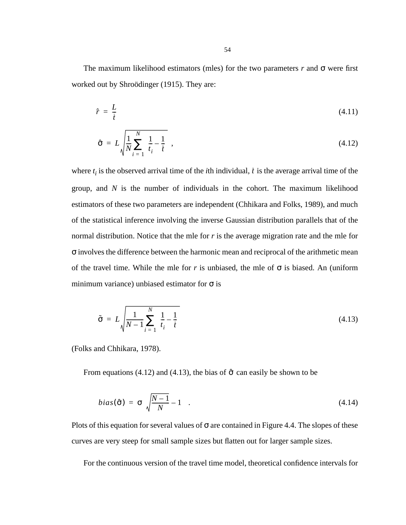The maximum likelihood estimators (mles) for the two parameters  $r$  and  $\sigma$  were first worked out by Shroödinger (1915). They are:

$$
\hat{r} = \frac{L}{\tilde{t}} \tag{4.11}
$$

$$
\hat{\sigma} = L \sqrt{\frac{1}{N} \sum_{i=1}^{N} \left(\frac{1}{t_i} - \frac{1}{t}\right)},\tag{4.12}
$$

where  $t_i$  is the observed arrival time of the *i*th individual,  $\bar{t}$  is the average arrival time of the group, and *N* is the number of individuals in the cohort. The maximum likelihood estimators of these two parameters are independent (Chhikara and Folks, 1989), and much of the statistical inference involving the inverse Gaussian distribution parallels that of the normal distribution. Notice that the mle for *r* is the average migration rate and the mle for σ involves the difference between the harmonic mean and reciprocal of the arithmetic mean of the travel time. While the mle for *r* is unbiased, the mle of  $\sigma$  is biased. An (uniform minimum variance) unbiased estimator for  $\sigma$  is

$$
\tilde{\sigma} = L \sqrt{\frac{1}{N-1} \sum_{i=1}^{N} \left(\frac{1}{t_i} - \frac{1}{\tilde{t}}\right)}
$$
(4.13)

(Folks and Chhikara, 1978).

From equations (4.12) and (4.13), the bias of  $\hat{\sigma}$  can easily be shown to be

$$
bias(\hat{\sigma}) = \sigma \left( \sqrt{\frac{N-1}{N}} - 1 \right). \tag{4.14}
$$

Plots of this equation for several values of  $\sigma$  are contained in [Figure 4.4](#page-54-0). The slopes of these curves are very steep for small sample sizes but flatten out for larger sample sizes.

For the continuous version of the travel time model, theoretical confidence intervals for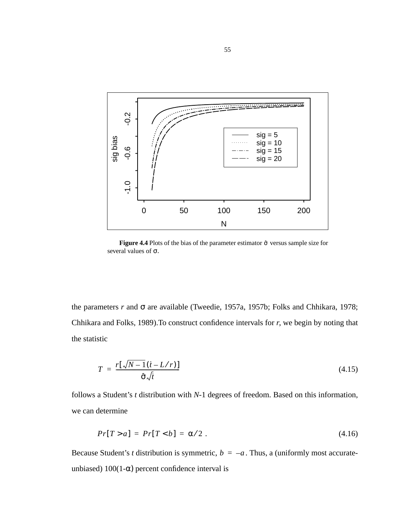<span id="page-54-0"></span>

**Figure 4.4** Plots of the bias of the parameter estimator  $\hat{\sigma}$  versus sample size for several values of σ.

the parameters *r* and σ are available (Tweedie, 1957a, 1957b; Folks and Chhikara, 1978; Chhikara and Folks, 1989).To construct confidence intervals for *r*, we begin by noting that the statistic

$$
T = \frac{r[\sqrt{N-1}(i - L/r)]}{\hat{\sigma}\sqrt{t}}
$$
(4.15)

follows a Student's *t* distribution with *N*-1 degrees of freedom. Based on this information, we can determine

$$
Pr[T > a] = Pr[T < b] = \alpha/2. \tag{4.16}
$$

Because Student's *t* distribution is symmetric,  $b = -a$ . Thus, a (uniformly most accurateunbiased)  $100(1-\alpha)$  percent confidence interval is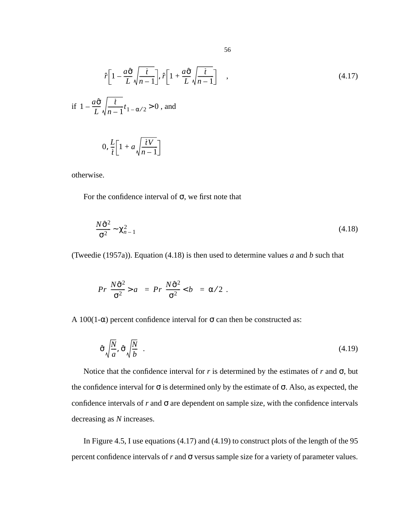$$
\left(\hat{r}\left[1-\frac{a\hat{\sigma}}{L}\sqrt{\frac{\dot{t}}{n-1}}\right],\hat{r}\left[1+\frac{a\hat{\sigma}}{L}\sqrt{\frac{\dot{t}}{n-1}}\right]\right) ,\qquad(4.17)
$$
\n
$$
\text{if } 1-\frac{a\hat{\sigma}}{L}\sqrt{\frac{\dot{t}}{n-1}}t_{1-\alpha/2} > 0\text{, and}
$$
\n
$$
\left(0,\frac{L}{\dot{t}}\left[1+a\sqrt{\frac{\dot{t}V}{n-1}}\right]\right)
$$

otherwise.

For the confidence interval of σ, we first note that

$$
\frac{N\hat{\sigma}^2}{\sigma^2} \sim \chi^2_{n-1}
$$
\n(4.18)

(Tweedie (1957a)). Equation (4.18) is then used to determine values *a* and *b* such that

$$
Pr\left(\frac{N\hat{\sigma}^2}{\sigma^2} > a\right) = Pr\left(\frac{N\hat{\sigma}^2}{\sigma^2} < b\right) = \alpha/2.
$$

A 100(1- $\alpha$ ) percent confidence interval for  $\sigma$  can then be constructed as:

$$
\left(\hat{\sigma}\sqrt{\frac{N}{a}}, \hat{\sigma}\sqrt{\frac{N}{b}}\right).
$$
\n(4.19)

Notice that the confidence interval for  $r$  is determined by the estimates of  $r$  and  $\sigma$ , but the confidence interval for  $\sigma$  is determined only by the estimate of  $\sigma$ . Also, as expected, the confidence intervals of  $r$  and  $\sigma$  are dependent on sample size, with the confidence intervals decreasing as *N* increases.

In [Figure 4.5,](#page-56-0) I use equations (4.17) and (4.19) to construct plots of the length of the 95 percent confidence intervals of  $r$  and  $\sigma$  versus sample size for a variety of parameter values.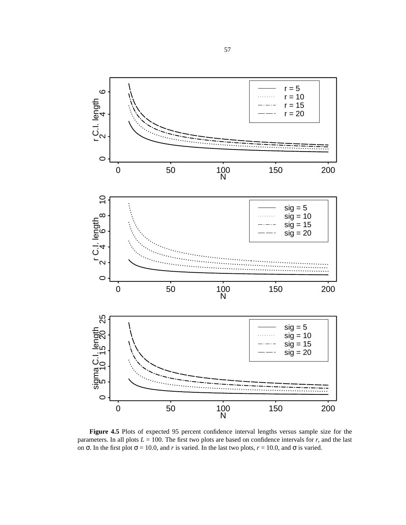<span id="page-56-0"></span>

**Figure 4.5** Plots of expected 95 percent confidence interval lengths versus sample size for the parameters. In all plots  $L = 100$ . The first two plots are based on confidence intervals for  $r$ , and the last on σ. In the first plot σ = 10.0, and *r* is varied. In the last two plots,  $r = 10.0$ , and σ is varied.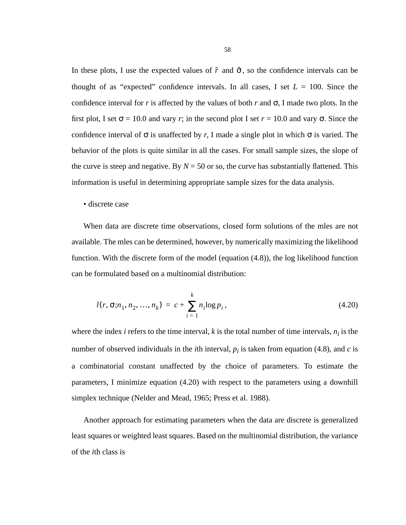In these plots, I use the expected values of  $\hat{r}$  and  $\hat{\sigma}$ , so the confidence intervals can be thought of as "expected" confidence intervals. In all cases, I set  $L = 100$ . Since the confidence interval for *r* is affected by the values of both *r* and  $\sigma$ , I made two plots. In the first plot, I set  $\sigma = 10.0$  and vary *r*; in the second plot I set  $r = 10.0$  and vary  $\sigma$ . Since the confidence interval of  $\sigma$  is unaffected by *r*, I made a single plot in which  $\sigma$  is varied. The behavior of the plots is quite similar in all the cases. For small sample sizes, the slope of the curve is steep and negative. By  $N = 50$  or so, the curve has substantially flattened. This information is useful in determining appropriate sample sizes for the data analysis.

• discrete case

When data are discrete time observations, closed form solutions of the mles are not available. The mles can be determined, however, by numerically maximizing the likelihood function. With the discrete form of the model (equation [\(4.8\)\)](#page-50-0), the log likelihood function can be formulated based on a multinomial distribution:

$$
l(r, \sigma; n_1, n_2, ..., n_k) = c + \sum_{i=1}^{k} n_i \log p_i, \qquad (4.20)
$$

where the index  $i$  refers to the time interval,  $k$  is the total number of time intervals,  $n_i$  is the number of observed individuals in the *i*th interval,  $p_i$  is taken from equation [\(4.8\)](#page-50-0), and *c* is a combinatorial constant unaffected by the choice of parameters. To estimate the parameters, I minimize equation (4.20) with respect to the parameters using a downhill simplex technique (Nelder and Mead, 1965; Press et al. 1988).

Another approach for estimating parameters when the data are discrete is generalized least squares or weighted least squares. Based on the multinomial distribution, the variance of the *i*th class is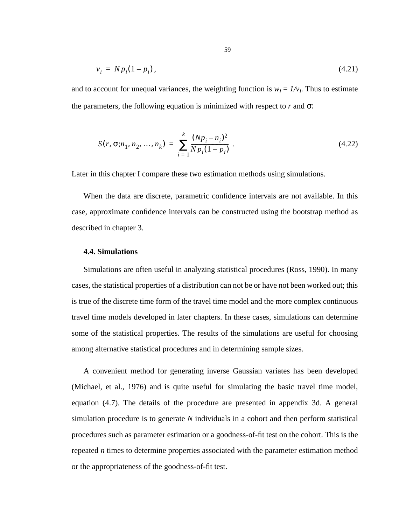$$
v_i = N p_i (1 - p_i), \tag{4.21}
$$

and to account for unequal variances, the weighting function is  $w_i = 1/v_i$ . Thus to estimate the parameters, the following equation is minimized with respect to  $r$  and  $\sigma$ :

$$
S(r, \sigma; n_1, n_2, ..., n_k) = \sum_{i=1}^{k} \frac{(Np_i - n_i)^2}{Np_i(1 - p_i)}.
$$
\n(4.22)

Later in this chapter I compare these two estimation methods using simulations.

When the data are discrete, parametric confidence intervals are not available. In this case, approximate confidence intervals can be constructed using the bootstrap method as described in chapter 3.

#### **4.4. Simulations**

Simulations are often useful in analyzing statistical procedures (Ross, 1990). In many cases, the statistical properties of a distribution can not be or have not been worked out; this is true of the discrete time form of the travel time model and the more complex continuous travel time models developed in later chapters. In these cases, simulations can determine some of the statistical properties. The results of the simulations are useful for choosing among alternative statistical procedures and in determining sample sizes.

A convenient method for generating inverse Gaussian variates has been developed (Michael, et al., 1976) and is quite useful for simulating the basic travel time model, equation [\(4.7\).](#page-50-0) The details of the procedure are presented in appendix 3d. A general simulation procedure is to generate *N* individuals in a cohort and then perform statistical procedures such as parameter estimation or a goodness-of-fit test on the cohort. This is the repeated *n* times to determine properties associated with the parameter estimation method or the appropriateness of the goodness-of-fit test.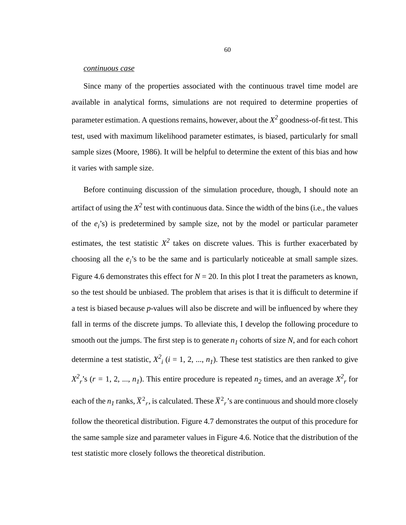### *continuous case*

Since many of the properties associated with the continuous travel time model are available in analytical forms, simulations are not required to determine properties of parameter estimation. A questions remains, however, about the  $X^2$  goodness-of-fit test. This test, used with maximum likelihood parameter estimates, is biased, particularly for small sample sizes (Moore, 1986). It will be helpful to determine the extent of this bias and how it varies with sample size.

Before continuing discussion of the simulation procedure, though, I should note an artifact of using the  $X^2$  test with continuous data. Since the width of the bins (i.e., the values of the  $e_i$ 's) is predetermined by sample size, not by the model or particular parameter estimates, the test statistic  $X^2$  takes on discrete values. This is further exacerbated by choosing all the  $e_i$ 's to be the same and is particularly noticeable at small sample sizes. [Figure 4.6](#page-60-0) demonstrates this effect for  $N = 20$ . In this plot I treat the parameters as known, so the test should be unbiased. The problem that arises is that it is difficult to determine if a test is biased because *p*-values will also be discrete and will be influenced by where they fall in terms of the discrete jumps. To alleviate this, I develop the following procedure to smooth out the jumps. The first step is to generate  $n<sub>l</sub>$  cohorts of size N, and for each cohort determine a test statistic,  $X^2$ <sub>*i*</sub> (*i* = 1, 2, ..., *n<sub>1</sub>*). These test statistics are then ranked to give  $X^2$ <sup>2</sup>, s (*r* = 1, 2, ..., *n<sub>1</sub>*). This entire procedure is repeated *n*<sub>2</sub> times, and an average  $X^2$ <sub>*r*</sub> for each of the  $n_1$  ranks,  $\bar{X}^2$ , is calculated. These  $\bar{X}^2$ , 's are continuous and should more closely follow the theoretical distribution. [Figure 4.7](#page-61-0) demonstrates the output of this procedure for the same sample size and parameter values in [Figure 4.6](#page-60-0). Notice that the distribution of the test statistic more closely follows the theoretical distribution.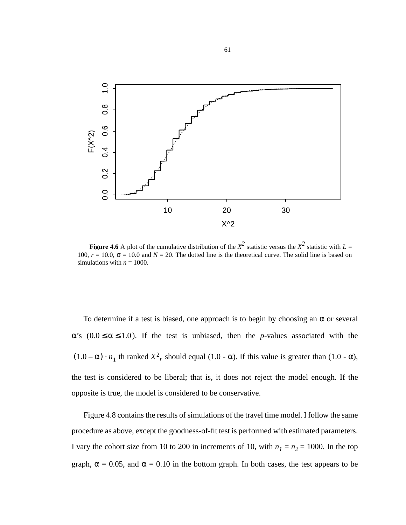<span id="page-60-0"></span>

**Figure 4.6** A plot of the cumulative distribution of the  $X^2$  statistic versus the  $X^2$  statistic with  $L =$ 100,  $r = 10.0$ ,  $\sigma = 10.0$  and  $N = 20$ . The dotted line is the theoretical curve. The solid line is based on simulations with  $n = 1000$ .

To determine if a test is biased, one approach is to begin by choosing an  $\alpha$  or several  $\alpha$ 's ( $0.0 \le \alpha \le 1.0$ ). If the test is unbiased, then the *p*-values associated with the  $(1.0 - \alpha) \cdot n_1$  th ranked  $\bar{X}^2$ , should equal (1.0 -  $\alpha$ ). If this value is greater than (1.0 -  $\alpha$ ), the test is considered to be liberal; that is, it does not reject the model enough. If the opposite is true, the model is considered to be conservative.

[Figure 4.8](#page-62-0) contains the results of simulations of the travel time model. I follow the same procedure as above, except the goodness-of-fit test is performed with estimated parameters. I vary the cohort size from 10 to 200 in increments of 10, with  $n_1 = n_2 = 1000$ . In the top graph,  $\alpha = 0.05$ , and  $\alpha = 0.10$  in the bottom graph. In both cases, the test appears to be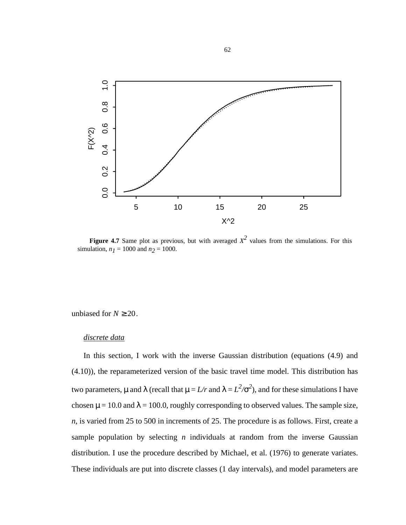<span id="page-61-0"></span>

**Figure 4.7** Same plot as previous, but with averaged  $X^2$  values from the simulations. For this simulation,  $n_1 = 1000$  and  $n_2 = 1000$ .

unbiased for  $N \ge 20$ .

### *discrete data*

In this section, I work with the inverse Gaussian distribution (equations [\(4.9\)](#page-52-0) and [\(4.10\)\)](#page-52-0), the reparameterized version of the basic travel time model. This distribution has two parameters,  $\mu$  and  $\lambda$  (recall that  $\mu = L/r$  and  $\lambda = L^2/\sigma^2$ ), and for these simulations I have chosen  $\mu$  = 10.0 and  $\lambda$  = 100.0, roughly corresponding to observed values. The sample size, *n*, is varied from 25 to 500 in increments of 25. The procedure is as follows. First, create a sample population by selecting *n* individuals at random from the inverse Gaussian distribution. I use the procedure described by Michael, et al. (1976) to generate variates. These individuals are put into discrete classes (1 day intervals), and model parameters are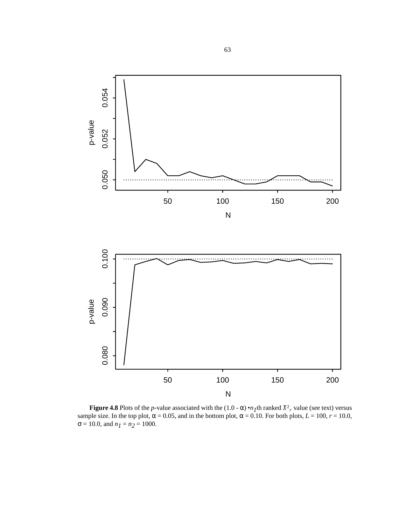<span id="page-62-0"></span>

**Figure 4.8** Plots of the *p*-value associated with the (1.0 -  $\alpha$ ) •*n*<sub>I</sub>th ranked  $\bar{X}^2$ <sub>*r*</sub> value (see text) versus sample size. In the top plot,  $\alpha = 0.05$ , and in the bottom plot,  $\alpha = 0.10$ . For both plots,  $L = 100$ ,  $r = 10.0$ ,  $\sigma = 10.0$ , and  $n_1 = n_2 = 1000$ .  $\bar{X}^2$ <sub>r</sub>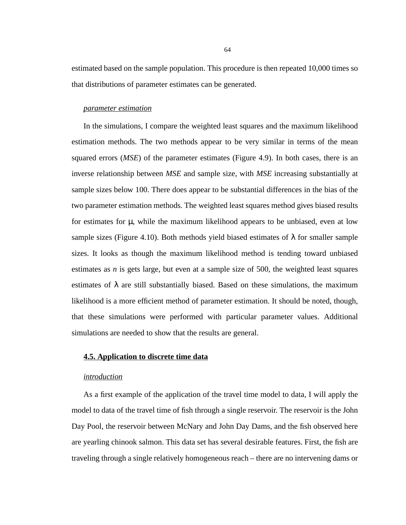estimated based on the sample population. This procedure is then repeated 10,000 times so that distributions of parameter estimates can be generated.

### *parameter estimation*

In the simulations, I compare the weighted least squares and the maximum likelihood estimation methods. The two methods appear to be very similar in terms of the mean squared errors (*MSE*) of the parameter estimates ([Figure 4.9](#page-64-0)). In both cases, there is an inverse relationship between *MSE* and sample size, with *MSE* increasing substantially at sample sizes below 100. There does appear to be substantial differences in the bias of the two parameter estimation methods. The weighted least squares method gives biased results for estimates for  $\mu$ , while the maximum likelihood appears to be unbiased, even at low sample sizes ([Figure 4.10\)](#page-64-0). Both methods yield biased estimates of  $\lambda$  for smaller sample sizes. It looks as though the maximum likelihood method is tending toward unbiased estimates as *n* is gets large, but even at a sample size of 500, the weighted least squares estimates of  $\lambda$  are still substantially biased. Based on these simulations, the maximum likelihood is a more efficient method of parameter estimation. It should be noted, though, that these simulations were performed with particular parameter values. Additional simulations are needed to show that the results are general.

# **4.5. Application to discrete time data**

## *introduction*

As a first example of the application of the travel time model to data, I will apply the model to data of the travel time of fish through a single reservoir. The reservoir is the John Day Pool, the reservoir between McNary and John Day Dams, and the fish observed here are yearling chinook salmon. This data set has several desirable features. First, the fish are traveling through a single relatively homogeneous reach – there are no intervening dams or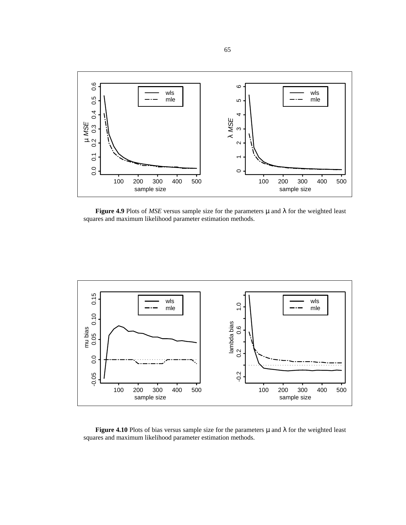<span id="page-64-0"></span>

**Figure 4.9** Plots of *MSE* versus sample size for the parameters  $\mu$  and  $\lambda$  for the weighted least squares and maximum likelihood parameter estimation methods.



**Figure 4.10** Plots of bias versus sample size for the parameters  $\mu$  and  $\lambda$  for the weighted least squares and maximum likelihood parameter estimation methods.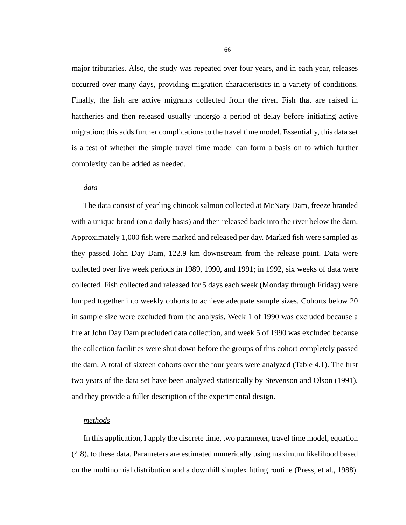major tributaries. Also, the study was repeated over four years, and in each year, releases occurred over many days, providing migration characteristics in a variety of conditions. Finally, the fish are active migrants collected from the river. Fish that are raised in hatcheries and then released usually undergo a period of delay before initiating active migration; this adds further complications to the travel time model. Essentially, this data set is a test of whether the simple travel time model can form a basis on to which further complexity can be added as needed.

### *data*

The data consist of yearling chinook salmon collected at McNary Dam, freeze branded with a unique brand (on a daily basis) and then released back into the river below the dam. Approximately 1,000 fish were marked and released per day. Marked fish were sampled as they passed John Day Dam, 122.9 km downstream from the release point. Data were collected over five week periods in 1989, 1990, and 1991; in 1992, six weeks of data were collected. Fish collected and released for 5 days each week (Monday through Friday) were lumped together into weekly cohorts to achieve adequate sample sizes. Cohorts below 20 in sample size were excluded from the analysis. Week 1 of 1990 was excluded because a fire at John Day Dam precluded data collection, and week 5 of 1990 was excluded because the collection facilities were shut down before the groups of this cohort completely passed the dam. A total of sixteen cohorts over the four years were analyzed [\(Table 4.1\)](#page-67-0). The first two years of the data set have been analyzed statistically by Stevenson and Olson (1991), and they provide a fuller description of the experimental design.

## *methods*

In this application, I apply the discrete time, two parameter, travel time model, equation [\(4.8\),](#page-50-0) to these data. Parameters are estimated numerically using maximum likelihood based on the multinomial distribution and a downhill simplex fitting routine (Press, et al., 1988).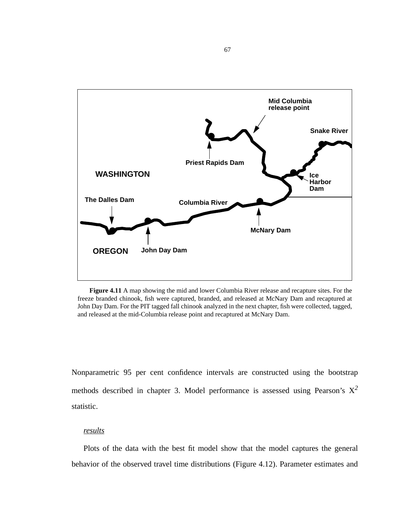

**Figure 4.11** A map showing the mid and lower Columbia River release and recapture sites. For the freeze branded chinook, fish were captured, branded, and released at McNary Dam and recaptured at John Day Dam. For the PIT tagged fall chinook analyzed in the next chapter, fish were collected, tagged, and released at the mid-Columbia release point and recaptured at McNary Dam.

Nonparametric 95 per cent confidence intervals are constructed using the bootstrap methods described in chapter 3. Model performance is assessed using Pearson's  $X^2$ statistic.

# *results*

Plots of the data with the best fit model show that the model captures the general behavior of the observed travel time distributions [\(Figure 4.12](#page-68-0)). Parameter estimates and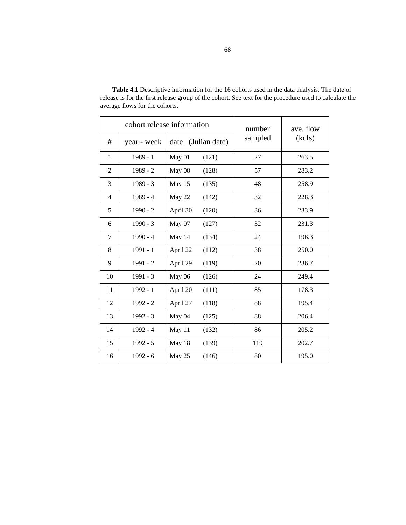|                |             | cohort release information | number  | ave. flow<br>(kcfs) |  |
|----------------|-------------|----------------------------|---------|---------------------|--|
| $^{\#}$        | year - week | date (Julian date)         | sampled |                     |  |
| $\mathbf{1}$   | $1989 - 1$  | May 01<br>(121)            | 27      | 263.5               |  |
| $\overline{2}$ | $1989 - 2$  | May 08<br>(128)            | 57      | 283.2               |  |
| 3              | $1989 - 3$  | May 15<br>(135)            | 48      | 258.9               |  |
| $\overline{4}$ | $1989 - 4$  | May 22<br>(142)            | 32      | 228.3               |  |
| 5              | $1990 - 2$  | April 30<br>(120)          | 36      | 233.9               |  |
| 6              | $1990 - 3$  | May 07<br>(127)            | 32      | 231.3               |  |
| $\tau$         | $1990 - 4$  | May 14<br>(134)            | 24      | 196.3               |  |
| 8              | $1991 - 1$  | April 22<br>(112)          | 38      | 250.0               |  |
| 9              | $1991 - 2$  | April 29<br>(119)          | 20      | 236.7               |  |
| 10             | $1991 - 3$  | May 06<br>(126)            | 24      | 249.4               |  |
| 11             | $1992 - 1$  | April 20<br>(111)          | 85      | 178.3               |  |
| 12             | $1992 - 2$  | April 27<br>(118)          | 88      | 195.4               |  |
| 13             | $1992 - 3$  | May 04<br>(125)            | 88      | 206.4               |  |
| 14             | $1992 - 4$  | May 11<br>(132)            | 86      | 205.2               |  |
| 15             | $1992 - 5$  | May 18<br>(139)            | 119     | 202.7               |  |
| 16             | $1992 - 6$  | May 25<br>(146)            | 80      | 195.0               |  |

<span id="page-67-0"></span>**Table 4.1** Descriptive information for the 16 cohorts used in the data analysis. The date of release is for the first release group of the cohort. See text for the procedure used to calculate the average flows for the cohorts.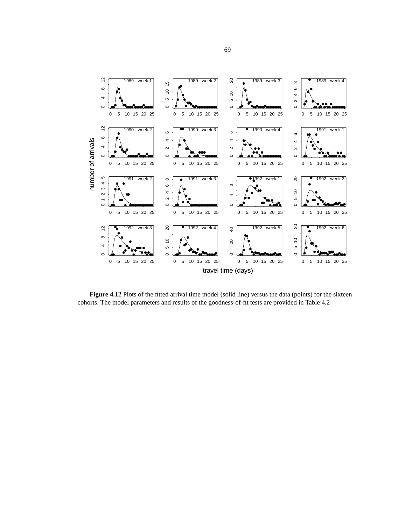<span id="page-68-0"></span>

Figure 4.12 Plots of the fitted arrival time model (solid line) versus the data (points) for the sixteen cohorts. The model parameters and results of the goodness-of-fit tests are provided in [Table 4.2](#page-70-0)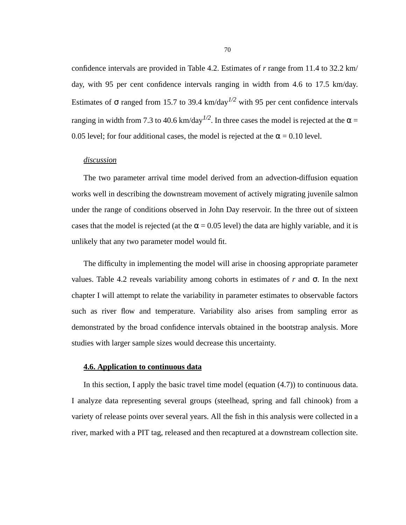confidence intervals are provided in [Table 4.2.](#page-70-0) Estimates of *r* range from 11.4 to 32.2 km/ day, with 95 per cent confidence intervals ranging in width from 4.6 to 17.5 km/day. Estimates of  $\sigma$  ranged from 15.7 to 39.4 km/day<sup> $1/2$ </sup> with 95 per cent confidence intervals ranging in width from 7.3 to 40.6 km/day<sup> $1/2$ </sup>. In three cases the model is rejected at the  $\alpha$  = 0.05 level; for four additional cases, the model is rejected at the  $\alpha = 0.10$  level.

# *discussion*

The two parameter arrival time model derived from an advection-diffusion equation works well in describing the downstream movement of actively migrating juvenile salmon under the range of conditions observed in John Day reservoir. In the three out of sixteen cases that the model is rejected (at the  $\alpha$  = 0.05 level) the data are highly variable, and it is unlikely that any two parameter model would fit.

The difficulty in implementing the model will arise in choosing appropriate parameter values. [Table 4.2](#page-70-0) reveals variability among cohorts in estimates of *r* and σ. In the next chapter I will attempt to relate the variability in parameter estimates to observable factors such as river flow and temperature. Variability also arises from sampling error as demonstrated by the broad confidence intervals obtained in the bootstrap analysis. More studies with larger sample sizes would decrease this uncertainty.

### **4.6. Application to continuous data**

In this section, I apply the basic travel time model (equation [\(4.7\)\)](#page-50-0) to continuous data. I analyze data representing several groups (steelhead, spring and fall chinook) from a variety of release points over several years. All the fish in this analysis were collected in a river, marked with a PIT tag, released and then recaptured at a downstream collection site.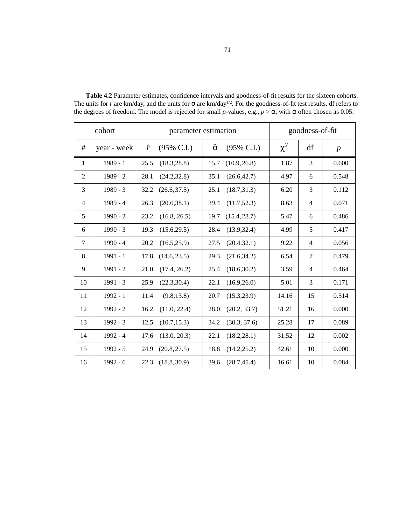| cohort         |             | parameter estimation |                       |      | goodness-of-fit       |          |                |                  |
|----------------|-------------|----------------------|-----------------------|------|-----------------------|----------|----------------|------------------|
| #              | year - week | $\hat{r}$            | $(95\% \text{ C.I.})$ | ô    | $(95\% \text{ C.I.})$ | $\chi^2$ | df             | $\boldsymbol{p}$ |
| $\mathbf{1}$   | 1989 - 1    | 25.5                 | (18.3, 28.8)          | 15.7 | (10.9, 26.8)          | 1.87     | 3              | 0.600            |
| $\overline{2}$ | $1989 - 2$  | 28.1                 | (24.2, 32.8)          | 35.1 | (26.6, 42.7)          | 4.97     | 6              | 0.548            |
| 3              | $1989 - 3$  | 32.2                 | (26.6, 37.5)          | 25.1 | (18.7, 31.3)          | 6.20     | 3              | 0.112            |
| $\overline{4}$ | $1989 - 4$  | 26.3                 | (20.6, 38.1)          | 39.4 | (11.7, 52.3)          | 8.63     | $\overline{4}$ | 0.071            |
| 5              | $1990 - 2$  | 23.2                 | (16.8, 26.5)          | 19.7 | (15.4, 28.7)          | 5.47     | 6              | 0.486            |
| 6              | $1990 - 3$  | 19.3                 | (15.6, 29.5)          | 28.4 | (13.9, 32.4)          | 4.99     | 5              | 0.417            |
| 7              | $1990 - 4$  | 20.2                 | (16.5, 25.9)          | 27.5 | (20.4, 32.1)          | 9.22     | $\overline{4}$ | 0.056            |
| 8              | $1991 - 1$  | 17.8                 | (14.6, 23.5)          | 29.3 | (21.6, 34.2)          | 6.54     | 7              | 0.479            |
| 9              | $1991 - 2$  | 21.0                 | (17.4, 26.2)          | 25.4 | (18.6, 30.2)          | 3.59     | $\overline{4}$ | 0.464            |
| 10             | $1991 - 3$  | 25.9                 | (22.3, 30.4)          | 22.1 | (16.9, 26.0)          | 5.01     | 3              | 0.171            |
| 11             | 1992 - 1    | 11.4                 | (9.8, 13.8)           | 20.7 | (15.3, 23.9)          | 14.16    | 15             | 0.514            |
| 12             | 1992 - 2    | 16.2                 | (11.0, 22.4)          | 28.0 | (20.2, 33.7)          | 51.21    | 16             | 0.000            |
| 13             | $1992 - 3$  | 12.5                 | (10.7, 15.3)          | 34.2 | (30.3, 37.6)          | 25.28    | 17             | 0.089            |
| 14             | 1992 - 4    | 17.6                 | (13.0, 20.3)          | 22.1 | (18.2, 28.1)          | 31.52    | 12             | 0.002            |
| 15             | $1992 - 5$  | 24.9                 | (20.8, 27.5)          | 18.8 | (14.2, 25.2)          | 42.61    | 10             | 0.000            |
| 16             | $1992 - 6$  | 22.3                 | (18.8, 30.9)          | 39.6 | (28.7, 45.4)          | 16.61    | 10             | 0.084            |

<span id="page-70-0"></span>Table 4.2 Parameter estimates, confidence intervals and goodness-of-fit results for the sixteen cohorts. The units for *r* are km/day, and the units for  $\sigma$  are km/day<sup>1/2</sup>. For the goodness-of-fit test results, df refers to the degrees of freedom. The model is rejected for small *p*-values, e.g.,  $p > \alpha$ , with  $\alpha$  often chosen as 0.05.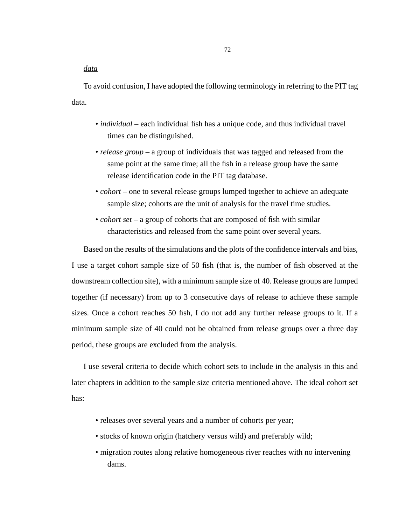*data*

To avoid confusion, I have adopted the following terminology in referring to the PIT tag data.

- *individual* each individual fish has a unique code, and thus individual travel times can be distinguished.
- *release group* a group of individuals that was tagged and released from the same point at the same time; all the fish in a release group have the same release identification code in the PIT tag database.
- *cohort* one to several release groups lumped together to achieve an adequate sample size; cohorts are the unit of analysis for the travel time studies.
- *cohort set* a group of cohorts that are composed of fish with similar characteristics and released from the same point over several years.

Based on the results of the simulations and the plots of the confidence intervals and bias, I use a target cohort sample size of 50 fish (that is, the number of fish observed at the downstream collection site), with a minimum sample size of 40. Release groups are lumped together (if necessary) from up to 3 consecutive days of release to achieve these sample sizes. Once a cohort reaches 50 fish, I do not add any further release groups to it. If a minimum sample size of 40 could not be obtained from release groups over a three day period, these groups are excluded from the analysis.

I use several criteria to decide which cohort sets to include in the analysis in this and later chapters in addition to the sample size criteria mentioned above. The ideal cohort set has:

- releases over several years and a number of cohorts per year;
- stocks of known origin (hatchery versus wild) and preferably wild;
- migration routes along relative homogeneous river reaches with no intervening dams.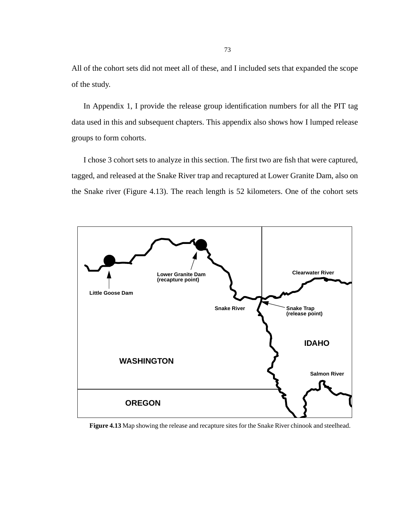All of the cohort sets did not meet all of these, and I included sets that expanded the scope of the study.

In Appendix 1, I provide the release group identification numbers for all the PIT tag data used in this and subsequent chapters. This appendix also shows how I lumped release groups to form cohorts.

I chose 3 cohort sets to analyze in this section. The first two are fish that were captured, tagged, and released at the Snake River trap and recaptured at Lower Granite Dam, also on the Snake river (Figure 4.13). The reach length is 52 kilometers. One of the cohort sets



**Figure 4.13** Map showing the release and recapture sites for the Snake River chinook and steelhead.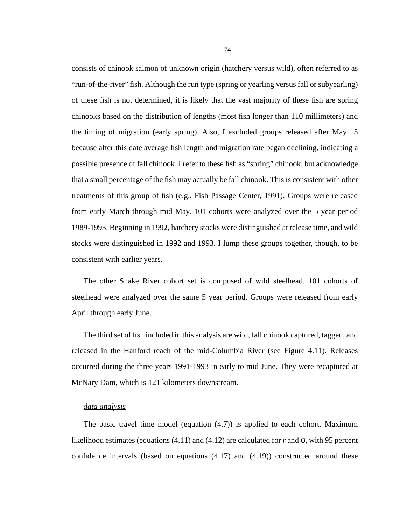consists of chinook salmon of unknown origin (hatchery versus wild), often referred to as "run-of-the-river" fish. Although the run type (spring or yearling versus fall or subyearling) of these fish is not determined, it is likely that the vast majority of these fish are spring chinooks based on the distribution of lengths (most fish longer than 110 millimeters) and the timing of migration (early spring). Also, I excluded groups released after May 15 because after this date average fish length and migration rate began declining, indicating a possible presence of fall chinook. I refer to these fish as "spring" chinook, but acknowledge that a small percentage of the fish may actually be fall chinook. This is consistent with other treatments of this group of fish (e.g., Fish Passage Center, 1991). Groups were released from early March through mid May. 101 cohorts were analyzed over the 5 year period 1989-1993. Beginning in 1992, hatchery stocks were distinguished at release time, and wild stocks were distinguished in 1992 and 1993. I lump these groups together, though, to be consistent with earlier years.

The other Snake River cohort set is composed of wild steelhead. 101 cohorts of steelhead were analyzed over the same 5 year period. Groups were released from early April through early June.

The third set of fish included in this analysis are wild, fall chinook captured, tagged, and released in the Hanford reach of the mid-Columbia River (see [Figure 4.11\)](#page-66-0). Releases occurred during the three years 1991-1993 in early to mid June. They were recaptured at McNary Dam, which is 121 kilometers downstream.

### *data analysis*

The basic travel time model (equation [\(4.7\)\)](#page-50-0) is applied to each cohort. Maximum likelihood estimates (equations  $(4.11)$  and  $(4.12)$  are calculated for *r* and  $\sigma$ , with 95 percent confidence intervals (based on equations [\(4.17\)](#page-55-0) and [\(4.19\)\)](#page-55-0) constructed around these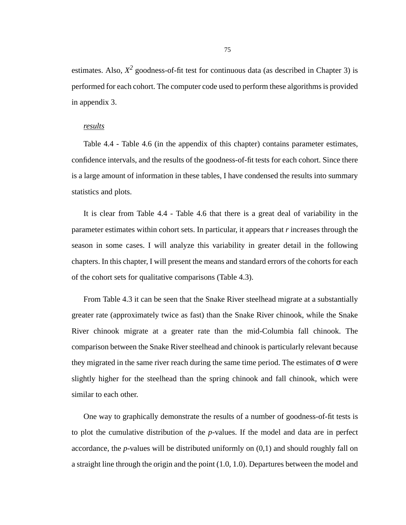estimates. Also,  $X^2$  goodness-of-fit test for continuous data (as described in Chapter 3) is performed for each cohort. The computer code used to perform these algorithms is provided in appendix 3.

### *results*

Table 4.4 - Table 4.6 (in the appendix of this chapter) contains parameter estimates, confidence intervals, and the results of the goodness-of-fit tests for each cohort. Since there is a large amount of information in these tables, I have condensed the results into summary statistics and plots.

It is clear from Table 4.4 - Table 4.6 that there is a great deal of variability in the parameter estimates within cohort sets. In particular, it appears that *r* increases through the season in some cases. I will analyze this variability in greater detail in the following chapters. In this chapter, I will present the means and standard errors of the cohorts for each of the cohort sets for qualitative comparisons [\(Table 4.3\)](#page-75-0).

From [Table 4.3](#page-75-0) it can be seen that the Snake River steelhead migrate at a substantially greater rate (approximately twice as fast) than the Snake River chinook, while the Snake River chinook migrate at a greater rate than the mid-Columbia fall chinook. The comparison between the Snake River steelhead and chinook is particularly relevant because they migrated in the same river reach during the same time period. The estimates of  $\sigma$  were slightly higher for the steelhead than the spring chinook and fall chinook, which were similar to each other.

One way to graphically demonstrate the results of a number of goodness-of-fit tests is to plot the cumulative distribution of the *p*-values. If the model and data are in perfect accordance, the *p*-values will be distributed uniformly on (0,1) and should roughly fall on a straight line through the origin and the point (1.0, 1.0). Departures between the model and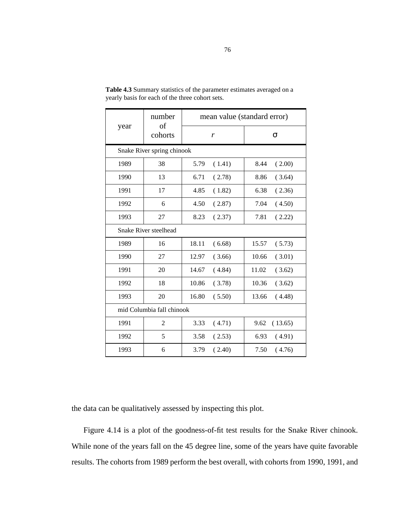|      | number<br>of               |       | mean value (standard error) |       |         |  |  |
|------|----------------------------|-------|-----------------------------|-------|---------|--|--|
| year | cohorts                    |       | r                           | σ     |         |  |  |
|      | Snake River spring chinook |       |                             |       |         |  |  |
| 1989 | 38                         | 5.79  | (1.41)                      | 8.44  | (2.00)  |  |  |
| 1990 | 13                         | 6.71  | (2.78)                      | 8.86  | (3.64)  |  |  |
| 1991 | 17                         | 4.85  | (1.82)                      | 6.38  | (2.36)  |  |  |
| 1992 | 6                          | 4.50  | (2.87)                      | 7.04  | (4.50)  |  |  |
| 1993 | 27                         | 8.23  | (2.37)                      | 7.81  | (2.22)  |  |  |
|      | Snake River steelhead      |       |                             |       |         |  |  |
| 1989 | 16                         | 18.11 | (6.68)                      | 15.57 | (5.73)  |  |  |
| 1990 | 27                         | 12.97 | (3.66)                      | 10.66 | (3.01)  |  |  |
| 1991 | 20                         | 14.67 | (4.84)                      | 11.02 | (3.62)  |  |  |
| 1992 | 18                         | 10.86 | (3.78)                      | 10.36 | (3.62)  |  |  |
| 1993 | 20                         | 16.80 | (5.50)                      | 13.66 | (4.48)  |  |  |
|      | mid Columbia fall chinook  |       |                             |       |         |  |  |
| 1991 | 2                          | 3.33  | (4.71)                      | 9.62  | (13.65) |  |  |
| 1992 | 5                          | 3.58  | (2.53)                      | 6.93  | (4.91)  |  |  |
| 1993 | 6                          | 3.79  | (2.40)                      | 7.50  | (4.76)  |  |  |

<span id="page-75-0"></span>**Table 4.3** Summary statistics of the parameter estimates averaged on a yearly basis for each of the three cohort sets.

the data can be qualitatively assessed by inspecting this plot.

[Figure 4.14](#page-76-0) is a plot of the goodness-of-fit test results for the Snake River chinook. While none of the years fall on the 45 degree line, some of the years have quite favorable results. The cohorts from 1989 perform the best overall, with cohorts from 1990, 1991, and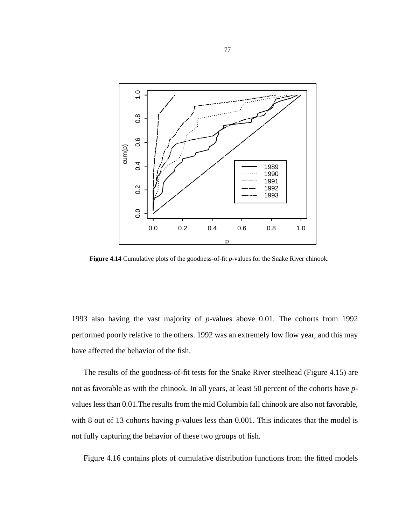<span id="page-76-0"></span>

**Figure 4.14** Cumulative plots of the goodness-of-fit *p*-values for the Snake River chinook.

1993 also having the vast majority of *p*-values above 0.01. The cohorts from 1992 performed poorly relative to the others. 1992 was an extremely low flow year, and this may have affected the behavior of the fish.

The results of the goodness-of-fit tests for the Snake River steelhead ([Figure 4.15](#page-77-0)) are not as favorable as with the chinook. In all years, at least 50 percent of the cohorts have *p*values less than 0.01.The results from the mid Columbia fall chinook are also not favorable, with 8 out of 13 cohorts having *p*-values less than 0.001. This indicates that the model is not fully capturing the behavior of these two groups of fish.

[Figure 4.16](#page-78-0) contains plots of cumulative distribution functions from the fitted models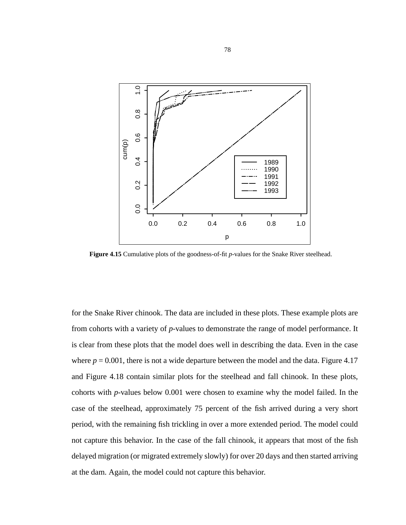<span id="page-77-0"></span>

**Figure 4.15** Cumulative plots of the goodness-of-fit *p*-values for the Snake River steelhead.

for the Snake River chinook. The data are included in these plots. These example plots are from cohorts with a variety of *p*-values to demonstrate the range of model performance. It is clear from these plots that the model does well in describing the data. Even in the case where  $p = 0.001$ , there is not a wide departure between the model and the data. [Figure 4.17](#page-79-0) and [Figure 4.18](#page-79-0) contain similar plots for the steelhead and fall chinook. In these plots, cohorts with *p*-values below 0.001 were chosen to examine why the model failed. In the case of the steelhead, approximately 75 percent of the fish arrived during a very short period, with the remaining fish trickling in over a more extended period. The model could not capture this behavior. In the case of the fall chinook, it appears that most of the fish delayed migration (or migrated extremely slowly) for over 20 days and then started arriving at the dam. Again, the model could not capture this behavior.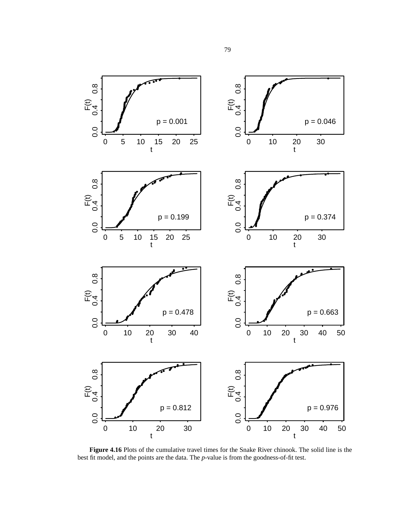<span id="page-78-0"></span>

**Figure 4.16** Plots of the cumulative travel times for the Snake River chinook. The solid line is the best fit model, and the points are the data. The *p*-value is from the goodness-of-fit test.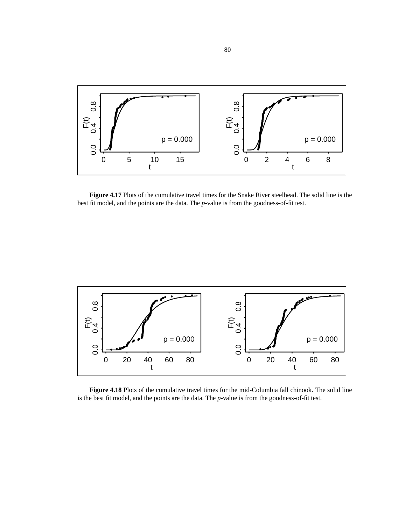<span id="page-79-0"></span>

**Figure 4.17** Plots of the cumulative travel times for the Snake River steelhead. The solid line is the best fit model, and the points are the data. The *p*-value is from the goodness-of-fit test.



**Figure 4.18** Plots of the cumulative travel times for the mid-Columbia fall chinook. The solid line is the best fit model, and the points are the data. The *p*-value is from the goodness-of-fit test.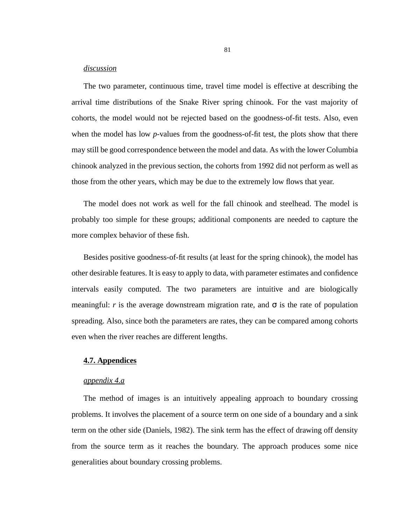## *discussion*

The two parameter, continuous time, travel time model is effective at describing the arrival time distributions of the Snake River spring chinook. For the vast majority of cohorts, the model would not be rejected based on the goodness-of-fit tests. Also, even when the model has low *p*-values from the goodness-of-fit test, the plots show that there may still be good correspondence between the model and data. As with the lower Columbia chinook analyzed in the previous section, the cohorts from 1992 did not perform as well as those from the other years, which may be due to the extremely low flows that year.

The model does not work as well for the fall chinook and steelhead. The model is probably too simple for these groups; additional components are needed to capture the more complex behavior of these fish.

Besides positive goodness-of-fit results (at least for the spring chinook), the model has other desirable features. It is easy to apply to data, with parameter estimates and confidence intervals easily computed. The two parameters are intuitive and are biologically meaningful: *r* is the average downstream migration rate, and  $\sigma$  is the rate of population spreading. Also, since both the parameters are rates, they can be compared among cohorts even when the river reaches are different lengths.

## **4.7. Appendices**

# *appendix 4.a*

The method of images is an intuitively appealing approach to boundary crossing problems. It involves the placement of a source term on one side of a boundary and a sink term on the other side (Daniels, 1982). The sink term has the effect of drawing off density from the source term as it reaches the boundary. The approach produces some nice generalities about boundary crossing problems.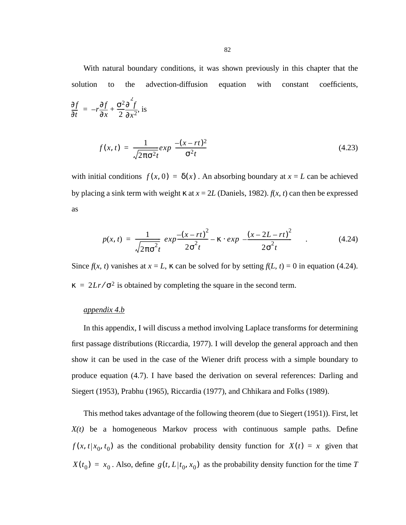With natural boundary conditions, it was shown previously in this chapter that the solution to the advection-diffusion equation with constant coefficients,

$$
\frac{\partial f}{\partial t} = -r \frac{\partial f}{\partial x} + \frac{\sigma^2 \partial^2 f}{2 \partial x^2}
$$
, is

$$
f(x,t) = \frac{1}{\sqrt{2\pi\sigma^2 t}} exp\left(\frac{-(x-rt)^2}{\sigma^2 t}\right)
$$
(4.23)

with initial conditions  $f(x, 0) = \delta(x)$ . An absorbing boundary at  $x = L$  can be achieved by placing a sink term with weight κ at *x* = 2*L* (Daniels, 1982). *f*(*x, t*) can then be expressed as

$$
p(x,t) = \frac{1}{\sqrt{2\pi\sigma^2 t}} \left( exp \frac{-(x-rt)^2}{2\sigma^2 t} - \kappa \cdot exp \left( -\frac{(x-2L-rt)^2}{2\sigma^2 t} \right) \right) \tag{4.24}
$$

Since  $f(x, t)$  vanishes at  $x = L$ ,  $\kappa$  can be solved for by setting  $f(L, t) = 0$  in equation (4.24).  $\kappa = 2Lr/\sigma^2$  is obtained by completing the square in the second term.

# *appendix 4.b*

In this appendix, I will discuss a method involving Laplace transforms for determining first passage distributions (Riccardia, 1977). I will develop the general approach and then show it can be used in the case of the Wiener drift process with a simple boundary to produce equation [\(4.7\).](#page-50-0) I have based the derivation on several references: Darling and Siegert (1953), Prabhu (1965), Riccardia (1977), and Chhikara and Folks (1989).

This method takes advantage of the following theorem (due to Siegert (1951)). First, let *X(t)* be a homogeneous Markov process with continuous sample paths. Define  $f(x, t | x_0, t_0)$  as the conditional probability density function for  $X(t) = x$  given that  $X(t_0) = x_0$ . Also, define  $g(t, L | t_0, x_0)$  as the probability density function for the time *T*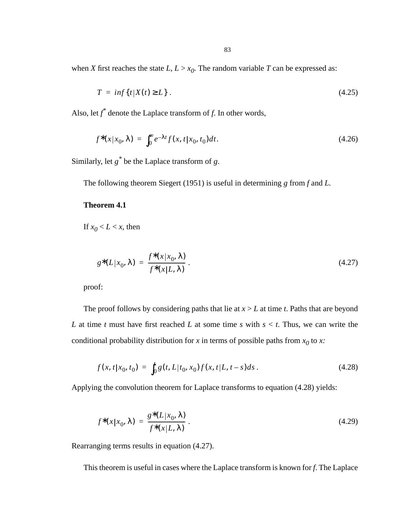<span id="page-82-0"></span>when *X* first reaches the state  $L, L > x_0$ . The random variable *T* can be expressed as:

$$
T = \inf\{t|X(t) \ge L\} \tag{4.25}
$$

Also, let *f \** denote the Laplace transform of *f*. In other words,

$$
f^*(x|x_0, \lambda) = \int_0^\infty e^{-\lambda t} f(x, t|x_0, t_0) dt.
$$
 (4.26)

Similarly, let *g\** be the Laplace transform of *g*.

The following theorem Siegert (1951) is useful in determining *g* from *f* and *L.*

# **Theorem 4.1**

If  $x_0 < L < x$ , then

$$
g^*(L|x_0, \lambda) = \frac{f^*(x|x_0, \lambda)}{f^*(x|L, \lambda)}.
$$
\n(4.27)

proof:

The proof follows by considering paths that lie at  $x > L$  at time *t*. Paths that are beyond *L* at time *t* must have first reached *L* at some time *s* with *s* < *t*. Thus, we can write the conditional probability distribution for *x* in terms of possible paths from  $x_0$  to *x*:

$$
f(x, t | x_0, t_0) = \int_0^t g(t, L | t_0, x_0) f(x, t | L, t - s) ds.
$$
 (4.28)

Applying the convolution theorem for Laplace transforms to equation (4.28) yields:

$$
f^*(x|x_0, \lambda) = \frac{g^*(L|x_0, \lambda)}{f^*(x|L, \lambda)}.
$$
\n(4.29)

Rearranging terms results in equation (4.27).

This theorem is useful in cases where the Laplace transform is known for *f*. The Laplace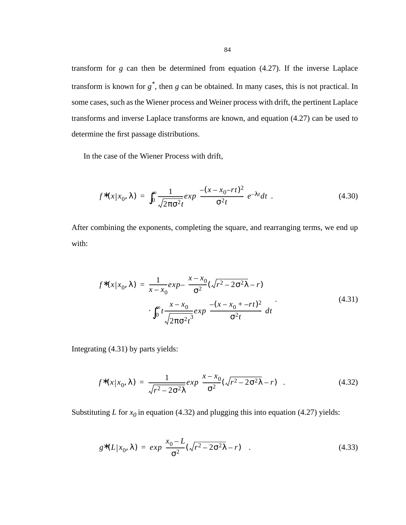<span id="page-83-0"></span>transform for *g* can then be determined from equation [\(4.27\)](#page-82-0). If the inverse Laplace transform is known for *g\**, then *g* can be obtained. In many cases, this is not practical. In some cases, such as the Wiener process and Weiner process with drift, the pertinent Laplace transforms and inverse Laplace transforms are known, and equation [\(4.27\)](#page-82-0) can be used to determine the first passage distributions.

In the case of the Wiener Process with drift,

$$
f^*(x|x_0, \lambda) = \int_0^\infty \frac{1}{\sqrt{2\pi\sigma^2 t}} exp\left(\frac{-(x-x_0 - rt)^2}{\sigma^2 t}\right) e^{-\lambda t} dt \tag{4.30}
$$

After combining the exponents, completing the square, and rearranging terms, we end up with:

$$
f^*(x|x_0, \lambda) = \frac{1}{x - x_0} exp\left(\frac{x - x_0}{\sigma^2} (\sqrt{r^2 - 2\sigma^2 \lambda} - r)\right)
$$
  
 
$$
\int_0^\infty t \frac{x - x_0}{\sqrt{2\pi \sigma^2 t^3}} exp\left(\frac{-(x - x_0 + -rt)^2}{\sigma^2 t}\right) dt
$$
 (4.31)

Integrating (4.31) by parts yields:

$$
f^*(x|x_0, \lambda) = \frac{1}{\sqrt{r^2 - 2\sigma^2 \lambda}} exp\left(\frac{x - x_0}{\sigma^2} (\sqrt{r^2 - 2\sigma^2 \lambda} - r)\right).
$$
 (4.32)

Substituting *L* for  $x_0$  in equation (4.32) and plugging this into equation [\(4.27\)](#page-82-0) yields:

$$
g^*(L|x_0, \lambda) = exp\left(\frac{x_0 - L}{\sigma^2}(\sqrt{r^2 - 2\sigma^2 \lambda} - r)\right).
$$
 (4.33)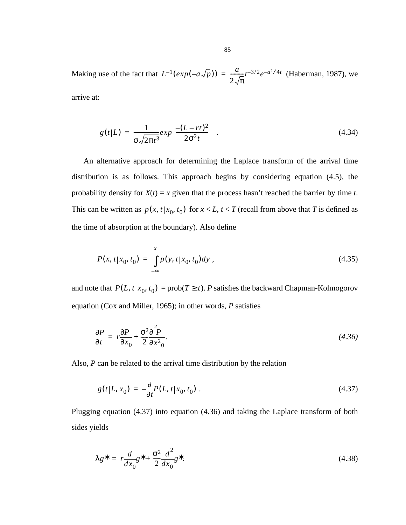Making use of the fact that  $L^{-1}(exp(-a\sqrt{p})) = \frac{a}{2\sqrt{\pi}} t^{-3/2} e^{-a^2/4t}$  (Haberman, 1987), we arrive at:

$$
g(t|L) = \frac{1}{\sigma \sqrt{2\pi t^3}} exp\left(\frac{-(L - rt)^2}{2\sigma^2 t}\right).
$$
 (4.34)

An alternative approach for determining the Laplace transform of the arrival time distribution is as follows. This approach begins by considering equation [\(4.5\),](#page-49-0) the probability density for  $X(t) = x$  given that the process hasn't reached the barrier by time *t*. This can be written as  $p(x, t | x_0, t_0)$  for  $x < L$ ,  $t < T$  (recall from above that *T* is defined as the time of absorption at the boundary). Also define

$$
P(x, t|x_0, t_0) = \int_{-\infty}^{x} p(y, t|x_0, t_0) dy,
$$
\n(4.35)

and note that  $P(L, t | x_0, t_0) = \text{prob}(T \ge t)$ . *P* satisfies the backward Chapman-Kolmogorov equation (Cox and Miller, 1965); in other words, *P* satisfies

$$
\frac{\partial P}{\partial t} = r \frac{\partial P}{\partial x_0} + \frac{\sigma^2 \partial^2 P}{2 \partial x^2_0}.
$$
\n(4.36)

Also, *P* can be related to the arrival time distribution by the relation

$$
g(t|L, x_0) = -\frac{\partial}{\partial t} P(L, t|x_0, t_0) \tag{4.37}
$$

Plugging equation (4.37) into equation (4.36) and taking the Laplace transform of both sides yields

$$
\lambda g^* = r \frac{d}{dx_0} g^* + \frac{\sigma^2}{2} \frac{d^2}{dx_0} g^*.
$$
\n(4.38)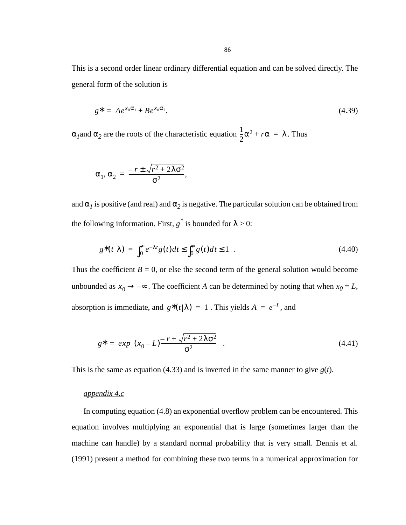This is a second order linear ordinary differential equation and can be solved directly. The general form of the solution is

$$
g^* = Ae^{x_0\alpha_1} + Be^{x_0\alpha_2}.\tag{4.39}
$$

 $\alpha_1$  and  $\alpha_2$  are the roots of the characteristic equation  $\frac{1}{2}\alpha^2 + r\alpha = \lambda$ . Thus  $\frac{1}{2}\alpha^2 + r\alpha = \lambda$ 

,

$$
\alpha_1, \alpha_2 = \frac{-r \pm \sqrt{r^2 + 2\lambda \sigma^2}}{\sigma^2}
$$

and  $\alpha_l$  is positive (and real) and  $\alpha_2$  is negative. The particular solution can be obtained from the following information. First,  $g^*$  is bounded for  $\lambda > 0$ :

$$
g^*(t|\lambda) = \int_0^\infty e^{-\lambda t} g(t) dt \le \int_0^\infty g(t) dt \le 1 \quad . \tag{4.40}
$$

Thus the coefficient  $B = 0$ , or else the second term of the general solution would become unbounded as  $x_0 \rightarrow -\infty$ . The coefficient *A* can be determined by noting that when  $x_0 = L$ , absorption is immediate, and  $g^*(t|\lambda) = 1$ . This yields  $A = e^{-L}$ , and

$$
g^* = exp\left((x_0 - L)^{\frac{-r + \sqrt{r^2 + 2\lambda \sigma^2}}{\sigma^2}}\right).
$$
\n(4.41)

This is the same as equation [\(4.33\)](#page-83-0) and is inverted in the same manner to give  $g(t)$ .

## *appendix 4.c*

In computing equation [\(4.8\)](#page-50-0) an exponential overflow problem can be encountered. This equation involves multiplying an exponential that is large (sometimes larger than the machine can handle) by a standard normal probability that is very small. Dennis et al. (1991) present a method for combining these two terms in a numerical approximation for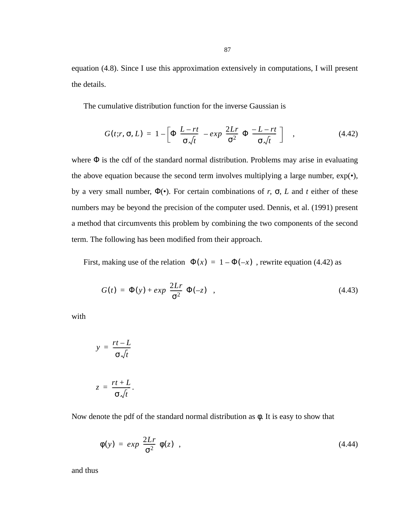equation [\(4.8\).](#page-50-0) Since I use this approximation extensively in computations, I will present the details.

The cumulative distribution function for the inverse Gaussian is

$$
G(t;r,\sigma,L) = 1 - \left[\Phi\left(\frac{L-rt}{\sigma\sqrt{t}}\right) - exp\left(\frac{2Lr}{\sigma^2}\right)\Phi\left(\frac{-L-rt}{\sigma\sqrt{t}}\right)\right] \quad , \tag{4.42}
$$

where  $\Phi$  is the cdf of the standard normal distribution. Problems may arise in evaluating the above equation because the second term involves multiplying a large number,  $\exp(\cdot)$ , by a very small number, Φ(•). For certain combinations of *r*, σ, *L* and *t* either of these numbers may be beyond the precision of the computer used. Dennis, et al. (1991) present a method that circumvents this problem by combining the two components of the second term. The following has been modified from their approach.

First, making use of the relation  $\Phi(x) = 1 - \Phi(-x)$ , rewrite equation (4.42) as

$$
G(t) = \Phi(y) + exp\left(\frac{2Lr}{\sigma^2}\right)\Phi(-z) \quad , \tag{4.43}
$$

with

$$
y = \frac{rt - L}{\sigma \sqrt{t}}
$$

$$
z = \frac{rt + L}{\sigma \sqrt{t}}.
$$

Now denote the pdf of the standard normal distribution as  $\phi$ . It is easy to show that

$$
\phi(y) = exp\left(\frac{2Lr}{\sigma^2}\right)\phi(z) \quad , \tag{4.44}
$$

and thus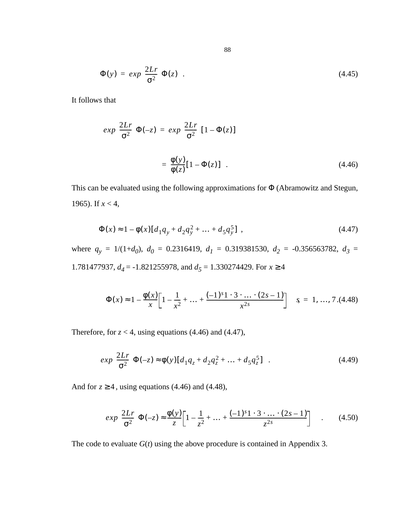$$
\Phi(y) = exp\left(\frac{2Lr}{\sigma^2}\right)\Phi(z) \tag{4.45}
$$

It follows that

$$
exp\left(\frac{2Lr}{\sigma^2}\right)\Phi(-z) = exp\left(\frac{2Lr}{\sigma^2}\right)[1 - \Phi(z)]
$$

$$
= \frac{\Phi(y)}{\Phi(z)}[1 - \Phi(z)] . \tag{4.46}
$$

This can be evaluated using the following approximations for Φ (Abramowitz and Stegun, 1965). If *x* < 4,

$$
\Phi(x) \approx 1 - \phi(x)[d_1 q_y + d_2 q_y^2 + \dots + d_5 q_y^5], \qquad (4.47)
$$

where  $q_y = 1/(1+d_0)$ ,  $d_0 = 0.2316419$ ,  $d_1 = 0.319381530$ ,  $d_2 = -0.356563782$ ,  $d_3 =$ 1.781477937,  $d_4 = -1.821255978$ , and  $d_5 = 1.330274429$ . For  $x \ge 4$ 

$$
\Phi(x) \approx 1 - \frac{\Phi(x)}{x} \left[ 1 - \frac{1}{x^2} + \dots + \frac{(-1)^s 1 \cdot 3 \cdot \dots \cdot (2s - 1)}{x^{2s}} \right] \quad s = 1, \dots, 7. (4.48)
$$

Therefore, for  $z < 4$ , using equations (4.46) and (4.47),

$$
exp\left(\frac{2Lr}{\sigma^2}\right)\Phi(-z) \approx \phi(y)[d_1q_z + d_2q_z^2 + \dots + d_5q_z^5] \quad . \tag{4.49}
$$

And for  $z \ge 4$ , using equations (4.46) and (4.48),

$$
exp\left(\frac{2Lr}{\sigma^2}\right)\Phi(-z) \approx \frac{\Phi(y)}{z} \left[1 - \frac{1}{z^2} + \dots + \frac{(-1)^s 1 \cdot 3 \cdot \dots \cdot (2s - 1)}{z^{2s}}\right] \quad . \tag{4.50}
$$

The code to evaluate  $G(t)$  using the above procedure is contained in Appendix 3.

88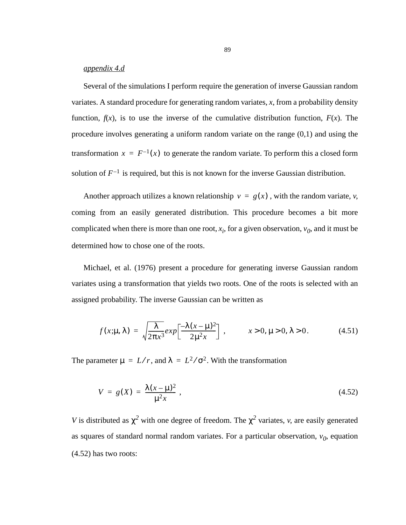### *appendix 4.d*

Several of the simulations I perform require the generation of inverse Gaussian random variates. A standard procedure for generating random variates, *x*, from a probability density function,  $f(x)$ , is to use the inverse of the cumulative distribution function,  $F(x)$ . The procedure involves generating a uniform random variate on the range (0,1) and using the transformation  $x = F^{-1}(x)$  to generate the random variate. To perform this a closed form solution of  $F^{-1}$  is required, but this is not known for the inverse Gaussian distribution.

Another approach utilizes a known relationship  $v = g(x)$ , with the random variate, *v*, coming from an easily generated distribution. This procedure becomes a bit more complicated when there is more than one root,  $x_i$ , for a given observation,  $v_0$ , and it must be determined how to chose one of the roots.

Michael, et al. (1976) present a procedure for generating inverse Gaussian random variates using a transformation that yields two roots. One of the roots is selected with an assigned probability. The inverse Gaussian can be written as

$$
f(x; \mu, \lambda) = \sqrt{\frac{\lambda}{2\pi x^3}} exp\left[\frac{-\lambda(x-\mu)^2}{2\mu^2 x}\right], \qquad x > 0, \mu > 0, \lambda > 0.
$$
 (4.51)

The parameter  $\mu = L/r$ , and  $\lambda = L^2/\sigma^2$ . With the transformation

$$
V = g(X) = \frac{\lambda(x - \mu)^2}{\mu^2 x} \tag{4.52}
$$

*V* is distributed as  $\chi^2$  with one degree of freedom. The  $\chi^2$  variates, *v*, are easily generated as squares of standard normal random variates. For a particular observation,  $v_0$ , equation (4.52) has two roots: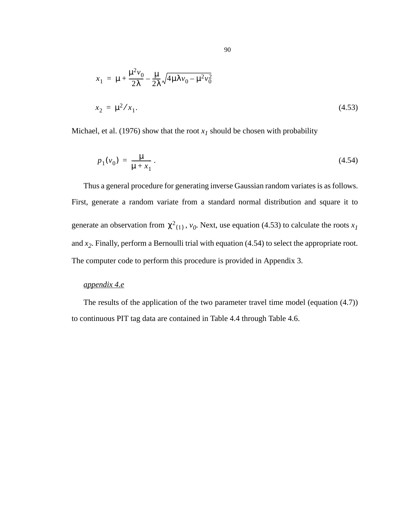$$
x_1 = \mu + \frac{\mu^2 v_0}{2\lambda} - \frac{\mu}{2\lambda} \sqrt{4\mu \lambda v_0 - \mu^2 v_0^2}
$$
  

$$
x_2 = \mu^2 / x_1.
$$
 (4.53)

Michael, et al. (1976) show that the root  $x<sub>l</sub>$  should be chosen with probability

$$
p_1(v_0) = \frac{\mu}{\mu + x_1} \,. \tag{4.54}
$$

Thus a general procedure for generating inverse Gaussian random variates is as follows. First, generate a random variate from a standard normal distribution and square it to generate an observation from  $\chi^2_{(1)}$ ,  $v_0$ . Next, use equation (4.53) to calculate the roots  $x_1$ and *x2*. Finally, perform a Bernoulli trial with equation (4.54) to select the appropriate root. The computer code to perform this procedure is provided in Appendix 3.

# *appendix 4.e*

The results of the application of the two parameter travel time model (equation [\(4.7\)\)](#page-50-0) to continuous PIT tag data are contained in Table 4.4 through Table 4.6.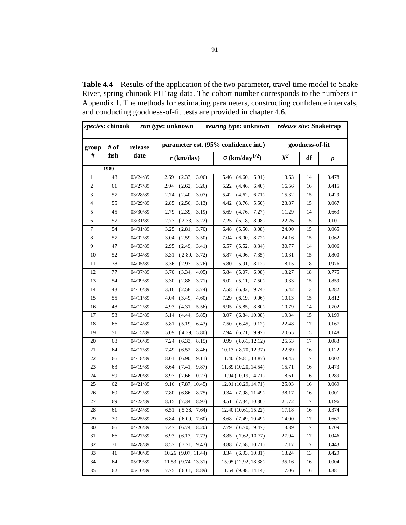Table 4.4 Results of the application of the two parameter, travel time model to Snake River, spring chinook PIT tag data. The cohort number corresponds to the numbers in Appendix 1. The methods for estimating parameters, constructing confidence intervals, and conducting goodness-of-fit tests are provided in chapter 4.6.

| species: chinook |      |          | run type: unknown       | rearing type: unknown                |                 |    | release site: Snaketrap |  |  |  |
|------------------|------|----------|-------------------------|--------------------------------------|-----------------|----|-------------------------|--|--|--|
| group            | # of | release  |                         | parameter est. (95% confidence int.) | goodness-of-fit |    |                         |  |  |  |
| #                | fish | date     | $r$ (km/day)            | $\sigma$ (km/day <sup>1/2</sup> )    | $X^2$           | df | $\boldsymbol{p}$        |  |  |  |
|                  | 1989 |          |                         |                                      |                 |    |                         |  |  |  |
| $\mathbf{1}$     | 48   | 03/24/89 | 3.06<br>2.69<br>(2.33,  | 5.46<br>(4.60,<br>6.91)              | 13.63           | 14 | 0.478                   |  |  |  |
| 2                | 61   | 03/27/89 | 2.94<br>(2.62,<br>3.26  | 5.22<br>(4.46,<br>6.40               | 16.56           | 16 | 0.415                   |  |  |  |
| 3                | 57   | 03/28/89 | 2.74<br>(2.40,<br>3.07) | 5.42<br>(4.62,<br>6.71)              | 15.32           | 15 | 0.429                   |  |  |  |
| $\overline{4}$   | 55   | 03/29/89 | 2.85<br>(2.56,<br>3.13) | 4.42<br>(3.76,<br>5.50               | 23.87           | 15 | 0.067                   |  |  |  |
| 5                | 45   | 03/30/89 | 2.79<br>(2.39,<br>3.19) | (4.76,<br>7.27)<br>5.69              | 11.29           | 14 | 0.663                   |  |  |  |
| 6                | 57   | 03/31/89 | 2.77<br>(2.33, 3.22)    | 7.25<br>8.98)<br>(6.18,              | 22.26           | 15 | 0.101                   |  |  |  |
| 7                | 54   | 04/01/89 | 3.25<br>(2.81,<br>3.70) | 6.48<br>(5.50,<br>8.08)              | 24.00           | 15 | 0.065                   |  |  |  |
| 8                | 57   | 04/02/89 | (2.59,<br>3.04<br>3.50) | 7.04<br>(6.00,<br>8.72)              | 24.16           | 15 | 0.062                   |  |  |  |
| 9                | 47   | 04/03/89 | (2.49,<br>3.41)<br>2.95 | (5.52,<br>8.34)<br>6.57              | 30.77           | 14 | 0.006                   |  |  |  |
| 10               | 52   | 04/04/89 | 3.31<br>(2.89, 3.72)    | (4.96,<br>7.35)<br>5.87              | 10.31           | 15 | 0.800                   |  |  |  |
| 11               | 78   | 04/05/89 | (2.97,<br>3.76)<br>3.36 | 6.80<br>5.91,<br>8.12)               | 8.15            | 18 | 0.976                   |  |  |  |
| 12               | 77   | 04/07/89 | 3.70<br>(3.34,<br>4.05) | (5.07,<br>6.98<br>5.84               | 13.27           | 18 | 0.775                   |  |  |  |
| 13               | 54   | 04/09/89 | 3.30<br>(2.88,<br>3.71) | 6.02<br>(5.11,<br>7.50)              | 9.33            | 15 | 0.859                   |  |  |  |
| 14               | 43   | 04/10/89 | 3.16<br>(2.58,<br>3.74  | 7.58<br>(6.32,<br>9.74)              | 15.42           | 13 | 0.282                   |  |  |  |
| 15               | 55   | 04/11/89 | (3.49,<br>4.60<br>4.04  | 7.29<br>(6.19,<br>9.06)              | 10.13           | 15 | 0.812                   |  |  |  |
| 16               | 48   | 04/12/89 | 4.93<br>(4.31,<br>5.56) | (5.85,<br>8.80)<br>6.95              | 10.79           | 14 | 0.702                   |  |  |  |
| 17               | 53   | 04/13/89 | (4.44,<br>5.85)<br>5.14 | (6.84, 10.08)<br>8.07                | 19.34           | 15 | 0.199                   |  |  |  |
| 18               | 66   | 04/14/89 | 5.81<br>(5.19,<br>6.43) | (6.45, 9.12)<br>7.50                 | 22.48           | 17 | 0.167                   |  |  |  |
| 19               | 51   | 04/15/89 | 5.09<br>(4.39, 5.80)    | 7.94<br>(6.71, 9.97)                 | 20.65           | 15 | 0.148                   |  |  |  |
| 20               | 68   | 04/16/89 | 7.24<br>(6.33,<br>8.15) | (8.61, 12.12)<br>9.99                | 25.53           | 17 | 0.083                   |  |  |  |
| 21               | 64   | 04/17/89 | (6.52,<br>7.49<br>8.46) | 10.13 (8.70, 12.37)                  | 22.69           | 16 | 0.122                   |  |  |  |
| 22               | 66   | 04/18/89 | (6.90,<br>9.11)<br>8.01 | 11.40 (9.81, 13.87)                  | 39.45           | 17 | 0.002                   |  |  |  |
| 23               | 63   | 04/19/89 | (7.41,<br>9.87)<br>8.64 | 11.89 (10.20, 14.54)                 | 15.71           | 16 | 0.473                   |  |  |  |
| 24               | 59   | 04/20/89 | 8.97<br>(7.66, 10.27)   | 11.94(10.19, 4.71)                   | 18.61           | 16 | 0.289                   |  |  |  |
| 25               | 62   | 04/21/89 | 9.16<br>(7.87, 10.45)   | 12.01 (10.29, 14.71)                 | 25.03           | 16 | 0.069                   |  |  |  |
| 26               | 60   | 04/22/89 | 7.80<br>8.75)<br>(6.86, | 9.34 (7.98, 11.49)                   | 38.17           | 16 | 0.001                   |  |  |  |
| 27               | 69   | 04/23/89 | (7.34,<br>8.97)<br>8.15 | (7.34, 10.30)<br>8.51                | 21.72           | 17 | 0.196                   |  |  |  |
| 28               | 61   | 04/24/89 | (5.38, 7.64)<br>6.51    | 12.40 (10.61, 15.22)                 | 17.18           | 16 | 0.374                   |  |  |  |
| 29               | 70   | 04/25/89 | 6.84<br>(6.09,<br>7.60) | 8.68<br>(7.49, 10.49)                | 14.00           | 17 | 0.667                   |  |  |  |
| 30               | 66   | 04/26/89 | 7.47<br>(6.74, 8.20)    | 7.79<br>(6.70, 9.47)                 | 13.39           | 17 | 0.709                   |  |  |  |
| 31               | 66   | 04/27/89 | 6.93<br>(6.13, 7.73)    | 8.85<br>(7.62, 10.77)                | 27.94           | 17 | 0.046                   |  |  |  |
| 32               | 71   | 04/28/89 | 8.57 (7.71, 9.43)       | (7.68, 10.71)<br>8.88                | 17.17           | 17 | 0.443                   |  |  |  |
| 33               | 41   | 04/30/89 | 10.26 (9.07, 11.44)     | 8.34 (6.93, 10.81)                   | 13.24           | 13 | 0.429                   |  |  |  |
| 34               | 64   | 05/09/89 | 11.53 (9.74, 13.31)     | 15.05 (12.92, 18.38)                 | 35.16           | 16 | 0.004                   |  |  |  |
| 35               | 62   | 05/10/89 | 7.75 (6.61, 8.89)       | 11.54 (9.88, 14.14)                  | 17.06           | 16 | 0.381                   |  |  |  |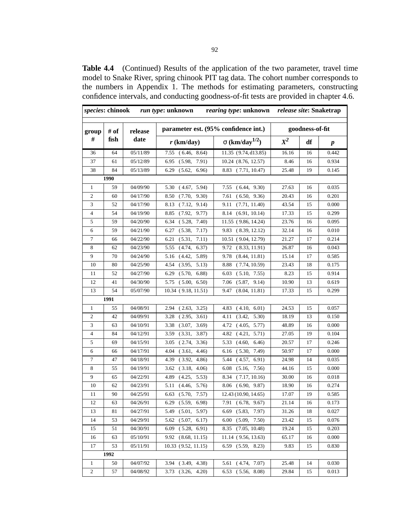**Table 4.4** (Continued) Results of the application of the two parameter, travel time model to Snake River, spring chinook PIT tag data. The cohort number corresponds to the numbers in Appendix 1. The methods for estimating parameters, constructing confidence intervals, and conducting goodness-of-fit tests are provided in chapter 4.6.

| species: chinook |      |          | <i>run type</i> : unknown | rearing type: unknown release site: Snaketrap |       |                 |                  |
|------------------|------|----------|---------------------------|-----------------------------------------------|-------|-----------------|------------------|
| group            | # of | release  |                           | parameter est. (95% confidence int.)          |       | goodness-of-fit |                  |
| #                | fish | date     | $r$ (km/day)              | $\sigma$ (km/day <sup>1/2</sup> )             | $X^2$ | df              | $\boldsymbol{p}$ |
| 36               | 64   | 05/11/89 | 7.55 (6.46, 8.64)         | 11.35(9.74, d13.85)                           | 16.16 | 16              | 0.442            |
| 37               | 61   | 05/12/89 | (5.98,<br>7.91)<br>6.95   | 10.24 (8.76, 12.57)                           | 8.46  | 16              | 0.934            |
| 38               | 84   | 05/13/89 | 6.29<br>(5.62,<br>6.96)   | 8.83 (7.71, 10.47)                            | 25.48 | 19              | 0.145            |
|                  | 1990 |          |                           |                                               |       |                 |                  |
| 1                | 59   | 04/09/90 | 5.30<br>(4.67, 5.94)      | 7.55(6.44, 9.30)                              | 27.63 | 16              | 0.035            |
| 2                | 60   | 04/17/90 | 8.50<br>(7.70, 9.30)      | 7.61<br>(6.50, 9.36)                          | 20.43 | 16              | 0.201            |
| 3                | 52   | 04/17/90 | (7.12, 9.14)<br>8.13      | (7.71, 11.40)<br>9.11                         | 43.54 | 15              | 0.000            |
| 4                | 54   | 04/19/90 | (7.92, 9.77)<br>8.85      | 8.14 (6.91, 10.14)                            | 17.33 | 15              | 0.299            |
| 5                | 59   | 04/20/90 | (5.28, 7.40)<br>6.34      | 11.55 (9.86, 14.24)                           | 23.76 | 16              | 0.095            |
| 6                | 59   | 04/21/90 | (5.38,<br>7.17)<br>6.27   | 9.83<br>(8.39, 12.12)                         | 32.14 | 16              | 0.010            |
| 7                | 66   | 04/22/90 | (5.31,<br>7.11)<br>6.21   | 10.51 (9.04, 12.79)                           | 21.27 | 17              | 0.214            |
| 8                | 62   | 04/23/90 | 5.55<br>(4.74,<br>6.37)   | 9.72 (8.33, 11.91)                            | 26.87 | 16              | 0.043            |
| 9                | 70   | 04/24/90 | (4.42,<br>5.89)<br>5.16   | 9.78<br>(8.44, 11.81)                         | 15.14 | 17              | 0.585            |
| 10               | 80   | 04/25/90 | (3.95, 5.13)<br>4.54      | 8.88<br>(7.74, 10.59)                         | 23.43 | 18              | 0.175            |
| 11               | 52   | 04/27/90 | (5.70,<br>6.88)<br>6.29   | (5.10, 7.55)<br>6.03                          | 8.23  | 15              | 0.914            |
| 12               | 41   | 04/30/90 | 5.75 (5.00, 6.50)         | (5.87, 9.14)<br>7.06                          | 10.90 | 13              | 0.619            |
| 13               | 54   | 05/07/90 | 10.34 (9.18, 11.51)       | 9.47<br>(8.04, 11.81)                         | 17.33 | 15              | 0.299            |
| 1991             |      |          |                           |                                               |       |                 |                  |
| 1                | 55   | 04/08/91 | (2.63, 3.25)<br>2.94      | (4.10, 6.01)<br>4.83                          | 24.53 | 15              | 0.057            |
| 2                | 42   | 04/09/91 | $3.28$ $(2.95, 3.61)$     | (3.42, 5.30)<br>4.11                          | 18.19 | 13              | 0.150            |
| 3                | 63   | 04/10/91 | (3.07,<br>3.38<br>3.69)   | (4.05, 5.77)<br>4.72                          | 48.89 | 16              | 0.000            |
| 4                | 84   | 04/12/91 | 3.59<br>(3.31,<br>3.87)   | (4.21, 5.71)<br>4.82                          | 27.05 | 19              | 0.104            |
| 5                | 69   | 04/15/91 | (2.74, 3.36)<br>3.05      | 5.33<br>(4.60, 6.46)                          | 20.57 | 17              | 0.246            |
| 6                | 66   | 04/17/91 | 4.04<br>(3.61, 4.46)      | (5.30, 7.49)<br>6.16                          | 50.97 | 17              | 0.000            |
| 7                | 47   | 04/18/91 | 4.39<br>(3.92, 4.86)      | (4.57, 6.91)<br>5.44                          | 24.98 | 14              | 0.035            |
| 8                | 55   | 04/19/91 | $3.62$ $(3.18, 4.06)$     | 6.08<br>(5.16, 7.56)                          | 44.16 | 15              | 0.000            |
| 9                | 65   | 04/22/91 | (4.25,<br>5.53)<br>4.89   | (7.17, 10.16)<br>8.34                         | 30.00 | 16              | 0.018            |
| 10               | 62   | 04/23/91 | (4.46,<br>5.76)<br>5.11   | 8.06<br>(6.90, 9.87)                          | 18.90 | 16              | 0.274            |
| 11               | 90   | 04/25/91 | $6.63$ $(5.70,$<br>7.57)  | 12.43 (10.90, 14.65)                          | 17.07 | 19              | 0.585            |
| 12               | 63   | 04/26/91 | 6.29 (5.59, 6.98)         | 7.91 (6.78, 9.67)                             | 21.14 | 16              | 0.173            |
| 13               | 81   | 04/27/91 | 5.49 (5.01, 5.97)         | $6.69$ $(5.83, 7.97)$                         | 31.26 | 18              | 0.027            |
| 14               | 53   | 04/29/91 | $5.62$ $(5.07, 6.17)$     | $6.00$ $(5.09, 7.50)$                         | 23.42 | 15              | 0.076            |
| 15               | 51   | 04/30/91 | $6.09$ $(5.28, 6.91)$     | 8.35 (7.05, 10.48)                            | 19.24 | 15              | 0.203            |
| 16               | 63   | 05/10/91 | 9.92 (8.68, 11.15)        | 11.14 (9.56, 13.63)                           | 65.17 | 16              | 0.000            |
| 17               | 53   | 05/11/91 | 10.33 (9.52, 11.15)       | 6.59 (5.59, 8.23)                             | 9.83  | 15              | 0.830            |
|                  | 1992 |          |                           |                                               |       |                 |                  |
| $\mathbf{1}$     | 50   | 04/07/92 | $3.94$ $(3.49, 4.38)$     | 5.61 (4.74, 7.07)                             | 25.48 | 14              | 0.030            |
| 2                | 57   | 04/08/92 | $3.73$ $(3.26, 4.20)$     | $6.53$ $(5.56, 8.08)$                         | 29.84 | 15              | 0.013            |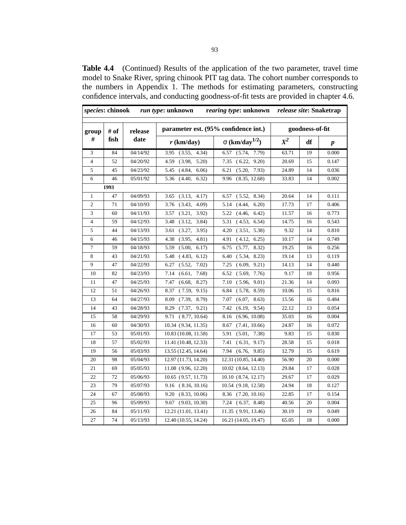**Table 4.4** (Continued) Results of the application of the two parameter, travel time model to Snake River, spring chinook PIT tag data. The cohort number corresponds to the numbers in Appendix 1. The methods for estimating parameters, constructing confidence intervals, and conducting goodness-of-fit tests are provided in chapter 4.6.

| species: chinook |      |          | run type: unknown       | rearing type: unknown release site: Snaketrap |       |                 |           |  |
|------------------|------|----------|-------------------------|-----------------------------------------------|-------|-----------------|-----------|--|
| group            | # of | release  |                         | parameter est. (95% confidence int.)          |       | goodness-of-fit |           |  |
| #                | fish | date     | $r$ (km/day)            | $\sigma$ (km/day <sup>1/2</sup> )             | $X^2$ | df              | $\pmb{p}$ |  |
| 3                | 84   | 04/14/92 | 3.95<br>(3.55, 4.34)    | (5.74,<br>7.79)<br>6.57                       | 63.71 | 19              | 0.000     |  |
| $\overline{4}$   | 52   | 04/20/92 | (3.98,<br>5.20<br>4.59  | (6.22,<br>9.20<br>7.35                        | 20.69 | 15              | 0.147     |  |
| 5                | 45   | 04/23/92 | (4.84,<br>6.06<br>5.45  | 6.21<br>(5.20,<br>7.93)                       | 24.89 | 14              | 0.036     |  |
| 6                | 46   | 05/01/92 | 5.36<br>(4.40, 6.32)    | (8.35, 12.68)<br>9.96                         | 33.83 | 14              | 0.002     |  |
|                  | 1993 |          |                         |                                               |       |                 |           |  |
| 1                | 47   | 04/09/93 | (3.13,<br>4.17)<br>3.65 | (5.52, 8.34)<br>6.57                          | 20.64 | 14              | 0.111     |  |
| 2                | 71   | 04/10/93 | 4.09<br>3.76<br>(3.43,  | 6.20<br>5.14<br>(4.44,                        | 17.73 | 17              | 0.406     |  |
| 3                | 60   | 04/11/93 | 3.57<br>(3.21,<br>3.92) | 5.22<br>(4.46,<br>6.42)                       | 11.57 | 16              | 0.773     |  |
| $\overline{4}$   | 59   | 04/12/93 | (3.12,<br>3.84)<br>3.48 | (4.53, 6.54)<br>5.31                          | 14.75 | 16              | 0.543     |  |
| 5                | 44   | 04/13/93 | (3.27,<br>3.95)<br>3.61 | (3.51, 5.38)<br>4.20                          | 9.32  | 14              | 0.810     |  |
| 6                | 46   | 04/15/93 | 4.38<br>(3.95,<br>4.81) | 6.25)<br>4.91<br>(4.12,                       | 10.17 | 14              | 0.749     |  |
| 7                | 59   | 04/18/93 | 5.59<br>(5.00,<br>6.17) | 6.75<br>(5.77,<br>8.32)                       | 19.25 | 16              | 0.256     |  |
| 8                | 43   | 04/21/93 | 5.48<br>(4.83, 6.12)    | 6.40<br>(5.34, 8.23)                          | 19.14 | 13              | 0.119     |  |
| 9                | 47   | 04/22/93 | 7.02)<br>6.27<br>(5.52, | 7.25<br>(6.09, 9.21)                          | 14.13 | 14              | 0.440     |  |
| 10               | 82   | 04/23/93 | 7.14<br>7.68)<br>(6.61, | (5.69, 7.76)<br>6.52                          | 9.17  | 18              | 0.956     |  |
| 11               | 47   | 04/25/93 | 7.47<br>8.27)<br>(6.68, | 7.10<br>(5.96, 9.01)                          | 21.36 | 14              | 0.093     |  |
| 12               | 51   | 04/26/93 | 8.37<br>(7.59, 9.15)    | 6.84<br>(5.78, 8.59)                          | 10.06 | 15              | 0.816     |  |
| 13               | 64   | 04/27/93 | 8.79)<br>8.09<br>(7.39, | 7.07<br>(6.07,<br>8.63)                       | 15.56 | 16              | 0.484     |  |
| 14               | 43   | 04/28/93 | 8.29<br>(7.37, 9.21)    | 7.42<br>(6.19,<br>9.54)                       | 22.12 | 13              | 0.054     |  |
| 15               | 58   | 04/29/93 | 9.71<br>(8.77, 10.64)   | 8.16<br>(6.96, 10.08)                         | 35.03 | 16              | 0.004     |  |
| 16               | 60   | 04/30/93 | 10.34 (9.34, 11.35)     | (7.41, 10.66)<br>8.67                         | 24.87 | 16              | 0.072     |  |
| 17               | 53   | 05/01/93 | 10.83 (10.08, 11.58)    | 5.91<br>(5.01, 7.38)                          | 9.83  | 15              | 0.830     |  |
| 18               | 57   | 05/02/93 | 11.41 (10.48, 12.33)    | 7.41<br>(6.31, 9.17)                          | 28.58 | 15              | 0.018     |  |
| 19               | 56   | 05/03/93 | 13.55 (12.45, 14.64)    | $7.94$ $(6.76, 9.85)$                         | 12.79 | 15              | 0.619     |  |
| 20               | 98   | 05/04/93 | 12.97 (11.73, 14.20)    | 12.31 (10.85, 14.40)                          | 56.90 | 20              | 0.000     |  |
| 21               | 69   | 05/05/93 | 11.08 (9.96, 12.20)     | $10.02$ $(8.64, 12.13)$                       | 29.84 | 17              | 0.028     |  |
| 22               | 72   | 05/06/93 | 10.65 (9.57, 11.73)     | 10.10 (8.74, 12.17)                           | 29.67 | 17              | 0.029     |  |
| 23               | 79   | 05/07/93 | $9.16$ $(8.16, 10.16)$  | 10.54 (9.18, 12.58)                           | 24.94 | 18              | 0.127     |  |
| 24               | 67   | 05/08/93 | 9.20<br>(8.33, 10.06)   | 8.36 (7.20, 10.16)                            | 22.85 | 17              | 0.154     |  |
| 25               | 96   | 05/09/93 | (9.03, 10.30)<br>9.67   | 7.24 (6.37, 8.48)                             | 40.56 | 20              | 0.004     |  |
| 26               | 84   | 05/11/93 | 12.21 (11.01, 13.41)    | 11.35 (9.91, 13.46)                           | 30.19 | 19              | 0.049     |  |
| 27               | 74   | 05/13/93 | 12.40 (10.55, 14.24)    | 16.21 (14.05, 19.47)                          | 65.05 | 18              | 0.000     |  |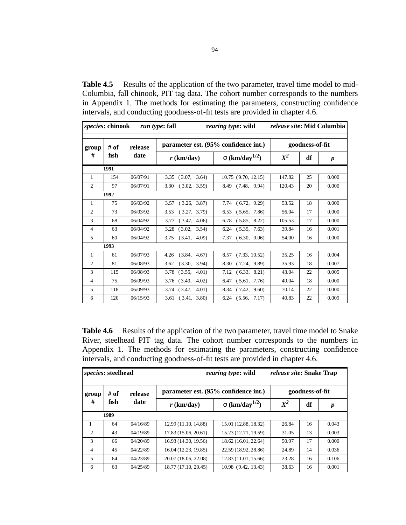**Table 4.5** Results of the application of the two parameter, travel time model to mid-Columbia, fall chinook, PIT tag data. The cohort number corresponds to the numbers in Appendix 1. The methods for estimating the parameters, constructing confidence intervals, and conducting goodness-of-fit tests are provided in chapter 4.6.

|                | species: chinook<br><i>run type: fall</i> |          |                                      | rearing type: wild                |        | <i>release site:</i> Mid Columbia |                  |  |
|----------------|-------------------------------------------|----------|--------------------------------------|-----------------------------------|--------|-----------------------------------|------------------|--|
| group          | # of                                      | release  | parameter est. (95% confidence int.) | goodness-of-fit                   |        |                                   |                  |  |
| #<br>fish      |                                           | date     | $r$ (km/day)                         | $\sigma$ (km/day <sup>1/2</sup> ) | $X^2$  | df                                | $\boldsymbol{p}$ |  |
|                | 1991                                      |          |                                      |                                   |        |                                   |                  |  |
| $\mathbf{1}$   | 154                                       | 06/07/91 | (3.07, 3.64)<br>3.35                 | 10.75 (9.70, 12.15)               | 147.82 | 25                                | 0.000            |  |
| 2              | 97                                        | 06/07/91 | 3.30<br>(3.02, 3.59)                 | 8.49 (7.48, 9.94)                 | 120.43 | 20                                | 0.000            |  |
|                | 1992                                      |          |                                      |                                   |        |                                   |                  |  |
| $\mathbf{1}$   | 75                                        | 06/03/92 | $3.57$ $(3.26, 3.87)$                | $7.74$ $(6.72, 9.29)$             | 53.52  | 18                                | 0.000            |  |
| $\overline{2}$ | 73                                        | 06/03/92 | 3.53<br>(3.27, 3.79)                 | $6.53$ $(5.65, 7.86)$             | 56.04  | 17                                | 0.000            |  |
| 3              | 68                                        | 06/04/92 | (3.47, 4.06)<br>3.77                 | $6.78$ $(5.85, 8.22)$             | 105.53 | 17                                | 0.000            |  |
| $\overline{4}$ | 63                                        | 06/04/92 | $3.28$ $(3.02, 3.54)$                | $6.24$ $(5.35, 7.63)$             | 39.84  | 16                                | 0.001            |  |
| 5              | 60                                        | 06/04/92 | $3.75$ $(3.41, 4.09)$                | $7.37$ $(6.30, 9.06)$             | 54.00  | 16                                | 0.000            |  |
|                | 1993                                      |          |                                      |                                   |        |                                   |                  |  |
| 1              | 61                                        | 06/07/93 | (3.84, 4.67)<br>4.26                 | 8.57 (7.33, 10.52)                | 35.25  | 16                                | 0.004            |  |
| $\overline{2}$ | 81                                        | 06/08/93 | (3.30, 3.94)<br>3.62                 | 8.30 (7.24, 9.89)                 | 35.93  | 18                                | 0.007            |  |
| 3              | 115                                       | 06/08/93 | 3.78 (3.55,<br>4.01)                 | $7.12\quad(6.33, 8.21)$           | 43.04  | 22                                | 0.005            |  |
| $\overline{4}$ | 75                                        | 06/09/93 | $3.76$ $(3.49, 4.02)$                | $6.47$ $(5.61, 7.76)$             | 49.04  | 18                                | 0.000            |  |
| 5              | 118                                       | 06/09/93 | $3.74$ $(3.47, 4.01)$                | 8.34 (7.42, 9.60)                 | 70.14  | 22                                | 0.000            |  |
| 6              | 120                                       | 06/15/93 | $3.61$ $(3.41, 3.80)$                | $6.24$ $(5.56, 7.17)$             | 40.83  | 22                                | 0.009            |  |

**Table 4.6** Results of the application of the two parameter, travel time model to Snake River, steelhead PIT tag data. The cohort number corresponds to the numbers in Appendix 1. The methods for estimating the parameters, constructing confidence intervals, and conducting goodness-of-fit tests are provided in chapter 4.6.

| <i>species:</i> steelhead |      |          |                                      | rearing type: wild                | <i>release site:</i> Snake Trap |    |                  |  |
|---------------------------|------|----------|--------------------------------------|-----------------------------------|---------------------------------|----|------------------|--|
| group                     | # of | release  | parameter est. (95% confidence int.) | goodness-of-fit                   |                                 |    |                  |  |
| #<br>fish<br>date         |      |          | $r$ (km/day)                         | $\sigma$ (km/day <sup>1/2</sup> ) | $X^2$                           | df | $\boldsymbol{p}$ |  |
|                           | 1989 |          |                                      |                                   |                                 |    |                  |  |
|                           | 64   | 04/16/89 | 12.99 (11.10, 14.88)                 | 15.01 (12.88, 18.32)              | 26.84                           | 16 | 0.043            |  |
| $\overline{2}$            | 43   | 04/19/89 | 17.83 (15.06, 20.61)                 | 15.23 (12.71, 19.59)              | 31.05                           | 13 | 0.003            |  |
| 3                         | 66   | 04/20/89 | 16.93 (14.30, 19.56)                 | 18.62 (16.01, 22.64)              | 50.97                           | 17 | 0.000            |  |
| $\overline{4}$            | 45   | 04/22/89 | 16.04 (12.23, 19.85)                 | 22.59 (18.92, 28.86)              | 24.89                           | 14 | 0.036            |  |
| 5                         | 64   | 04/23/89 | 20.07 (18.06, 22.08)                 | 12.83 (11.01, 15.66)              | 23.28                           | 16 | 0.106            |  |
| 6                         | 63   | 04/25/89 | 18.77 (17.10, 20.45)                 | 10.98 (9.42, 13.43)               | 38.63                           | 16 | 0.001            |  |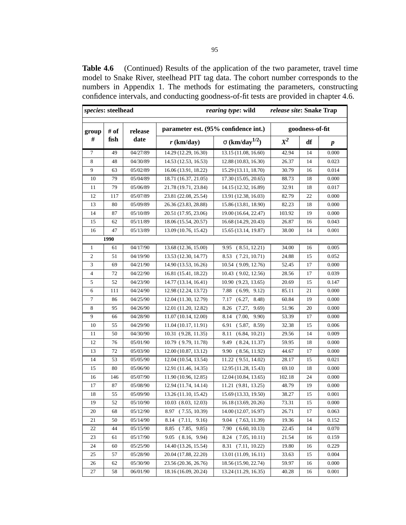**Table 4.6** (Continued) Results of the application of the two parameter, travel time model to Snake River, steelhead PIT tag data. The cohort number corresponds to the numbers in Appendix 1. The methods for estimating the parameters, constructing confidence intervals, and conducting goodness-of-fit tests are provided in chapter 4.6.

| <i>species:</i> steelhead<br>rearing type: wild<br>release site: Snake Trap |      |          |                                  |                                      |        |                 |                  |
|-----------------------------------------------------------------------------|------|----------|----------------------------------|--------------------------------------|--------|-----------------|------------------|
| group                                                                       | # of | release  |                                  | parameter est. (95% confidence int.) |        | goodness-of-fit |                  |
| #                                                                           | fish | date     | $r$ (km/day)                     | $\sigma$ (km/day <sup>1/2</sup> )    | $X^2$  | df              | $\boldsymbol{p}$ |
| 7                                                                           | 49   | 04/27/89 | $14.\overline{29(12.29, 16.30)}$ | 13.15 (11.08, 16.60)                 | 42.94  | 14              | 0.000            |
| 8                                                                           | 48   | 04/30/89 | 14.53 (12.53, 16.53)             | 12.88 (10.83, 16.30)                 | 26.37  | 14              | 0.023            |
| 9                                                                           | 63   | 05/02/89 | 16.06 (13.91, 18.22)             | 15.29 (13.11, 18.70)                 | 30.79  | 16              | 0.014            |
| 10                                                                          | 79   | 05/04/89 | 18.71 (16.37, 21.05)             | 17.30 (15.05, 20.65)                 | 88.73  | 18              | 0.000            |
| 11                                                                          | 79   | 05/06/89 | 21.78 (19.71, 23.84)             | 14.15 (12.32, 16.89)                 | 32.91  | 18              | 0.017            |
| 12                                                                          | 117  | 05/07/89 | 23.81 (22.08, 25.54)             | 13.91 (12.38, 16.03)                 | 82.79  | 22              | 0.000            |
| 13                                                                          | 80   | 05/09/89 | 26.36 (23.83, 28.88)             | 15.86 (13.81, 18.90)                 | 82.23  | 18              | 0.000            |
| 14                                                                          | 87   | 05/10/89 | 20.51 (17.95, 23.06)             | 19.00 (16.64, 22.47)                 | 103.92 | 19              | 0.000            |
| 15                                                                          | 62   | 05/11/89 | 18.06 (15.54, 20.57)             | 16.68 (14.29, 20.43)                 | 26.87  | 16              | 0.043            |
| 16                                                                          | 47   | 05/13/89 | 13.09 (10.76, 15.42)             | 15.65 (13.14, 19.87)                 | 38.00  | 14              | 0.001            |
|                                                                             | 1990 |          |                                  |                                      |        |                 |                  |
| $\mathbf{1}$                                                                | 61   | 04/17/90 | 13.68 (12.36, 15.00)             | 9.95<br>(8.51, 12.21)                | 34.00  | 16              | 0.005            |
| 2                                                                           | 51   | 04/19/90 | 13.53 (12.30, 14.77)             | 8.53<br>(7.21, 10.71)                | 24.88  | 15              | 0.052            |
| 3                                                                           | 69   | 04/21/90 | 14.90 (13.53, 16.26)             | 10.54 (9.09, 12.76)                  | 52.45  | 17              | 0.000            |
| 4                                                                           | 72   | 04/22/90 | 16.81 (15.41, 18.22)             | 10.43 (9.02, 12.56)                  | 28.56  | 17              | 0.039            |
| 5                                                                           | 52   | 04/23/90 | 14.77 (13.14, 16.41)             | 10.90 (9.23, 13.65)                  | 20.69  | 15              | 0.147            |
| 6                                                                           | 111  | 04/24/90 | 12.98 (12.24, 13.72)             | 7.88<br>(6.99, 9.12)                 | 85.11  | 21              | 0.000            |
| 7                                                                           | 86   | 04/25/90 | 12.04 (11.30, 12.79)             | 7.17<br>(6.27,<br>8.48)              | 60.84  | 19              | 0.000            |
| 8                                                                           | 95   | 04/26/90 | 12.01 (11.20, 12.82)             | 8.26<br>(7.27,<br>9.69)              | 51.96  | 20              | 0.000            |
| 9                                                                           | 66   | 04/28/90 | 11.07 (10.14, 12.00)             | (7.00,<br>9.90)<br>8.14              | 53.39  | 17              | 0.000            |
| 10                                                                          | 55   | 04/29/90 | 11.04 (10.17, 11.91)             | (5.87, 8.59)<br>6.91                 | 32.38  | 15              | 0.006            |
| 11                                                                          | 50   | 04/30/90 | 10.31 (9.28, 11.35)              | 8.11<br>(6.84, 10.21)                | 29.56  | 14              | 0.009            |
| 12                                                                          | 76   | 05/01/90 | 10.79 (9.79, 11.78)              | (8.24, 11.37)<br>9.49                | 59.95  | 18              | 0.000            |
| 13                                                                          | 72   | 05/03/90 | 12.00 (10.87, 13.12)             | 9.90<br>(8.56, 11.92)                | 44.67  | 17              | 0.000            |
| 14                                                                          | 53   | 05/05/90 | 12.04 (10.54, 13.54)             | 11.22 (9.51, 14.02)                  | 28.17  | 15              | 0.021            |
| 15                                                                          | 80   | 05/06/90 | 12.91 (11.46, 14.35)             | 12.95 (11.28, 15.43)                 | 69.10  | 18              | 0.000            |
| 16                                                                          | 146  | 05/07/90 | 11.90 (10.96, 12.85)             | 12.04 (10.84, 13.65)                 | 102.18 | 24              | 0.000            |
| 17                                                                          | 87   | 05/08/90 | 12.94 (11.74, 14.14)             | 11.21 (9.81, 13.25)                  | 48.79  | 19              | 0.000            |
| 18                                                                          | 55   | 05/09/90 | 13.26 (11.10, 15.42)             | 15.69 (13.33, 19.50)                 | 38.27  | 15              | 0.001            |
| 19                                                                          | 52   | 05/10/90 | 10.03 (8.03, 12.03)              | 16.18 (13.69, 20.26)                 | 73.31  | 15              | 0.000            |
| 20                                                                          | 68   | 05/12/90 | 8.97 (7.55, 10.39)               | 14.00 (12.07, 16.97)                 | 26.71  | 17              | 0.063            |
| 21                                                                          | 50   | 05/14/90 | (7.11, 9.16)<br>8.14             | 9.04 (7.63, 11.39)                   | 19.36  | 14              | 0.152            |
| 22                                                                          | 44   | 05/15/90 | 8.85<br>(7.85, 9.85)             | 7.90(6.60, 10.13)                    | 22.45  | 14              | 0.070            |
| 23                                                                          | 61   | 05/17/90 | (8.16, 9.94)<br>9.05             | (7.05, 10.11)<br>8.24                | 21.54  | 16              | 0.159            |
| 24                                                                          | 60   | 05/25/90 | 14.40 (13.26, 15.54)             | 8.31 (7.11, 10.22)                   | 19.80  | 16              | 0.229            |
| 25                                                                          | 57   | 05/28/90 | 20.04 (17.88, 22.20)             | 13.01 (11.09, 16.11)                 | 33.63  | 15              | 0.004            |
| 26                                                                          | 62   | 05/30/90 | 23.56 (20.36, 26.76)             | 18.56 (15.90, 22.74)                 | 59.97  | 16              | 0.000            |
| 27                                                                          | 58   | 06/01/90 | 18.16 (16.09, 20.24)             | 13.24 (11.29, 16.35)                 | 40.28  | 16              | 0.001            |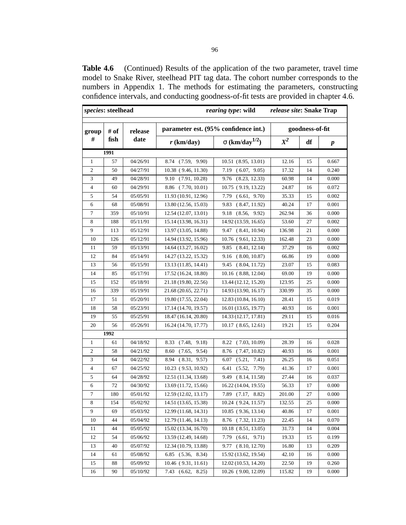**Table 4.6** (Continued) Results of the application of the two parameter, travel time model to Snake River, steelhead PIT tag data. The cohort number corresponds to the numbers in Appendix 1. The methods for estimating the parameters, constructing confidence intervals, and conducting goodness-of-fit tests are provided in chapter 4.6.

| species: steelhead |      |          |                         | rearing type: wild                   | release site: Snake Trap |                 |                  |
|--------------------|------|----------|-------------------------|--------------------------------------|--------------------------|-----------------|------------------|
| group              | # of | release  |                         | parameter est. (95% confidence int.) |                          | goodness-of-fit |                  |
| #                  | fish | date     | $r$ (km/day)            | $\sigma$ (km/day <sup>1/2</sup> )    | $X^2$                    | df              | $\boldsymbol{p}$ |
|                    | 1991 |          |                         |                                      |                          |                 |                  |
| $\mathbf{1}$       | 57   | 04/26/91 | (7.59, 9.90)<br>8.74    | $10.51$ $(8.95, 13.01)$              | 12.16                    | 15              | 0.667            |
| 2                  | 50   | 04/27/91 | 10.38 (9.46, 11.30)     | (6.07, 9.05)<br>7.19                 | 17.32                    | 14              | 0.240            |
| $\mathfrak{Z}$     | 49   | 04/28/91 | 9.10 (7.91, 10.28)      | 9.76 (8.23, 12.33)                   | 60.98                    | 14              | 0.000            |
| 4                  | 60   | 04/29/91 | 8.86 (7.70, 10.01)      | 10.75 (9.19, 13.22)                  | 24.87                    | 16              | 0.072            |
| 5                  | 54   | 05/05/91 | 11.93 (10.91, 12.96)    | 7.79<br>(6.61, 9.70)                 | 35.33                    | 15              | 0.002            |
| 6                  | 68   | 05/08/91 | 13.80 (12.56, 15.03)    | (8.47, 11.92)<br>9.83                | 40.24                    | 17              | 0.001            |
| 7                  | 359  | 05/10/91 | 12.54 (12.07, 13.01)    | 9.18<br>(8.56, 9.92)                 | 262.94                   | 36              | 0.000            |
| 8                  | 188  | 05/11/91 | 15.14 (13.98, 16.31)    | 14.92 (13.59, 16.65)                 | 53.60                    | 27              | 0.002            |
| 9                  | 113  | 05/12/91 | 13.97 (13.05, 14.88)    | 9.47 (8.41, 10.94)                   | 136.98                   | 21              | 0.000            |
| 10                 | 126  | 05/12/91 | 14.94 (13.92, 15.96)    | 10.76 (9.61, 12.33)                  | 162.48                   | 23              | 0.000            |
| 11                 | 59   | 05/13/91 | 14.64 (13.27, 16.02)    | 9.85<br>(8.41, 12.14)                | 37.29                    | 16              | 0.002            |
| 12                 | 84   | 05/14/91 | 14.27 (13.22, 15.32)    | 9.16 (8.00, 10.87)                   | 66.86                    | 19              | 0.000            |
| 13                 | 56   | 05/15/91 | 13.13 (11.85, 14.41)    | 9.45 (8.04, 11.72)                   | 23.07                    | 15              | 0.083            |
| 14                 | 85   | 05/17/91 | 17.52 (16.24, 18.80)    | 10.16 (8.88, 12.04)                  | 69.00                    | 19              | 0.000            |
| 15                 | 152  | 05/18/91 | 21.18 (19.80, 22.56)    | 13.44 (12.12, 15.20)                 | 123.95                   | 25              | 0.000            |
| 16                 | 339  | 05/19/91 | 21.68 (20.65, 22.71)    | 14.93 (13.90, 16.17)                 | 330.99                   | 35              | 0.000            |
| 17                 | 51   | 05/20/91 | 19.80 (17.55, 22.04)    | 12.83 (10.84, 16.10)                 | 28.41                    | 15              | 0.019            |
| 18                 | 58   | 05/23/91 | 17.14 (14.70, 19.57)    | 16.01 (13.65, 19.77)                 | 40.93                    | 16              | 0.001            |
| 19                 | 55   | 05/25/91 | 18.47 (16.14, 20.80)    | 14.33 (12.17, 17.81)                 | 29.11                    | 15              | 0.016            |
| 20                 | 56   | 05/26/91 | 16.24 (14.70, 17.77)    | 10.17 (8.65, 12.61)                  | 19.21                    | 15              | 0.204            |
|                    | 1992 |          |                         |                                      |                          |                 |                  |
| 1                  | 61   | 04/18/92 | (7.48, 9.18)<br>8.33    | (7.03, 10.09)<br>8.22                | 28.39                    | 16              | 0.028            |
| 2                  | 58   | 04/21/92 | 9.54)<br>8.60<br>(7.65, | (7.47, 10.82)<br>8.76                | 40.93                    | 16              | 0.001            |
| 3                  | 64   | 04/22/92 | (8.31, 9.57)<br>8.94    | 6.07<br>(5.21,<br>7.41)              | 26.25                    | 16              | 0.051            |
| 4                  | 67   | 04/25/92 | 10.23 (9.53, 10.92)     | (5.52, 7.79)<br>6.41                 | 41.36                    | 17              | 0.001            |
| 5                  | 64   | 04/28/92 | 12.51 (11.34, 13.68)    | (8.14, 11.58)<br>9.49                | 27.44                    | 16              | 0.037            |
| 6                  | 72   | 04/30/92 | 13.69 (11.72, 15.66)    | 16.22 (14.04, 19.55)                 | 56.33                    | 17              | 0.000            |
| $\boldsymbol{7}$   | 180  | 05/01/92 | 12.59 (12.02, 13.17)    | 7.89<br>(7.17, 8.82)                 | 201.00                   | 27              | 0.000            |
| 8                  | 154  | 05/02/92 | 14.51 (13.65, 15.38)    | 10.24 (9.24, 11.57)                  | 132.55                   | 25              | 0.000            |
| 9                  | 69   | 05/03/92 | 12.99 (11.68, 14.31)    | 10.85 (9.36, 13.14)                  | 40.86                    | 17              | 0.001            |
| 10                 | 44   | 05/04/92 | 12.79 (11.46, 14.13)    | 8.76 (7.32, 11.23)                   | 22.45                    | 14              | 0.070            |
| 11                 | 44   | 05/05/92 | 15.02 (13.34, 16.70)    | 10.18 (8.51, 13.05)                  | 31.73                    | 14              | 0.004            |
| 12                 | 54   | 05/06/92 | 13.59 (12.49, 14.68)    | $7.79$ $(6.61, 9.71)$                | 19.33                    | 15              | 0.199            |
| 13                 | 40   | 05/07/92 | 12.34 (10.79, 13.88)    | 9.77 (8.10, 12.70)                   | 16.80                    | 13              | 0.209            |
| 14                 | 61   | 05/08/92 | $6.85$ $(5.36, 8.34)$   | 15.92 (13.62, 19.54)                 | 42.10                    | 16              | 0.000            |
| 15                 | 88   | 05/09/92 | 10.46 (9.31, 11.61)     | 12.02 (10.53, 14.20)                 | 22.50                    | 19              | 0.260            |
| 16                 | 90   | 05/10/92 | $7.43$ $(6.62, 8.25)$   | 10.26 (9.00, 12.09)                  | 115.82                   | 19              | 0.000            |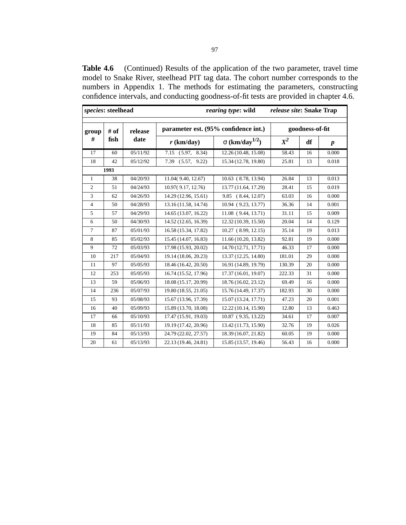**Table 4.6** (Continued) Results of the application of the two parameter, travel time model to Snake River, steelhead PIT tag data. The cohort number corresponds to the numbers in Appendix 1. The methods for estimating the parameters, constructing confidence intervals, and conducting goodness-of-fit tests are provided in chapter 4.6.

| <i>species:</i> steelhead |      |          | rearing type: wild      | release site: Snake Trap             |        |                 |                  |
|---------------------------|------|----------|-------------------------|--------------------------------------|--------|-----------------|------------------|
| group                     | # of | release  |                         | parameter est. (95% confidence int.) |        | goodness-of-fit |                  |
| #                         | fish | date     | $r$ (km/day)            | $\sigma$ (km/day <sup>1/2</sup> )    | $X^2$  | df              | $\boldsymbol{p}$ |
| 17                        | 60   | 05/11/92 | (5.97, 8.34)<br>7.15    | 12.26 (10.48, 15.08)                 | 58.43  | 16              | 0.000            |
| 18                        | 42   | 05/12/92 | 7.39<br>(5.57,<br>9.22) | 15.34 (12.78, 19.80)                 | 25.81  | 13              | 0.018            |
|                           | 1993 |          |                         |                                      |        |                 |                  |
| $\mathbf{1}$              | 38   | 04/20/93 | 11.04(9.40, 12.67)      | 10.63 (8.78, 13.94)                  | 26.84  | 13              | 0.013            |
| $\overline{c}$            | 51   | 04/24/93 | 10.97(9.17, 12.76)      | 13.77 (11.64, 17.29)                 | 28.41  | 15              | 0.019            |
| 3                         | 62   | 04/26/93 | 14.29 (12.96, 15.61)    | 9.85 (8.44, 12.07)                   | 63.03  | 16              | 0.000            |
| $\overline{4}$            | 50   | 04/28/93 | 13.16 (11.58, 14.74)    | 10.94 (9.23, 13.77)                  | 36.36  | 14              | 0.001            |
| 5                         | 57   | 04/29/93 | 14.65 (13.07, 16.22)    | 11.08 (9.44, 13.71)                  | 31.11  | 15              | 0.009            |
| 6                         | 50   | 04/30/93 | 14.52 (12.65, 16.39)    | 12.32 (10.39, 15.50)                 | 20.04  | 14              | 0.129            |
| $\overline{7}$            | 87   | 05/01/93 | 16.58 (15.34, 17.82)    | 10.27 (8.99, 12.15)                  | 35.14  | 19              | 0.013            |
| 8                         | 85   | 05/02/93 | 15.45 (14.07, 16.83)    | 11.66 (10.20, 13.82)                 | 92.81  | 19              | 0.000            |
| 9                         | 72   | 05/03/93 | 17.98 (15.93, 20.02)    | 14.70 (12.71, 17.71)                 | 46.33  | 17              | 0.000            |
| 10                        | 217  | 05/04/93 | 19.14 (18.06, 20.23)    | 13.37 (12.25, 14.80)                 | 181.01 | 29              | 0.000            |
| 11                        | 97   | 05/05/93 | 18.46 (16.42, 20.50)    | 16.91 (14.89, 19.79)                 | 130.39 | 20              | 0.000            |
| 12                        | 253  | 05/05/93 | 16.74 (15.52, 17.96)    | 17.37 (16.01, 19.07)                 | 222.33 | 31              | 0.000            |
| 13                        | 59   | 05/06/93 | 18.08 (15.17, 20.99)    | 18.76 (16.02, 23.12)                 | 69.49  | 16              | 0.000            |
| 14                        | 236  | 05/07/93 | 19.80 (18.55, 21.05)    | 15.76 (14.49, 17.37)                 | 182.93 | 30              | 0.000            |
| 15                        | 93   | 05/08/93 | 15.67 (13.96, 17.39)    | 15.07 (13.24, 17.71)                 | 47.23  | 20              | 0.001            |
| 16                        | 40   | 05/09/93 | 15.89 (13.70, 18.08)    | 12.22 (10.14, 15.90)                 | 12.80  | 13              | 0.463            |
| 17                        | 66   | 05/10/93 | 17.47 (15.91, 19.03)    | 10.87 (9.35, 13.22)                  | 34.61  | 17              | 0.007            |
| 18                        | 85   | 05/11/93 | 19.19 (17.42, 20.96)    | 13.42 (11.73, 15.90)                 | 32.76  | 19              | 0.026            |
| 19                        | 84   | 05/13/93 | 24.79 (22.02, 27.57)    | 18.39 (16.07, 21.82)                 | 60.05  | 19              | 0.000            |
| 20                        | 61   | 05/13/93 | 22.13 (19.46, 24.81)    | 15.85 (13.57, 19.46)                 | 56.43  | 16              | 0.000            |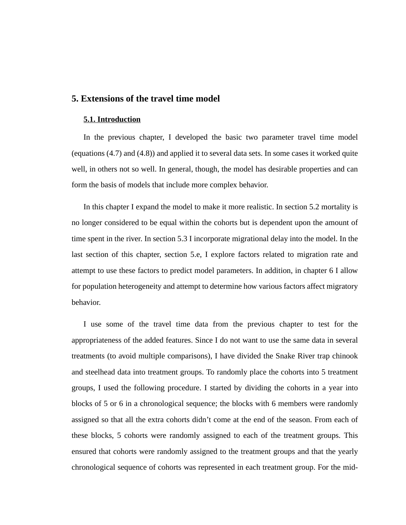# **5. Extensions of the travel time model**

### **5.1. Introduction**

In the previous chapter, I developed the basic two parameter travel time model (equations (4.7) and (4.8)) and applied it to several data sets. In some cases it worked quite well, in others not so well. In general, though, the model has desirable properties and can form the basis of models that include more complex behavior.

In this chapter I expand the model to make it more realistic. In section 5.2 mortality is no longer considered to be equal within the cohorts but is dependent upon the amount of time spent in the river. In section 5.3 I incorporate migrational delay into the model. In the last section of this chapter, section 5.e, I explore factors related to migration rate and attempt to use these factors to predict model parameters. In addition, in chapter 6 I allow for population heterogeneity and attempt to determine how various factors affect migratory behavior.

I use some of the travel time data from the previous chapter to test for the appropriateness of the added features. Since I do not want to use the same data in several treatments (to avoid multiple comparisons), I have divided the Snake River trap chinook and steelhead data into treatment groups. To randomly place the cohorts into 5 treatment groups, I used the following procedure. I started by dividing the cohorts in a year into blocks of 5 or 6 in a chronological sequence; the blocks with 6 members were randomly assigned so that all the extra cohorts didn't come at the end of the season. From each of these blocks, 5 cohorts were randomly assigned to each of the treatment groups. This ensured that cohorts were randomly assigned to the treatment groups and that the yearly chronological sequence of cohorts was represented in each treatment group. For the mid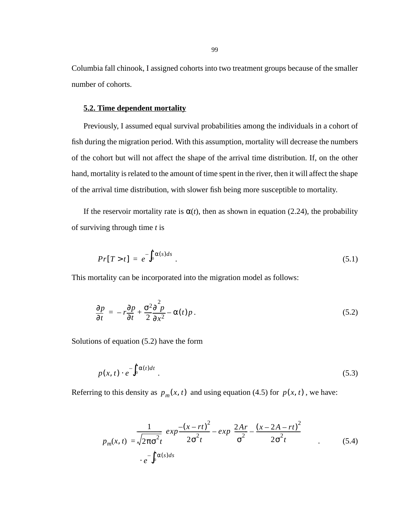Columbia fall chinook, I assigned cohorts into two treatment groups because of the smaller number of cohorts.

### **5.2. Time dependent mortality**

Previously, I assumed equal survival probabilities among the individuals in a cohort of fish during the migration period. With this assumption, mortality will decrease the numbers of the cohort but will not affect the shape of the arrival time distribution. If, on the other hand, mortality is related to the amount of time spent in the river, then it will affect the shape of the arrival time distribution, with slower fish being more susceptible to mortality.

If the reservoir mortality rate is  $\alpha(t)$ , then as shown in equation (2.24), the probability of surviving through time *t* is

$$
Pr[T > t] = e^{-\int_0^t \alpha(s)ds} \tag{5.1}
$$

This mortality can be incorporated into the migration model as follows:

$$
\frac{\partial p}{\partial t} = -r \frac{\partial p}{\partial t} + \frac{\sigma^2 \partial^2 p}{2 \partial x^2} - \alpha(t) p \,. \tag{5.2}
$$

Solutions of equation (5.2) have the form

$$
p(x,t) \cdot e^{-\int_0^t \alpha(t)dt} \tag{5.3}
$$

Referring to this density as  $p_m(x, t)$  and using equation (4.5) for  $p(x, t)$ , we have:

$$
p_m(x, t) = \sqrt{2\pi\sigma^2 t} \left( exp \frac{-(x - rt)^2}{2\sigma^2 t} - exp \left( \frac{2Ar}{\sigma^2} - \frac{(x - 2A - rt)^2}{2\sigma^2 t} \right) \right)
$$
  
 
$$
e^{-\int_0^t \alpha(s)ds} \tag{5.4}
$$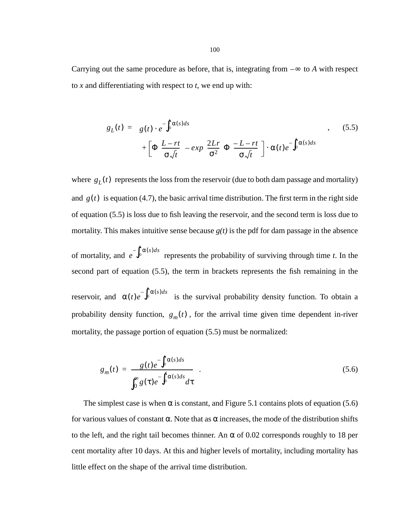<span id="page-99-0"></span>Carrying out the same procedure as before, that is, integrating from  $-\infty$  to *A* with respect to *x* and differentiating with respect to *t*, we end up with:

$$
g_L(t) = g(t) \cdot e^{-\int_0^t \alpha(s)ds} + \left[ \Phi\left(\frac{L - rt}{\sigma \sqrt{t}}\right) - exp\left(\frac{2Lr}{\sigma^2}\right) \Phi\left(\frac{-L - rt}{\sigma \sqrt{t}}\right) \right] \cdot \alpha(t) e^{-\int_0^t \alpha(s)ds}
$$
\n(5.5)

where  $g_L(t)$  represents the loss from the reservoir (due to both dam passage and mortality) and  $g(t)$  is equation (4.7), the basic arrival time distribution. The first term in the right side of equation (5.5) is loss due to fish leaving the reservoir, and the second term is loss due to mortality. This makes intuitive sense because  $g(t)$  is the pdf for dam passage in the absence

of mortality, and  $e^{-\int_0^t \alpha(s)ds}$  represents the probability of surviving through time *t*. In the second part of equation (5.5), the term in brackets represents the fish remaining in the

reservoir, and  $\alpha(t)e^{-\int_0^t \alpha(s)ds}$  is the survival probability density function. To obtain a probability density function,  $g_m(t)$ , for the arrival time given time dependent in-river mortality, the passage portion of equation (5.5) must be normalized:

$$
g_m(t) = \frac{g(t)e^{-\int_0^t \alpha(s)ds}}{\int_0^\infty g(\tau)e^{-\int_0^t \alpha(s)ds}d\tau} \quad . \tag{5.6}
$$

The simplest case is when  $\alpha$  is constant, and Figure [5.1](#page-100-0) contains plots of equation (5.6) for various values of constant  $\alpha$ . Note that as  $\alpha$  increases, the mode of the distribution shifts to the left, and the right tail becomes thinner. An  $\alpha$  of 0.02 corresponds roughly to 18 per cent mortality after 10 days. At this and higher levels of mortality, including mortality has little effect on the shape of the arrival time distribution.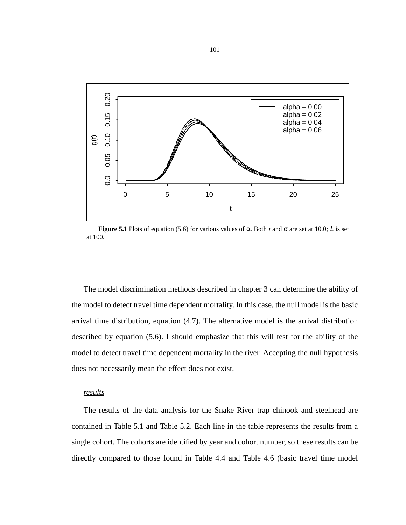<span id="page-100-0"></span>

**Figure 5.1** Plots of equation [\(5.6\)](#page-99-0) for various values of α. Both r and  $\sigma$  are set at 10.0; L is set at 100.

The model discrimination methods described in chapter 3 can determine the ability of the model to detect travel time dependent mortality. In this case, the null model is the basic arrival time distribution, equation (4.7). The alternative model is the arrival distribution described by equation [\(5.6\)](#page-99-0). I should emphasize that this will test for the ability of the model to detect travel time dependent mortality in the river. Accepting the null hypothesis does not necessarily mean the effect does not exist.

### *results*

The results of the data analysis for the Snake River trap chinook and steelhead are contained in [Table 5.1](#page-101-0) and [Table 5.2.](#page-102-0) Each line in the table represents the results from a single cohort. The cohorts are identified by year and cohort number, so these results can be directly compared to those found in Table 4.4 and Table 4.6 (basic travel time model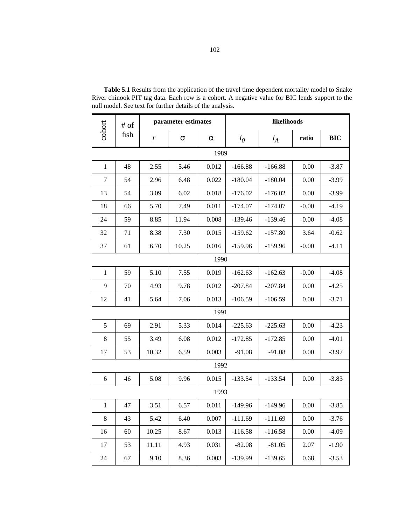|              | $#$ of |       | parameter estimates |          | likelihoods |           |         |            |
|--------------|--------|-------|---------------------|----------|-------------|-----------|---------|------------|
| cohort       | fish   | r     | σ                   | $\alpha$ | $l_0$       | $l_A$     | ratio   | <b>BIC</b> |
|              |        |       |                     | 1989     |             |           |         |            |
| $\mathbf{1}$ | 48     | 2.55  | 5.46                | 0.012    | $-166.88$   | $-166.88$ | 0.00    | $-3.87$    |
| 7            | 54     | 2.96  | 6.48                | 0.022    | $-180.04$   | $-180.04$ | 0.00    | $-3.99$    |
| 13           | 54     | 3.09  | 6.02                | 0.018    | $-176.02$   | $-176.02$ | 0.00    | $-3.99$    |
| 18           | 66     | 5.70  | 7.49                | 0.011    | $-174.07$   | $-174.07$ | $-0.00$ | $-4.19$    |
| 24           | 59     | 8.85  | 11.94               | 0.008    | $-139.46$   | $-139.46$ | $-0.00$ | $-4.08$    |
| 32           | 71     | 8.38  | 7.30                | 0.015    | $-159.62$   | $-157.80$ | 3.64    | $-0.62$    |
| 37           | 61     | 6.70  | 10.25               | 0.016    | $-159.96$   | $-159.96$ | $-0.00$ | $-4.11$    |
|              |        |       |                     | 1990     |             |           |         |            |
| $\mathbf{1}$ | 59     | 5.10  | 7.55                | 0.019    | $-162.63$   | $-162.63$ | $-0.00$ | $-4.08$    |
| 9            | 70     | 4.93  | 9.78                | 0.012    | $-207.84$   | $-207.84$ | 0.00    | $-4.25$    |
| 12           | 41     | 5.64  | 7.06                | 0.013    | $-106.59$   | $-106.59$ | 0.00    | $-3.71$    |
|              |        |       |                     | 1991     |             |           |         |            |
| 5            | 69     | 2.91  | 5.33                | 0.014    | $-225.63$   | $-225.63$ | 0.00    | $-4.23$    |
| 8            | 55     | 3.49  | 6.08                | 0.012    | $-172.85$   | $-172.85$ | 0.00    | $-4.01$    |
| 17           | 53     | 10.32 | 6.59                | 0.003    | $-91.08$    | $-91.08$  | 0.00    | $-3.97$    |
|              |        |       |                     | 1992     |             |           |         |            |
| 6            | 46     | 5.08  | 9.96                | 0.015    | $-133.54$   | $-133.54$ | 0.00    | $-3.83$    |
|              |        |       |                     | 1993     |             |           |         |            |
| $\mathbf{1}$ | 47     | 3.51  | 6.57                | 0.011    | $-149.96$   | $-149.96$ | 0.00    | $-3.85$    |
| $8\,$        | 43     | 5.42  | 6.40                | 0.007    | $-111.69$   | $-111.69$ | 0.00    | $-3.76$    |
| 16           | 60     | 10.25 | 8.67                | 0.013    | $-116.58$   | $-116.58$ | 0.00    | $-4.09$    |
| 17           | 53     | 11.11 | 4.93                | 0.031    | $-82.08$    | $-81.05$  | 2.07    | $-1.90$    |
| 24           | 67     | 9.10  | 8.36                | 0.003    | -139.99     | $-139.65$ | 0.68    | $-3.53$    |

<span id="page-101-0"></span>**Table 5.1** Results from the application of the travel time dependent mortality model to Snake River chinook PIT tag data. Each row is a cohort. A negative value for BIC lends support to the null model. See text for further details of the analysis.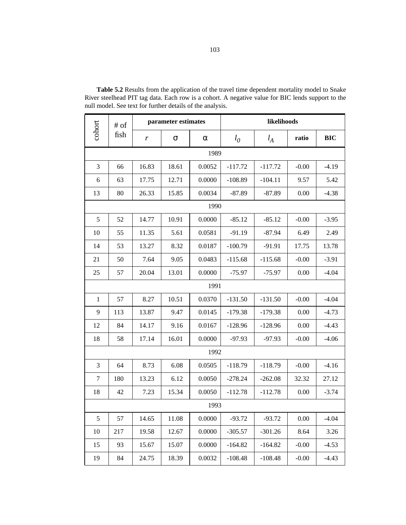|              | # of |       | parameter estimates |        | likelihoods |           |          |            |
|--------------|------|-------|---------------------|--------|-------------|-----------|----------|------------|
| cohort       | fish | r     | $\sigma$            | α      | $l_0$       | $l_A$     | ratio    | <b>BIC</b> |
|              |      |       |                     | 1989   |             |           |          |            |
| 3            | 66   | 16.83 | 18.61               | 0.0052 | $-117.72$   | $-117.72$ | $-0.00$  | $-4.19$    |
| 6            | 63   | 17.75 | 12.71               | 0.0000 | $-108.89$   | $-104.11$ | 9.57     | 5.42       |
| 13           | 80   | 26.33 | 15.85               | 0.0034 | $-87.89$    | $-87.89$  | 0.00     | $-4.38$    |
|              |      |       |                     | 1990   |             |           |          |            |
| 5            | 52   | 14.77 | 10.91               | 0.0000 | $-85.12$    | $-85.12$  | $-0.00$  | $-3.95$    |
| 10           | 55   | 11.35 | 5.61                | 0.0581 | $-91.19$    | $-87.94$  | 6.49     | 2.49       |
| 14           | 53   | 13.27 | 8.32                | 0.0187 | $-100.79$   | $-91.91$  | 17.75    | 13.78      |
| 21           | 50   | 7.64  | 9.05                | 0.0483 | $-115.68$   | $-115.68$ | $-0.00$  | $-3.91$    |
| 25           | 57   | 20.04 | 13.01               | 0.0000 | $-75.97$    | $-75.97$  | 0.00     | $-4.04$    |
|              |      |       |                     | 1991   |             |           |          |            |
| $\mathbf{1}$ | 57   | 8.27  | 10.51               | 0.0370 | $-131.50$   | $-131.50$ | $-0.00$  | $-4.04$    |
| 9            | 113  | 13.87 | 9.47                | 0.0145 | $-179.38$   | $-179.38$ | 0.00     | $-4.73$    |
| 12           | 84   | 14.17 | 9.16                | 0.0167 | $-128.96$   | $-128.96$ | 0.00     | $-4.43$    |
| 18           | 58   | 17.14 | 16.01               | 0.0000 | $-97.93$    | $-97.93$  | $-0.00$  | $-4.06$    |
|              |      |       |                     | 1992   |             |           |          |            |
| 3            | 64   | 8.73  | 6.08                | 0.0505 | $-118.79$   | $-118.79$ | $-0.00$  | $-4.16$    |
| 7            | 180  | 13.23 | 6.12                | 0.0050 | $-278.24$   | $-262.08$ | 32.32    | 27.12      |
| 18           | 42   | 7.23  | 15.34               | 0.0050 | $-112.78$   | $-112.78$ | 0.00     | $-3.74$    |
|              |      |       |                     | 1993   |             |           |          |            |
| $\sqrt{5}$   | 57   | 14.65 | 11.08               | 0.0000 | $-93.72$    | $-93.72$  | $0.00\,$ | $-4.04$    |
| 10           | 217  | 19.58 | 12.67               | 0.0000 | $-305.57$   | $-301.26$ | 8.64     | 3.26       |
| 15           | 93   | 15.67 | 15.07               | 0.0000 | $-164.82$   | $-164.82$ | $-0.00$  | $-4.53$    |
| 19           | 84   | 24.75 | 18.39               | 0.0032 | $-108.48$   | $-108.48$ | $-0.00$  | $-4.43$    |

<span id="page-102-0"></span>**Table 5.2** Results from the application of the travel time dependent mortality model to Snake River steelhead PIT tag data. Each row is a cohort. A negative value for BIC lends support to the null model. See text for further details of the analysis.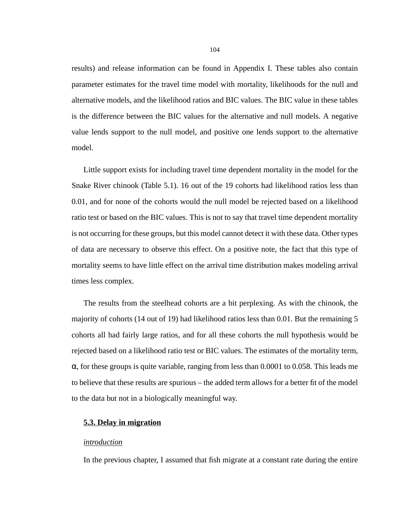results) and release information can be found in Appendix I. These tables also contain parameter estimates for the travel time model with mortality, likelihoods for the null and alternative models, and the likelihood ratios and BIC values. The BIC value in these tables is the difference between the BIC values for the alternative and null models. A negative value lends support to the null model, and positive one lends support to the alternative model.

Little support exists for including travel time dependent mortality in the model for the Snake River chinook [\(Table 5.1](#page-101-0)). 16 out of the 19 cohorts had likelihood ratios less than 0.01, and for none of the cohorts would the null model be rejected based on a likelihood ratio test or based on the BIC values. This is not to say that travel time dependent mortality is not occurring for these groups, but this model cannot detect it with these data. Other types of data are necessary to observe this effect. On a positive note, the fact that this type of mortality seems to have little effect on the arrival time distribution makes modeling arrival times less complex.

The results from the steelhead cohorts are a bit perplexing. As with the chinook, the majority of cohorts (14 out of 19) had likelihood ratios less than 0.01. But the remaining 5 cohorts all had fairly large ratios, and for all these cohorts the null hypothesis would be rejected based on a likelihood ratio test or BIC values. The estimates of the mortality term,  $\alpha$ , for these groups is quite variable, ranging from less than 0.0001 to 0.058. This leads me to believe that these results are spurious – the added term allows for a better fit of the model to the data but not in a biologically meaningful way.

## **5.3. Delay in migration**

### *introduction*

In the previous chapter, I assumed that fish migrate at a constant rate during the entire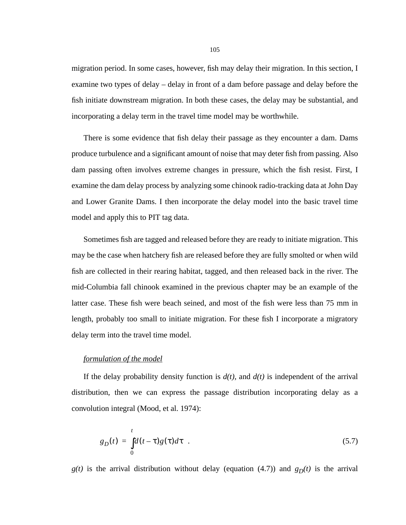<span id="page-104-0"></span>migration period. In some cases, however, fish may delay their migration. In this section, I examine two types of delay – delay in front of a dam before passage and delay before the fish initiate downstream migration. In both these cases, the delay may be substantial, and incorporating a delay term in the travel time model may be worthwhile.

There is some evidence that fish delay their passage as they encounter a dam. Dams produce turbulence and a significant amount of noise that may deter fish from passing. Also dam passing often involves extreme changes in pressure, which the fish resist. First, I examine the dam delay process by analyzing some chinook radio-tracking data at John Day and Lower Granite Dams. I then incorporate the delay model into the basic travel time model and apply this to PIT tag data.

Sometimes fish are tagged and released before they are ready to initiate migration. This may be the case when hatchery fish are released before they are fully smolted or when wild fish are collected in their rearing habitat, tagged, and then released back in the river. The mid-Columbia fall chinook examined in the previous chapter may be an example of the latter case. These fish were beach seined, and most of the fish were less than 75 mm in length, probably too small to initiate migration. For these fish I incorporate a migratory delay term into the travel time model.

#### *formulation of the model*

If the delay probability density function is  $d(t)$ , and  $d(t)$  is independent of the arrival distribution, then we can express the passage distribution incorporating delay as a convolution integral (Mood, et al. 1974):

$$
g_D(t) = \int_0^t d(t-\tau)g(\tau)d\tau
$$
 (5.7)

 $g(t)$  is the arrival distribution without delay (equation (4.7)) and  $g_D(t)$  is the arrival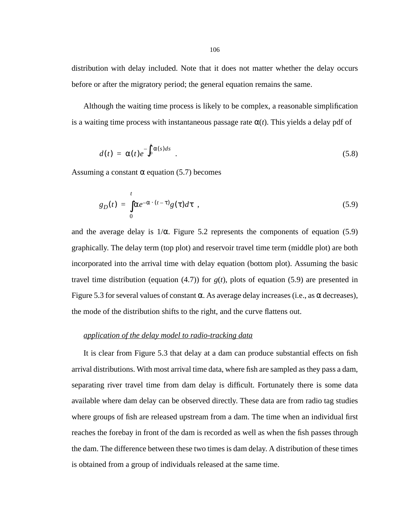<span id="page-105-0"></span>distribution with delay included. Note that it does not matter whether the delay occurs before or after the migratory period; the general equation remains the same.

Although the waiting time process is likely to be complex, a reasonable simplification is a waiting time process with instantaneous passage rate  $\alpha(t)$ . This yields a delay pdf of

$$
d(t) = \alpha(t)e^{-\int_0^t \alpha(s)ds} \tag{5.8}
$$

Assuming a constant  $\alpha$  equation [\(5.7\)](#page-104-0) becomes

$$
g_D(t) = \int_0^t \alpha e^{-\alpha \cdot (t-\tau)} g(\tau) d\tau , \qquad (5.9)
$$

and the average delay is  $1/\alpha$ . Figure [5.2](#page-106-0) represents the components of equation (5.9) graphically. The delay term (top plot) and reservoir travel time term (middle plot) are both incorporated into the arrival time with delay equation (bottom plot). Assuming the basic travel time distribution (equation  $(4.7)$ ) for  $g(t)$ , plots of equation  $(5.9)$  are presented in Figure [5.3](#page-107-0) for several values of constant α. As average delay increases (i.e., as α decreases), the mode of the distribution shifts to the right, and the curve flattens out.

### *application of the delay model to radio-tracking data*

It is clear from Figure [5.3](#page-107-0) that delay at a dam can produce substantial effects on fish arrival distributions. With most arrival time data, where fish are sampled as they pass a dam, separating river travel time from dam delay is difficult. Fortunately there is some data available where dam delay can be observed directly. These data are from radio tag studies where groups of fish are released upstream from a dam. The time when an individual first reaches the forebay in front of the dam is recorded as well as when the fish passes through the dam. The difference between these two times is dam delay. A distribution of these times is obtained from a group of individuals released at the same time.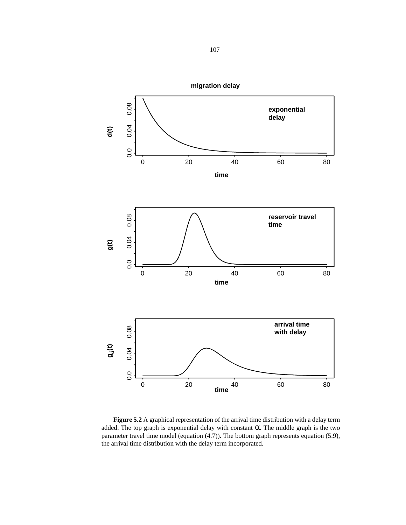<span id="page-106-0"></span>

**Figure 5.2** A graphical representation of the arrival time distribution with a delay term added. The top graph is exponential delay with constant  $\alpha$ . The middle graph is the two parameter travel time model (equation (4.7)). The bottom graph represents equation [\(5.9\)](#page-105-0), the arrival time distribution with the delay term incorporated.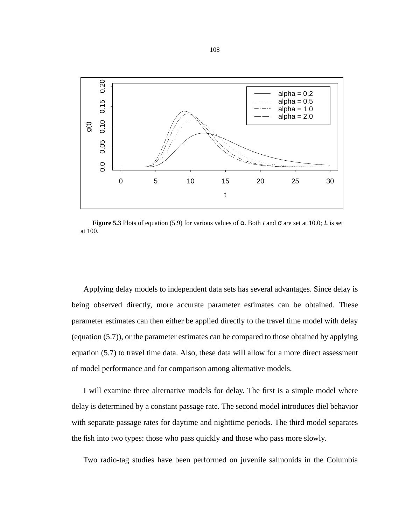<span id="page-107-0"></span>

**Figure 5.3** Plots of equation [\(5.9\)](#page-105-0) for various values of  $\alpha$ . Both r and  $\sigma$  are set at 10.0; L is set at 100.

Applying delay models to independent data sets has several advantages. Since delay is being observed directly, more accurate parameter estimates can be obtained. These parameter estimates can then either be applied directly to the travel time model with delay (equation ([5.7\)](#page-104-0)), or the parameter estimates can be compared to those obtained by applying equation [\(5.7](#page-104-0)) to travel time data. Also, these data will allow for a more direct assessment of model performance and for comparison among alternative models.

I will examine three alternative models for delay. The first is a simple model where delay is determined by a constant passage rate. The second model introduces diel behavior with separate passage rates for daytime and nighttime periods. The third model separates the fish into two types: those who pass quickly and those who pass more slowly.

Two radio-tag studies have been performed on juvenile salmonids in the Columbia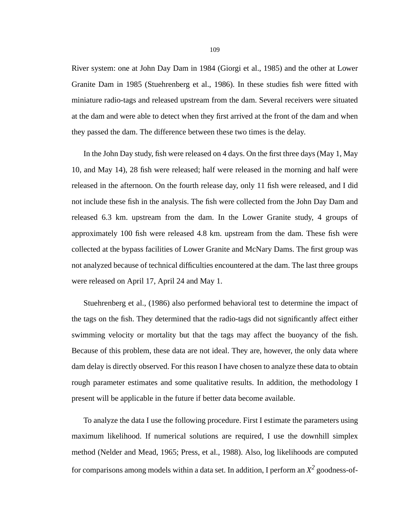River system: one at John Day Dam in 1984 (Giorgi et al., 1985) and the other at Lower Granite Dam in 1985 (Stuehrenberg et al., 1986). In these studies fish were fitted with miniature radio-tags and released upstream from the dam. Several receivers were situated at the dam and were able to detect when they first arrived at the front of the dam and when they passed the dam. The difference between these two times is the delay.

In the John Day study, fish were released on 4 days. On the first three days (May 1, May 10, and May 14), 28 fish were released; half were released in the morning and half were released in the afternoon. On the fourth release day, only 11 fish were released, and I did not include these fish in the analysis. The fish were collected from the John Day Dam and released 6.3 km. upstream from the dam. In the Lower Granite study, 4 groups of approximately 100 fish were released 4.8 km. upstream from the dam. These fish were collected at the bypass facilities of Lower Granite and McNary Dams. The first group was not analyzed because of technical difficulties encountered at the dam. The last three groups were released on April 17, April 24 and May 1.

Stuehrenberg et al., (1986) also performed behavioral test to determine the impact of the tags on the fish. They determined that the radio-tags did not significantly affect either swimming velocity or mortality but that the tags may affect the buoyancy of the fish. Because of this problem, these data are not ideal. They are, however, the only data where dam delay is directly observed. For this reason I have chosen to analyze these data to obtain rough parameter estimates and some qualitative results. In addition, the methodology I present will be applicable in the future if better data become available.

To analyze the data I use the following procedure. First I estimate the parameters using maximum likelihood. If numerical solutions are required, I use the downhill simplex method (Nelder and Mead, 1965; Press, et al., 1988). Also, log likelihoods are computed for comparisons among models within a data set. In addition, I perform an  $X^2$  goodness-of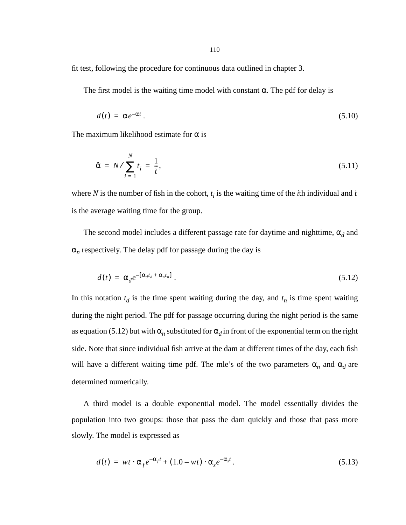fit test, following the procedure for continuous data outlined in chapter 3.

The first model is the waiting time model with constant  $\alpha$ . The pdf for delay is

$$
d(t) = \alpha e^{-\alpha t} \,. \tag{5.10}
$$

The maximum likelihood estimate for  $\alpha$  is

$$
\hat{\alpha} = N / \sum_{i=1}^{N} t_i = \frac{1}{\bar{t}},\tag{5.11}
$$

where *N* is the number of fish in the cohort,  $t_i$  is the waiting time of the *i*th individual and  $\bar{t}$ is the average waiting time for the group.

The second model includes a different passage rate for daytime and nighttime,  $\alpha_d$  and  $\alpha_n$  respectively. The delay pdf for passage during the day is

$$
d(t) = \alpha_d e^{-\left[\alpha_d t_d + \alpha_n t_n\right]} \tag{5.12}
$$

In this notation  $t_d$  is the time spent waiting during the day, and  $t_n$  is time spent waiting during the night period. The pdf for passage occurring during the night period is the same as equation (5.12) but with  $\alpha_n$  substituted for  $\alpha_d$  in front of the exponential term on the right side. Note that since individual fish arrive at the dam at different times of the day, each fish will have a different waiting time pdf. The mle's of the two parameters  $\alpha_n$  and  $\alpha_d$  are determined numerically.

A third model is a double exponential model. The model essentially divides the population into two groups: those that pass the dam quickly and those that pass more slowly. The model is expressed as

$$
d(t) = wt \cdot \alpha_f e^{-\alpha_f t} + (1.0 - wt) \cdot \alpha_s e^{-\alpha_s t}.
$$
\n(5.13)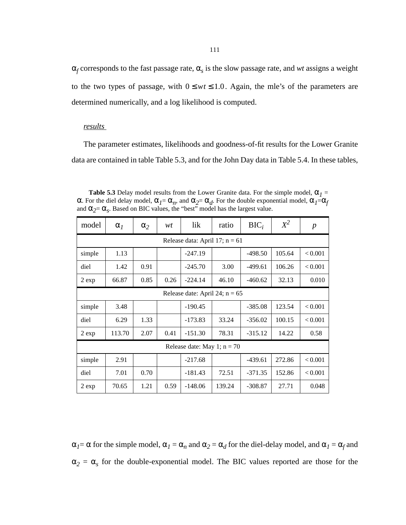α*f* corresponds to the fast passage rate, α*s* is the slow passage rate, and *wt* assigns a weight to the two types of passage, with  $0 \leq wt \leq 1.0$ . Again, the mle's of the parameters are determined numerically, and a log likelihood is computed.

## *results*

The parameter estimates, likelihoods and goodness-of-fit results for the Lower Granite data are contained in table Table 5.3, and for the John Day data in [Table 5.4.](#page-111-0) In these tables,

| <b>Table 5.3</b> Delay model results from the Lower Granite data. For the simple model, $\alpha_1$ =                                             |
|--------------------------------------------------------------------------------------------------------------------------------------------------|
| $\alpha$ . For the diel delay model, $\alpha_1 = \alpha_n$ , and $\alpha_2 = \alpha_d$ . For the double exponential model, $\alpha_1 = \alpha_f$ |
| and $\alpha_2 = \alpha_s$ . Based on BIC values, the "best" model has the largest value.                                                         |

| model  | $\alpha$ <sub>1</sub> | $\alpha_2$                       | wt   | lik                              | ratio  | $BIC_i$   | $X^2$  | $\boldsymbol{p}$ |
|--------|-----------------------|----------------------------------|------|----------------------------------|--------|-----------|--------|------------------|
|        |                       |                                  |      | Release data: April 17; $n = 61$ |        |           |        |                  |
| simple | 1.13                  | $-247.19$<br>105.64<br>$-498.50$ |      |                                  |        |           |        |                  |
| diel   | 1.42                  | 0.91                             |      | $-245.70$                        | 3.00   | $-499.61$ | 106.26 | < 0.001          |
| 2 exp  | 66.87                 | 0.85                             | 0.26 | $-224.14$                        | 46.10  | $-460.62$ | 32.13  | 0.010            |
|        |                       |                                  |      | Release date: April 24; $n = 65$ |        |           |        |                  |
| simple | 3.48                  |                                  |      | $-190.45$                        |        | $-385.08$ | 123.54 | < 0.001          |
| diel   | 6.29                  | 1.33                             |      | $-173.83$                        | 33.24  | $-356.02$ | 100.15 | < 0.001          |
| 2 exp  | 113.70                | 2.07                             | 0.41 | $-151.30$                        | 78.31  | $-315.12$ | 14.22  | 0.58             |
|        |                       |                                  |      | Release date: May 1; $n = 70$    |        |           |        |                  |
| simple | 2.91                  |                                  |      | $-217.68$                        |        | $-439.61$ | 272.86 | < 0.001          |
| diel   | 7.01                  | 0.70                             |      | $-181.43$                        | 72.51  | $-371.35$ | 152.86 | < 0.001          |
| 2 exp  | 70.65                 | 1.21                             | 0.59 | $-148.06$                        | 139.24 | $-308.87$ | 27.71  | 0.048            |

 $\alpha_1 = \alpha$  for the simple model,  $\alpha_1 = \alpha_n$  and  $\alpha_2 = \alpha_d$  for the diel-delay model, and  $\alpha_1 = \alpha_f$  and  $\alpha_2 = \alpha_s$  for the double-exponential model. The BIC values reported are those for the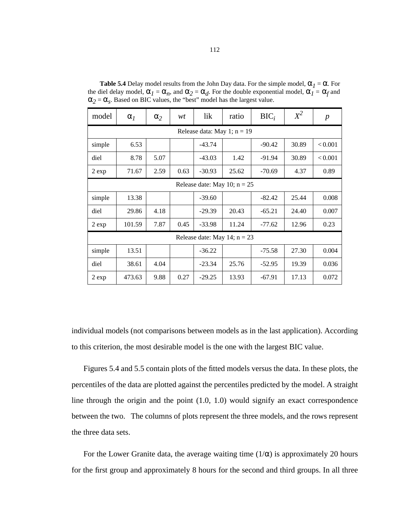| model                         | $\alpha$ <sub>I</sub>        | $\alpha_2$ | wt   | lik      | ratio                          | $BIC_i$  | $X^2$ | $\boldsymbol{p}$ |  |  |  |
|-------------------------------|------------------------------|------------|------|----------|--------------------------------|----------|-------|------------------|--|--|--|
| Release data: May 1; $n = 19$ |                              |            |      |          |                                |          |       |                  |  |  |  |
| simple                        | 6.53<br>$-43.74$<br>$-90.42$ |            |      |          |                                |          | 30.89 | < 0.001          |  |  |  |
| diel                          | 8.78                         | 5.07       |      | $-43.03$ | 1.42                           | $-91.94$ | 30.89 | < 0.001          |  |  |  |
| 2 exp                         | 71.67                        | 2.59       | 0.63 | $-30.93$ | 25.62                          | $-70.69$ | 4.37  | 0.89             |  |  |  |
|                               |                              |            |      |          | Release date: May 10; $n = 25$ |          |       |                  |  |  |  |
| simple                        | 13.38                        |            |      | $-39.60$ |                                | $-82.42$ | 25.44 | 0.008            |  |  |  |
| diel                          | 29.86                        | 4.18       |      | $-29.39$ | 20.43                          | $-65.21$ | 24.40 | 0.007            |  |  |  |
| 2 exp                         | 101.59                       | 7.87       | 0.45 | $-33.98$ | 11.24                          | $-77.62$ | 12.96 | 0.23             |  |  |  |
|                               |                              |            |      |          | Release date: May 14; $n = 23$ |          |       |                  |  |  |  |
| simple                        | 13.51                        |            |      | $-36.22$ |                                | $-75.58$ | 27.30 | 0.004            |  |  |  |
| diel                          | 38.61                        | 4.04       |      | $-23.34$ | 25.76                          | $-52.95$ | 19.39 | 0.036            |  |  |  |
| 2 exp                         | 473.63                       | 9.88       | 0.27 | $-29.25$ | 13.93                          | $-67.91$ | 17.13 | 0.072            |  |  |  |

<span id="page-111-0"></span>**Table 5.4** Delay model results from the John Day data. For the simple model,  $\alpha_1 = \alpha$ . For the diel delay model,  $\alpha_I = \alpha_n$ , and  $\alpha_2 = \alpha_d$ . For the double exponential model,  $\alpha_I = \alpha_f$  and  $\alpha_2 = \alpha_s$ . Based on BIC values, the "best" model has the largest value.

individual models (not comparisons between models as in the last application). According to this criterion, the most desirable model is the one with the largest BIC value.

Figures [5.4](#page-112-0) and [5.5](#page-113-0) contain plots of the fitted models versus the data. In these plots, the percentiles of the data are plotted against the percentiles predicted by the model. A straight line through the origin and the point (1.0, 1.0) would signify an exact correspondence between the two. The columns of plots represent the three models, and the rows represent the three data sets.

For the Lower Granite data, the average waiting time  $(1/\alpha)$  is approximately 20 hours for the first group and approximately 8 hours for the second and third groups. In all three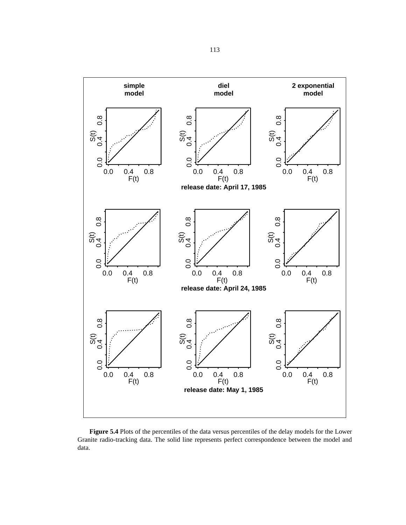<span id="page-112-0"></span>

**Figure 5.4** Plots of the percentiles of the data versus percentiles of the delay models for the Lower Granite radio-tracking data. The solid line represents perfect correspondence between the model and data.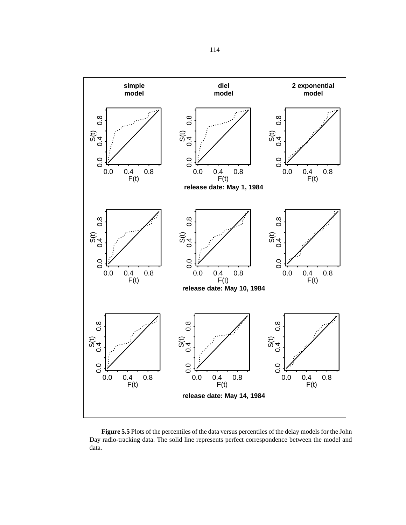<span id="page-113-0"></span>

**Figure 5.5** Plots of the percentiles of the data versus percentiles of the delay models for the John Day radio-tracking data. The solid line represents perfect correspondence between the model and data.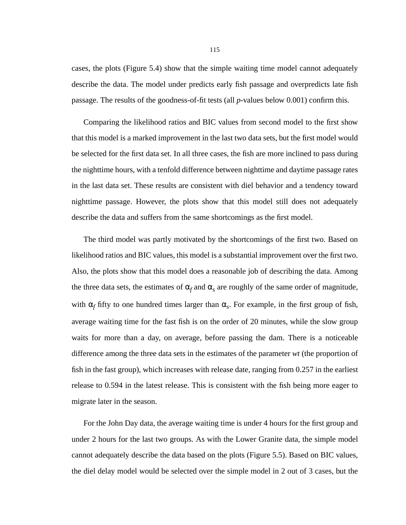cases, the plots (Figure [5.4](#page-112-0)) show that the simple waiting time model cannot adequately describe the data. The model under predicts early fish passage and overpredicts late fish passage. The results of the goodness-of-fit tests (all *p*-values below 0.001) confirm this.

Comparing the likelihood ratios and BIC values from second model to the first show that this model is a marked improvement in the last two data sets, but the first model would be selected for the first data set. In all three cases, the fish are more inclined to pass during the nighttime hours, with a tenfold difference between nighttime and daytime passage rates in the last data set. These results are consistent with diel behavior and a tendency toward nighttime passage. However, the plots show that this model still does not adequately describe the data and suffers from the same shortcomings as the first model.

The third model was partly motivated by the shortcomings of the first two. Based on likelihood ratios and BIC values, this model is a substantial improvement over the first two. Also, the plots show that this model does a reasonable job of describing the data. Among the three data sets, the estimates of  $\alpha_f$  and  $\alpha_s$  are roughly of the same order of magnitude, with  $\alpha_f$  fifty to one hundred times larger than  $\alpha_s$ . For example, in the first group of fish, average waiting time for the fast fish is on the order of 20 minutes, while the slow group waits for more than a day, on average, before passing the dam. There is a noticeable difference among the three data sets in the estimates of the parameter *wt* (the proportion of fish in the fast group), which increases with release date, ranging from 0.257 in the earliest release to 0.594 in the latest release. This is consistent with the fish being more eager to migrate later in the season.

For the John Day data, the average waiting time is under 4 hours for the first group and under 2 hours for the last two groups. As with the Lower Granite data, the simple model cannot adequately describe the data based on the plots (Figure [5.5\)](#page-113-0). Based on BIC values, the diel delay model would be selected over the simple model in 2 out of 3 cases, but the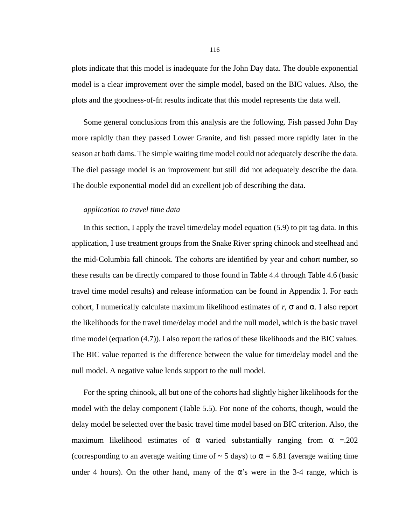plots indicate that this model is inadequate for the John Day data. The double exponential model is a clear improvement over the simple model, based on the BIC values. Also, the plots and the goodness-of-fit results indicate that this model represents the data well.

Some general conclusions from this analysis are the following. Fish passed John Day more rapidly than they passed Lower Granite, and fish passed more rapidly later in the season at both dams. The simple waiting time model could not adequately describe the data. The diel passage model is an improvement but still did not adequately describe the data. The double exponential model did an excellent job of describing the data.

#### *application to travel time data*

In this section, I apply the travel time/delay model equation [\(5.9\)](#page-105-0) to pit tag data. In this application, I use treatment groups from the Snake River spring chinook and steelhead and the mid-Columbia fall chinook. The cohorts are identified by year and cohort number, so these results can be directly compared to those found in Table 4.4 through Table 4.6 (basic travel time model results) and release information can be found in Appendix I. For each cohort, I numerically calculate maximum likelihood estimates of  $r$ ,  $\sigma$  and  $\alpha$ . I also report the likelihoods for the travel time/delay model and the null model, which is the basic travel time model (equation (4.7)). I also report the ratios of these likelihoods and the BIC values. The BIC value reported is the difference between the value for time/delay model and the null model. A negative value lends support to the null model.

For the spring chinook, all but one of the cohorts had slightly higher likelihoods for the model with the delay component [\(Table 5.5](#page-116-0)). For none of the cohorts, though, would the delay model be selected over the basic travel time model based on BIC criterion. Also, the maximum likelihood estimates of  $\alpha$  varied substantially ranging from  $\alpha$  =.202 (corresponding to an average waiting time of  $\sim$  5 days) to  $\alpha$  = 6.81 (average waiting time under 4 hours). On the other hand, many of the  $\alpha$ 's were in the 3-4 range, which is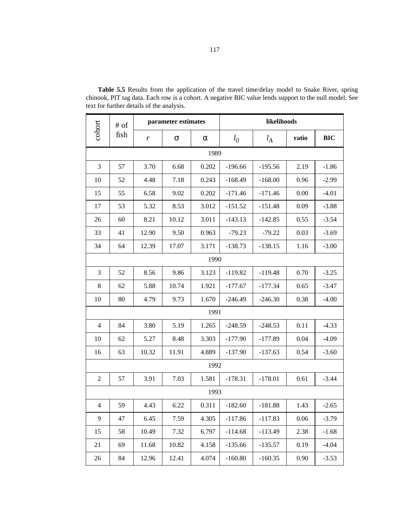|                | $#$ of |              | parameter estimates |          |           | likelihoods |       |            |  |  |
|----------------|--------|--------------|---------------------|----------|-----------|-------------|-------|------------|--|--|
| cohort         | fish   | r            | σ                   | $\alpha$ | $l_0$     | $l_A$       | ratio | <b>BIC</b> |  |  |
| 1989           |        |              |                     |          |           |             |       |            |  |  |
| 3              | 57     | 3.70         | 6.68                | 0.202    | $-196.66$ | $-195.56$   | 2.19  | $-1.86$    |  |  |
| 10             | 52     | 4.48         | 7.18                | 0.243    | $-168.49$ | $-168.00$   | 0.96  | $-2.99$    |  |  |
| 15             | 55     | 6.58         | 0.202<br>9.02       |          | $-171.46$ | $-171.46$   | 0.00  | $-4.01$    |  |  |
| 17             | 53     | 5.32         | 8.53                | 3.012    | $-151.52$ | $-151.48$   | 0.09  | $-3.88$    |  |  |
| 26             | 60     | 8.21         | 10.12               | 3.011    | $-143.13$ | $-142.85$   | 0.55  | $-3.54$    |  |  |
| 33             | 41     | 12.90        | 9.50                | 0.963    | $-79.23$  | $-79.22$    | 0.03  | $-3.69$    |  |  |
| 34             | 64     | 12.39        | 17.07               | 3.171    | $-138.73$ | $-138.15$   | 1.16  | $-3.00$    |  |  |
|                |        |              |                     | 1990     |           |             |       |            |  |  |
| 3              | 52     | 8.56<br>9.86 |                     | 3.123    | $-119.82$ | $-119.48$   | 0.70  | $-3.25$    |  |  |
| 8              | 62     | 5.88         | 10.74               | 1.921    | $-177.67$ | $-177.34$   | 0.65  | $-3.47$    |  |  |
| 10             | 80     | 4.79         | 9.73                | 1.670    | $-246.49$ | $-246.30$   | 0.38  | $-4.00$    |  |  |
|                |        |              |                     | 1991     |           |             |       |            |  |  |
| $\overline{4}$ | 84     | 3.80         | 5.19                | 1.265    | $-248.59$ | $-248.53$   | 0.11  | $-4.33$    |  |  |
| 10             | 62     | 5.27         | 8.48                | 3.303    | $-177.90$ | $-177.89$   | 0.04  | $-4.09$    |  |  |
| 16             | 63     | 10.32        | 11.91               | 4.889    | $-137.90$ | $-137.63$   | 0.54  | $-3.60$    |  |  |
|                |        |              |                     | 1992     |           |             |       |            |  |  |
| $\overline{2}$ | 57     | 3.91         | 7.03                | 1.581    | $-178.31$ | $-178.01$   | 0.61  | $-3.44$    |  |  |
|                |        |              |                     | 1993     |           |             |       |            |  |  |
| 4              | 59     | 4.43         | 6.22                | 0.311    | $-182.60$ | $-181.88$   | 1.43  | $-2.65$    |  |  |
| 9              | 47     | 6.45         | 7.59                | 4.305    | $-117.86$ | $-117.83$   | 0.06  | $-3.79$    |  |  |
| 15             | 58     | 10.49        | 7.32                | 6.797    | $-114.68$ | $-113.49$   | 2.38  | $-1.68$    |  |  |
| 21             | 69     | 11.68        | 10.82               | 4.158    | $-135.66$ | $-135.57$   | 0.19  | $-4.04$    |  |  |
| 26             | 84     | 12.96        | 12.41               | 4.074    | $-160.80$ | $-160.35$   | 0.90  | $-3.53$    |  |  |

<span id="page-116-0"></span>**Table 5.5** Results from the application of the travel time/delay model to Snake River, spring chinook, PIT tag data. Each row is a cohort. A negative BIC value lends support to the null model. See text for further details of the analysis.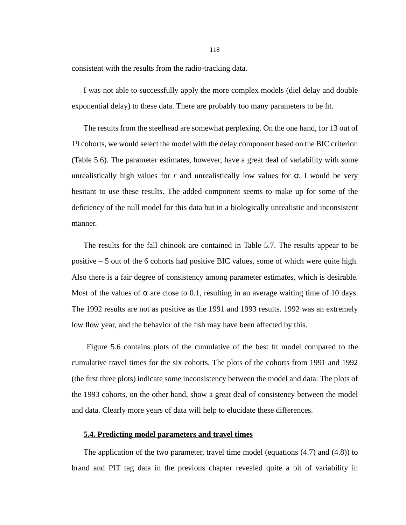consistent with the results from the radio-tracking data.

I was not able to successfully apply the more complex models (diel delay and double exponential delay) to these data. There are probably too many parameters to be fit.

The results from the steelhead are somewhat perplexing. On the one hand, for 13 out of 19 cohorts, we would select the model with the delay component based on the BIC criterion ([Table 5.6\)](#page-118-0). The parameter estimates, however, have a great deal of variability with some unrealistically high values for  $r$  and unrealistically low values for  $\sigma$ . I would be very hesitant to use these results. The added component seems to make up for some of the deficiency of the null model for this data but in a biologically unrealistic and inconsistent manner.

The results for the fall chinook are contained in [Table 5.7](#page-119-0). The results appear to be positive – 5 out of the 6 cohorts had positive BIC values, some of which were quite high. Also there is a fair degree of consistency among parameter estimates, which is desirable. Most of the values of  $\alpha$  are close to 0.1, resulting in an average waiting time of 10 days. The 1992 results are not as positive as the 1991 and 1993 results. 1992 was an extremely low flow year, and the behavior of the fish may have been affected by this.

 Figure [5.6](#page-120-0) contains plots of the cumulative of the best fit model compared to the cumulative travel times for the six cohorts. The plots of the cohorts from 1991 and 1992 (the first three plots) indicate some inconsistency between the model and data. The plots of the 1993 cohorts, on the other hand, show a great deal of consistency between the model and data. Clearly more years of data will help to elucidate these differences.

## **5.4. Predicting model parameters and travel times**

The application of the two parameter, travel time model (equations (4.7) and (4.8)) to brand and PIT tag data in the previous chapter revealed quite a bit of variability in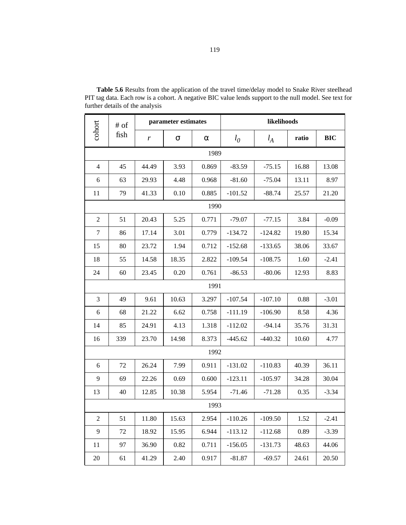|                | $\#$ of                                              |                                                   | parameter estimates |          | likelihoods |           |       |            |  |
|----------------|------------------------------------------------------|---------------------------------------------------|---------------------|----------|-------------|-----------|-------|------------|--|
| cohort         | fish                                                 | r                                                 | $\sigma$            | $\alpha$ | $l_0$       | $l_A$     | ratio | <b>BIC</b> |  |
|                |                                                      |                                                   |                     | 1989     |             |           |       |            |  |
| $\overline{4}$ | 45                                                   | 44.49                                             | 3.93                | 0.869    | $-83.59$    | $-75.15$  | 16.88 | 13.08      |  |
| 6              | 63                                                   | 29.93                                             | 4.48                | 0.968    | $-81.60$    | $-75.04$  | 13.11 | 8.97       |  |
| 11             | 79                                                   | 41.33<br>0.10<br>0.885<br>$-101.52$               |                     | $-88.74$ | 25.57       | 21.20     |       |            |  |
|                |                                                      |                                                   |                     | 1990     |             |           |       |            |  |
| $\overline{2}$ | 51                                                   | 20.43                                             | 5.25                | 0.771    | $-79.07$    | $-77.15$  | 3.84  | $-0.09$    |  |
| $\tau$         | 86                                                   | 17.14                                             | 3.01                | 0.779    | $-134.72$   | $-124.82$ | 19.80 | 15.34      |  |
| 15             | 80                                                   | 23.72                                             | 1.94                | 0.712    | $-152.68$   | $-133.65$ | 38.06 | 33.67      |  |
| 18             | 55                                                   | 14.58<br>18.35<br>2.822<br>$-109.54$<br>$-108.75$ |                     |          | 1.60        | $-2.41$   |       |            |  |
| 24             | 23.45<br>0.20<br>0.761<br>$-86.53$<br>60<br>$-80.06$ |                                                   |                     |          |             | 12.93     | 8.83  |            |  |
|                |                                                      |                                                   |                     | 1991     |             |           |       |            |  |
| 3              | 49                                                   | 9.61                                              | 10.63               | 3.297    | $-107.54$   | $-107.10$ | 0.88  | $-3.01$    |  |
| 6              | 68                                                   | 21.22                                             | 6.62                | 0.758    | $-111.19$   | $-106.90$ | 8.58  | 4.36       |  |
| 14             | 85                                                   | 24.91                                             | 4.13                | 1.318    | $-112.02$   | $-94.14$  | 35.76 | 31.31      |  |
| 16             | 339                                                  | 23.70                                             | 14.98               | 8.373    | $-445.62$   | $-440.32$ | 10.60 | 4.77       |  |
|                |                                                      |                                                   |                     | 1992     |             |           |       |            |  |
| 6              | 72                                                   | 26.24                                             | 7.99                | 0.911    | $-131.02$   | $-110.83$ | 40.39 | 36.11      |  |
| 9              | 69                                                   | 22.26                                             | 0.69                | 0.600    | $-123.11$   | $-105.97$ | 34.28 | 30.04      |  |
| 13             | 40                                                   | 12.85                                             | 10.38               | 5.954    | $-71.46$    | $-71.28$  | 0.35  | $-3.34$    |  |
|                |                                                      |                                                   |                     | 1993     |             |           |       |            |  |
| $\overline{c}$ | 51                                                   | 11.80                                             | 15.63               | 2.954    | $-110.26$   | $-109.50$ | 1.52  | $-2.41$    |  |
| 9              | 72                                                   | 18.92                                             | 15.95               | 6.944    | $-113.12$   | $-112.68$ | 0.89  | $-3.39$    |  |
| 11             | 97                                                   | 36.90                                             | 0.82                | 0.711    | $-156.05$   | $-131.73$ | 48.63 | 44.06      |  |
| 20             | 61                                                   | 41.29                                             | 2.40                | 0.917    | $-81.87$    | $-69.57$  | 24.61 | 20.50      |  |

<span id="page-118-0"></span>**Table 5.6** Results from the application of the travel time/delay model to Snake River steelhead PIT tag data. Each row is a cohort. A negative BIC value lends support to the null model. See text for further details of the analysis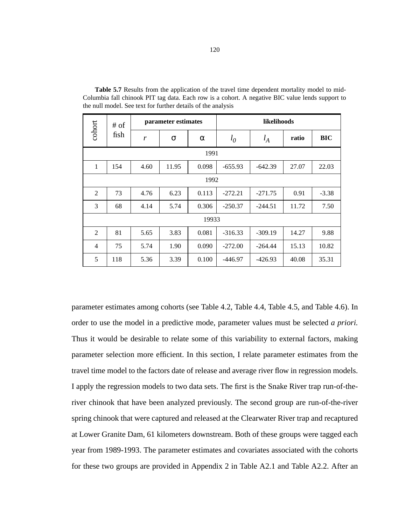| cohort<br># of |      |      | parameter estimates |          | likelihoods |           |       |         |
|----------------|------|------|---------------------|----------|-------------|-----------|-------|---------|
|                | fish | r    | σ                   | $\alpha$ | $l_0$       | $l_A$     | ratio | BIC     |
| 1991           |      |      |                     |          |             |           |       |         |
| 1              | 154  | 4.60 | 11.95               | 0.098    | $-655.93$   | $-642.39$ | 27.07 | 22.03   |
| 1992           |      |      |                     |          |             |           |       |         |
| 2              | 73   | 4.76 | 6.23                | 0.113    | $-272.21$   | $-271.75$ | 0.91  | $-3.38$ |
| 3              | 68   | 4.14 | 5.74                | 0.306    | $-250.37$   | $-244.51$ | 11.72 | 7.50    |
|                |      |      |                     | 19933    |             |           |       |         |
| 2              | 81   | 5.65 | 3.83                | 0.081    | $-316.33$   | $-309.19$ | 14.27 | 9.88    |
| $\overline{4}$ | 75   | 5.74 | 1.90                | 0.090    | $-272.00$   | $-264.44$ | 15.13 | 10.82   |
| 5              | 118  | 5.36 | 3.39                | 0.100    | $-446.97$   | $-426.93$ | 40.08 | 35.31   |

<span id="page-119-0"></span>**Table 5.7** Results from the application of the travel time dependent mortality model to mid-Columbia fall chinook PIT tag data. Each row is a cohort. A negative BIC value lends support to the null model. See text for further details of the analysis

parameter estimates among cohorts (see Table 4.2, Table 4.4, Table 4.5, and Table 4.6). In order to use the model in a predictive mode, parameter values must be selected *a priori.* Thus it would be desirable to relate some of this variability to external factors, making parameter selection more efficient. In this section, I relate parameter estimates from the travel time model to the factors date of release and average river flow in regression models. I apply the regression models to two data sets. The first is the Snake River trap run-of-theriver chinook that have been analyzed previously. The second group are run-of-the-river spring chinook that were captured and released at the Clearwater River trap and recaptured at Lower Granite Dam, 61 kilometers downstream. Both of these groups were tagged each year from 1989-1993. The parameter estimates and covariates associated with the cohorts for these two groups are provided in Appendix 2 in Table A2.1 and Table A2.2. After an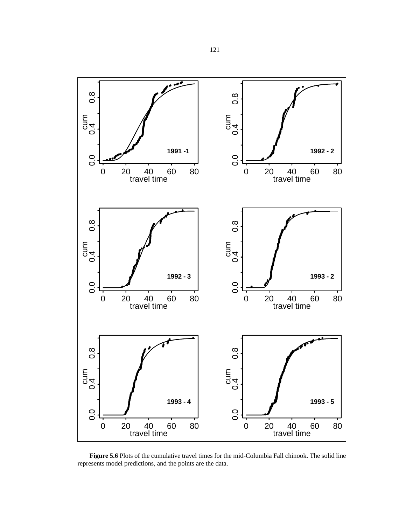<span id="page-120-0"></span>

**Figure 5.6** Plots of the cumulative travel times for the mid-Columbia Fall chinook. The solid line represents model predictions, and the points are the data.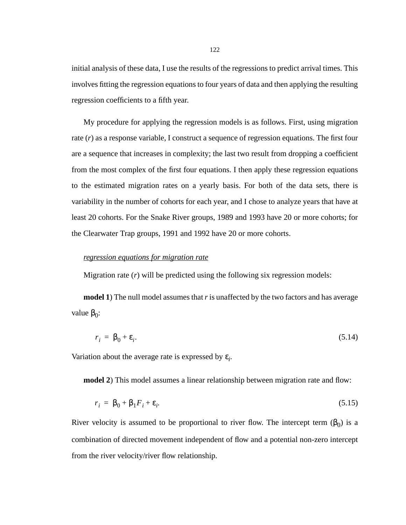initial analysis of these data, I use the results of the regressions to predict arrival times. This involves fitting the regression equations to four years of data and then applying the resulting regression coefficients to a fifth year.

My procedure for applying the regression models is as follows. First, using migration rate (*r*) as a response variable, I construct a sequence of regression equations. The first four are a sequence that increases in complexity; the last two result from dropping a coefficient from the most complex of the first four equations. I then apply these regression equations to the estimated migration rates on a yearly basis. For both of the data sets, there is variability in the number of cohorts for each year, and I chose to analyze years that have at least 20 cohorts. For the Snake River groups, 1989 and 1993 have 20 or more cohorts; for the Clearwater Trap groups, 1991 and 1992 have 20 or more cohorts.

#### *regression equations for migration rate*

Migration rate (*r*) will be predicted using the following six regression models:

**model 1**) The null model assumes that r is unaffected by the two factors and has average value  $β_0$ :

$$
r_i = \beta_0 + \varepsilon_i. \tag{5.14}
$$

Variation about the average rate is expressed by  $\varepsilon_i$ .

**model 2**) This model assumes a linear relationship between migration rate and flow:

$$
r_i = \beta_0 + \beta_1 F_i + \varepsilon_i. \tag{5.15}
$$

River velocity is assumed to be proportional to river flow. The intercept term  $(\beta_0)$  is a combination of directed movement independent of flow and a potential non-zero intercept from the river velocity/river flow relationship.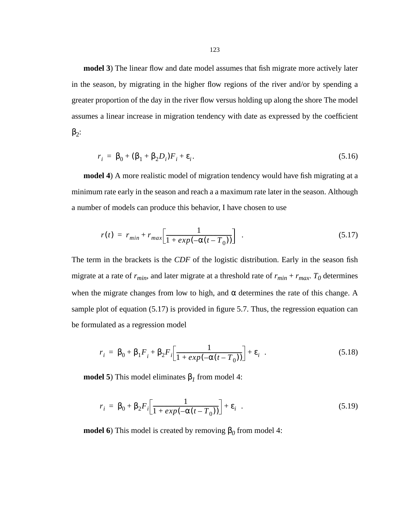<span id="page-122-0"></span>**model 3**) The linear flow and date model assumes that fish migrate more actively later in the season, by migrating in the higher flow regions of the river and/or by spending a greater proportion of the day in the river flow versus holding up along the shore The model assumes a linear increase in migration tendency with date as expressed by the coefficient  $β<sub>2</sub>$ :

$$
r_i = \beta_0 + (\beta_1 + \beta_2 D_i) F_i + \varepsilon_i. \tag{5.16}
$$

**model 4**) A more realistic model of migration tendency would have fish migrating at a minimum rate early in the season and reach a a maximum rate later in the season. Although a number of models can produce this behavior, I have chosen to use

$$
r(t) = r_{min} + r_{max} \left[ \frac{1}{1 + exp(-\alpha(t - T_0))} \right] \tag{5.17}
$$

The term in the brackets is the *CDF* of the logistic distribution. Early in the season fish migrate at a rate of  $r_{min}$ , and later migrate at a threshold rate of  $r_{min} + r_{max}$ .  $T_0$  determines when the migrate changes from low to high, and  $\alpha$  determines the rate of this change. A sample plot of equation (5.17) is provided in figure [5.7](#page-123-0). Thus, the regression equation can be formulated as a regression model

$$
r_i = \beta_0 + \beta_1 F_i + \beta_2 F_i \left[ \frac{1}{1 + exp(-\alpha(t - T_0))} \right] + \varepsilon_i
$$
 (5.18)

**model 5**) This model eliminates  $β<sub>I</sub>$  from model 4:

$$
r_i = \beta_0 + \beta_2 F_i \left[ \frac{1}{1 + exp(-\alpha(t - T_0))} \right] + \varepsilon_i
$$
 (5.19)

**model 6**) This model is created by removing  $β<sub>0</sub>$  from model 4: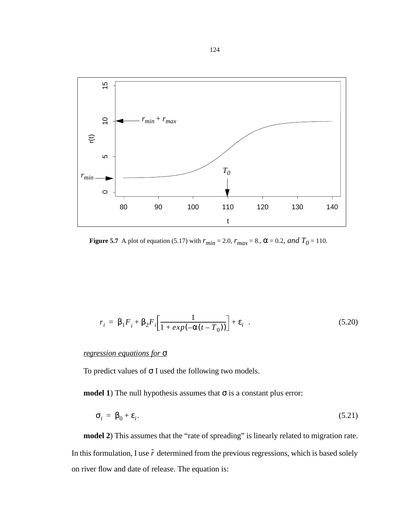<span id="page-123-0"></span>

**Figure 5.7** A plot of equation [\(5.17\)](#page-122-0) with  $r_{min} = 2.0$ ,  $r_{max} = 8$ .,  $\alpha = 0.2$ , and  $T_0 = 110$ .

$$
r_i = \beta_1 F_i + \beta_2 F_i \left[ \frac{1}{1 + exp(-\alpha(t - T_0))} \right] + \varepsilon_i
$$
 (5.20)

# *regression equations for* σ

To predict values of  $\sigma$  I used the following two models.

**model 1**) The null hypothesis assumes that  $\sigma$  is a constant plus error:

$$
\sigma_i = \beta_0 + \varepsilon_i. \tag{5.21}
$$

**model 2**) This assumes that the "rate of spreading" is linearly related to migration rate. In this formulation, I use  $\tilde{r}$  determined from the previous regressions, which is based solely on river flow and date of release. The equation is: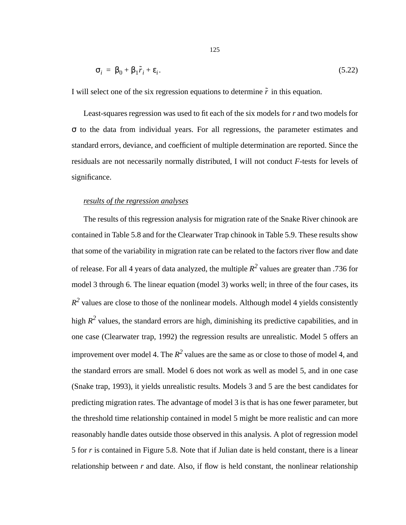$$
\sigma_i = \beta_0 + \beta_1 \tilde{r}_i + \varepsilon_i. \tag{5.22}
$$

I will select one of the six regression equations to determine  $\tilde{r}$  in this equation.

Least-squares regression was used to fit each of the six models for *r* and two models for σ to the data from individual years. For all regressions, the parameter estimates and standard errors, deviance, and coefficient of multiple determination are reported. Since the residuals are not necessarily normally distributed, I will not conduct *F*-tests for levels of significance.

### *results of the regression analyses*

The results of this regression analysis for migration rate of the Snake River chinook are contained in [Table 5.8](#page-125-0) and for the Clearwater Trap chinook in [Table 5.9.](#page-126-0) These results show that some of the variability in migration rate can be related to the factors river flow and date of release. For all 4 years of data analyzed, the multiple  $R^2$  values are greater than .736 for model 3 through 6. The linear equation (model 3) works well; in three of the four cases, its  $R<sup>2</sup>$  values are close to those of the nonlinear models. Although model 4 yields consistently high  $R^2$  values, the standard errors are high, diminishing its predictive capabilities, and in one case (Clearwater trap, 1992) the regression results are unrealistic. Model 5 offers an improvement over model 4. The  $R^2$  values are the same as or close to those of model 4, and the standard errors are small. Model 6 does not work as well as model 5, and in one case (Snake trap, 1993), it yields unrealistic results. Models 3 and 5 are the best candidates for predicting migration rates. The advantage of model 3 is that is has one fewer parameter, but the threshold time relationship contained in model 5 might be more realistic and can more reasonably handle dates outside those observed in this analysis. A plot of regression model 5 for *r* is contained in Figure [5.8](#page-127-0). Note that if Julian date is held constant, there is a linear relationship between  $r$  and date. Also, if flow is held constant, the nonlinear relationship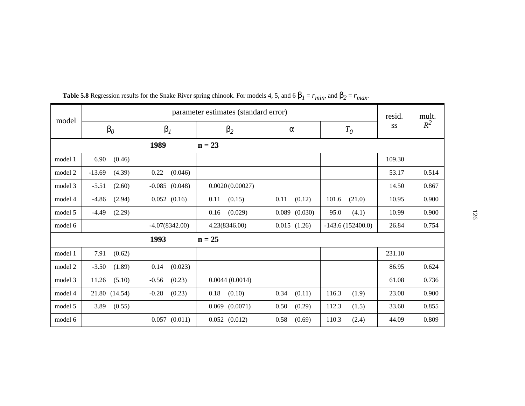| model   |                    | parameter estimates (standard error) |                    |                   |                    |        |       |  |  |  |  |
|---------|--------------------|--------------------------------------|--------------------|-------------------|--------------------|--------|-------|--|--|--|--|
|         | $\beta_0$          | $\beta_I$                            | $\beta_2$          | $\alpha$          | $T_{0}$            | SS     | $R^2$ |  |  |  |  |
|         |                    | 1989                                 | $n = 23$           |                   |                    |        |       |  |  |  |  |
| model 1 | 6.90<br>(0.46)     |                                      |                    |                   |                    | 109.30 |       |  |  |  |  |
| model 2 | $-13.69$<br>(4.39) | 0.22<br>(0.046)                      |                    |                   |                    | 53.17  | 0.514 |  |  |  |  |
| model 3 | (2.60)<br>$-5.51$  | $-0.085$ $(0.048)$                   | 0.0020(0.00027)    |                   |                    | 14.50  | 0.867 |  |  |  |  |
| model 4 | $-4.86$<br>(2.94)  | $0.052$ $(0.16)$                     | (0.15)<br>0.11     | 0.11<br>(0.12)    | 101.6<br>(21.0)    | 10.95  | 0.900 |  |  |  |  |
| model 5 | $-4.49$<br>(2.29)  |                                      | (0.029)<br>0.16    | $0.089$ $(0.030)$ | 95.0<br>(4.1)      | 10.99  | 0.900 |  |  |  |  |
| model 6 |                    | $-4.07(8342.00)$                     | 4.23(8346.00)      | 0.015(1.26)       | $-143.6(152400.0)$ | 26.84  | 0.754 |  |  |  |  |
|         |                    | 1993                                 | $n = 25$           |                   |                    |        |       |  |  |  |  |
| model 1 | 7.91<br>(0.62)     |                                      |                    |                   |                    | 231.10 |       |  |  |  |  |
| model 2 | $-3.50$<br>(1.89)  | 0.14<br>(0.023)                      |                    |                   |                    | 86.95  | 0.624 |  |  |  |  |
| model 3 | (5.10)<br>11.26    | $-0.56$<br>(0.23)                    | 0.0044(0.0014)     |                   |                    | 61.08  | 0.736 |  |  |  |  |
| model 4 | 21.80 (14.54)      | $-0.28$<br>(0.23)                    | 0.18<br>(0.10)     | (0.11)<br>0.34    | 116.3<br>(1.9)     | 23.08  | 0.900 |  |  |  |  |
| model 5 | (0.55)<br>3.89     |                                      | $0.069$ $(0.0071)$ | 0.50<br>(0.29)    | 112.3<br>(1.5)     | 33.60  | 0.855 |  |  |  |  |
| model 6 |                    | $0.057$ $(0.011)$                    | $0.052$ $(0.012)$  | 0.58<br>(0.69)    | 110.3<br>(2.4)     | 44.09  | 0.809 |  |  |  |  |

<span id="page-125-0"></span>**Table 5.8** Regression results for the Snake River spring chinook. For models 4, 5, and 6  $\beta_1$  =  $r_{min}$ , and  $\beta_2$  =  $r_{max}$ .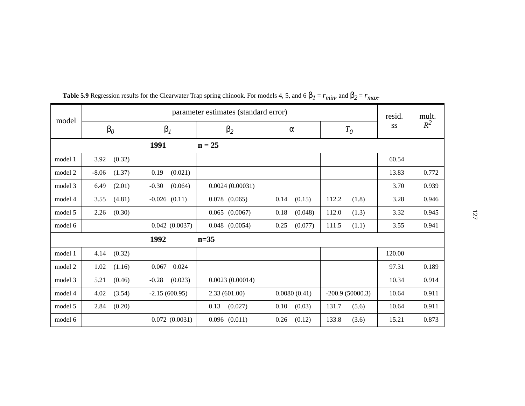| model   |                   | resid.             | mult.              |                 |                   |        |       |
|---------|-------------------|--------------------|--------------------|-----------------|-------------------|--------|-------|
|         | $\beta_0$         | $\beta_I$          | $\beta_2$          | $\alpha$        | $T_{0}$           | SS     | $R^2$ |
|         |                   | 1991               | $n = 25$           |                 |                   |        |       |
| model 1 | 3.92<br>(0.32)    |                    |                    |                 |                   | 60.54  |       |
| model 2 | $-8.06$<br>(1.37) | 0.19<br>(0.021)    |                    |                 |                   | 13.83  | 0.772 |
| model 3 | (2.01)<br>6.49    | $-0.30$<br>(0.064) | 0.0024(0.00031)    |                 |                   | 3.70   | 0.939 |
| model 4 | 3.55<br>(4.81)    | $-0.026$ $(0.11)$  | $0.078$ $(0.065)$  | (0.15)<br>0.14  | 112.2<br>(1.8)    | 3.28   | 0.946 |
| model 5 | (0.30)<br>2.26    |                    | $0.065$ $(0.0067)$ | 0.18<br>(0.048) | 112.0<br>(1.3)    | 3.32   | 0.945 |
| model 6 |                   | 0.042(0.0037)      | $0.048$ $(0.0054)$ | 0.25<br>(0.077) | 111.5<br>(1.1)    | 3.55   | 0.941 |
|         |                   | 1992               | $n=35$             |                 |                   |        |       |
| model 1 | 4.14<br>(0.32)    |                    |                    |                 |                   | 120.00 |       |
| model 2 | 1.02<br>(1.16)    | 0.067<br>0.024     |                    |                 |                   | 97.31  | 0.189 |
| model 3 | 5.21<br>(0.46)    | $-0.28$<br>(0.023) | 0.0023(0.00014)    |                 |                   | 10.34  | 0.914 |
| model 4 | 4.02<br>(3.54)    | $-2.15(600.95)$    | 2.33(601.00)       | 0.0080(0.41)    | $-200.9(50000.3)$ | 10.64  | 0.911 |
| model 5 | 2.84<br>(0.20)    |                    | 0.13<br>(0.027)    | 0.10<br>(0.03)  | 131.7<br>(5.6)    | 10.64  | 0.911 |
| model 6 |                   | 0.072(0.0031)      | $0.096$ $(0.011)$  | (0.12)<br>0.26  | 133.8<br>(3.6)    | 15.21  | 0.873 |

<span id="page-126-0"></span>**Table 5.9** Regression results for the Clearwater Trap spring chinook. For models 4, 5, and 6  $\beta_1 = r_{min}$ , and  $\beta_2 = r_{max}$ .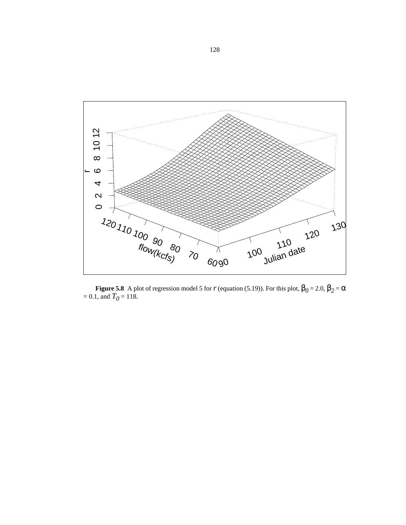<span id="page-127-0"></span>

**Figure 5.8** A plot of regression model 5 for *r* (equation [\(5.19\)\)](#page-122-0). For this plot,  $\beta_0 = 2.0$ ,  $\beta_2 = \alpha$  $= 0.1$ , and  $T<sub>0</sub> = 118$ .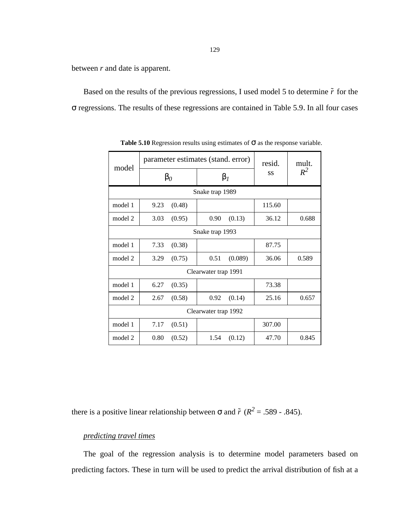between *r* and date is apparent.

Based on the results of the previous regressions, I used model 5 to determine  $\tilde{r}$  for the σ regressions. The results of these regressions are contained in [Table 5.9](#page-126-0). In all four cases

| model   |                 | parameter estimates (stand. error) | resid. | mult. |  |
|---------|-----------------|------------------------------------|--------|-------|--|
|         | $\beta_0$       | $\beta_I$                          | SS     | $R^2$ |  |
|         | Snake trap 1989 |                                    |        |       |  |
| model 1 | 9.23<br>(0.48)  |                                    | 115.60 |       |  |
| model 2 | 3.03<br>(0.95)  | (0.13)<br>0.90                     | 36.12  | 0.688 |  |
|         |                 | Snake trap 1993                    |        |       |  |
| model 1 | 7.33<br>(0.38)  |                                    | 87.75  |       |  |
| model 2 | 3.29<br>(0.75)  | 0.51<br>(0.089)                    | 36.06  | 0.589 |  |
|         |                 | Clearwater trap 1991               |        |       |  |
| model 1 | 6.27<br>(0.35)  |                                    | 73.38  |       |  |
| model 2 | (0.58)<br>2.67  | 0.92<br>(0.14)                     | 25.16  | 0.657 |  |
|         |                 | Clearwater trap 1992               |        |       |  |
| model 1 | 7.17<br>(0.51)  | 307.00                             |        |       |  |
| model 2 | 0.80<br>(0.52)  | 1.54<br>(0.12)                     | 47.70  | 0.845 |  |

**Table 5.10** Regression results using estimates of σ as the response variable.

there is a positive linear relationship between  $\sigma$  and  $\tilde{r}$  ( $R^2 = .589$  - .845).

### *predicting travel times*

The goal of the regression analysis is to determine model parameters based on predicting factors. These in turn will be used to predict the arrival distribution of fish at a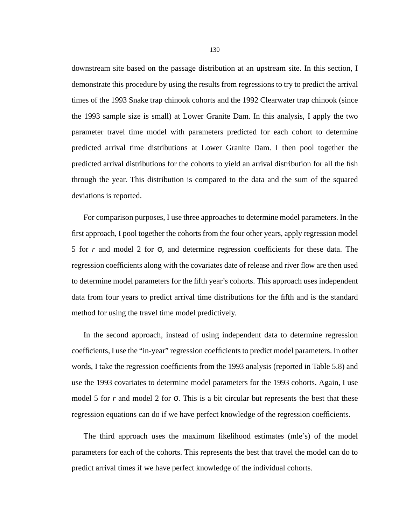downstream site based on the passage distribution at an upstream site. In this section, I demonstrate this procedure by using the results from regressions to try to predict the arrival times of the 1993 Snake trap chinook cohorts and the 1992 Clearwater trap chinook (since the 1993 sample size is small) at Lower Granite Dam. In this analysis, I apply the two parameter travel time model with parameters predicted for each cohort to determine predicted arrival time distributions at Lower Granite Dam. I then pool together the predicted arrival distributions for the cohorts to yield an arrival distribution for all the fish through the year. This distribution is compared to the data and the sum of the squared deviations is reported.

For comparison purposes, I use three approaches to determine model parameters. In the first approach, I pool together the cohorts from the four other years, apply regression model 5 for *r* and model 2 for σ, and determine regression coefficients for these data. The regression coefficients along with the covariates date of release and river flow are then used to determine model parameters for the fifth year's cohorts. This approach uses independent data from four years to predict arrival time distributions for the fifth and is the standard method for using the travel time model predictively.

In the second approach, instead of using independent data to determine regression coefficients, I use the "in-year" regression coefficients to predict model parameters. In other words, I take the regression coefficients from the 1993 analysis (reported in [Table 5.8\)](#page-125-0) and use the 1993 covariates to determine model parameters for the 1993 cohorts. Again, I use model 5 for *r* and model 2 for σ. This is a bit circular but represents the best that these regression equations can do if we have perfect knowledge of the regression coefficients.

The third approach uses the maximum likelihood estimates (mle's) of the model parameters for each of the cohorts. This represents the best that travel the model can do to predict arrival times if we have perfect knowledge of the individual cohorts.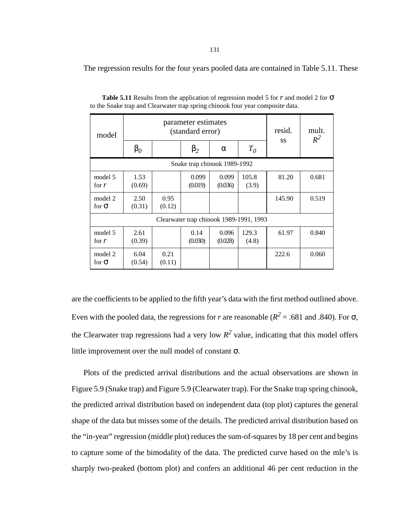The regression results for the four years pooled data are contained in Table 5.11. These

| model                        |                | parameter estimates<br>(standard error) | resid.                                  | mult.<br>$R^2$   |                |           |       |  |  |  |
|------------------------------|----------------|-----------------------------------------|-----------------------------------------|------------------|----------------|-----------|-------|--|--|--|
|                              | $\beta_0$      |                                         | $\beta_2$                               | $\alpha$         | $T_0$          | <b>SS</b> |       |  |  |  |
| Snake trap chinook 1989-1992 |                |                                         |                                         |                  |                |           |       |  |  |  |
| model 5<br>for $r$           | 1.53<br>(0.69) |                                         | 0.099<br>(0.019)                        | 0.099<br>(0.036) | 105.8<br>(3.9) | 81.20     | 0.681 |  |  |  |
| model 2<br>for $\sigma$      | 2.50<br>(0.31) | 0.95<br>(0.12)                          |                                         |                  |                | 145.90    | 0.519 |  |  |  |
|                              |                |                                         | Clearwater trap chinook 1989-1991, 1993 |                  |                |           |       |  |  |  |
| model 5<br>for $r$           | 2.61<br>(0.39) |                                         | 0.14<br>(0.030)                         | 0.096<br>(0.028) | 129.3<br>(4.8) | 61.97     | 0.840 |  |  |  |
| model 2<br>for $\sigma$      | 6.04<br>(0.54) | 0.21<br>(0.11)                          |                                         |                  |                | 222.6     | 0.060 |  |  |  |

**Table 5.11** Results from the application of regression model 5 for *r* and model 2 for σ to the Snake trap and Clearwater trap spring chinook four year composite data.

are the coefficients to be applied to the fifth year's data with the first method outlined above. Even with the pooled data, the regressions for *r* are reasonable ( $R^2$  = .681 and .840). For  $\sigma$ , the Clearwater trap regressions had a very low  $R^2$  value, indicating that this model offers little improvement over the null model of constant  $\sigma$ .

Plots of the predicted arrival distributions and the actual observations are shown in Figure [5.9](#page-131-0) (Snake trap) and Figure [5.9](#page-131-0) (Clearwater trap). For the Snake trap spring chinook, the predicted arrival distribution based on independent data (top plot) captures the general shape of the data but misses some of the details. The predicted arrival distribution based on the "in-year" regression (middle plot) reduces the sum-of-squares by 18 per cent and begins to capture some of the bimodality of the data. The predicted curve based on the mle's is sharply two-peaked (bottom plot) and confers an additional 46 per cent reduction in the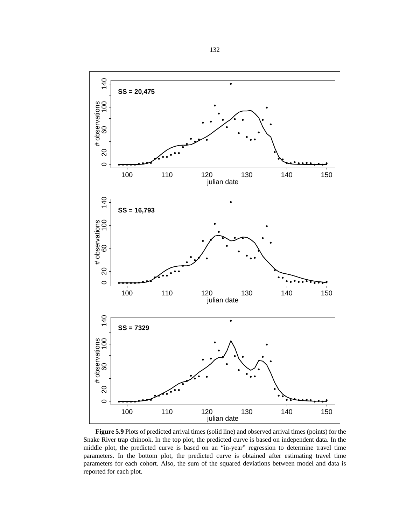<span id="page-131-0"></span>

**Figure 5.9** Plots of predicted arrival times (solid line) and observed arrival times (points) for the Snake River trap chinook. In the top plot, the predicted curve is based on independent data. In the middle plot, the predicted curve is based on an "in-year" regression to determine travel time parameters. In the bottom plot, the predicted curve is obtained after estimating travel time parameters for each cohort. Also, the sum of the squared deviations between model and data is reported for each plot.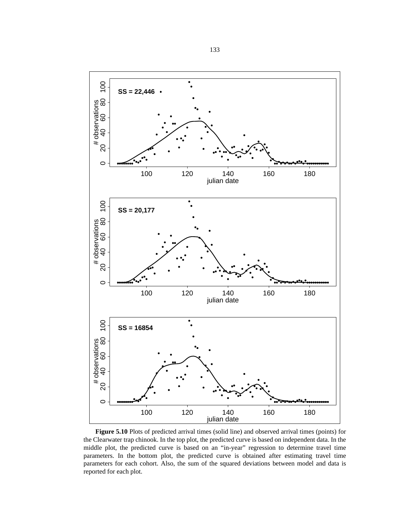

**Figure 5.10** Plots of predicted arrival times (solid line) and observed arrival times (points) for the Clearwater trap chinook. In the top plot, the predicted curve is based on independent data. In the middle plot, the predicted curve is based on an "in-year" regression to determine travel time parameters. In the bottom plot, the predicted curve is obtained after estimating travel time parameters for each cohort. Also, the sum of the squared deviations between model and data is reported for each plot.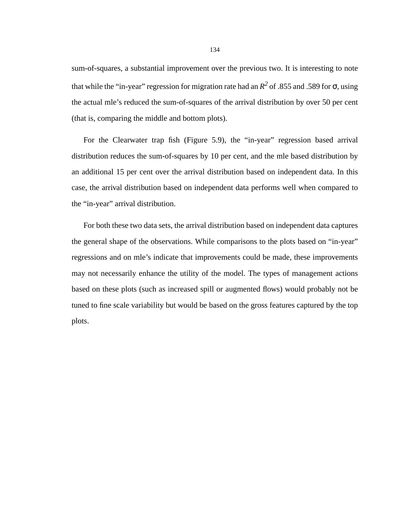sum-of-squares, a substantial improvement over the previous two. It is interesting to note that while the "in-year" regression for migration rate had an  $R^2$  of .855 and .589 for  $\sigma$ , using the actual mle's reduced the sum-of-squares of the arrival distribution by over 50 per cent (that is, comparing the middle and bottom plots).

For the Clearwater trap fish (Figure [5.9](#page-131-0)), the "in-year" regression based arrival distribution reduces the sum-of-squares by 10 per cent, and the mle based distribution by an additional 15 per cent over the arrival distribution based on independent data. In this case, the arrival distribution based on independent data performs well when compared to the "in-year" arrival distribution.

For both these two data sets, the arrival distribution based on independent data captures the general shape of the observations. While comparisons to the plots based on "in-year" regressions and on mle's indicate that improvements could be made, these improvements may not necessarily enhance the utility of the model. The types of management actions based on these plots (such as increased spill or augmented flows) would probably not be tuned to fine scale variability but would be based on the gross features captured by the top plots.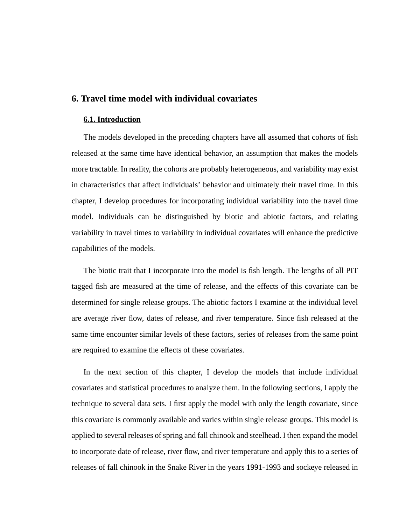# **6. Travel time model with individual covariates**

### **6.1. Introduction**

The models developed in the preceding chapters have all assumed that cohorts of fish released at the same time have identical behavior, an assumption that makes the models more tractable. In reality, the cohorts are probably heterogeneous, and variability may exist in characteristics that affect individuals' behavior and ultimately their travel time. In this chapter, I develop procedures for incorporating individual variability into the travel time model. Individuals can be distinguished by biotic and abiotic factors, and relating variability in travel times to variability in individual covariates will enhance the predictive capabilities of the models.

The biotic trait that I incorporate into the model is fish length. The lengths of all PIT tagged fish are measured at the time of release, and the effects of this covariate can be determined for single release groups. The abiotic factors I examine at the individual level are average river flow, dates of release, and river temperature. Since fish released at the same time encounter similar levels of these factors, series of releases from the same point are required to examine the effects of these covariates.

In the next section of this chapter, I develop the models that include individual covariates and statistical procedures to analyze them. In the following sections, I apply the technique to several data sets. I first apply the model with only the length covariate, since this covariate is commonly available and varies within single release groups. This model is applied to several releases of spring and fall chinook and steelhead. I then expand the model to incorporate date of release, river flow, and river temperature and apply this to a series of releases of fall chinook in the Snake River in the years 1991-1993 and sockeye released in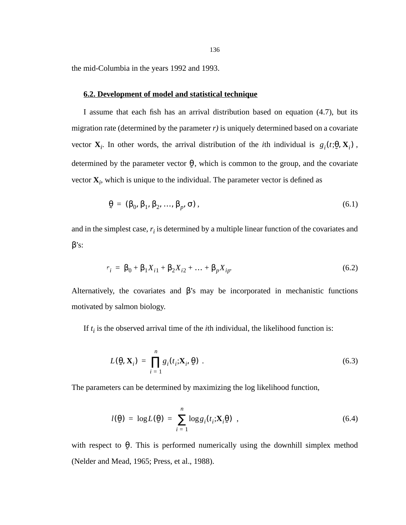the mid-Columbia in the years 1992 and 1993.

### **6.2. Development of model and statistical technique**

I assume that each fish has an arrival distribution based on equation (4.7), but its migration rate (determined by the parameter *r)* is uniquely determined based on a covariate vector  $\mathbf{X}_i$ . In other words, the arrival distribution of the *i*th individual is  $g_i(t;\theta, \mathbf{X}_i)$ , determined by the parameter vector  $\theta$ , which is common to the group, and the covariate vector  $\mathbf{X}_i$ , which is unique to the individual. The parameter vector is defined as ˜

$$
\mathbf{\Theta} = (\beta_0, \beta_1, \beta_2, \dots, \beta_p, \sigma), \tag{6.1}
$$

and in the simplest case,  $r_i$  is determined by a multiple linear function of the covariates and β's:

$$
r_i = \beta_0 + \beta_1 X_{i1} + \beta_2 X_{i2} + \dots + \beta_p X_{ip}.
$$
 (6.2)

Alternatively, the covariates and  $\beta$ 's may be incorporated in mechanistic functions motivated by salmon biology.

If  $t_i$  is the observed arrival time of the *i*th individual, the likelihood function is:

$$
L(\mathbf{\Theta}, \mathbf{X}_i) = \prod_{i=1}^n g_i(t_i; \mathbf{X}_i, \mathbf{\Theta}) \tag{6.3}
$$

The parameters can be determined by maximizing the log likelihood function,

$$
l(\underline{\theta}) = \log L(\underline{\theta}) = \sum_{i=1}^{n} \log g_i(t_i; \mathbf{X}_i \underline{\theta}) \tag{6.4}
$$

with respect to  $\theta$ . This is performed numerically using the downhill simplex method (Nelder and Mead, 1965; Press, et al., 1988). ˜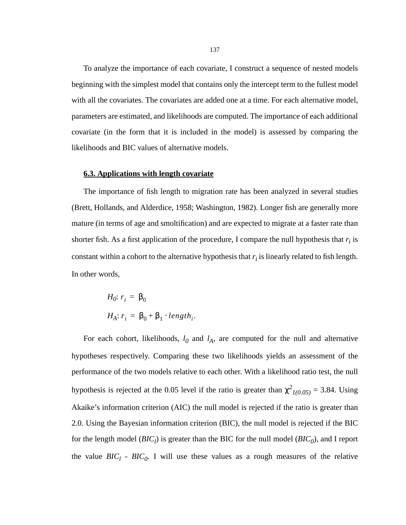To analyze the importance of each covariate, I construct a sequence of nested models beginning with the simplest model that contains only the intercept term to the fullest model with all the covariates. The covariates are added one at a time. For each alternative model, parameters are estimated, and likelihoods are computed. The importance of each additional covariate (in the form that it is included in the model) is assessed by comparing the likelihoods and BIC values of alternative models.

### **6.3. Applications with length covariate**

The importance of fish length to migration rate has been analyzed in several studies (Brett, Hollands, and Alderdice, 1958; Washington, 1982). Longer fish are generally more mature (in terms of age and smoltification) and are expected to migrate at a faster rate than shorter fish. As a first application of the procedure, I compare the null hypothesis that  $r_i$  is constant within a cohort to the alternative hypothesis that  $r_i$  is linearly related to fish length. In other words,

$$
H_0: r_i = \beta_0
$$
  

$$
H_A: r_i = \beta_0 + \beta_1 \cdot length_i.
$$

For each cohort, likelihoods,  $l_0$  and  $l_A$ , are computed for the null and alternative hypotheses respectively. Comparing these two likelihoods yields an assessment of the performance of the two models relative to each other. With a likelihood ratio test, the null hypothesis is rejected at the 0.05 level if the ratio is greater than  $\chi^2_{1(0.05)} = 3.84$ . Using Akaike's information criterion (AIC) the null model is rejected if the ratio is greater than 2.0. Using the Bayesian information criterion (BIC), the null model is rejected if the BIC for the length model  $(BIC_l)$  is greater than the BIC for the null model  $(BIC_0)$ , and I report the value  $BIC_l$  -  $BIC_0$ . I will use these values as a rough measures of the relative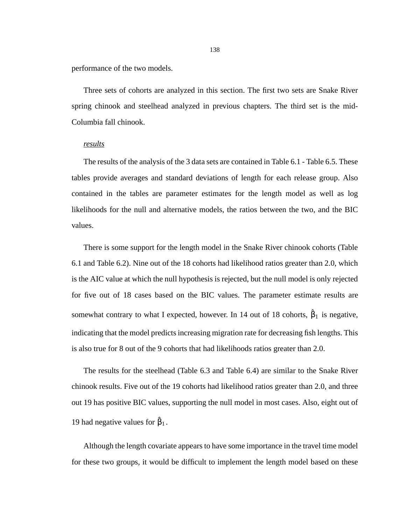performance of the two models.

Three sets of cohorts are analyzed in this section. The first two sets are Snake River spring chinook and steelhead analyzed in previous chapters. The third set is the mid-Columbia fall chinook.

### *results*

The results of the analysis of the 3 data sets are contained in [Table 6.1](#page-138-0) - [Table 6.5.](#page-143-0) These tables provide averages and standard deviations of length for each release group. Also contained in the tables are parameter estimates for the length model as well as log likelihoods for the null and alternative models, the ratios between the two, and the BIC values.

There is some support for the length model in the Snake River chinook cohorts ([Table](#page-138-0) [6.1](#page-138-0) and [Table 6.2](#page-139-0)). Nine out of the 18 cohorts had likelihood ratios greater than 2.0, which is the AIC value at which the null hypothesis is rejected, but the null model is only rejected for five out of 18 cases based on the BIC values. The parameter estimate results are somewhat contrary to what I expected, however. In 14 out of 18 cohorts,  $\hat{\beta}_1$  is negative, indicating that the model predicts increasing migration rate for decreasing fish lengths. This is also true for 8 out of the 9 cohorts that had likelihoods ratios greater than 2.0.

The results for the steelhead ([Table 6.3](#page-140-0) and [Table 6.4\)](#page-141-0) are similar to the Snake River chinook results. Five out of the 19 cohorts had likelihood ratios greater than 2.0, and three out 19 has positive BIC values, supporting the null model in most cases. Also, eight out of 19 had negative values for  $\hat{\beta}_1$ .

Although the length covariate appears to have some importance in the travel time model for these two groups, it would be difficult to implement the length model based on these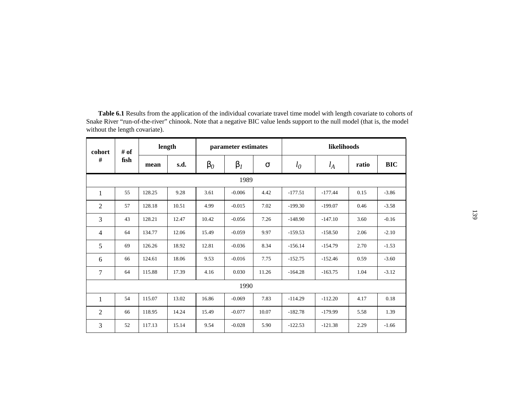| cohort         | # of | length |       |           | parameter estimates |          | likelihoods |           |       |            |
|----------------|------|--------|-------|-----------|---------------------|----------|-------------|-----------|-------|------------|
| #              | fish | mean   | s.d.  | $\beta_0$ | $\beta_I$           | $\sigma$ | $l_0$       | $l_A$     | ratio | <b>BIC</b> |
|                |      |        |       |           | 1989                |          |             |           |       |            |
| 1              | 55   | 128.25 | 9.28  | 3.61      | $-0.006$            | 4.42     | $-177.51$   | $-177.44$ | 0.15  | $-3.86$    |
| $\overline{2}$ | 57   | 128.18 | 10.51 | 4.99      | $-0.015$            | 7.02     | $-199.30$   | $-199.07$ | 0.46  | $-3.58$    |
| 3              | 43   | 128.21 | 12.47 | 10.42     | $-0.056$            | 7.26     | $-148.90$   | $-147.10$ | 3.60  | $-0.16$    |
| $\overline{4}$ | 64   | 134.77 | 12.06 | 15.49     | $-0.059$            | 9.97     | $-159.53$   | $-158.50$ | 2.06  | $-2.10$    |
| 5              | 69   | 126.26 | 18.92 | 12.81     | $-0.036$            | 8.34     | $-156.14$   | $-154.79$ | 2.70  | $-1.53$    |
| 6              | 66   | 124.61 | 18.06 | 9.53      | $-0.016$            | 7.75     | $-152.75$   | $-152.46$ | 0.59  | $-3.60$    |
| 7              | 64   | 115.88 | 17.39 | 4.16      | 0.030               | 11.26    | $-164.28$   | $-163.75$ | 1.04  | $-3.12$    |
|                |      |        |       |           | 1990                |          |             |           |       |            |
| 1              | 54   | 115.07 | 13.02 | 16.86     | $-0.069$            | 7.83     | $-114.29$   | $-112.20$ | 4.17  | 0.18       |
| $\mathfrak{2}$ | 66   | 118.95 | 14.24 | 15.49     | $-0.077$            | 10.07    | $-182.78$   | $-179.99$ | 5.58  | 1.39       |
| 3              | 52   | 117.13 | 15.14 | 9.54      | $-0.028$            | 5.90     | $-122.53$   | $-121.38$ | 2.29  | $-1.66$    |

<span id="page-138-0"></span>**Table 6.1** Results from the application of the individual covariate travel time model with length covariate to cohorts of Snake River "run-of-the-river" chinook. Note that a negative BIC value lends support to the null model (that is, the model without the length covariate).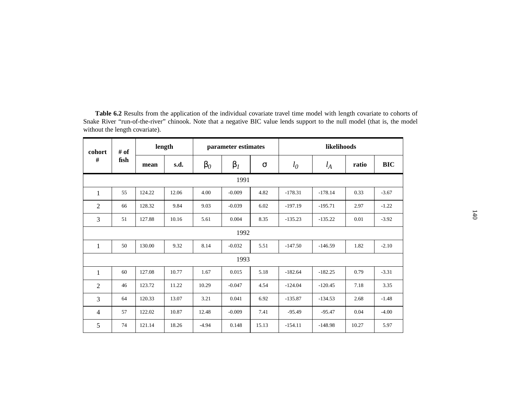| # of<br>cohort |      |        | length |           | parameter estimates |          |           | likelihoods |       |            |  |
|----------------|------|--------|--------|-----------|---------------------|----------|-----------|-------------|-------|------------|--|
| $\#$           | fish | mean   | s.d.   | $\beta_0$ | $\beta_I$           | $\sigma$ | $l_0$     | $l_A$       | ratio | <b>BIC</b> |  |
|                |      |        |        |           | 1991                |          |           |             |       |            |  |
| 1              | 55   | 124.22 | 12.06  | 4.00      | $-0.009$            | 4.82     | $-178.31$ | $-178.14$   | 0.33  | $-3.67$    |  |
| $\overline{2}$ | 66   | 128.32 | 9.84   | 9.03      | $-0.039$            | 6.02     | $-197.19$ | $-195.71$   | 2.97  | $-1.22$    |  |
| 3              | 51   | 127.88 | 10.16  | 5.61      | 0.004               | 8.35     | $-135.23$ | $-135.22$   | 0.01  | $-3.92$    |  |
|                |      |        |        |           | 1992                |          |           |             |       |            |  |
| $\mathbf{1}$   | 50   | 130.00 | 9.32   | 8.14      | $-0.032$            | 5.51     | $-147.50$ | $-146.59$   | 1.82  | $-2.10$    |  |
|                |      |        |        |           | 1993                |          |           |             |       |            |  |
| 1              | 60   | 127.08 | 10.77  | 1.67      | 0.015               | 5.18     | $-182.64$ | $-182.25$   | 0.79  | $-3.31$    |  |
| $\overline{2}$ | 46   | 123.72 | 11.22  | 10.29     | $-0.047$            | 4.54     | $-124.04$ | $-120.45$   | 7.18  | 3.35       |  |
| 3              | 64   | 120.33 | 13.07  | 3.21      | 0.041               | 6.92     | $-135.87$ | $-134.53$   | 2.68  | $-1.48$    |  |
| $\overline{4}$ | 57   | 122.02 | 10.87  | 12.48     | $-0.009$            | 7.41     | $-95.49$  | $-95.47$    | 0.04  | $-4.00$    |  |
| 5              | 74   | 121.14 | 18.26  | $-4.94$   | 0.148               | 15.13    | $-154.11$ | $-148.98$   | 10.27 | 5.97       |  |

<span id="page-139-0"></span>**Table 6.2** Results from the application of the individual covariate travel time model with length covariate to cohorts of Snake River "run-of-the-river" chinook. Note that a negative BIC value lends support to the null model (that is, the model without the length covariate).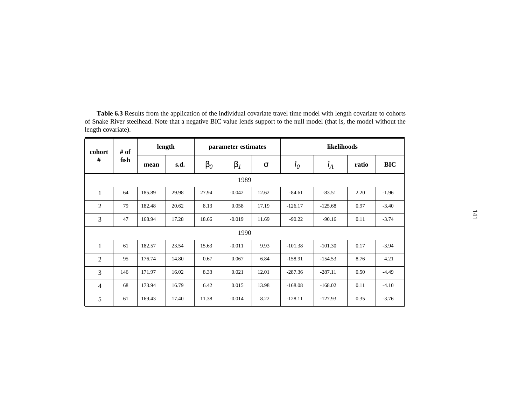| cohort<br>#    | # of<br>fish | length |       | parameter estimates |           |          | likelihoods |           |       |            |  |
|----------------|--------------|--------|-------|---------------------|-----------|----------|-------------|-----------|-------|------------|--|
|                |              | mean   | s.d.  | $\beta_0$           | $\beta_I$ | $\sigma$ | $l_0$       | $l_A$     | ratio | <b>BIC</b> |  |
| 1989           |              |        |       |                     |           |          |             |           |       |            |  |
| $\mathbf{1}$   | 64           | 185.89 | 29.98 | 27.94               | $-0.042$  | 12.62    | $-84.61$    | $-83.51$  | 2.20  | $-1.96$    |  |
| $\overline{2}$ | 79           | 182.48 | 20.62 | 8.13                | 0.058     | 17.19    | $-126.17$   | $-125.68$ | 0.97  | $-3.40$    |  |
| 3              | 47           | 168.94 | 17.28 | 18.66               | $-0.019$  | 11.69    | $-90.22$    | $-90.16$  | 0.11  | $-3.74$    |  |
| 1990           |              |        |       |                     |           |          |             |           |       |            |  |
| $\mathbf{1}$   | 61           | 182.57 | 23.54 | 15.63               | $-0.011$  | 9.93     | $-101.38$   | $-101.30$ | 0.17  | $-3.94$    |  |
| $\overline{2}$ | 95           | 176.74 | 14.80 | 0.67                | 0.067     | 6.84     | $-158.91$   | $-154.53$ | 8.76  | 4.21       |  |
| 3              | 146          | 171.97 | 16.02 | 8.33                | 0.021     | 12.01    | $-287.36$   | $-287.11$ | 0.50  | $-4.49$    |  |
| $\overline{4}$ | 68           | 173.94 | 16.79 | 6.42                | 0.015     | 13.98    | $-168.08$   | $-168.02$ | 0.11  | $-4.10$    |  |
| 5              | 61           | 169.43 | 17.40 | 11.38               | $-0.014$  | 8.22     | $-128.11$   | $-127.93$ | 0.35  | $-3.76$    |  |

<span id="page-140-0"></span>**Table 6.3** Results from the application of the individual covariate travel time model with length covariate to cohorts of Snake River steelhead. Note that a negative BIC value lends support to the null model (that is, the model without the length covariate).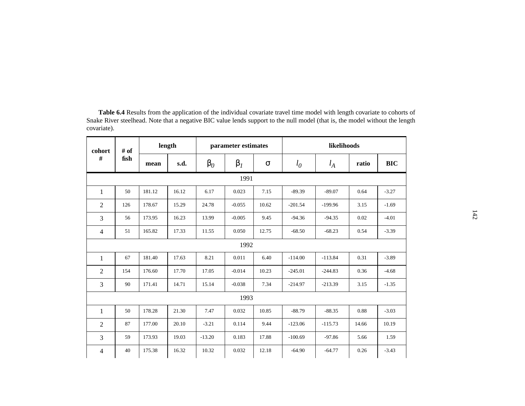| cohort<br>$\#$ | # of<br>fish | length |       | parameter estimates |           |       | likelihoods |           |       |            |  |
|----------------|--------------|--------|-------|---------------------|-----------|-------|-------------|-----------|-------|------------|--|
|                |              | mean   | s.d.  | $\beta_0$           | $\beta_I$ | σ     | $l_0$       | $l_A$     | ratio | <b>BIC</b> |  |
| 1991           |              |        |       |                     |           |       |             |           |       |            |  |
| 1              | 50           | 181.12 | 16.12 | 6.17                | 0.023     | 7.15  | $-89.39$    | $-89.07$  | 0.64  | $-3.27$    |  |
| $\overline{2}$ | 126          | 178.67 | 15.29 | 24.78               | $-0.055$  | 10.62 | $-201.54$   | $-199.96$ | 3.15  | $-1.69$    |  |
| 3              | 56           | 173.95 | 16.23 | 13.99               | $-0.005$  | 9.45  | $-94.36$    | $-94.35$  | 0.02  | $-4.01$    |  |
| $\overline{4}$ | 51           | 165.82 | 17.33 | 11.55               | 0.050     | 12.75 | $-68.50$    | $-68.23$  | 0.54  | $-3.39$    |  |
| 1992           |              |        |       |                     |           |       |             |           |       |            |  |
| 1              | 67           | 181.40 | 17.63 | 8.21                | 0.011     | 6.40  | $-114.00$   | $-113.84$ | 0.31  | $-3.89$    |  |
| $\overline{2}$ | 154          | 176.60 | 17.70 | 17.05               | $-0.014$  | 10.23 | $-245.01$   | $-244.83$ | 0.36  | $-4.68$    |  |
| 3              | 90           | 171.41 | 14.71 | 15.14               | $-0.038$  | 7.34  | $-214.97$   | $-213.39$ | 3.15  | $-1.35$    |  |
| 1993           |              |        |       |                     |           |       |             |           |       |            |  |
| 1              | 50           | 178.28 | 21.30 | 7.47                | 0.032     | 10.85 | $-88.79$    | $-88.35$  | 0.88  | $-3.03$    |  |
| $\overline{2}$ | 87           | 177.00 | 20.10 | $-3.21$             | 0.114     | 9.44  | $-123.06$   | $-115.73$ | 14.66 | 10.19      |  |
| 3              | 59           | 173.93 | 19.03 | $-13.20$            | 0.183     | 17.88 | $-100.69$   | $-97.86$  | 5.66  | 1.59       |  |
| $\overline{4}$ | 40           | 175.38 | 16.32 | 10.32               | 0.032     | 12.18 | $-64.90$    | $-64.77$  | 0.26  | $-3.43$    |  |

<span id="page-141-0"></span>**Table 6.4** Results from the application of the individual covariate travel time model with length covariate to cohorts of Snake River steelhead. Note that a negative BIC value lends support to the null model (that is, the model without the length covariate).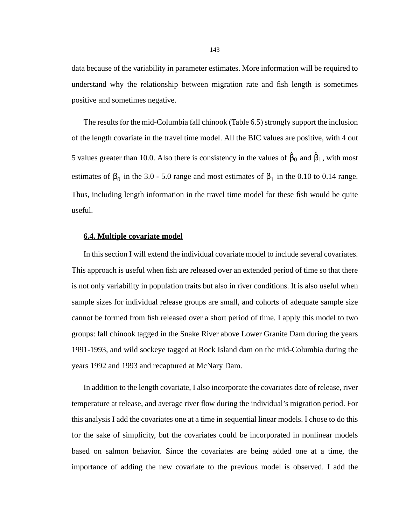data because of the variability in parameter estimates. More information will be required to understand why the relationship between migration rate and fish length is sometimes positive and sometimes negative.

The results for the mid-Columbia fall chinook [\(Table 6.5\)](#page-143-0) strongly support the inclusion of the length covariate in the travel time model. All the BIC values are positive, with 4 out 5 values greater than 10.0. Also there is consistency in the values of  $\hat{\beta}_0$  and  $\hat{\beta}_1$ , with most estimates of  $\beta_0$  in the 3.0 - 5.0 range and most estimates of  $\beta_1$  in the 0.10 to 0.14 range. Thus, including length information in the travel time model for these fish would be quite useful.

## **6.4. Multiple covariate model**

In this section I will extend the individual covariate model to include several covariates. This approach is useful when fish are released over an extended period of time so that there is not only variability in population traits but also in river conditions. It is also useful when sample sizes for individual release groups are small, and cohorts of adequate sample size cannot be formed from fish released over a short period of time. I apply this model to two groups: fall chinook tagged in the Snake River above Lower Granite Dam during the years 1991-1993, and wild sockeye tagged at Rock Island dam on the mid-Columbia during the years 1992 and 1993 and recaptured at McNary Dam.

In addition to the length covariate, I also incorporate the covariates date of release, river temperature at release, and average river flow during the individual's migration period. For this analysis I add the covariates one at a time in sequential linear models. I chose to do this for the sake of simplicity, but the covariates could be incorporated in nonlinear models based on salmon behavior. Since the covariates are being added one at a time, the importance of adding the new covariate to the previous model is observed. I add the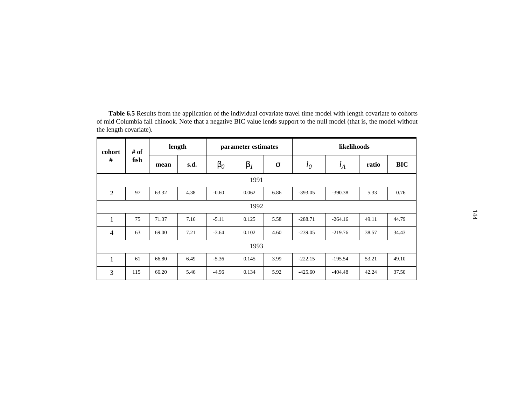| cohort<br>#    | # of<br>fish | length |      | parameter estimates |           |          | likelihoods |           |       |            |  |
|----------------|--------------|--------|------|---------------------|-----------|----------|-------------|-----------|-------|------------|--|
|                |              | mean   | s.d. | $\beta_0$           | $\beta_I$ | $\sigma$ | $l_0$       | $l_A$     | ratio | <b>BIC</b> |  |
| 1991           |              |        |      |                     |           |          |             |           |       |            |  |
| $\overline{2}$ | 97           | 63.32  | 4.38 | $-0.60$             | 0.062     | 6.86     | $-393.05$   | $-390.38$ | 5.33  | 0.76       |  |
| 1992           |              |        |      |                     |           |          |             |           |       |            |  |
| $\mathbf{1}$   | 75           | 71.37  | 7.16 | $-5.11$             | 0.125     | 5.58     | $-288.71$   | $-264.16$ | 49.11 | 44.79      |  |
| $\overline{4}$ | 63           | 69.00  | 7.21 | $-3.64$             | 0.102     | 4.60     | $-239.05$   | $-219.76$ | 38.57 | 34.43      |  |
| 1993           |              |        |      |                     |           |          |             |           |       |            |  |
| 1              | 61           | 66.80  | 6.49 | $-5.36$             | 0.145     | 3.99     | $-222.15$   | $-195.54$ | 53.21 | 49.10      |  |
| 3              | 115          | 66.20  | 5.46 | $-4.96$             | 0.134     | 5.92     | $-425.60$   | $-404.48$ | 42.24 | 37.50      |  |

<span id="page-143-0"></span>**Table 6.5** Results from the application of the individual covariate travel time model with length covariate to cohorts of mid Columbia fall chinook. Note that a negative BIC value lends support to the null model (that is, the model without the length covariate).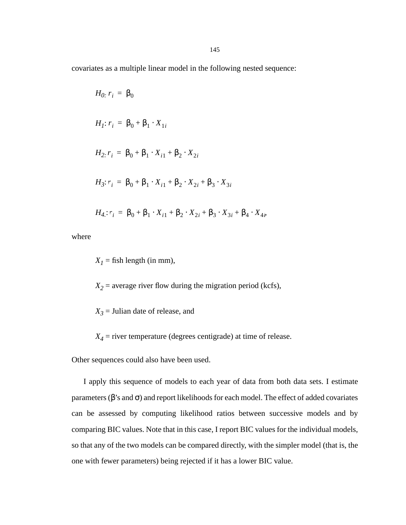covariates as a multiple linear model in the following nested sequence:

$$
H_0: r_i = \beta_0
$$
  
\n
$$
H_1: r_i = \beta_0 + \beta_1 \cdot X_{1i}
$$
  
\n
$$
H_2: r_i = \beta_0 + \beta_1 \cdot X_{i1} + \beta_2 \cdot X_{2i}
$$
  
\n
$$
H_3: r_i = \beta_0 + \beta_1 \cdot X_{i1} + \beta_2 \cdot X_{2i} + \beta_3 \cdot X_{3i}
$$
  
\n
$$
H_4: r_i = \beta_0 + \beta_1 \cdot X_{i1} + \beta_2 \cdot X_{2i} + \beta_3 \cdot X_{3i} + \beta_4 \cdot X_{4i}
$$

where

 $X<sub>I</sub>$  = fish length (in mm),

 $X_2$  = average river flow during the migration period (kcfs),

 $X_3$  = Julian date of release, and

 $X_4$  = river temperature (degrees centigrade) at time of release.

Other sequences could also have been used.

I apply this sequence of models to each year of data from both data sets. I estimate parameters ( $\beta$ 's and  $\sigma$ ) and report likelihoods for each model. The effect of added covariates can be assessed by computing likelihood ratios between successive models and by comparing BIC values. Note that in this case, I report BIC values for the individual models, so that any of the two models can be compared directly, with the simpler model (that is, the one with fewer parameters) being rejected if it has a lower BIC value.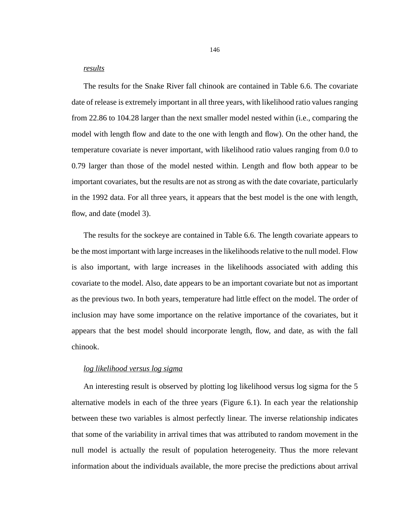### *results*

The results for the Snake River fall chinook are contained in [Table 6.6](#page-146-0). The covariate date of release is extremely important in all three years, with likelihood ratio values ranging from 22.86 to 104.28 larger than the next smaller model nested within (i.e., comparing the model with length flow and date to the one with length and flow). On the other hand, the temperature covariate is never important, with likelihood ratio values ranging from 0.0 to 0.79 larger than those of the model nested within. Length and flow both appear to be important covariates, but the results are not as strong as with the date covariate, particularly in the 1992 data. For all three years, it appears that the best model is the one with length, flow, and date (model 3).

The results for the sockeye are contained in [Table 6.6](#page-146-0). The length covariate appears to be the most important with large increases in the likelihoods relative to the null model. Flow is also important, with large increases in the likelihoods associated with adding this covariate to the model. Also, date appears to be an important covariate but not as important as the previous two. In both years, temperature had little effect on the model. The order of inclusion may have some importance on the relative importance of the covariates, but it appears that the best model should incorporate length, flow, and date, as with the fall chinook.

### *log likelihood versus log sigma*

An interesting result is observed by plotting log likelihood versus log sigma for the 5 alternative models in each of the three years ([Figure 6.1](#page-148-0)). In each year the relationship between these two variables is almost perfectly linear. The inverse relationship indicates that some of the variability in arrival times that was attributed to random movement in the null model is actually the result of population heterogeneity. Thus the more relevant information about the individuals available, the more precise the predictions about arrival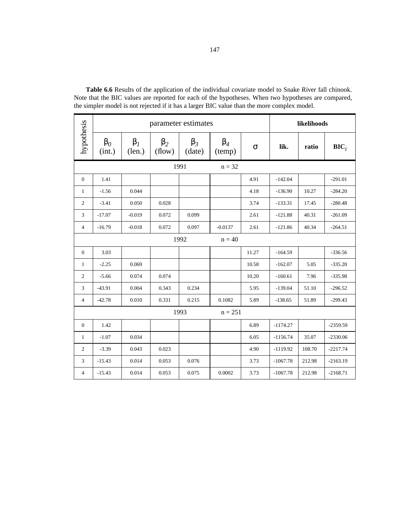|                | parameter estimates |                     |                     |                     |                     |          | likelihoods |        |            |  |
|----------------|---------------------|---------------------|---------------------|---------------------|---------------------|----------|-------------|--------|------------|--|
| hypothesis     | $\beta_0$<br>(int.) | $\beta_I$<br>(len.) | $\beta_2$<br>(flow) | $\beta_3$<br>(date) | $\beta_4$<br>(temp) | $\sigma$ | lik.        | ratio  | $BIC_i$    |  |
|                | 1991                |                     | $n = 32$            |                     |                     |          |             |        |            |  |
| $\mathbf{0}$   | 1.41                |                     |                     |                     |                     | 4.91     | $-142.04$   |        | $-291.01$  |  |
| $\mathbf{1}$   | $-1.56$             | 0.044               |                     |                     |                     | 4.18     | $-136.90$   | 10.27  | $-284.20$  |  |
| $\overline{c}$ | $-3.41$             | 0.050               | 0.028               |                     |                     | 3.74     | $-133.31$   | 17.45  | $-280.48$  |  |
| 3              | $-17.07$            | $-0.019$            | 0.072               | 0.099               |                     | 2.61     | $-121.88$   | 40.31  | $-261.09$  |  |
| $\overline{4}$ | $-16.79$            | $-0.018$            | 0.072               | 0.097               | $-0.0137$           | 2.61     | $-121.86$   | 40.34  | $-264.51$  |  |
|                | 1992                |                     |                     |                     | $n = 40$            |          |             |        |            |  |
| $\mathbf{0}$   | 3.03                |                     |                     |                     |                     | 11.27    | $-164.59$   |        | $-336.56$  |  |
| $\mathbf{1}$   | $-2.25$             | 0.069               |                     |                     |                     | 10.58    | $-162.07$   | 5.05   | $-335.20$  |  |
| $\overline{2}$ | $-5.66$             | 0.074               | 0.074               |                     |                     | 10.20    | $-160.61$   | 7.96   | $-335.98$  |  |
| 3              | $-43.91$            | 0.004               | 0.343               | 0.234               |                     | 5.95     | $-139.04$   | 51.10  | $-296.52$  |  |
| $\overline{4}$ | $-42.78$            | 0.010               | 0.331               | 0.215               | 0.1082              | 5.89     | $-138.65$   | 51.89  | $-299.43$  |  |
|                | 1993<br>$n = 251$   |                     |                     |                     |                     |          |             |        |            |  |
| $\mathbf{0}$   | 1.42                |                     |                     |                     |                     | 6.89     | $-1174.27$  |        | $-2359.59$ |  |
| $\mathbf{1}$   | $-1.07$             | 0.034               |                     |                     |                     | 6.05     | $-1156.74$  | 35.07  | $-2330.06$ |  |
| $\overline{c}$ | $-3.39$             | 0.043               | 0.023               |                     |                     | 4.90     | $-1119.92$  | 108.70 | $-2217.74$ |  |
| 3              | $-15.43$            | 0.014               | 0.053               | 0.076               |                     | 3.73     | $-1067.78$  | 212.98 | $-2163.19$ |  |
| 4              | $-15.43$            | 0.014               | 0.053               | 0.075               | 0.0002              | 3.73     | $-1067.78$  | 212.98 | $-2168.71$ |  |

<span id="page-146-0"></span>**Table 6.6** Results of the application of the individual covariate model to Snake River fall chinook. Note that the BIC values are reported for each of the hypotheses. When two hypotheses are compared, the simpler model is not rejected if it has a larger BIC value than the more complex model.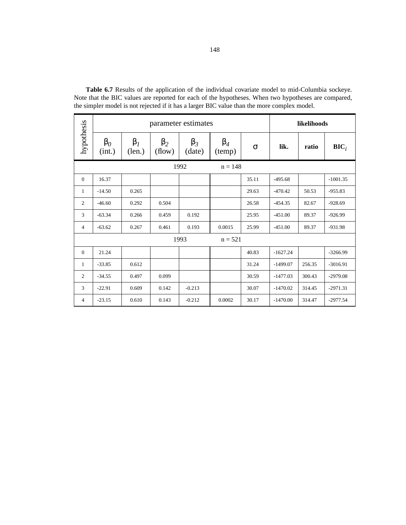|                |                     | parameter estimates | likelihoods         |                     |                     |          |            |        |                  |
|----------------|---------------------|---------------------|---------------------|---------------------|---------------------|----------|------------|--------|------------------|
| hypothesis     | $\beta_0$<br>(int.) | $\beta_I$<br>(len.) | $\beta_2$<br>(flow) | $\beta_3$<br>(date) | $\beta_4$<br>(temp) | $\sigma$ | lik.       | ratio  | $\mathbf{BIC}_i$ |
|                | 1992                |                     | $n = 148$           |                     |                     |          |            |        |                  |
| $\mathbf{0}$   | 16.37               |                     |                     |                     |                     | 35.11    | $-495.68$  |        | $-1001.35$       |
| $\mathbf{1}$   | $-14.50$            | 0.265               |                     |                     |                     | 29.63    | $-470.42$  | 50.53  | $-955.83$        |
| 2              | $-46.60$            | 0.292               | 0.504               |                     |                     | 26.58    | $-454.35$  | 82.67  | $-928.69$        |
| 3              | $-63.34$            | 0.266               | 0.459               | 0.192               |                     | 25.95    | $-451.00$  | 89.37  | $-926.99$        |
| $\overline{4}$ | $-63.62$            | 0.267               | 0.461               | 0.193               | 0.0015              | 25.99    | $-451.00$  | 89.37  | $-931.98$        |
| 1993           |                     |                     |                     | $n = 521$           |                     |          |            |        |                  |
| $\theta$       | 21.24               |                     |                     |                     |                     | 40.83    | $-1627.24$ |        | $-3266.99$       |
| 1              | $-33.85$            | 0.612               |                     |                     |                     | 31.24    | $-1499.07$ | 256.35 | $-3016.91$       |
| 2              | $-34.55$            | 0.497               | 0.099               |                     |                     | 30.59    | $-1477.03$ | 300.43 | $-2979.08$       |
| 3              | $-22.91$            | 0.609               | 0.142               | $-0.213$            |                     | 30.07    | $-1470.02$ | 314.45 | $-2971.31$       |
| $\overline{4}$ | $-23.15$            | 0.610               | 0.143               | $-0.212$            | 0.0002              | 30.17    | $-1470.00$ | 314.47 | $-2977.54$       |

**Table 6.7** Results of the application of the individual covariate model to mid-Columbia sockeye. Note that the BIC values are reported for each of the hypotheses. When two hypotheses are compared, the simpler model is not rejected if it has a larger BIC value than the more complex model.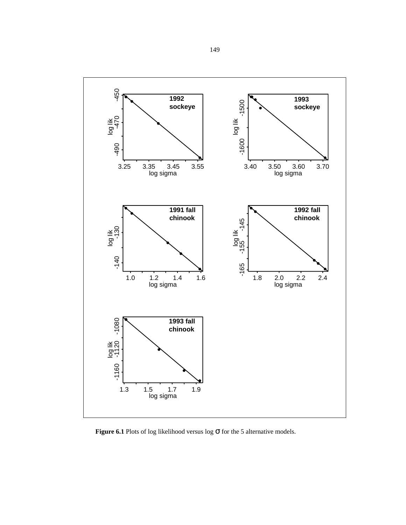<span id="page-148-0"></span>

**Figure 6.1** Plots of log likelihood versus log σ for the 5 alternative models.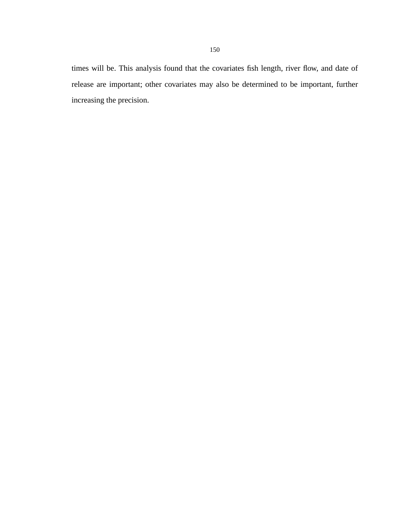times will be. This analysis found that the covariates fish length, river flow, and date of release are important; other covariates may also be determined to be important, further increasing the precision.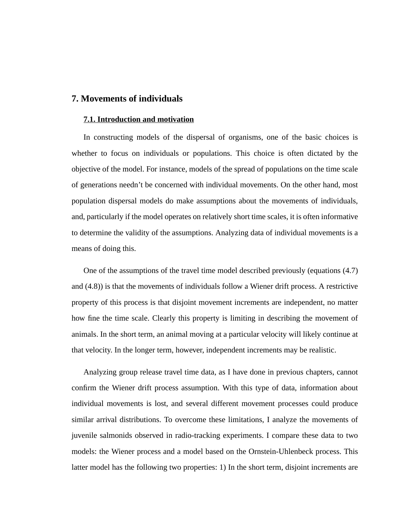# **7. Movements of individuals**

#### **7.1. Introduction and motivation**

In constructing models of the dispersal of organisms, one of the basic choices is whether to focus on individuals or populations. This choice is often dictated by the objective of the model. For instance, models of the spread of populations on the time scale of generations needn't be concerned with individual movements. On the other hand, most population dispersal models do make assumptions about the movements of individuals, and, particularly if the model operates on relatively short time scales, it is often informative to determine the validity of the assumptions. Analyzing data of individual movements is a means of doing this.

One of the assumptions of the travel time model described previously (equations (4.7) and (4.8)) is that the movements of individuals follow a Wiener drift process. A restrictive property of this process is that disjoint movement increments are independent, no matter how fine the time scale. Clearly this property is limiting in describing the movement of animals. In the short term, an animal moving at a particular velocity will likely continue at that velocity. In the longer term, however, independent increments may be realistic.

Analyzing group release travel time data, as I have done in previous chapters, cannot confirm the Wiener drift process assumption. With this type of data, information about individual movements is lost, and several different movement processes could produce similar arrival distributions. To overcome these limitations, I analyze the movements of juvenile salmonids observed in radio-tracking experiments. I compare these data to two models: the Wiener process and a model based on the Ornstein-Uhlenbeck process. This latter model has the following two properties: 1) In the short term, disjoint increments are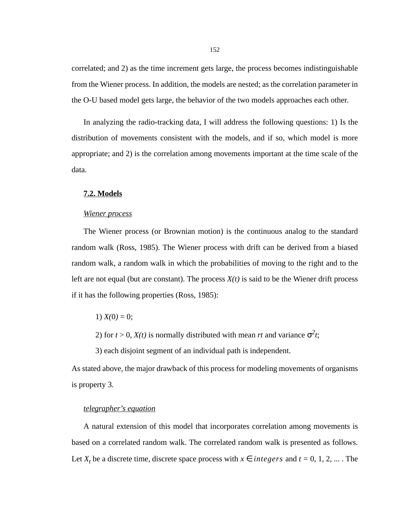correlated; and 2) as the time increment gets large, the process becomes indistinguishable from the Wiener process. In addition, the models are nested; as the correlation parameter in the O-U based model gets large, the behavior of the two models approaches each other.

In analyzing the radio-tracking data, I will address the following questions: 1) Is the distribution of movements consistent with the models, and if so, which model is more appropriate; and 2) is the correlation among movements important at the time scale of the data.

### **7.2. Models**

#### *Wiener process*

The Wiener process (or Brownian motion) is the continuous analog to the standard random walk (Ross, 1985). The Wiener process with drift can be derived from a biased random walk, a random walk in which the probabilities of moving to the right and to the left are not equal (but are constant). The process  $X(t)$  is said to be the Wiener drift process if it has the following properties (Ross, 1985):

1)  $X(0) = 0$ ;

2) for  $t > 0$ ,  $X(t)$  is normally distributed with mean *rt* and variance  $\sigma^2 t$ ;

3) each disjoint segment of an individual path is independent.

As stated above, the major drawback of this process for modeling movements of organisms is property 3.

### *telegrapher's equation*

A natural extension of this model that incorporates correlation among movements is based on a correlated random walk. The correlated random walk is presented as follows. Let  $X_t$  be a discrete time, discrete space process with  $x \in integers$  and  $t = 0, 1, 2, ...$ . The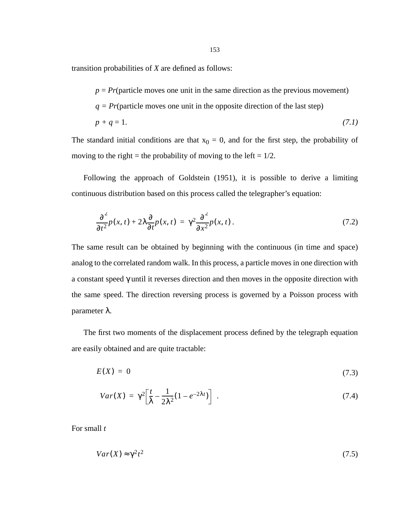<span id="page-152-0"></span>transition probabilities of *X* are defined as follows:

 $p = Pr$ (particle moves one unit in the same direction as the previous movement)

$$
q = Pr
$$
(particle moves one unit in the opposite direction of the last step)

$$
p + q = 1.\tag{7.1}
$$

The standard initial conditions are that  $x_0 = 0$ , and for the first step, the probability of moving to the right = the probability of moving to the left =  $1/2$ .

Following the approach of Goldstein (1951), it is possible to derive a limiting continuous distribution based on this process called the telegrapher's equation:

$$
\frac{\partial^2}{\partial t^2}p(x,t) + 2\lambda \frac{\partial}{\partial t}p(x,t) = \gamma^2 \frac{\partial^2}{\partial x^2}p(x,t).
$$
 (7.2)

The same result can be obtained by beginning with the continuous (in time and space) analog to the correlated random walk. In this process, a particle moves in one direction with a constant speed γ until it reverses direction and then moves in the opposite direction with the same speed. The direction reversing process is governed by a Poisson process with parameter λ.

The first two moments of the displacement process defined by the telegraph equation are easily obtained and are quite tractable:

$$
E(X) = 0 \tag{7.3}
$$

$$
Var(X) = \gamma^2 \left[ \frac{t}{\lambda} - \frac{1}{2\lambda^2} (1 - e^{-2\lambda t}) \right] \tag{7.4}
$$

For small *t*

$$
Var(X) \approx \gamma^2 t^2 \tag{7.5}
$$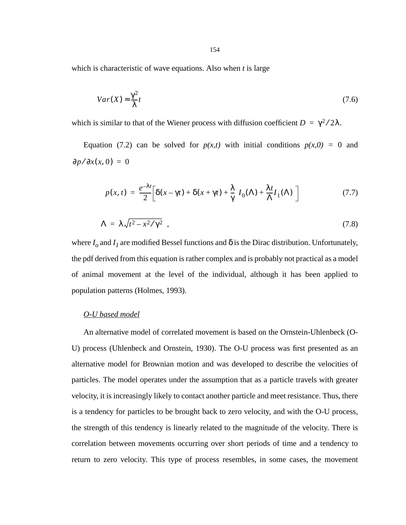which is characteristic of wave equations. Also when *t* is large

$$
Var(X) \approx \frac{\gamma^2}{\lambda} t \tag{7.6}
$$

which is similar to that of the Wiener process with diffusion coefficient  $D = \gamma^2/2\lambda$ .

Equation [\(7.2\)](#page-152-0) can be solved for  $p(x,t)$  with initial conditions  $p(x,0) = 0$  and  $\partial p / \partial x(x, 0) = 0$ 

$$
p(x,t) = \frac{e^{-\lambda t}}{2} \left[ \delta(x - \gamma t) + \delta(x + \gamma t) + \frac{\lambda}{\gamma} \left( I_0(\Lambda) + \frac{\lambda t}{\Lambda} I_1(\Lambda) \right) \right]
$$
(7.7)

$$
\Lambda = \lambda \sqrt{t^2 - x^2 / \gamma^2} \tag{7.8}
$$

where  $I_0$  and  $I_1$  are modified Bessel functions and  $\delta$  is the Dirac distribution. Unfortunately, the pdf derived from this equation is rather complex and is probably not practical as a model of animal movement at the level of the individual, although it has been applied to population patterns (Holmes, 1993).

## *O-U based model*

An alternative model of correlated movement is based on the Ornstein-Uhlenbeck (O-U) process (Uhlenbeck and Ornstein, 1930). The O-U process was first presented as an alternative model for Brownian motion and was developed to describe the velocities of particles. The model operates under the assumption that as a particle travels with greater velocity, it is increasingly likely to contact another particle and meet resistance. Thus, there is a tendency for particles to be brought back to zero velocity, and with the O-U process, the strength of this tendency is linearly related to the magnitude of the velocity. There is correlation between movements occurring over short periods of time and a tendency to return to zero velocity. This type of process resembles, in some cases, the movement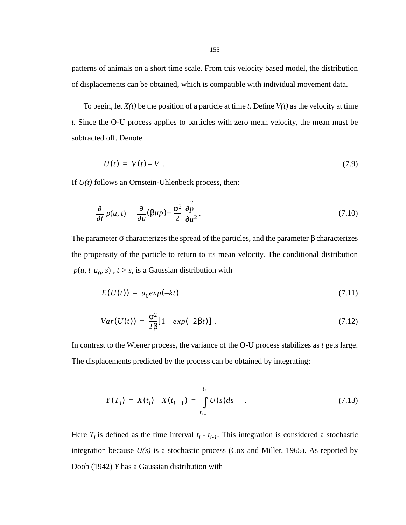patterns of animals on a short time scale. From this velocity based model, the distribution of displacements can be obtained, which is compatible with individual movement data.

To begin, let *X(t)* be the position of a particle at time *t*. Define *V(t)* as the velocity at time *t.* Since the O-U process applies to particles with zero mean velocity, the mean must be subtracted off. Denote

$$
U(t) = V(t) - \overline{V} \tag{7.9}
$$

If *U(t)* follows an Ornstein-Uhlenbeck process, then:

$$
\frac{\partial}{\partial t} p(u, t) = \frac{\partial}{\partial u} (\beta u p) + \frac{\sigma^2}{2} \frac{\partial p^2}{\partial u^2}.
$$
 (7.10)

The parameter  $\sigma$  characterizes the spread of the particles, and the parameter  $\beta$  characterizes the propensity of the particle to return to its mean velocity. The conditional distribution  $p(u, t | u_0, s)$ ,  $t > s$ , is a Gaussian distribution with

$$
E(U(t)) = u_0 exp(-kt)
$$
\n
$$
(7.11)
$$

$$
Var(U(t)) = \frac{\sigma^2}{2\beta} [1 - exp(-2\beta t)] \tag{7.12}
$$

In contrast to the Wiener process, the variance of the O-U process stabilizes as *t* gets large. The displacements predicted by the process can be obtained by integrating:

$$
Y(T_i) = X(t_i) - X(t_{i-1}) = \int_{t_{i-1}}^{t_i} U(s)ds
$$
 (7.13)

Here  $T_i$  is defined as the time interval  $t_i - t_{i-1}$ . This integration is considered a stochastic integration because *U(s)* is a stochastic process (Cox and Miller, 1965). As reported by Doob (1942) *Y* has a Gaussian distribution with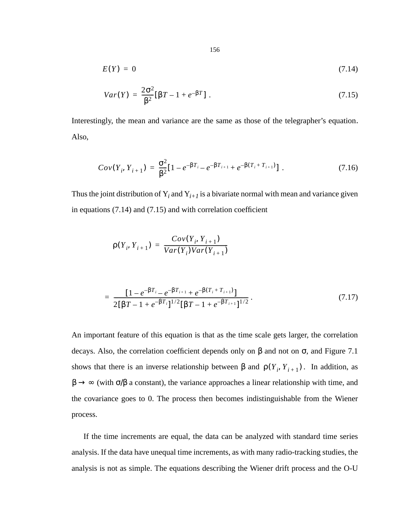<span id="page-155-0"></span>
$$
E(Y) = 0 \tag{7.14}
$$

$$
Var(Y) = \frac{2\sigma^2}{\beta^2} [\beta T - 1 + e^{-\beta T}] \ . \tag{7.15}
$$

Interestingly, the mean and variance are the same as those of the telegrapher's equation. Also,

$$
Cov(Y_i, Y_{i+1}) = \frac{\sigma^2}{\beta^2} [1 - e^{-\beta T_{i-1}} - e^{-\beta T_{i+1}} + e^{-\beta (T_i + T_{i+1})}]. \tag{7.16}
$$

Thus the joint distribution of  $Y_i$  and  $Y_{i+1}$  is a bivariate normal with mean and variance given in equations (7.14) and (7.15) and with correlation coefficient

$$
\rho(Y_i, Y_{i+1}) = \frac{Cov(Y_i, Y_{i+1})}{Var(Y_i)Var(Y_{i+1})}
$$

$$
= \frac{\left[1 - e^{-\beta T_{i}} - e^{-\beta T_{i+1}} + e^{-\beta (T_{i} + T_{i+1})}\right]}{2\left[\beta T - 1 + e^{-\beta T_{i}}\right]^{1/2}\left[\beta T - 1 + e^{-\beta T_{i+1}}\right]^{1/2}}.
$$
\n(7.17)

An important feature of this equation is that as the time scale gets larger, the correlation decays. Also, the correlation coefficient depends only on  $\beta$  and not on  $\sigma$ , and [Figure 7.1](#page-156-0) shows that there is an inverse relationship between  $\beta$  and  $\rho(Y_i, Y_{i+1})$ . In addition, as  $\beta \rightarrow \infty$  (with  $\sigma/\beta$  a constant), the variance approaches a linear relationship with time, and the covariance goes to 0. The process then becomes indistinguishable from the Wiener process.

If the time increments are equal, the data can be analyzed with standard time series analysis. If the data have unequal time increments, as with many radio-tracking studies, the analysis is not as simple. The equations describing the Wiener drift process and the O-U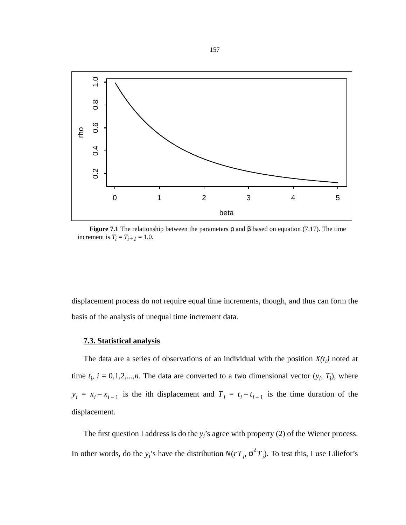<span id="page-156-0"></span>

**Figure 7.1** The relationship between the parameters ρ and β based on equation [\(7.17\).](#page-155-0) The time increment is  $T_i = T_{i+1} = 1.0$ .

displacement process do not require equal time increments, though, and thus can form the basis of the analysis of unequal time increment data.

### **7.3. Statistical analysis**

The data are a series of observations of an individual with the position  $X(t_i)$  noted at time  $t_i$ ,  $i = 0,1,2,...,n$ . The data are converted to a two dimensional vector  $(y_i, T_i)$ , where  $y_i = x_i - x_{i-1}$  is the *i*th displacement and  $T_i = t_i - t_{i-1}$  is the time duration of the displacement.

The first question I address is do the  $y_i$ 's agree with property (2) of the Wiener process. In other words, do the *y<sub>i</sub>*'s have the distribution  $N(rT_i, \sigma^2 T_i)$ . To test this, I use Liliefor's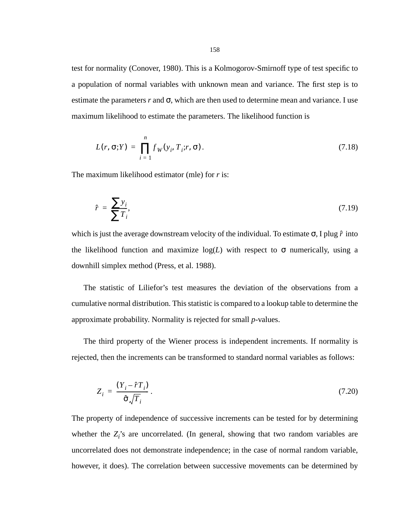test for normality (Conover, 1980). This is a Kolmogorov-Smirnoff type of test specific to a population of normal variables with unknown mean and variance. The first step is to estimate the parameters  $r$  and  $\sigma$ , which are then used to determine mean and variance. I use maximum likelihood to estimate the parameters. The likelihood function is

$$
L(r, \sigma; Y) = \prod_{i=1}^{n} f_W(y_i, T_i; r, \sigma).
$$
 (7.18)

The maximum likelihood estimator (mle) for *r* is:

$$
\hat{r} = \frac{\sum y_i}{\sum T_i},\tag{7.19}
$$

which is just the average downstream velocity of the individual. To estimate σ, I plug  $\hat{r}$  into the likelihood function and maximize  $log(L)$  with respect to  $\sigma$  numerically, using a downhill simplex method (Press, et al. 1988).

The statistic of Liliefor's test measures the deviation of the observations from a cumulative normal distribution. This statistic is compared to a lookup table to determine the approximate probability. Normality is rejected for small *p*-values.

The third property of the Wiener process is independent increments. If normality is rejected, then the increments can be transformed to standard normal variables as follows:

$$
Z_i = \frac{(Y_i - \hat{r}T_i)}{\hat{\sigma}\sqrt{T_i}}.
$$
\n(7.20)

The property of independence of successive increments can be tested for by determining whether the  $Z_i$ 's are uncorrelated. (In general, showing that two random variables are uncorrelated does not demonstrate independence; in the case of normal random variable, however, it does). The correlation between successive movements can be determined by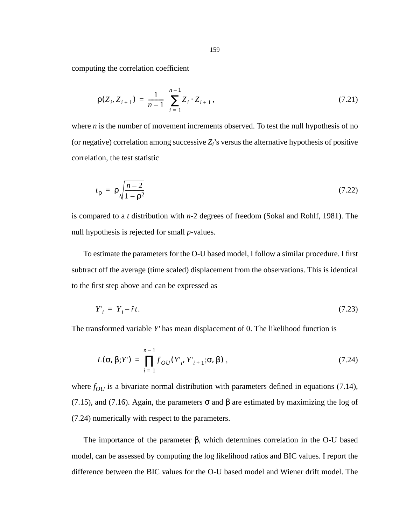computing the correlation coefficient

$$
\rho(Z_i, Z_{i+1}) = \frac{1}{n-1} \sum_{i=1}^{n-1} Z_i \cdot Z_{i+1},
$$
\n(7.21)

where *n* is the number of movement increments observed. To test the null hypothesis of no (or negative) correlation among successive  $Z_i$ 's versus the alternative hypothesis of positive correlation, the test statistic

$$
t_{\rho} = \rho \sqrt{\frac{n-2}{1-\rho^2}} \tag{7.22}
$$

is compared to a *t* distribution with *n*-2 degrees of freedom (Sokal and Rohlf, 1981). The null hypothesis is rejected for small *p*-values.

To estimate the parameters for the O-U based model, I follow a similar procedure. I first subtract off the average (time scaled) displacement from the observations. This is identical to the first step above and can be expressed as

$$
Y'_{i} = Y_{i} - \hat{r}t. \tag{7.23}
$$

The transformed variable *Y'* has mean displacement of 0. The likelihood function is

$$
L(\sigma, \beta; Y') = \prod_{i=1}^{n-1} f_{OU}(Y_i, Y'_{i+1}; \sigma, \beta) ,
$$
 (7.24)

where  $f_{OU}$  is a bivariate normal distribution with parameters defined in equations [\(7.14\)](#page-155-0), [\(7.15\),](#page-155-0) and [\(7.16\).](#page-155-0) Again, the parameters  $\sigma$  and  $\beta$  are estimated by maximizing the log of (7.24) numerically with respect to the parameters.

The importance of the parameter β, which determines correlation in the O-U based model, can be assessed by computing the log likelihood ratios and BIC values. I report the difference between the BIC values for the O-U based model and Wiener drift model. The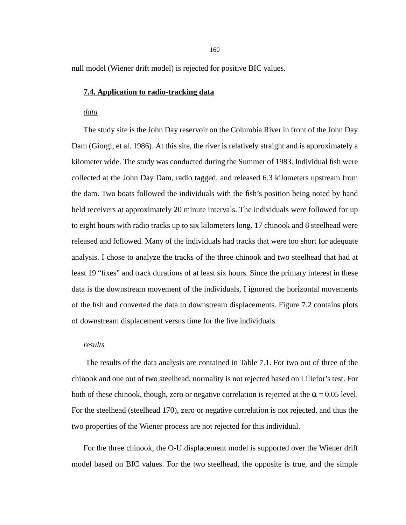null model (Wiener drift model) is rejected for positive BIC values.

### **7.4. Application to radio-tracking data**

### *data*

The study site is the John Day reservoir on the Columbia River in front of the John Day Dam (Giorgi, et al. 1986). At this site, the river is relatively straight and is approximately a kilometer wide. The study was conducted during the Summer of 1983. Individual fish were collected at the John Day Dam, radio tagged, and released 6.3 kilometers upstream from the dam. Two boats followed the individuals with the fish's position being noted by hand held receivers at approximately 20 minute intervals. The individuals were followed for up to eight hours with radio tracks up to six kilometers long. 17 chinook and 8 steelhead were released and followed. Many of the individuals had tracks that were too short for adequate analysis. I chose to analyze the tracks of the three chinook and two steelhead that had at least 19 "fixes" and track durations of at least six hours. Since the primary interest in these data is the downstream movement of the individuals, I ignored the horizontal movements of the fish and converted the data to downstream displacements. [Figure 7.2](#page-160-0) contains plots of downstream displacement versus time for the five individuals.

### *results*

 The results of the data analysis are contained in [Table 7.1](#page-161-0). For two out of three of the chinook and one out of two steelhead, normality is not rejected based on Liliefor's test. For both of these chinook, though, zero or negative correlation is rejected at the  $\alpha$  = 0.05 level. For the steelhead (steelhead 170), zero or negative correlation is not rejected, and thus the two properties of the Wiener process are not rejected for this individual.

For the three chinook, the O-U displacement model is supported over the Wiener drift model based on BIC values. For the two steelhead, the opposite is true, and the simple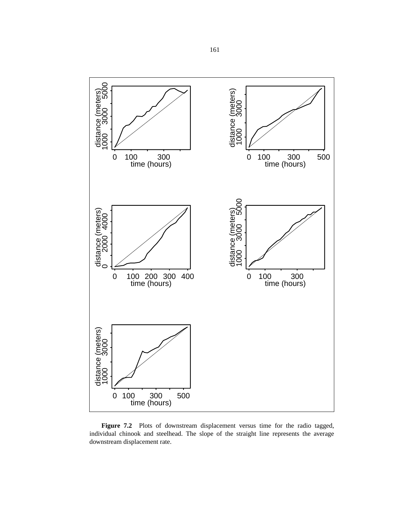<span id="page-160-0"></span>

Figure 7.2 Plots of downstream displacement versus time for the radio tagged, individual chinook and steelhead. The slope of the straight line represents the average downstream displacement rate.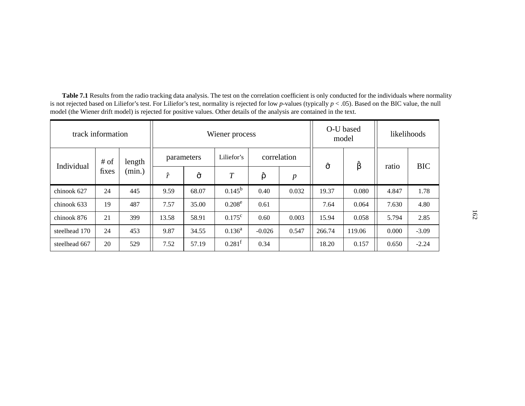| track information |        | Wiener process |           |                |                 |             | O-U based<br>model |                | likelihoods |       |            |
|-------------------|--------|----------------|-----------|----------------|-----------------|-------------|--------------------|----------------|-------------|-------|------------|
| Individual        | $#$ of | length         |           | parameters     | Liliefor's      | correlation |                    | $\hat{\sigma}$ | β           |       | <b>BIC</b> |
|                   | fixes  | (min.)         | $\hat{r}$ | $\hat{\sigma}$ | $\overline{T}$  | ô           | $\boldsymbol{p}$   |                |             | ratio |            |
| chinook 627       | 24     | 445            | 9.59      | 68.07          | $0.145^{\rm b}$ | 0.40        | 0.032              | 19.37          | 0.080       | 4.847 | 1.78       |
| chinook 633       | 19     | 487            | 7.57      | 35.00          | $0.208^e$       | 0.61        |                    | 7.64           | 0.064       | 7.630 | 4.80       |
| chinook 876       | 21     | 399            | 13.58     | 58.91          | $0.175^{\rm c}$ | 0.60        | 0.003              | 15.94          | 0.058       | 5.794 | 2.85       |
| steelhead 170     | 24     | 453            | 9.87      | 34.55          | $0.136^a$       | $-0.026$    | 0.547              | 266.74         | 119.06      | 0.000 | $-3.09$    |
| steelhead 667     | 20     | 529            | 7.52      | 57.19          | $0.281^{\rm f}$ | 0.34        |                    | 18.20          | 0.157       | 0.650 | $-2.24$    |

<span id="page-161-0"></span>**Table 7.1** Results from the radio tracking data analysis. The test on the correlation coefficient is only conducted for the individuals where normality is not rejected based on Liliefor's test. For Liliefor's test, normality is rejected for low *p*-values (typically *p* < .05). Based on the BIC value, the null model (the Wiener drift model) is rejected for positive values. Other details of the analysis are contained in the text.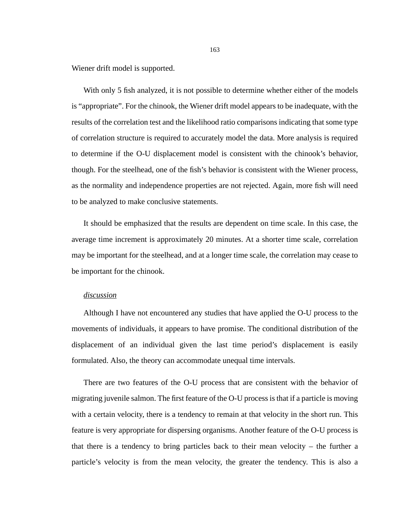Wiener drift model is supported.

With only 5 fish analyzed, it is not possible to determine whether either of the models is "appropriate". For the chinook, the Wiener drift model appears to be inadequate, with the results of the correlation test and the likelihood ratio comparisons indicating that some type of correlation structure is required to accurately model the data. More analysis is required to determine if the O-U displacement model is consistent with the chinook's behavior, though. For the steelhead, one of the fish's behavior is consistent with the Wiener process, as the normality and independence properties are not rejected. Again, more fish will need to be analyzed to make conclusive statements.

It should be emphasized that the results are dependent on time scale. In this case, the average time increment is approximately 20 minutes. At a shorter time scale, correlation may be important for the steelhead, and at a longer time scale, the correlation may cease to be important for the chinook.

### *discussion*

Although I have not encountered any studies that have applied the O-U process to the movements of individuals, it appears to have promise. The conditional distribution of the displacement of an individual given the last time period's displacement is easily formulated. Also, the theory can accommodate unequal time intervals.

There are two features of the O-U process that are consistent with the behavior of migrating juvenile salmon. The first feature of the O-U process is that if a particle is moving with a certain velocity, there is a tendency to remain at that velocity in the short run. This feature is very appropriate for dispersing organisms. Another feature of the O-U process is that there is a tendency to bring particles back to their mean velocity – the further a particle's velocity is from the mean velocity, the greater the tendency. This is also a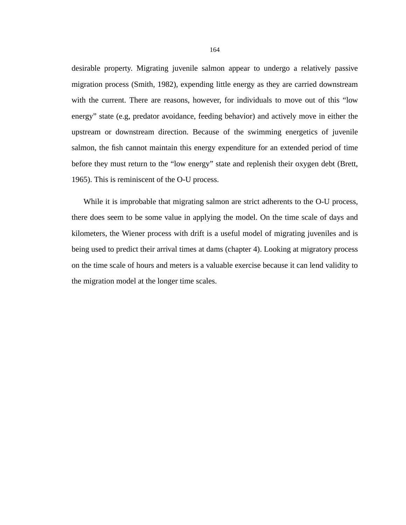desirable property. Migrating juvenile salmon appear to undergo a relatively passive migration process (Smith, 1982), expending little energy as they are carried downstream with the current. There are reasons, however, for individuals to move out of this "low energy" state (e.g, predator avoidance, feeding behavior) and actively move in either the upstream or downstream direction. Because of the swimming energetics of juvenile salmon, the fish cannot maintain this energy expenditure for an extended period of time before they must return to the "low energy" state and replenish their oxygen debt (Brett, 1965). This is reminiscent of the O-U process.

While it is improbable that migrating salmon are strict adherents to the O-U process, there does seem to be some value in applying the model. On the time scale of days and kilometers, the Wiener process with drift is a useful model of migrating juveniles and is being used to predict their arrival times at dams (chapter 4). Looking at migratory process on the time scale of hours and meters is a valuable exercise because it can lend validity to the migration model at the longer time scales.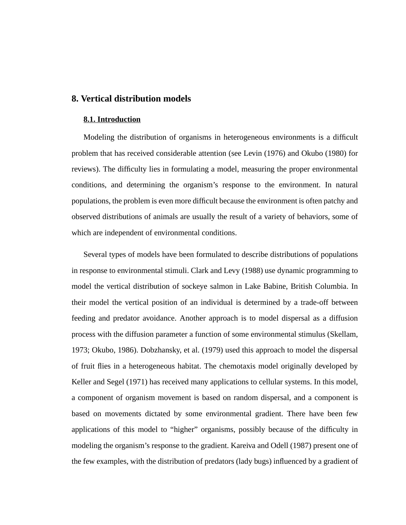## **8. Vertical distribution models**

#### **8.1. Introduction**

Modeling the distribution of organisms in heterogeneous environments is a difficult problem that has received considerable attention (see Levin (1976) and Okubo (1980) for reviews). The difficulty lies in formulating a model, measuring the proper environmental conditions, and determining the organism's response to the environment. In natural populations, the problem is even more difficult because the environment is often patchy and observed distributions of animals are usually the result of a variety of behaviors, some of which are independent of environmental conditions.

Several types of models have been formulated to describe distributions of populations in response to environmental stimuli. Clark and Levy (1988) use dynamic programming to model the vertical distribution of sockeye salmon in Lake Babine, British Columbia. In their model the vertical position of an individual is determined by a trade-off between feeding and predator avoidance. Another approach is to model dispersal as a diffusion process with the diffusion parameter a function of some environmental stimulus (Skellam, 1973; Okubo, 1986). Dobzhansky, et al. (1979) used this approach to model the dispersal of fruit flies in a heterogeneous habitat. The chemotaxis model originally developed by Keller and Segel (1971) has received many applications to cellular systems. In this model, a component of organism movement is based on random dispersal, and a component is based on movements dictated by some environmental gradient. There have been few applications of this model to "higher" organisms, possibly because of the difficulty in modeling the organism's response to the gradient. Kareiva and Odell (1987) present one of the few examples, with the distribution of predators (lady bugs) influenced by a gradient of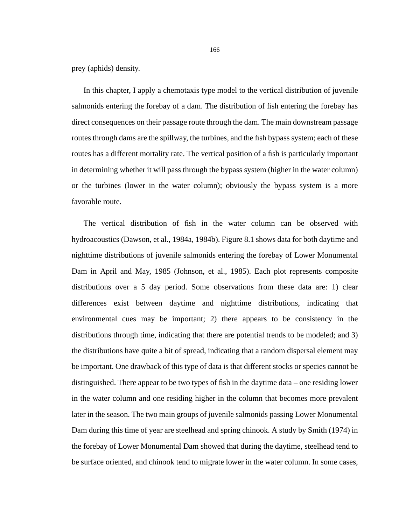prey (aphids) density.

In this chapter, I apply a chemotaxis type model to the vertical distribution of juvenile salmonids entering the forebay of a dam. The distribution of fish entering the forebay has direct consequences on their passage route through the dam. The main downstream passage routes through dams are the spillway, the turbines, and the fish bypass system; each of these routes has a different mortality rate. The vertical position of a fish is particularly important in determining whether it will pass through the bypass system (higher in the water column) or the turbines (lower in the water column); obviously the bypass system is a more favorable route.

The vertical distribution of fish in the water column can be observed with hydroacoustics (Dawson, et al., 1984a, 1984b). [Figure 8.1](#page-166-0) shows data for both daytime and nighttime distributions of juvenile salmonids entering the forebay of Lower Monumental Dam in April and May, 1985 (Johnson, et al., 1985). Each plot represents composite distributions over a 5 day period. Some observations from these data are: 1) clear differences exist between daytime and nighttime distributions, indicating that environmental cues may be important; 2) there appears to be consistency in the distributions through time, indicating that there are potential trends to be modeled; and 3) the distributions have quite a bit of spread, indicating that a random dispersal element may be important. One drawback of this type of data is that different stocks or species cannot be distinguished. There appear to be two types of fish in the daytime data – one residing lower in the water column and one residing higher in the column that becomes more prevalent later in the season. The two main groups of juvenile salmonids passing Lower Monumental Dam during this time of year are steelhead and spring chinook. A study by Smith (1974) in the forebay of Lower Monumental Dam showed that during the daytime, steelhead tend to be surface oriented, and chinook tend to migrate lower in the water column. In some cases,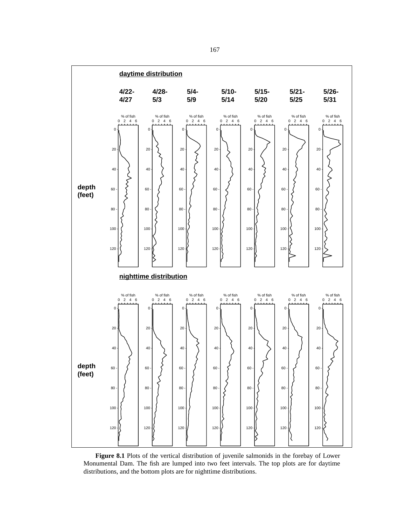<span id="page-166-0"></span>

**Figure 8.1** Plots of the vertical distribution of juvenile salmonids in the forebay of Lower Monumental Dam. The fish are lumped into two feet intervals. The top plots are for daytime distributions, and the bottom plots are for nighttime distributions.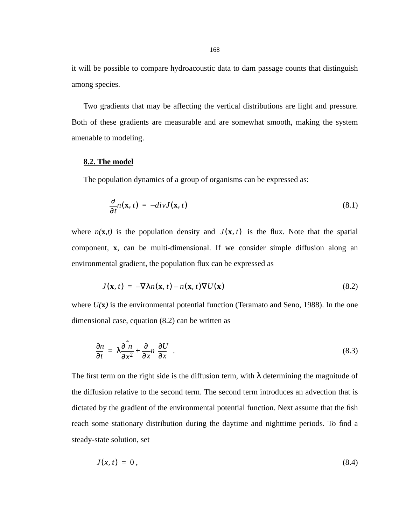it will be possible to compare hydroacoustic data to dam passage counts that distinguish among species.

Two gradients that may be affecting the vertical distributions are light and pressure. Both of these gradients are measurable and are somewhat smooth, making the system amenable to modeling.

### **8.2. The model**

The population dynamics of a group of organisms can be expressed as:

$$
\frac{\partial}{\partial t}n(\mathbf{x},t) = -divJ(\mathbf{x},t) \tag{8.1}
$$

where  $n(\mathbf{x},t)$  is the population density and  $J(\mathbf{x},t)$  is the flux. Note that the spatial component, **x**, can be multi-dimensional. If we consider simple diffusion along an environmental gradient, the population flux can be expressed as

$$
J(\mathbf{x}, t) = -\nabla \lambda n(\mathbf{x}, t) - n(\mathbf{x}, t) \nabla U(\mathbf{x}) \tag{8.2}
$$

where  $U(x)$  is the environmental potential function (Teramato and Seno, 1988). In the one dimensional case, equation (8.2) can be written as

$$
\frac{\partial n}{\partial t} = \lambda \frac{\partial^2 n}{\partial x^2} + \frac{\partial}{\partial x} n \left( \frac{\partial U}{\partial x} \right).
$$
\n(8.3)

The first term on the right side is the diffusion term, with  $\lambda$  determining the magnitude of the diffusion relative to the second term. The second term introduces an advection that is dictated by the gradient of the environmental potential function. Next assume that the fish reach some stationary distribution during the daytime and nighttime periods. To find a steady-state solution, set

$$
J(x,t) = 0, \tag{8.4}
$$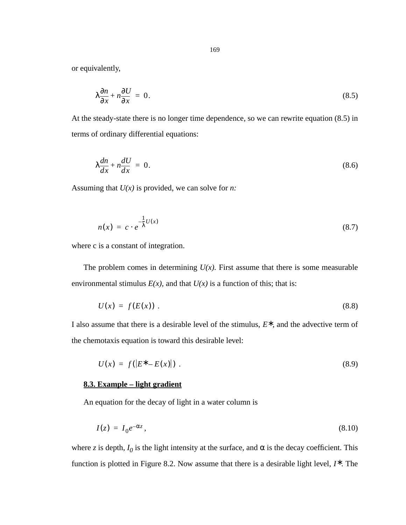<span id="page-168-0"></span>or equivalently,

$$
\lambda \frac{\partial n}{\partial x} + n \frac{\partial U}{\partial x} = 0. \tag{8.5}
$$

At the steady-state there is no longer time dependence, so we can rewrite equation (8.5) in terms of ordinary differential equations:

$$
\lambda \frac{dn}{dx} + n \frac{dU}{dx} = 0. \tag{8.6}
$$

Assuming that *U(x)* is provided, we can solve for *n:*

$$
n(x) = c \cdot e^{-\frac{1}{\lambda}U(x)} \tag{8.7}
$$

where c is a constant of integration.

The problem comes in determining  $U(x)$ . First assume that there is some measurable environmental stimulus  $E(x)$ , and that  $U(x)$  is a function of this; that is:

$$
U(x) = f(E(x)) \tag{8.8}
$$

I also assume that there is a desirable level of the stimulus,  $E^*$ , and the advective term of the chemotaxis equation is toward this desirable level:

$$
U(x) = f(|E^* - E(x)|) \tag{8.9}
$$

## **8.3. Example – light gradient**

An equation for the decay of light in a water column is

$$
I(z) = I_0 e^{-\alpha z},\tag{8.10}
$$

where *z* is depth,  $I_0$  is the light intensity at the surface, and  $\alpha$  is the decay coefficient. This function is plotted in [Figure 8.2.](#page-169-0) Now assume that there is a desirable light level,  $I^*$ . The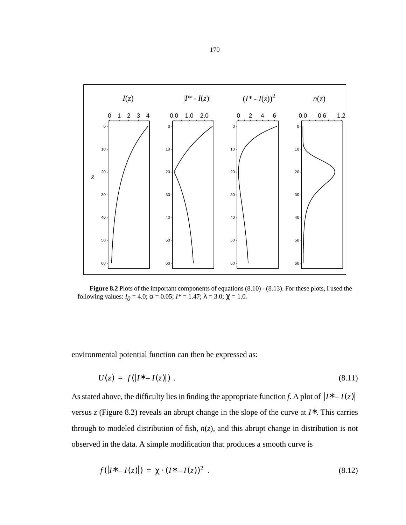<span id="page-169-0"></span>

**Figure 8.2** Plots of the important components of equations [\(8.10\)](#page-168-0) - [\(8.13\).](#page-170-0) For these plots, I used the following values:  $I_0 = 4.0$ ;  $\alpha = 0.05$ ;  $I^* = 1.47$ ;  $\lambda = 3.0$ ;  $\chi = 1.0$ .

environmental potential function can then be expressed as:

$$
U(z) = f(|I^* - I(z)|) \tag{8.11}
$$

As stated above, the difficulty lies in finding the appropriate function *f*. A plot of  $|I^* - I(z)|$ versus *z* (Figure 8.2) reveals an abrupt change in the slope of the curve at  $I^*$ . This carries through to modeled distribution of fish, *n*(*z*), and this abrupt change in distribution is not observed in the data. A simple modification that produces a smooth curve is

$$
f(|I^* - I(z)|) = \chi \cdot (I^* - I(z))^2 \tag{8.12}
$$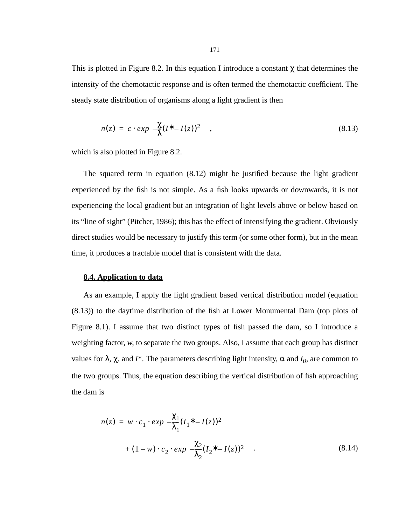<span id="page-170-0"></span>This is plotted in [Figure 8.2.](#page-169-0) In this equation I introduce a constant  $\chi$  that determines the intensity of the chemotactic response and is often termed the chemotactic coefficient. The steady state distribution of organisms along a light gradient is then

$$
n(z) = c \cdot exp\left(-\frac{\chi}{\lambda}(I^* - I(z))^2\right) \tag{8.13}
$$

which is also plotted in [Figure 8.2.](#page-169-0)

The squared term in equation [\(8.12\)](#page-169-0) might be justified because the light gradient experienced by the fish is not simple. As a fish looks upwards or downwards, it is not experiencing the local gradient but an integration of light levels above or below based on its "line of sight" (Pitcher, 1986); this has the effect of intensifying the gradient. Obviously direct studies would be necessary to justify this term (or some other form), but in the mean time, it produces a tractable model that is consistent with the data.

### **8.4. Application to data**

As an example, I apply the light gradient based vertical distribution model (equation (8.13)) to the daytime distribution of the fish at Lower Monumental Dam (top plots of [Figure 8.1](#page-166-0)). I assume that two distinct types of fish passed the dam, so I introduce a weighting factor, *w*, to separate the two groups. Also, I assume that each group has distinct values for  $\lambda$ ,  $\chi$ , and *I*<sup>\*</sup>. The parameters describing light intensity, α and *I*<sub>0</sub>, are common to the two groups. Thus, the equation describing the vertical distribution of fish approaching the dam is

$$
n(z) = w \cdot c_1 \cdot exp\left(-\frac{\chi_1}{\lambda_1} (I_1^* - I(z))^2\right) + (1 - w) \cdot c_2 \cdot exp\left(-\frac{\chi_2}{\lambda_2} (I_2^* - I(z))^2\right) \tag{8.14}
$$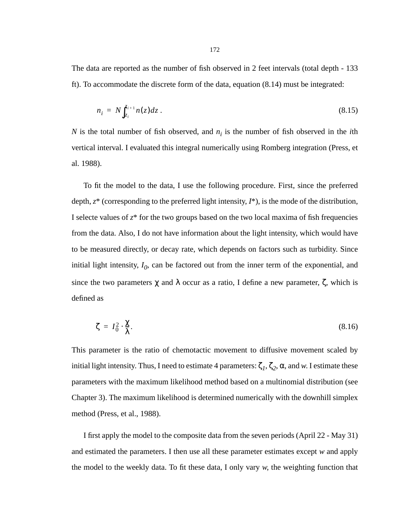The data are reported as the number of fish observed in 2 feet intervals (total depth - 133 ft). To accommodate the discrete form of the data, equation [\(8.14\)](#page-170-0) must be integrated:

$$
n_i = N \int_{z_i}^{z_{i+1}} n(z) dz \,. \tag{8.15}
$$

*N* is the total number of fish observed, and  $n_i$  is the number of fish observed in the *i*th vertical interval. I evaluated this integral numerically using Romberg integration (Press, et al. 1988).

To fit the model to the data, I use the following procedure. First, since the preferred depth, *z*\* (corresponding to the preferred light intensity, *I*\*), is the mode of the distribution, I selecte values of  $z^*$  for the two groups based on the two local maxima of fish frequencies from the data. Also, I do not have information about the light intensity, which would have to be measured directly, or decay rate, which depends on factors such as turbidity. Since initial light intensity,  $I_0$ , can be factored out from the inner term of the exponential, and since the two parameters  $\chi$  and  $\lambda$  occur as a ratio, I define a new parameter,  $\zeta$ , which is defined as

$$
\zeta = I_0^2 \cdot \frac{\chi}{\lambda}.\tag{8.16}
$$

This parameter is the ratio of chemotactic movement to diffusive movement scaled by initial light intensity. Thus, I need to estimate 4 parameters:  $\zeta_1$ ,  $\zeta_2$ ,  $\alpha$ , and *w*. I estimate these parameters with the maximum likelihood method based on a multinomial distribution (see Chapter 3). The maximum likelihood is determined numerically with the downhill simplex method (Press, et al., 1988).

I first apply the model to the composite data from the seven periods (April 22 - May 31) and estimated the parameters. I then use all these parameter estimates except *w* and apply the model to the weekly data. To fit these data, I only vary *w*, the weighting function that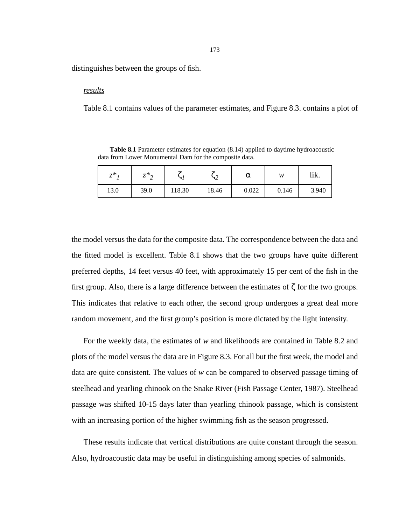<span id="page-172-0"></span>distinguishes between the groups of fish.

#### *results*

Table 8.1 contains values of the parameter estimates, and [Figure 8.3](#page-173-0). contains a plot of

**Table 8.1** Parameter estimates for equation [\(8.14\)](#page-170-0) applied to daytime hydroacoustic data from Lower Monumental Dam for the composite data.

| $-$ *<br>∼ | $7*$<br>∼<br>∸ | $\epsilon$ | $\epsilon$<br>$\overline{\phantom{a}}$<br>⊃∠ | α     | w     | ちょ<br>ШΛ. |
|------------|----------------|------------|----------------------------------------------|-------|-------|-----------|
| 13.0       | 39.0           | 118.30     | 18.46                                        | 0.022 | 0.146 | 3.940     |

the model versus the data for the composite data. The correspondence between the data and the fitted model is excellent. Table 8.1 shows that the two groups have quite different preferred depths, 14 feet versus 40 feet, with approximately 15 per cent of the fish in the first group. Also, there is a large difference between the estimates of ζ for the two groups. This indicates that relative to each other, the second group undergoes a great deal more random movement, and the first group's position is more dictated by the light intensity.

For the weekly data, the estimates of *w* and likelihoods are contained in [Table 8.2](#page-174-0) and plots of the model versus the data are in [Figure 8.3.](#page-173-0) For all but the first week, the model and data are quite consistent. The values of *w* can be compared to observed passage timing of steelhead and yearling chinook on the Snake River (Fish Passage Center, 1987). Steelhead passage was shifted 10-15 days later than yearling chinook passage, which is consistent with an increasing portion of the higher swimming fish as the season progressed.

These results indicate that vertical distributions are quite constant through the season. Also, hydroacoustic data may be useful in distinguishing among species of salmonids.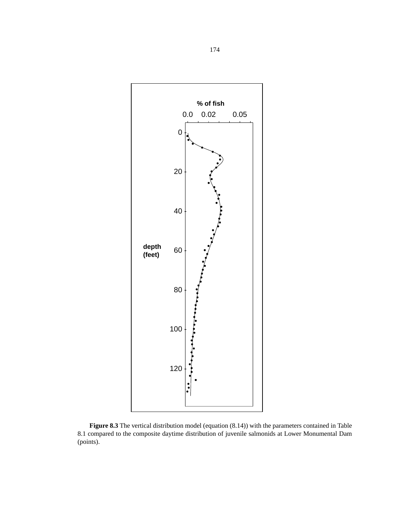<span id="page-173-0"></span>

**Figure 8.3** The vertical distribution model (equation [\(8.14\)\)](#page-170-0) with the parameters contained in [Table](#page-172-0) [8.1](#page-172-0) compared to the composite daytime distribution of juvenile salmonids at Lower Monumental Dam (points).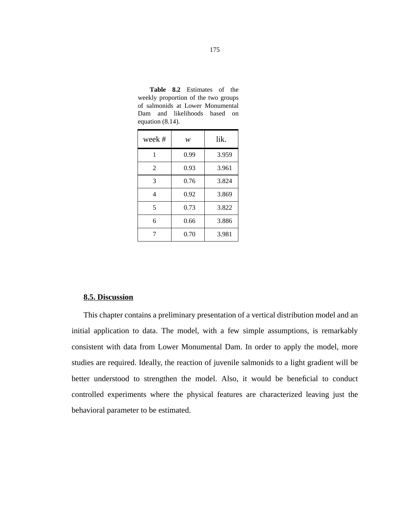| week#          | w    | lik.  |
|----------------|------|-------|
| 1              | 0.99 | 3.959 |
| $\overline{2}$ | 0.93 | 3.961 |
| 3              | 0.76 | 3.824 |
| 4              | 0.92 | 3.869 |
| 5              | 0.73 | 3.822 |
| 6              | 0.66 | 3.886 |
| 7              | 0.70 | 3.981 |

<span id="page-174-0"></span>**Table 8.2** Estimates of the weekly proportion of the two groups of salmonids at Lower Monumental Dam and likelihoods based on equation [\(8.14\)](#page-170-0).

### **8.5. Discussion**

This chapter contains a preliminary presentation of a vertical distribution model and an initial application to data. The model, with a few simple assumptions, is remarkably consistent with data from Lower Monumental Dam. In order to apply the model, more studies are required. Ideally, the reaction of juvenile salmonids to a light gradient will be better understood to strengthen the model. Also, it would be beneficial to conduct controlled experiments where the physical features are characterized leaving just the behavioral parameter to be estimated.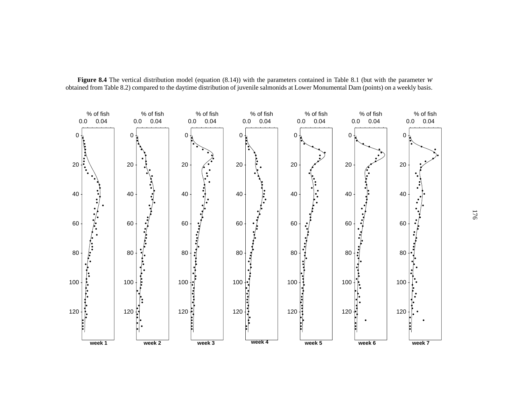

**Figure 8.4** The vertical distribution model (equation [\(8.14\)](#page-170-0)) with the parameters contained in [Table 8.1](#page-172-0) (but with the parameter *<sup>w</sup>* obtained from [Table 8.2](#page-174-0)) compared to the daytime distribution of juvenile salmonids at Lower Monumental Dam (points) on a weekly basis.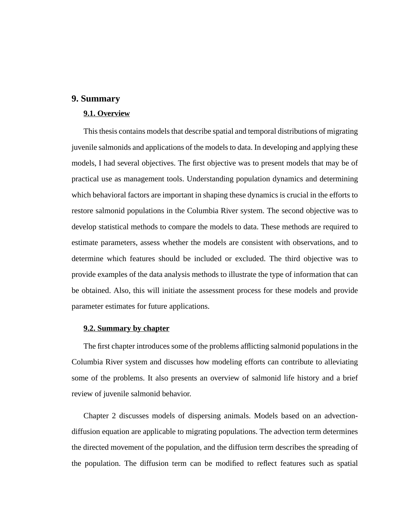## **9. Summary**

## **9.1. Overview**

This thesis contains models that describe spatial and temporal distributions of migrating juvenile salmonids and applications of the models to data. In developing and applying these models, I had several objectives. The first objective was to present models that may be of practical use as management tools. Understanding population dynamics and determining which behavioral factors are important in shaping these dynamics is crucial in the efforts to restore salmonid populations in the Columbia River system. The second objective was to develop statistical methods to compare the models to data. These methods are required to estimate parameters, assess whether the models are consistent with observations, and to determine which features should be included or excluded. The third objective was to provide examples of the data analysis methods to illustrate the type of information that can be obtained. Also, this will initiate the assessment process for these models and provide parameter estimates for future applications.

### **9.2. Summary by chapter**

The first chapter introduces some of the problems afflicting salmonid populations in the Columbia River system and discusses how modeling efforts can contribute to alleviating some of the problems. It also presents an overview of salmonid life history and a brief review of juvenile salmonid behavior.

Chapter 2 discusses models of dispersing animals. Models based on an advectiondiffusion equation are applicable to migrating populations. The advection term determines the directed movement of the population, and the diffusion term describes the spreading of the population. The diffusion term can be modified to reflect features such as spatial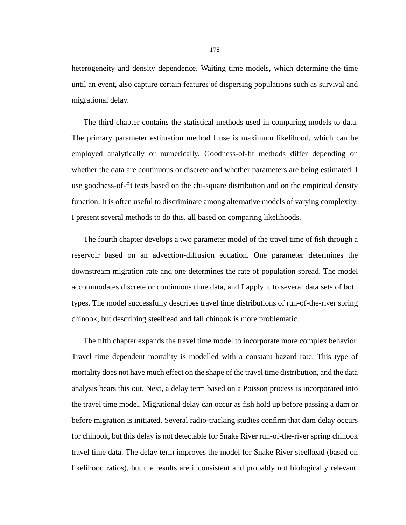heterogeneity and density dependence. Waiting time models, which determine the time until an event, also capture certain features of dispersing populations such as survival and migrational delay.

The third chapter contains the statistical methods used in comparing models to data. The primary parameter estimation method I use is maximum likelihood, which can be employed analytically or numerically. Goodness-of-fit methods differ depending on whether the data are continuous or discrete and whether parameters are being estimated. I use goodness-of-fit tests based on the chi-square distribution and on the empirical density function. It is often useful to discriminate among alternative models of varying complexity. I present several methods to do this, all based on comparing likelihoods.

The fourth chapter develops a two parameter model of the travel time of fish through a reservoir based on an advection-diffusion equation. One parameter determines the downstream migration rate and one determines the rate of population spread. The model accommodates discrete or continuous time data, and I apply it to several data sets of both types. The model successfully describes travel time distributions of run-of-the-river spring chinook, but describing steelhead and fall chinook is more problematic.

The fifth chapter expands the travel time model to incorporate more complex behavior. Travel time dependent mortality is modelled with a constant hazard rate. This type of mortality does not have much effect on the shape of the travel time distribution, and the data analysis bears this out. Next, a delay term based on a Poisson process is incorporated into the travel time model. Migrational delay can occur as fish hold up before passing a dam or before migration is initiated. Several radio-tracking studies confirm that dam delay occurs for chinook, but this delay is not detectable for Snake River run-of-the-river spring chinook travel time data. The delay term improves the model for Snake River steelhead (based on likelihood ratios), but the results are inconsistent and probably not biologically relevant.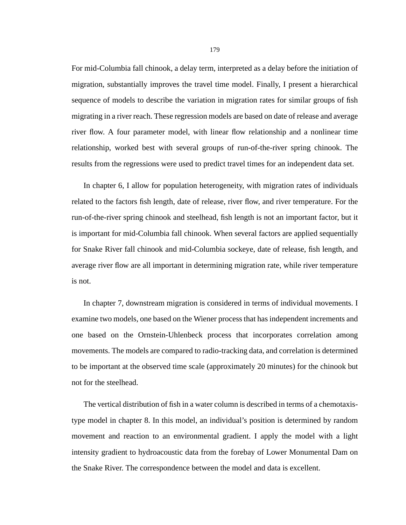For mid-Columbia fall chinook, a delay term, interpreted as a delay before the initiation of migration, substantially improves the travel time model. Finally, I present a hierarchical sequence of models to describe the variation in migration rates for similar groups of fish migrating in a river reach. These regression models are based on date of release and average river flow. A four parameter model, with linear flow relationship and a nonlinear time relationship, worked best with several groups of run-of-the-river spring chinook. The results from the regressions were used to predict travel times for an independent data set.

In chapter 6, I allow for population heterogeneity, with migration rates of individuals related to the factors fish length, date of release, river flow, and river temperature. For the run-of-the-river spring chinook and steelhead, fish length is not an important factor, but it is important for mid-Columbia fall chinook. When several factors are applied sequentially for Snake River fall chinook and mid-Columbia sockeye, date of release, fish length, and average river flow are all important in determining migration rate, while river temperature is not.

In chapter 7, downstream migration is considered in terms of individual movements. I examine two models, one based on the Wiener process that has independent increments and one based on the Ornstein-Uhlenbeck process that incorporates correlation among movements. The models are compared to radio-tracking data, and correlation is determined to be important at the observed time scale (approximately 20 minutes) for the chinook but not for the steelhead.

The vertical distribution of fish in a water column is described in terms of a chemotaxistype model in chapter 8. In this model, an individual's position is determined by random movement and reaction to an environmental gradient. I apply the model with a light intensity gradient to hydroacoustic data from the forebay of Lower Monumental Dam on the Snake River. The correspondence between the model and data is excellent.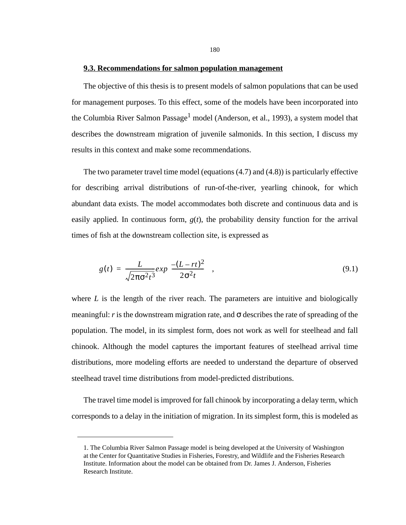#### **9.3. Recommendations for salmon population management**

The objective of this thesis is to present models of salmon populations that can be used for management purposes. To this effect, some of the models have been incorporated into the Columbia River Salmon Passage<sup>1</sup> model (Anderson, et al., 1993), a system model that describes the downstream migration of juvenile salmonids. In this section, I discuss my results in this context and make some recommendations.

The two parameter travel time model (equations (4.7) and (4.8)) is particularly effective for describing arrival distributions of run-of-the-river, yearling chinook, for which abundant data exists. The model accommodates both discrete and continuous data and is easily applied. In continuous form,  $g(t)$ , the probability density function for the arrival times of fish at the downstream collection site, is expressed as

$$
g(t) = \frac{L}{\sqrt{2\pi\sigma^2 t^3}} exp\left(\frac{-(L-rt)^2}{2\sigma^2 t}\right),\tag{9.1}
$$

where *L* is the length of the river reach. The parameters are intuitive and biologically meaningful: *r* is the downstream migration rate, and  $\sigma$  describes the rate of spreading of the population. The model, in its simplest form, does not work as well for steelhead and fall chinook. Although the model captures the important features of steelhead arrival time distributions, more modeling efforts are needed to understand the departure of observed steelhead travel time distributions from model-predicted distributions.

The travel time model is improved for fall chinook by incorporating a delay term, which corresponds to a delay in the initiation of migration. In its simplest form, this is modeled as

<sup>1.</sup> The Columbia River Salmon Passage model is being developed at the University of Washington at the Center for Quantitative Studies in Fisheries, Forestry, and Wildlife and the Fisheries Research Institute. Information about the model can be obtained from Dr. James J. Anderson, Fisheries Research Institute.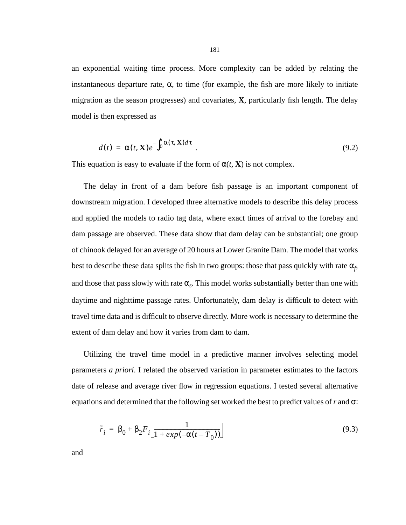an exponential waiting time process. More complexity can be added by relating the instantaneous departure rate,  $\alpha$ , to time (for example, the fish are more likely to initiate migration as the season progresses) and covariates, **X**, particularly fish length. The delay model is then expressed as

$$
d(t) = \alpha(t, \mathbf{X})e^{-\int_0^t \alpha(\tau, \mathbf{X})d\tau} \tag{9.2}
$$

This equation is easy to evaluate if the form of  $\alpha(t, \mathbf{X})$  is not complex.

The delay in front of a dam before fish passage is an important component of downstream migration. I developed three alternative models to describe this delay process and applied the models to radio tag data, where exact times of arrival to the forebay and dam passage are observed. These data show that dam delay can be substantial; one group of chinook delayed for an average of 20 hours at Lower Granite Dam. The model that works best to describe these data splits the fish in two groups: those that pass quickly with rate  $\alpha_f$ , and those that pass slowly with rate  $\alpha_s$ . This model works substantially better than one with daytime and nighttime passage rates. Unfortunately, dam delay is difficult to detect with travel time data and is difficult to observe directly. More work is necessary to determine the extent of dam delay and how it varies from dam to dam.

Utilizing the travel time model in a predictive manner involves selecting model parameters *a priori*. I related the observed variation in parameter estimates to the factors date of release and average river flow in regression equations. I tested several alternative equations and determined that the following set worked the best to predict values of*r* and σ:

$$
\tilde{r}_i = \beta_0 + \beta_2 F_i \left[ \frac{1}{1 + exp(-\alpha(t - T_0))} \right] \tag{9.3}
$$

and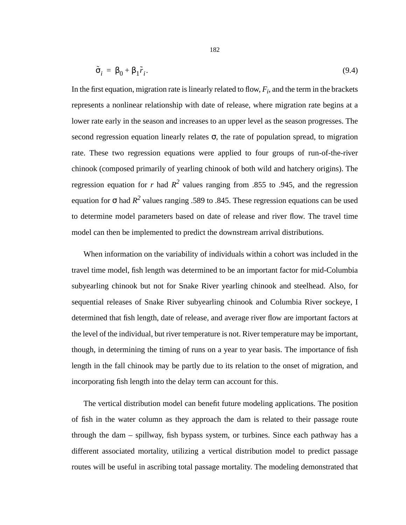$$
\tilde{\sigma}_i = \beta_0 + \beta_1 \tilde{r}_i. \tag{9.4}
$$

In the first equation, migration rate is linearly related to flow,  $F_i$ , and the term in the brackets represents a nonlinear relationship with date of release, where migration rate begins at a lower rate early in the season and increases to an upper level as the season progresses. The second regression equation linearly relates  $\sigma$ , the rate of population spread, to migration rate. These two regression equations were applied to four groups of run-of-the-river chinook (composed primarily of yearling chinook of both wild and hatchery origins). The regression equation for *r* had  $R^2$  values ranging from .855 to .945, and the regression equation for  $\sigma$  had  $R^2$  values ranging .589 to .845. These regression equations can be used to determine model parameters based on date of release and river flow. The travel time model can then be implemented to predict the downstream arrival distributions.

When information on the variability of individuals within a cohort was included in the travel time model, fish length was determined to be an important factor for mid-Columbia subyearling chinook but not for Snake River yearling chinook and steelhead. Also, for sequential releases of Snake River subyearling chinook and Columbia River sockeye, I determined that fish length, date of release, and average river flow are important factors at the level of the individual, but river temperature is not. River temperature may be important, though, in determining the timing of runs on a year to year basis. The importance of fish length in the fall chinook may be partly due to its relation to the onset of migration, and incorporating fish length into the delay term can account for this.

The vertical distribution model can benefit future modeling applications. The position of fish in the water column as they approach the dam is related to their passage route through the dam – spillway, fish bypass system, or turbines. Since each pathway has a different associated mortality, utilizing a vertical distribution model to predict passage routes will be useful in ascribing total passage mortality. The modeling demonstrated that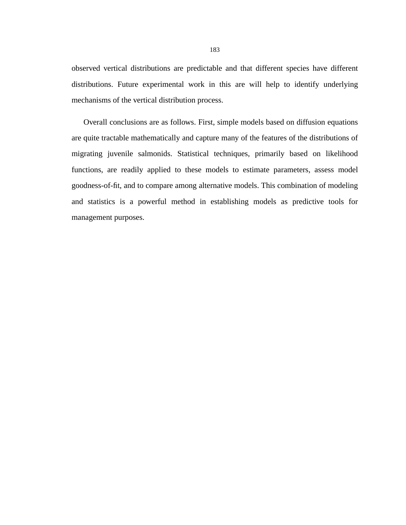observed vertical distributions are predictable and that different species have different distributions. Future experimental work in this are will help to identify underlying mechanisms of the vertical distribution process.

Overall conclusions are as follows. First, simple models based on diffusion equations are quite tractable mathematically and capture many of the features of the distributions of migrating juvenile salmonids. Statistical techniques, primarily based on likelihood functions, are readily applied to these models to estimate parameters, assess model goodness-of-fit, and to compare among alternative models. This combination of modeling and statistics is a powerful method in establishing models as predictive tools for management purposes.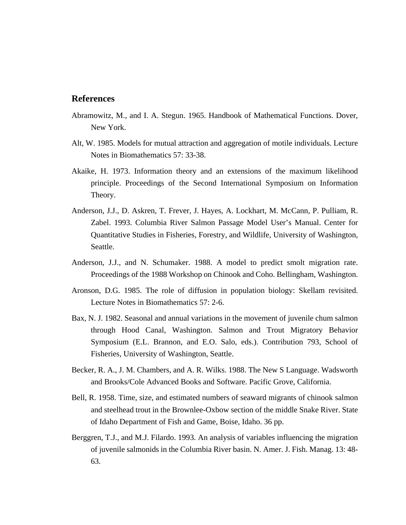## **References**

- Abramowitz, M., and I. A. Stegun. 1965. Handbook of Mathematical Functions. Dover, New York.
- Alt, W. 1985. Models for mutual attraction and aggregation of motile individuals. Lecture Notes in Biomathematics 57: 33-38.
- Akaike, H. 1973. Information theory and an extensions of the maximum likelihood principle. Proceedings of the Second International Symposium on Information Theory.
- Anderson, J.J., D. Askren, T. Frever, J. Hayes, A. Lockhart, M. McCann, P. Pulliam, R. Zabel. 1993. Columbia River Salmon Passage Model User's Manual. Center for Quantitative Studies in Fisheries, Forestry, and Wildlife, University of Washington, Seattle.
- Anderson, J.J., and N. Schumaker. 1988. A model to predict smolt migration rate. Proceedings of the 1988 Workshop on Chinook and Coho. Bellingham, Washington.
- Aronson, D.G. 1985. The role of diffusion in population biology: Skellam revisited. Lecture Notes in Biomathematics 57: 2-6.
- Bax, N. J. 1982. Seasonal and annual variations in the movement of juvenile chum salmon through Hood Canal, Washington. Salmon and Trout Migratory Behavior Symposium (E.L. Brannon, and E.O. Salo, eds.). Contribution 793, School of Fisheries, University of Washington, Seattle.
- Becker, R. A., J. M. Chambers, and A. R. Wilks. 1988. The New S Language. Wadsworth and Brooks/Cole Advanced Books and Software. Pacific Grove, California.
- Bell, R. 1958. Time, size, and estimated numbers of seaward migrants of chinook salmon and steelhead trout in the Brownlee-Oxbow section of the middle Snake River. State of Idaho Department of Fish and Game, Boise, Idaho. 36 pp.
- Berggren, T.J., and M.J. Filardo. 1993. An analysis of variables influencing the migration of juvenile salmonids in the Columbia River basin. N. Amer. J. Fish. Manag. 13: 48- 63.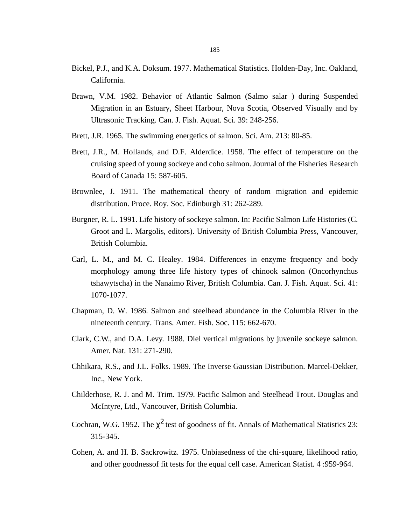- Bickel, P.J., and K.A. Doksum. 1977. Mathematical Statistics. Holden-Day, Inc. Oakland, California.
- Brawn, V.M. 1982. Behavior of Atlantic Salmon (Salmo salar ) during Suspended Migration in an Estuary, Sheet Harbour, Nova Scotia, Observed Visually and by Ultrasonic Tracking. Can. J. Fish. Aquat. Sci. 39: 248-256.
- Brett, J.R. 1965. The swimming energetics of salmon. Sci. Am. 213: 80-85.
- Brett, J.R., M. Hollands, and D.F. Alderdice. 1958. The effect of temperature on the cruising speed of young sockeye and coho salmon. Journal of the Fisheries Research Board of Canada 15: 587-605.
- Brownlee, J. 1911. The mathematical theory of random migration and epidemic distribution. Proce. Roy. Soc. Edinburgh 31: 262-289.
- Burgner, R. L. 1991. Life history of sockeye salmon. In: Pacific Salmon Life Histories (C. Groot and L. Margolis, editors). University of British Columbia Press, Vancouver, British Columbia.
- Carl, L. M., and M. C. Healey. 1984. Differences in enzyme frequency and body morphology among three life history types of chinook salmon (Oncorhynchus tshawytscha) in the Nanaimo River, British Columbia. Can. J. Fish. Aquat. Sci. 41: 1070-1077.
- Chapman, D. W. 1986. Salmon and steelhead abundance in the Columbia River in the nineteenth century. Trans. Amer. Fish. Soc. 115: 662-670.
- Clark, C.W., and D.A. Levy. 1988. Diel vertical migrations by juvenile sockeye salmon. Amer. Nat. 131: 271-290.
- Chhikara, R.S., and J.L. Folks. 1989. The Inverse Gaussian Distribution. Marcel-Dekker, Inc., New York.
- Childerhose, R. J. and M. Trim. 1979. Pacific Salmon and Steelhead Trout. Douglas and McIntyre, Ltd., Vancouver, British Columbia.
- Cochran, W.G. 1952. The  $\chi^2$  test of goodness of fit. Annals of Mathematical Statistics 23: 315-345.
- Cohen, A. and H. B. Sackrowitz. 1975. Unbiasedness of the chi-square, likelihood ratio, and other goodnessof fit tests for the equal cell case. American Statist. 4 :959-964.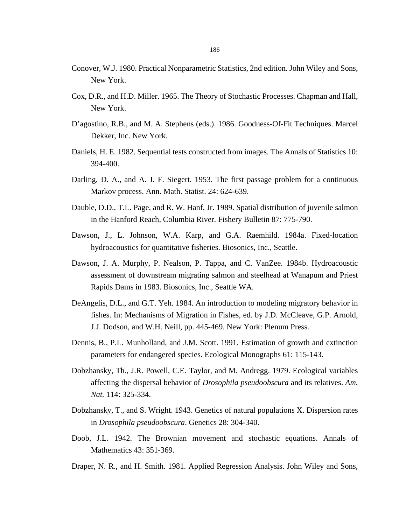- Conover, W.J. 1980. Practical Nonparametric Statistics, 2nd edition. John Wiley and Sons, New York.
- Cox, D.R., and H.D. Miller. 1965. The Theory of Stochastic Processes. Chapman and Hall, New York.
- D'agostino, R.B., and M. A. Stephens (eds.). 1986. Goodness-Of-Fit Techniques. Marcel Dekker, Inc. New York.
- Daniels, H. E. 1982. Sequential tests constructed from images. The Annals of Statistics 10: 394-400.
- Darling, D. A., and A. J. F. Siegert. 1953. The first passage problem for a continuous Markov process. Ann. Math. Statist. 24: 624-639.
- Dauble, D.D., T.L. Page, and R. W. Hanf, Jr. 1989. Spatial distribution of juvenile salmon in the Hanford Reach, Columbia River. Fishery Bulletin 87: 775-790.
- Dawson, J., L. Johnson, W.A. Karp, and G.A. Raemhild. 1984a. Fixed-location hydroacoustics for quantitative fisheries. Biosonics, Inc., Seattle.
- Dawson, J. A. Murphy, P. Nealson, P. Tappa, and C. VanZee. 1984b. Hydroacoustic assessment of downstream migrating salmon and steelhead at Wanapum and Priest Rapids Dams in 1983. Biosonics, Inc., Seattle WA.
- DeAngelis, D.L., and G.T. Yeh. 1984. An introduction to modeling migratory behavior in fishes. In: Mechanisms of Migration in Fishes*,* ed. by J.D. McCleave, G.P. Arnold, J.J. Dodson, and W.H. Neill, pp. 445-469. New York: Plenum Press.
- Dennis, B., P.L. Munholland, and J.M. Scott. 1991. Estimation of growth and extinction parameters for endangered species. Ecological Monographs 61: 115-143.
- Dobzhansky, Th., J.R. Powell, C.E. Taylor, and M. Andregg. 1979. Ecological variables affecting the dispersal behavior of *Drosophila pseudoobscura* and its relatives. *Am. Nat.* 114: 325-334.
- Dobzhansky, T., and S. Wright. 1943. Genetics of natural populations X. Dispersion rates in *Drosophila pseudoobscura*. Genetics 28: 304-340.
- Doob, J.L. 1942. The Brownian movement and stochastic equations. Annals of Mathematics 43: 351-369.
- Draper, N. R., and H. Smith. 1981. Applied Regression Analysis. John Wiley and Sons,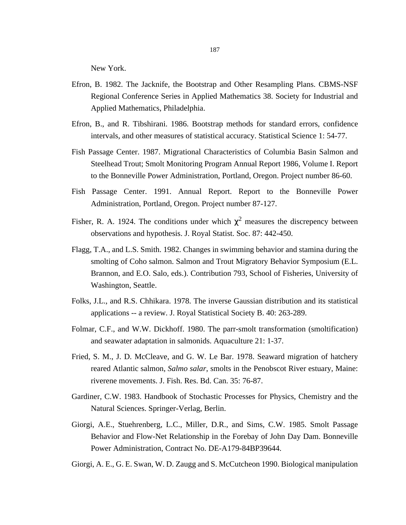New York.

- Efron, B. 1982. The Jacknife, the Bootstrap and Other Resampling Plans. CBMS-NSF Regional Conference Series in Applied Mathematics 38. Society for Industrial and Applied Mathematics, Philadelphia.
- Efron, B., and R. Tibshirani. 1986. Bootstrap methods for standard errors, confidence intervals, and other measures of statistical accuracy. Statistical Science 1: 54-77.
- Fish Passage Center. 1987. Migrational Characteristics of Columbia Basin Salmon and Steelhead Trout; Smolt Monitoring Program Annual Report 1986, Volume I. Report to the Bonneville Power Administration, Portland, Oregon. Project number 86-60.
- Fish Passage Center. 1991. Annual Report. Report to the Bonneville Power Administration, Portland, Oregon. Project number 87-127.
- Fisher, R. A. 1924. The conditions under which  $\chi^2$  measures the discrepency between observations and hypothesis. J. Royal Statist. Soc. 87: 442-450.
- Flagg, T.A., and L.S. Smith. 1982. Changes in swimming behavior and stamina during the smolting of Coho salmon. Salmon and Trout Migratory Behavior Symposium (E.L. Brannon, and E.O. Salo, eds.). Contribution 793, School of Fisheries, University of Washington, Seattle.
- Folks, J.L., and R.S. Chhikara. 1978. The inverse Gaussian distribution and its statistical applications -- a review. J. Royal Statistical Society B. 40: 263-289.
- Folmar, C.F., and W.W. Dickhoff. 1980. The parr-smolt transformation (smoltification) and seawater adaptation in salmonids. Aquaculture 21: 1-37.
- Fried, S. M., J. D. McCleave, and G. W. Le Bar. 1978. Seaward migration of hatchery reared Atlantic salmon, *Salmo salar*, smolts in the Penobscot River estuary, Maine: riverene movements. J. Fish. Res. Bd. Can. 35: 76-87.
- Gardiner, C.W. 1983. Handbook of Stochastic Processes for Physics, Chemistry and the Natural Sciences. Springer-Verlag, Berlin.
- Giorgi, A.E., Stuehrenberg, L.C., Miller, D.R., and Sims, C.W. 1985. Smolt Passage Behavior and Flow-Net Relationship in the Forebay of John Day Dam. Bonneville Power Administration, Contract No. DE-A179-84BP39644.
- Giorgi, A. E., G. E. Swan, W. D. Zaugg and S. McCutcheon 1990. Biological manipulation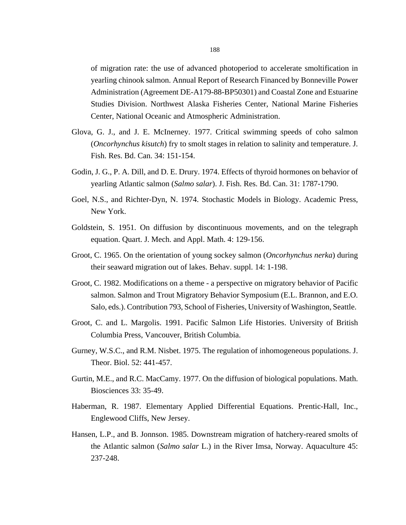of migration rate: the use of advanced photoperiod to accelerate smoltification in yearling chinook salmon. Annual Report of Research Financed by Bonneville Power Administration (Agreement DE-A179-88-BP50301) and Coastal Zone and Estuarine Studies Division. Northwest Alaska Fisheries Center, National Marine Fisheries Center, National Oceanic and Atmospheric Administration.

- Glova, G. J., and J. E. McInerney. 1977. Critical swimming speeds of coho salmon (*Oncorhynchus kisutch*) fry to smolt stages in relation to salinity and temperature. J. Fish. Res. Bd. Can. 34: 151-154.
- Godin, J. G., P. A. Dill, and D. E. Drury. 1974. Effects of thyroid hormones on behavior of yearling Atlantic salmon (*Salmo salar*). J. Fish. Res. Bd. Can. 31: 1787-1790.
- Goel, N.S., and Richter-Dyn, N. 1974. Stochastic Models in Biology. Academic Press, New York.
- Goldstein, S. 1951. On diffusion by discontinuous movements, and on the telegraph equation. Quart. J. Mech. and Appl. Math. 4: 129-156.
- Groot, C. 1965. On the orientation of young sockey salmon (*Oncorhynchus nerka*) during their seaward migration out of lakes. Behav. suppl. 14: 1-198.
- Groot, C. 1982. Modifications on a theme a perspective on migratory behavior of Pacific salmon. Salmon and Trout Migratory Behavior Symposium (E.L. Brannon, and E.O. Salo, eds.). Contribution 793, School of Fisheries, University of Washington, Seattle.
- Groot, C. and L. Margolis. 1991. Pacific Salmon Life Histories. University of British Columbia Press, Vancouver, British Columbia.
- Gurney, W.S.C., and R.M. Nisbet. 1975. The regulation of inhomogeneous populations. J. Theor. Biol. 52: 441-457.
- Gurtin, M.E., and R.C. MacCamy. 1977. On the diffusion of biological populations. Math. Biosciences 33: 35-49.
- Haberman, R. 1987. Elementary Applied Differential Equations. Prentic-Hall, Inc., Englewood Cliffs, New Jersey.
- Hansen, L.P., and B. Jonnson. 1985. Downstream migration of hatchery-reared smolts of the Atlantic salmon (*Salmo salar* L.) in the River Imsa, Norway. Aquaculture 45: 237-248.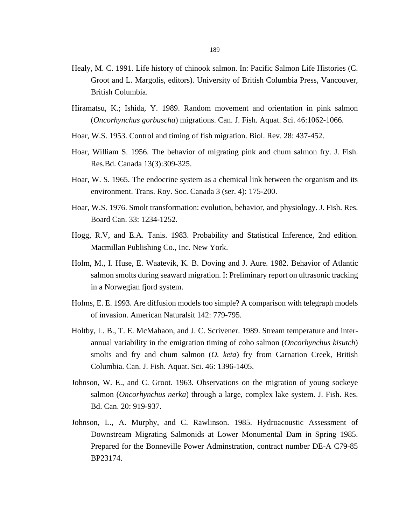- Healy, M. C. 1991. Life history of chinook salmon. In: Pacific Salmon Life Histories (C. Groot and L. Margolis, editors). University of British Columbia Press, Vancouver, British Columbia.
- Hiramatsu, K.; Ishida, Y. 1989. Random movement and orientation in pink salmon (*Oncorhynchus gorbuscha*) migrations. Can. J. Fish. Aquat. Sci. 46:1062-1066.
- Hoar, W.S. 1953. Control and timing of fish migration. Biol. Rev. 28: 437-452.
- Hoar, William S. 1956. The behavior of migrating pink and chum salmon fry. J. Fish. Res.Bd. Canada 13(3):309-325.
- Hoar, W. S. 1965. The endocrine system as a chemical link between the organism and its environment. Trans. Roy. Soc. Canada 3 (ser. 4): 175-200.
- Hoar, W.S. 1976. Smolt transformation: evolution, behavior, and physiology. J. Fish. Res. Board Can. 33: 1234-1252.
- Hogg, R.V, and E.A. Tanis. 1983. Probability and Statistical Inference, 2nd edition. Macmillan Publishing Co., Inc. New York.
- Holm, M., I. Huse, E. Waatevik, K. B. Doving and J. Aure. 1982. Behavior of Atlantic salmon smolts during seaward migration. I: Preliminary report on ultrasonic tracking in a Norwegian fjord system.
- Holms, E. E. 1993. Are diffusion models too simple? A comparison with telegraph models of invasion. American Naturalsit 142: 779-795.
- Holtby, L. B., T. E. McMahaon, and J. C. Scrivener. 1989. Stream temperature and interannual variability in the emigration timing of coho salmon (*Oncorhynchus kisutch*) smolts and fry and chum salmon (*O. keta*) fry from Carnation Creek, British Columbia. Can. J. Fish. Aquat. Sci. 46: 1396-1405.
- Johnson, W. E., and C. Groot. 1963. Observations on the migration of young sockeye salmon (*Oncorhynchus nerka*) through a large, complex lake system. J. Fish. Res. Bd. Can. 20: 919-937.
- Johnson, L., A. Murphy, and C. Rawlinson. 1985. Hydroacoustic Assessment of Downstream Migrating Salmonids at Lower Monumental Dam in Spring 1985. Prepared for the Bonneville Power Adminstration, contract number DE-A C79-85 BP23174.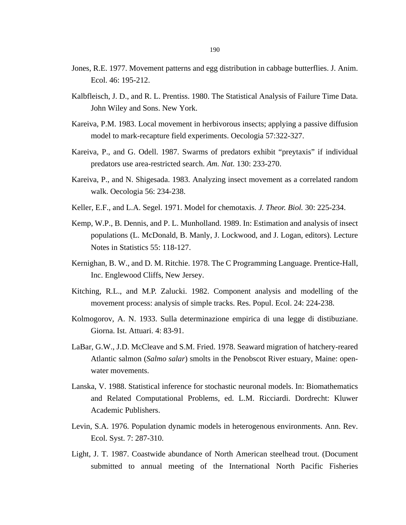- Jones, R.E. 1977. Movement patterns and egg distribution in cabbage butterflies. J. Anim. Ecol. 46: 195-212.
- Kalbfleisch, J. D., and R. L. Prentiss. 1980. The Statistical Analysis of Failure Time Data. John Wiley and Sons. New York.
- Kareiva, P.M. 1983. Local movement in herbivorous insects; applying a passive diffusion model to mark-recapture field experiments. Oecologia 57:322-327.
- Kareiva, P., and G. Odell. 1987. Swarms of predators exhibit "preytaxis" if individual predators use area-restricted search. *Am. Nat.* 130: 233-270.
- Kareiva, P., and N. Shigesada. 1983. Analyzing insect movement as a correlated random walk. Oecologia 56: 234-238.
- Keller, E.F., and L.A. Segel. 1971. Model for chemotaxis. *J. Theor. Biol.* 30: 225-234.
- Kemp, W.P., B. Dennis, and P. L. Munholland. 1989. In: Estimation and analysis of insect populations (L. McDonald, B. Manly, J. Lockwood, and J. Logan, editors). Lecture Notes in Statistics 55: 118-127.
- Kernighan, B. W., and D. M. Ritchie. 1978. The C Programming Language. Prentice-Hall, Inc. Englewood Cliffs, New Jersey.
- Kitching, R.L., and M.P. Zalucki. 1982. Component analysis and modelling of the movement process: analysis of simple tracks. Res. Popul. Ecol. 24: 224-238.
- Kolmogorov, A. N. 1933. Sulla determinazione empirica di una legge di distibuziane. Giorna. Ist. Attuari. 4: 83-91.
- LaBar, G.W., J.D. McCleave and S.M. Fried. 1978. Seaward migration of hatchery-reared Atlantic salmon (*Salmo salar*) smolts in the Penobscot River estuary, Maine: openwater movements.
- Lanska, V. 1988. Statistical inference for stochastic neuronal models. In: Biomathematics and Related Computational Problems*,* ed. L.M. Ricciardi. Dordrecht: Kluwer Academic Publishers.
- Levin, S.A. 1976. Population dynamic models in heterogenous environments. Ann. Rev. Ecol. Syst. 7: 287-310.
- Light, J. T. 1987. Coastwide abundance of North American steelhead trout. (Document submitted to annual meeting of the International North Pacific Fisheries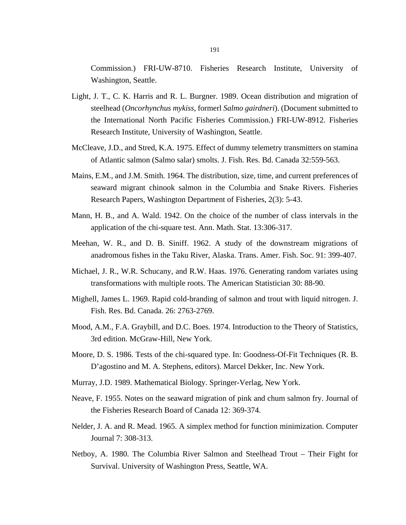Commission.) FRI-UW-8710. Fisheries Research Institute, University of Washington, Seattle.

- Light, J. T., C. K. Harris and R. L. Burgner. 1989. Ocean distribution and migration of steelhead (*Oncorhynchus mykiss*, formerl *Salmo gairdneri*). (Document submitted to the International North Pacific Fisheries Commission.) FRI-UW-8912. Fisheries Research Institute, University of Washington, Seattle.
- McCleave, J.D., and Stred, K.A. 1975. Effect of dummy telemetry transmitters on stamina of Atlantic salmon (Salmo salar) smolts. J. Fish. Res. Bd. Canada 32:559-563.
- Mains, E.M., and J.M. Smith. 1964. The distribution, size, time, and current preferences of seaward migrant chinook salmon in the Columbia and Snake Rivers. Fisheries Research Papers, Washington Department of Fisheries, 2(3): 5-43.
- Mann, H. B., and A. Wald. 1942. On the choice of the number of class intervals in the application of the chi-square test. Ann. Math. Stat. 13:306-317.
- Meehan, W. R., and D. B. Siniff. 1962. A study of the downstream migrations of anadromous fishes in the Taku River, Alaska. Trans. Amer. Fish. Soc. 91: 399-407.
- Michael, J. R., W.R. Schucany, and R.W. Haas. 1976. Generating random variates using transformations with multiple roots. The American Statistician 30: 88-90.
- Mighell, James L. 1969. Rapid cold-branding of salmon and trout with liquid nitrogen. J. Fish. Res. Bd. Canada. 26: 2763-2769.
- Mood, A.M., F.A. Graybill, and D.C. Boes. 1974. Introduction to the Theory of Statistics, 3rd edition. McGraw-Hill, New York.
- Moore, D. S. 1986. Tests of the chi-squared type. In: Goodness-Of-Fit Techniques (R. B. D'agostino and M. A. Stephens, editors). Marcel Dekker, Inc. New York.
- Murray, J.D. 1989. Mathematical Biology. Springer-Verlag, New York.
- Neave, F. 1955. Notes on the seaward migration of pink and chum salmon fry. Journal of the Fisheries Research Board of Canada 12: 369-374.
- Nelder, J. A. and R. Mead. 1965. A simplex method for function minimization. Computer Journal 7: 308-313.
- Netboy, A. 1980. The Columbia River Salmon and Steelhead Trout Their Fight for Survival. University of Washington Press, Seattle, WA.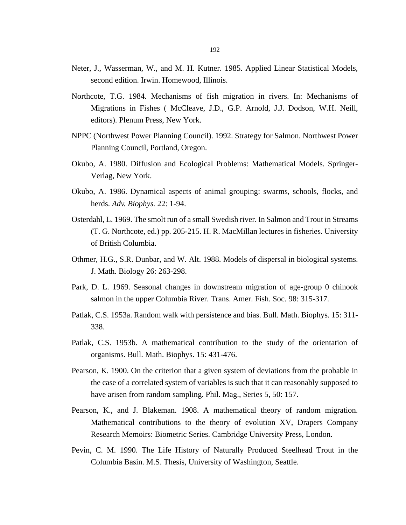- Neter, J., Wasserman, W., and M. H. Kutner. 1985. Applied Linear Statistical Models, second edition. Irwin. Homewood, Illinois.
- Northcote, T.G. 1984. Mechanisms of fish migration in rivers. In: Mechanisms of Migrations in Fishes ( McCleave, J.D., G.P. Arnold, J.J. Dodson, W.H. Neill, editors). Plenum Press, New York.
- NPPC (Northwest Power Planning Council). 1992. Strategy for Salmon. Northwest Power Planning Council, Portland, Oregon.
- Okubo, A. 1980. Diffusion and Ecological Problems: Mathematical Models. Springer-Verlag, New York.
- Okubo, A. 1986. Dynamical aspects of animal grouping: swarms, schools, flocks, and herds. *Adv. Biophys.* 22: 1-94.
- Osterdahl, L. 1969. The smolt run of a small Swedish river. In Salmon and Trout in Streams (T. G. Northcote, ed.) pp. 205-215. H. R. MacMillan lectures in fisheries. University of British Columbia.
- Othmer, H.G., S.R. Dunbar, and W. Alt. 1988. Models of dispersal in biological systems. J. Math. Biology 26: 263-298.
- Park, D. L. 1969. Seasonal changes in downstream migration of age-group 0 chinook salmon in the upper Columbia River. Trans. Amer. Fish. Soc. 98: 315-317.
- Patlak, C.S. 1953a. Random walk with persistence and bias. Bull. Math. Biophys. 15: 311- 338.
- Patlak, C.S. 1953b. A mathematical contribution to the study of the orientation of organisms. Bull. Math. Biophys. 15: 431-476.
- Pearson, K. 1900. On the criterion that a given system of deviations from the probable in the case of a correlated system of variables is such that it can reasonably supposed to have arisen from random sampling. Phil. Mag., Series 5, 50: 157.
- Pearson, K., and J. Blakeman. 1908. A mathematical theory of random migration. Mathematical contributions to the theory of evolution XV, Drapers Company Research Memoirs: Biometric Series. Cambridge University Press, London.
- Pevin, C. M. 1990. The Life History of Naturally Produced Steelhead Trout in the Columbia Basin. M.S. Thesis, University of Washington, Seattle.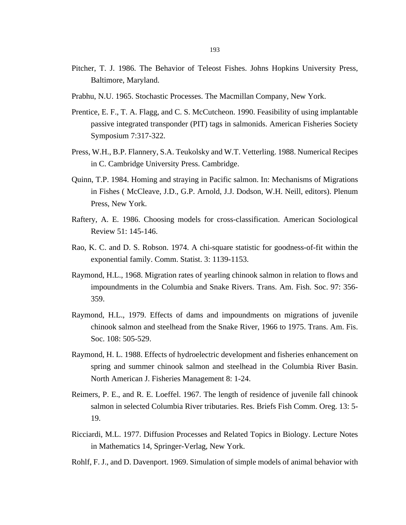- Pitcher, T. J. 1986. The Behavior of Teleost Fishes. Johns Hopkins University Press, Baltimore, Maryland.
- Prabhu, N.U. 1965. Stochastic Processes. The Macmillan Company, New York.
- Prentice, E. F., T. A. Flagg, and C. S. McCutcheon. 1990. Feasibility of using implantable passive integrated transponder (PIT) tags in salmonids. American Fisheries Society Symposium 7:317-322.
- Press, W.H., B.P. Flannery, S.A. Teukolsky and W.T. Vetterling. 1988. Numerical Recipes in C. Cambridge University Press. Cambridge.
- Quinn, T.P. 1984. Homing and straying in Pacific salmon. In: Mechanisms of Migrations in Fishes ( McCleave, J.D., G.P. Arnold, J.J. Dodson, W.H. Neill, editors). Plenum Press, New York.
- Raftery, A. E. 1986. Choosing models for cross-classification. American Sociological Review 51: 145-146.
- Rao, K. C. and D. S. Robson. 1974. A chi-square statistic for goodness-of-fit within the exponential family. Comm. Statist. 3: 1139-1153.
- Raymond, H.L., 1968. Migration rates of yearling chinook salmon in relation to flows and impoundments in the Columbia and Snake Rivers. Trans. Am. Fish. Soc. 97: 356- 359.
- Raymond, H.L., 1979. Effects of dams and impoundments on migrations of juvenile chinook salmon and steelhead from the Snake River, 1966 to 1975. Trans. Am. Fis. Soc. 108: 505-529.
- Raymond, H. L. 1988. Effects of hydroelectric development and fisheries enhancement on spring and summer chinook salmon and steelhead in the Columbia River Basin. North American J. Fisheries Management 8: 1-24.
- Reimers, P. E., and R. E. Loeffel. 1967. The length of residence of juvenile fall chinook salmon in selected Columbia River tributaries. Res. Briefs Fish Comm. Oreg. 13: 5- 19.
- Ricciardi, M.L. 1977. Diffusion Processes and Related Topics in Biology. Lecture Notes in Mathematics 14, Springer-Verlag, New York.
- Rohlf, F. J., and D. Davenport. 1969. Simulation of simple models of animal behavior with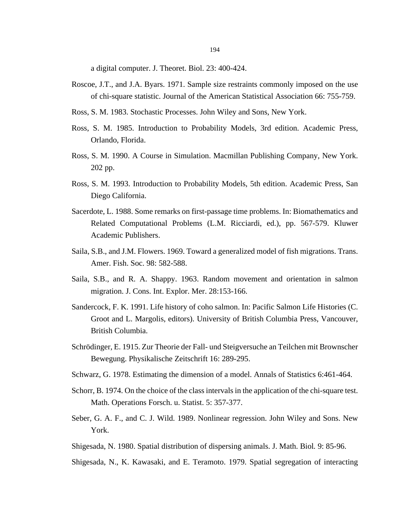a digital computer. J. Theoret. Biol. 23: 400-424.

- Roscoe, J.T., and J.A. Byars. 1971. Sample size restraints commonly imposed on the use of chi-square statistic. Journal of the American Statistical Association 66: 755-759.
- Ross, S. M. 1983. Stochastic Processes. John Wiley and Sons, New York.
- Ross, S. M. 1985. Introduction to Probability Models, 3rd edition. Academic Press, Orlando, Florida.
- Ross, S. M. 1990. A Course in Simulation. Macmillan Publishing Company, New York. 202 pp.
- Ross, S. M. 1993. Introduction to Probability Models, 5th edition. Academic Press, San Diego California.
- Sacerdote, L. 1988. Some remarks on first-passage time problems. In: Biomathematics and Related Computational Problems (L.M. Ricciardi, ed.), pp. 567-579. Kluwer Academic Publishers.
- Saila, S.B., and J.M. Flowers. 1969. Toward a generalized model of fish migrations. Trans. Amer. Fish. Soc. 98: 582-588.
- Saila, S.B., and R. A. Shappy. 1963. Random movement and orientation in salmon migration. J. Cons. Int. Explor. Mer. 28:153-166.
- Sandercock, F. K. 1991. Life history of coho salmon. In: Pacific Salmon Life Histories (C. Groot and L. Margolis, editors). University of British Columbia Press, Vancouver, British Columbia.
- Schrödinger, E. 1915. Zur Theorie der Fall- und Steigversuche an Teilchen mit Brownscher Bewegung. Physikalische Zeitschrift 16: 289-295.
- Schwarz, G. 1978. Estimating the dimension of a model. Annals of Statistics 6:461-464.
- Schorr, B. 1974. On the choice of the class intervals in the application of the chi-square test. Math. Operations Forsch. u. Statist. 5: 357-377.
- Seber, G. A. F., and C. J. Wild. 1989. Nonlinear regression. John Wiley and Sons. New York.
- Shigesada, N. 1980. Spatial distribution of dispersing animals. J. Math. Biol*.* 9: 85-96.
- Shigesada, N., K. Kawasaki, and E. Teramoto. 1979. Spatial segregation of interacting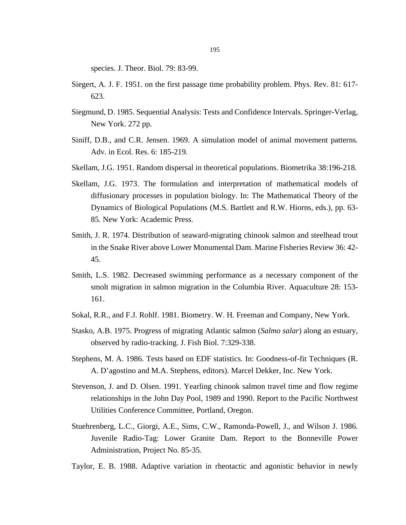species. J. Theor. Biol. 79: 83-99.

- Siegert, A. J. F. 1951. on the first passage time probability problem. Phys. Rev. 81: 617- 623.
- Siegmund, D. 1985. Sequential Analysis: Tests and Confidence Intervals. Springer-Verlag, New York. 272 pp.
- Siniff, D.B., and C.R. Jensen. 1969. A simulation model of animal movement patterns. Adv. in Ecol. Res. 6: 185-219.
- Skellam, J.G. 1951. Random dispersal in theoretical populations. Biometrika 38:196-218.
- Skellam, J.G. 1973. The formulation and interpretation of mathematical models of diffusionary processes in population biology. In: The Mathematical Theory of the Dynamics of Biological Populations (M.S. Bartlett and R.W. Hiorns, eds.), pp. 63- 85. New York: Academic Press.
- Smith, J. R. 1974. Distribution of seaward-migrating chinook salmon and steelhead trout in the Snake River above Lower Monumental Dam. Marine Fisheries Review 36: 42- 45.
- Smith, L.S. 1982. Decreased swimming performance as a necessary component of the smolt migration in salmon migration in the Columbia River. Aquaculture 28: 153- 161.
- Sokal, R.R., and F.J. Rohlf. 1981. Biometry. W. H. Freeman and Company, New York.
- Stasko, A.B. 1975. Progress of migrating Atlantic salmon (*Salmo salar*) along an estuary, observed by radio-tracking. J. Fish Biol. 7:329-338.
- Stephens, M. A. 1986. Tests based on EDF statistics. In: Goodness-of-fit Techniques (R. A. D'agostino and M.A. Stephens, editors). Marcel Dekker, Inc. New York.
- Stevenson, J. and D. Olsen. 1991. Yearling chinook salmon travel time and flow regime relationships in the John Day Pool, 1989 and 1990. Report to the Pacific Northwest Utilities Conference Committee, Portland, Oregon.
- Stuehrenberg, L.C., Giorgi, A.E., Sims, C.W., Ramonda-Powell, J., and Wilson J. 1986. Juvenile Radio-Tag: Lower Granite Dam. Report to the Bonneville Power Administration, Project No. 85-35.
- Taylor, E. B. 1988. Adaptive variation in rheotactic and agonistic behavior in newly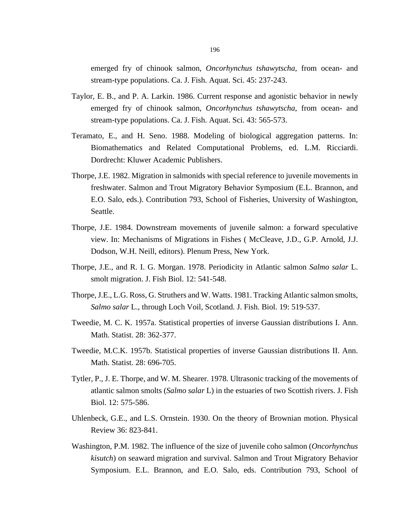emerged fry of chinook salmon, *Oncorhynchus tshawytscha*, from ocean- and stream-type populations. Ca. J. Fish. Aquat. Sci. 45: 237-243.

- Taylor, E. B., and P. A. Larkin. 1986. Current response and agonistic behavior in newly emerged fry of chinook salmon, *Oncorhynchus tshawytscha*, from ocean- and stream-type populations. Ca. J. Fish. Aquat. Sci. 43: 565-573.
- Teramato, E., and H. Seno. 1988. Modeling of biological aggregation patterns. In: Biomathematics and Related Computational Problems*,* ed. L.M. Ricciardi. Dordrecht: Kluwer Academic Publishers.
- Thorpe, J.E. 1982. Migration in salmonids with special reference to juvenile movements in freshwater. Salmon and Trout Migratory Behavior Symposium (E.L. Brannon, and E.O. Salo, eds.). Contribution 793, School of Fisheries, University of Washington, Seattle.
- Thorpe, J.E. 1984. Downstream movements of juvenile salmon: a forward speculative view. In: Mechanisms of Migrations in Fishes ( McCleave, J.D., G.P. Arnold, J.J. Dodson, W.H. Neill, editors). Plenum Press, New York.
- Thorpe, J.E., and R. I. G. Morgan. 1978. Periodicity in Atlantic salmon *Salmo salar* L. smolt migration. J. Fish Biol. 12: 541-548.
- Thorpe, J.E., L.G. Ross, G. Struthers and W. Watts. 1981. Tracking Atlantic salmon smolts, *Salmo salar* L., through Loch Voil, Scotland. J. Fish. Biol. 19: 519-537.
- Tweedie, M. C. K. 1957a. Statistical properties of inverse Gaussian distributions I. Ann. Math. Statist. 28: 362-377.
- Tweedie, M.C.K. 1957b. Statistical properties of inverse Gaussian distributions II. Ann. Math. Statist. 28: 696-705.
- Tytler, P., J. E. Thorpe, and W. M. Shearer. 1978. Ultrasonic tracking of the movements of atlantic salmon smolts (*Salmo salar* L) in the estuaries of two Scottish rivers. J. Fish Biol. 12: 575-586.
- Uhlenbeck, G.E., and L.S. Ornstein. 1930. On the theory of Brownian motion. Physical Review 36: 823-841.
- Washington, P.M. 1982. The influence of the size of juvenile coho salmon (*Oncorhynchus kisutch*) on seaward migration and survival. Salmon and Trout Migratory Behavior Symposium. E.L. Brannon, and E.O. Salo, eds. Contribution 793, School of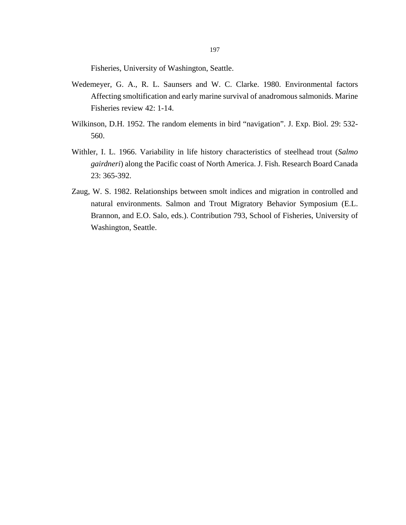Fisheries, University of Washington, Seattle.

- Wedemeyer, G. A., R. L. Saunsers and W. C. Clarke. 1980. Environmental factors Affecting smoltification and early marine survival of anadromous salmonids. Marine Fisheries review 42: 1-14.
- Wilkinson, D.H. 1952. The random elements in bird "navigation". J. Exp. Biol. 29: 532- 560.
- Withler, I. L. 1966. Variability in life history characteristics of steelhead trout (*Salmo gairdneri*) along the Pacific coast of North America. J. Fish. Research Board Canada 23: 365-392.
- Zaug, W. S. 1982. Relationships between smolt indices and migration in controlled and natural environments. Salmon and Trout Migratory Behavior Symposium (E.L. Brannon, and E.O. Salo, eds.). Contribution 793, School of Fisheries, University of Washington, Seattle.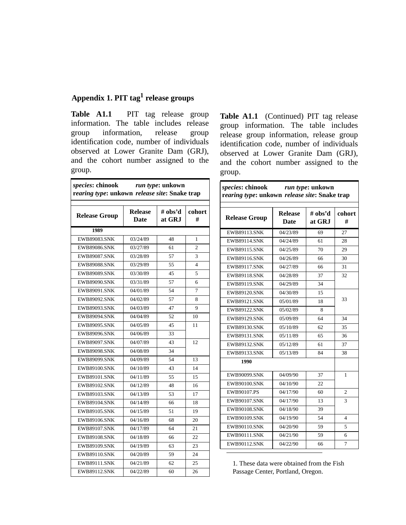## **Appendix 1. PIT tag1 release groups**

**Table A1.1** PIT tag release group information. The table includes release group information, release group identification code, number of individuals observed at Lower Granite Dam (GRJ), and the cohort number assigned to the group.

| species: chinook run type: unkown<br>rearing type: unkown release site: Snake trap |                               |                   |             |
|------------------------------------------------------------------------------------|-------------------------------|-------------------|-------------|
| <b>Release Group</b>                                                               | <b>Release</b><br><b>Date</b> | # obs'd<br>at GRJ | cohort<br># |
| 1989                                                                               |                               |                   |             |
| <b>EWB89083.SNK</b>                                                                | 03/24/89                      | 48                | 1           |
| <b>EWB89086.SNK</b>                                                                | 03/27/89                      | 61                | 2           |
| <b>EWB89087.SNK</b>                                                                | 03/28/89                      | 57                | 3           |
| <b>EWB89088.SNK</b>                                                                | 03/29/89                      | 55                | 4           |
| <b>EWB89089.SNK</b>                                                                | 03/30/89                      | 45                | 5           |
| <b>EWB89090.SNK</b>                                                                | 03/31/89                      | 57                | 6           |
| <b>EWB89091.SNK</b>                                                                | 04/01/89                      | 54                | 7           |
| <b>EWB89092.SNK</b>                                                                | 04/02/89                      | 57                | 8           |
| <b>EWB89093.SNK</b>                                                                | 04/03/89                      | 47                | 9           |
| <b>EWB89094.SNK</b>                                                                | 04/04/89                      | 52                | 10          |
| <b>EWB89095.SNK</b>                                                                | 04/05/89                      | 45                | 11          |
| <b>EWB89096.SNK</b>                                                                | 04/06/89                      | 33                |             |
| <b>EWB89097.SNK</b>                                                                | 04/07/89                      | 43                | 12          |
| <b>EWB89098.SNK</b>                                                                | 04/08/89                      | 34                |             |
| <b>EWB89099.SNK</b>                                                                | 04/09/89                      | 54                | 13          |
| <b>EWB89100.SNK</b>                                                                | 04/10/89                      | 43                | 14          |
| <b>EWB89101.SNK</b>                                                                | 04/11/89                      | 55                | 15          |
| EWB89102.SNK                                                                       | 04/12/89                      | 48                | 16          |
| <b>EWB89103.SNK</b>                                                                | 04/13/89                      | 53                | 17          |
| <b>EWB89104.SNK</b>                                                                | 04/14/89                      | 66                | 18          |
| <b>EWB89105.SNK</b>                                                                | 04/15/89                      | 51                | 19          |
| <b>EWB89106.SNK</b>                                                                | 04/16/89                      | 68                | 20          |
| <b>EWB89107.SNK</b>                                                                | 04/17/89                      | 64                | 21          |
| <b>EWB89108.SNK</b>                                                                | 04/18/89                      | 66                | 22          |
| <b>EWB89109.SNK</b>                                                                | 04/19/89                      | 63                | 23          |
| <b>EWB89110.SNK</b>                                                                | 04/20/89                      | 59                | 24          |
| <b>EWB89111.SNK</b>                                                                | 04/21/89                      | 62                | 25          |
| <b>EWB89112.SNK</b>                                                                | 04/22/89                      | 60                | 26          |

Table A1.1 (Continued) PIT tag release group information. The table includes release group information, release group identification code, number of individuals observed at Lower Granite Dam (GRJ), and the cohort number assigned to the group.

| species: chinook run type: unkown<br>rearing type: unkown release site: Snake trap |                               |                   |              |
|------------------------------------------------------------------------------------|-------------------------------|-------------------|--------------|
| <b>Release Group</b>                                                               | <b>Release</b><br><b>Date</b> | # obs'd<br>at GRJ | cohort<br>#  |
| <b>EWB89113.SNK</b>                                                                | 04/23/89                      | 69                | 27           |
| <b>EWB89114.SNK</b>                                                                | 04/24/89                      | 61                | 28           |
| <b>EWB89115.SNK</b>                                                                | 04/25/89                      | 70                | 29           |
| <b>EWB89116.SNK</b>                                                                | 04/26/89                      | 66                | 30           |
| <b>EWB89117.SNK</b>                                                                | 04/27/89                      | 66                | 31           |
| <b>EWB89118.SNK</b>                                                                | 04/28/89                      | 37                | 32           |
| <b>EWB89119.SNK</b>                                                                | 04/29/89                      | 34                |              |
| <b>EWB89120.SNK</b>                                                                | 04/30/89                      | 15                |              |
| <b>EWB89121.SNK</b>                                                                | 05/01/89                      | 18                | 33           |
| <b>EWB89122.SNK</b>                                                                | 05/02/89                      | 8                 |              |
| <b>EWB89129.SNK</b>                                                                | 05/09/89                      | 64                | 34           |
| <b>EWB89130.SNK</b>                                                                | 05/10/89                      | 62                | 35           |
| <b>EWB89131.SNK</b>                                                                | 05/11/89                      | 65                | 36           |
| <b>EWB89132.SNK</b>                                                                | 05/12/89                      | 61                | 37           |
| <b>EWB89133.SNK</b>                                                                | 05/13/89                      | 84                | 38           |
| 1990                                                                               |                               |                   |              |
| <b>EWB90099.SNK</b>                                                                | 04/09/90                      | 37                | 1            |
| EWB90100.SNK                                                                       | 04/10/90                      | 22                |              |
| EWB90107.PS                                                                        | 04/17/90                      | 60                | 2            |
| <b>EWB90107.SNK</b>                                                                | 04/17/90                      | 13                | $\mathbf{3}$ |
| <b>EWB90108.SNK</b>                                                                | 04/18/90                      | 39                |              |
| <b>EWB90109.SNK</b>                                                                | 04/19/90                      | 54                | 4            |
| <b>EWB90110.SNK</b>                                                                | 04/20/90                      | 59                | 5            |
| <b>EWB90111.SNK</b>                                                                | 04/21/90                      | 59                | 6            |
| <b>EWB90112.SNK</b>                                                                | 04/22/90                      | 66                | 7            |

1. These data were obtained from the Fish Passage Center, Portland, Oregon.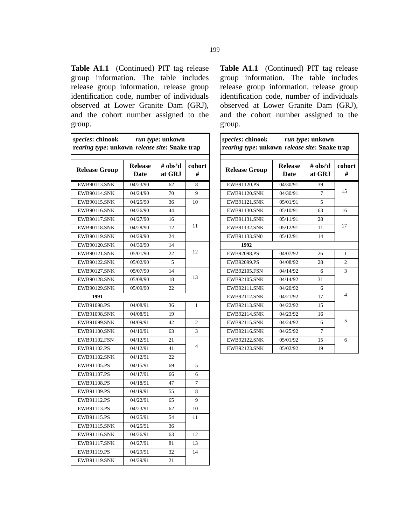Table A1.1 (Continued) PIT tag release group information. The table includes release group information, release group identification code, number of individuals observed at Lower Granite Dam (GRJ), and the cohort number assigned to the group.

| species: chinook run type: unkown<br>rearing type: unkown release site: Snake trap |                        |                   |                |
|------------------------------------------------------------------------------------|------------------------|-------------------|----------------|
| <b>Release Group</b>                                                               | <b>Release</b><br>Date | # obs'd<br>at GRJ | cohort<br>#    |
| <b>EWB90113.SNK</b>                                                                | 04/23/90               | 62                | 8              |
| <b>EWB90114.SNK</b>                                                                | 04/24/90               | 70                | 9              |
| EWB90115.SNK                                                                       | 04/25/90               | 36                | 10             |
| EWB90116.SNK                                                                       | 04/26/90               | 44                |                |
| <b>EWB90117.SNK</b>                                                                | 04/27/90               | 16                |                |
| EWB90118.SNK                                                                       | 04/28/90               | 12                | 11             |
| EWB90119.SNK                                                                       | 04/29/90               | 24                |                |
| <b>EWB90120.SNK</b>                                                                | 04/30/90               | 14                |                |
| <b>EWB90121.SNK</b>                                                                | 05/01/90               | 22                | 12             |
| EWB90122.SNK                                                                       | 05/02/90               | 5                 |                |
| <b>EWB90127.SNK</b>                                                                | 05/07/90               | 14                |                |
| EWB90128.SNK                                                                       | 05/08/90               | 18                | 13             |
| <b>EWB90129.SNK</b>                                                                | 05/09/90               | 22                |                |
| 1991                                                                               |                        |                   |                |
| EWB91098.PS                                                                        | 04/08/91               | 36                | 1              |
| EWB91098.SNK                                                                       | 04/08/91               | 19                |                |
| EWB91099.SNK                                                                       | 04/09/91               | 42                | $\overline{2}$ |
| EWB91100.SNK                                                                       | 04/10/91               | 63                | 3              |
| EWB91102.FSN                                                                       | 04/12/91               | 21                |                |
| EWB91102.PS                                                                        | 04/12/91               | 41                | $\overline{4}$ |
| EWB91102.SNK                                                                       | 04/12/91               | 22                |                |
| EWB91105.PS                                                                        | 04/15/91               | 69                | 5              |
| EWB91107.PS                                                                        | 04/17/91               | 66                | 6              |
| EWB91108.PS                                                                        | 04/18/91               | 47                | 7              |
| EWB91109.PS                                                                        | 04/19/91               | 55                | 8              |
| EWB91112.PS                                                                        | 04/22/91               | 65                | 9              |
| EWB91113.PS                                                                        | 04/23/91               | 62                | 10             |
| EWB91115.PS                                                                        | 04/25/91               | 54                | 11             |
| EWB91115.SNK                                                                       | 04/25/91               | 36                |                |
| EWB91116.SNK                                                                       | 04/26/91               | 63                | 12             |
| <b>EWB91117.SNK</b>                                                                | 04/27/91               | 81                | 13             |
| EWB91119.PS                                                                        | 04/29/91               | 32                | 14             |
| EWB91119.SNK                                                                       | 04/29/91               | 21                |                |

**Table A1.1** (Continued) PIT tag release group information. The table includes release group information, release group identification code, number of individuals observed at Lower Granite Dam (GRJ), and the cohort number assigned to the group.

| <i>species:</i> chinook run type: unkown<br>rearing type: unkown release site: Snake trap |                               |                   |                |
|-------------------------------------------------------------------------------------------|-------------------------------|-------------------|----------------|
| <b>Release Group</b>                                                                      | <b>Release</b><br><b>Date</b> | # obs'd<br>at GRJ | cohort<br>#    |
| EWB91120.PS                                                                               | 04/30/91                      | 39                |                |
| <b>EWB91120.SNK</b>                                                                       | 04/30/91                      | $\tau$            | 15             |
| <b>EWB91121.SNK</b>                                                                       | 05/01/91                      | 5                 |                |
| <b>EWB91130.SNK</b>                                                                       | 05/10/91                      | 63                | 16             |
| <b>EWB91131.SNK</b>                                                                       | 05/11/91                      | 28                |                |
| <b>EWB91132.SNK</b>                                                                       | 05/12/91                      | 11                | 17             |
| EWB91133.SN0                                                                              | 05/12/91                      | 14                |                |
| 1992                                                                                      |                               |                   |                |
| EWB92098.PS                                                                               | 04/07/92                      | 26                | 1              |
| EWB92099.PS                                                                               | 04/08/92                      | 28                | $\mathfrak{D}$ |
| <b>EWB92105.FSN</b>                                                                       | 04/14/92                      | 6                 | 3              |
| <b>EWB92105.SNK</b>                                                                       | 04/14/92                      | 31                |                |
| <b>EWB92111.SNK</b>                                                                       | 04/20/92                      | 6                 |                |
| <b>EWB92112.SNK</b>                                                                       | 04/21/92                      | 17                | $\overline{4}$ |
| <b>EWB92113.SNK</b>                                                                       | 04/22/92                      | 15                |                |
| <b>EWB92114.SNK</b>                                                                       | 04/23/92                      | 16                |                |
| <b>EWB92115.SNK</b>                                                                       | 04/24/92                      | 6                 | 5              |
| <b>EWB92116.SNK</b>                                                                       | 04/25/92                      | 7                 |                |
| <b>EWB92122.SNK</b>                                                                       | 05/01/92                      | 15                | 6              |
| <b>EWB92123.SNK</b>                                                                       | 05/02/92                      | 19                |                |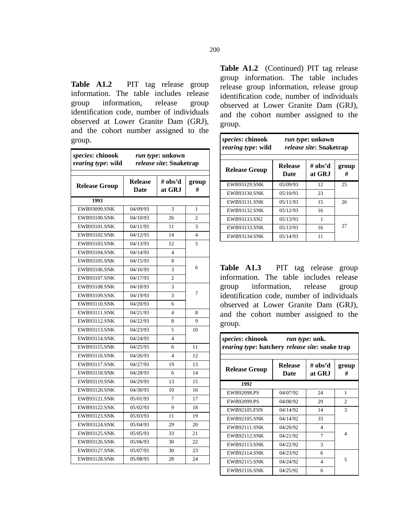**Table A1.2** PIT tag release group information. The table includes release group information, release group identification code, number of individuals observed at Lower Granite Dam (GRJ), and the cohort number assigned to the group.

| species: chinook<br>rearing type: wild | run type: unkown<br>release site: Snaketrap |                          |                |
|----------------------------------------|---------------------------------------------|--------------------------|----------------|
| <b>Release Group</b>                   | <b>Release</b><br><b>Date</b>               | # obs'd<br>at GRJ        | group<br>#     |
| 1993                                   |                                             |                          |                |
| <b>EWB93099.SNK</b>                    | 04/09/93                                    | 3                        | 1              |
| <b>EWB93100.SNK</b>                    | 04/10/93                                    | 26                       | $\mathfrak{D}$ |
| <b>EWB93101.SNK</b>                    | 04/11/93                                    | 11                       | 3              |
| EWB93102.SNK                           | 04/12/93                                    | 14                       | 4              |
| <b>EWB93103.SNK</b>                    | 04/13/93                                    | 12                       | 5              |
| <b>EWB93104.SNK</b>                    | 04/14/93                                    | 4                        |                |
| <b>EWB93105.SNK</b>                    | 04/15/93                                    | 8                        |                |
| <b>EWB93106.SNK</b>                    | 04/16/93                                    | 3                        | 6              |
| <b>EWB93107.SNK</b>                    | 04/17/93                                    | $\overline{c}$           |                |
| <b>EWB93108.SNK</b>                    | 04/18/93                                    | 3                        |                |
| <b>EWB93109.SNK</b>                    | 04/19/93                                    | 3                        | 7              |
| <b>EWB93110.SNK</b>                    | 04/20/93                                    | 6                        |                |
| <b>EWB93111.SNK</b>                    | 04/21/93                                    | $\overline{\mathcal{L}}$ | 8              |
| <b>EWB93112.SNK</b>                    | 04/22/93                                    | 8                        | 9              |
| <b>EWB93113.SNK</b>                    | 04/23/93                                    | 5                        | 10             |
| <b>EWB93114.SNK</b>                    | 04/24/93                                    | 4                        |                |
| <b>EWB93115.SNK</b>                    | 04/25/93                                    | 6                        | 11             |
| <b>EWB93116.SNK</b>                    | 04/26/93                                    | 4                        | 12             |
| <b>EWB93117.SNK</b>                    | 04/27/93                                    | 19                       | 13             |
| <b>EWB93118.SNK</b>                    | 04/28/93                                    | 6                        | 14             |
| <b>EWB93119.SNK</b>                    | 04/29/93                                    | 13                       | 15             |
| <b>EWB93120.SNK</b>                    | 04/30/93                                    | 10                       | 16             |
| <b>EWB93121.SNK</b>                    | 05/01/93                                    | 7                        | 17             |
| <b>EWB93122.SNK</b>                    | 05/02/93                                    | 9                        | 18             |
| <b>EWB93123.SNK</b>                    | 05/03/93                                    | 11                       | 19             |
| <b>EWB93124.SNK</b>                    | 05/04/93                                    | 29                       | 20             |
| <b>EWB93125.SNK</b>                    | 05/05/93                                    | 33                       | 21             |
| <b>EWB93126.SNK</b>                    | 05/06/93                                    | 30                       | 22             |
| <b>EWB93127.SNK</b>                    | 05/07/93                                    | 30                       | 23             |
| <b>EWB93128.SNK</b>                    | 05/08/93                                    | 28                       | 24             |

**Table A1.2** (Continued) PIT tag release group information. The table includes release group information, release group identification code, number of individuals observed at Lower Granite Dam (GRJ), and the cohort number assigned to the group.

| species: chinook<br>rearing type: wild | <i>run type</i> : unkown<br><i>release site: Snaketrap</i> |                   |            |
|----------------------------------------|------------------------------------------------------------|-------------------|------------|
| <b>Release Group</b>                   | <b>Release</b><br>Date                                     | # obs'd<br>at GRJ | group<br># |
| <b>EWB93129.SNK</b>                    | 05/09/93                                                   | 12                | 25         |
| <b>EWB93130.SNK</b>                    | 05/10/93                                                   | 23                |            |
| <b>EWB93131 SNK</b>                    | 05/11/93                                                   | 15                | 26         |
| <b>EWB93132.SNK</b>                    | 05/12/93                                                   | 16                |            |
| EWB93133.SN2                           | 05/13/93                                                   | 1                 |            |
| <b>EWB93133.SNK</b>                    | 05/13/93                                                   | 16                | 27         |
| <b>EWB93134.SNK</b>                    | 05/14/93                                                   | 11                |            |

**Table A1.3** PIT tag release group information. The table includes release group information, release group identification code, number of individuals observed at Lower Granite Dam (GRJ), and the cohort number assigned to the group.

| <i>species:</i> chinook run type: unk.<br>rearing type: hatchery release site: snake trap |                        |                          |                |
|-------------------------------------------------------------------------------------------|------------------------|--------------------------|----------------|
| <b>Release Group</b>                                                                      | <b>Release</b><br>Date | # obs'd<br>at GRJ        | group<br>#     |
| 1992                                                                                      |                        |                          |                |
| EWB92098.PS                                                                               | 04/07/92               | 24                       | 1              |
| EWB92099.PS                                                                               | 04/08/92               | 29                       | $\overline{2}$ |
| <b>EWB92105.FSN</b>                                                                       | 04/14/92               | 14                       | 3              |
| <b>EWB92105.SNK</b>                                                                       | 04/14/92               | 33                       |                |
| <b>EWB92111.SNK</b>                                                                       | 04/20/92               | $\overline{\mathcal{A}}$ |                |
| <b>EWB92112.SNK</b>                                                                       | 04/21/92               | 7                        | 4              |
| <b>EWB92113.SNK</b>                                                                       | 04/22/92               | $\mathcal{R}$            |                |
| <b>EWB92114.SNK</b>                                                                       | 04/23/92               | 6                        |                |
| <b>EWB92115.SNK</b>                                                                       | 04/24/92               | 4                        | 5              |
| <b>EWB92116.SNK</b>                                                                       | 04/25/92               | 6                        |                |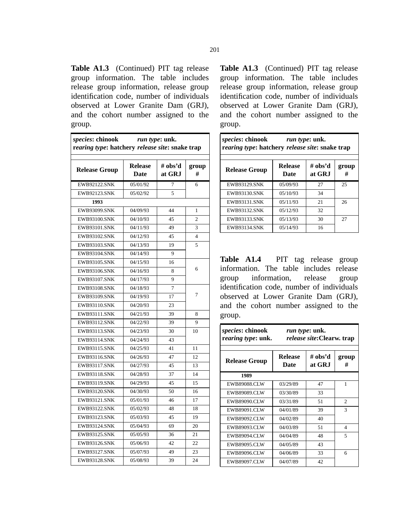**Table A1.3** (Continued) PIT tag release group information. The table includes release group information, release group identification code, number of individuals observed at Lower Granite Dam (GRJ), and the cohort number assigned to the group.

| species: chinook<br>run type: unk.<br>rearing type: hatchery release site: snake trap |                               |                   |                |
|---------------------------------------------------------------------------------------|-------------------------------|-------------------|----------------|
| <b>Release Group</b>                                                                  | <b>Release</b><br><b>Date</b> | # obs'd<br>at GRJ | group<br>#     |
| <b>EWB92122.SNK</b>                                                                   | 05/01/92                      | $\overline{7}$    | 6              |
| <b>EWB92123.SNK</b>                                                                   | 05/02/92                      | 5                 |                |
| 1993                                                                                  |                               |                   |                |
| <b>EWB93099.SNK</b>                                                                   | 04/09/93                      | 44                | 1              |
| <b>EWB93100.SNK</b>                                                                   | 04/10/93                      | 45                | $\overline{2}$ |
| <b>EWB93101.SNK</b>                                                                   | 04/11/93                      | 49                | 3              |
| EWB93102.SNK                                                                          | 04/12/93                      | 45                | 4              |
| <b>EWB93103.SNK</b>                                                                   | 04/13/93                      | 19                | 5              |
| <b>EWB93104.SNK</b>                                                                   | 04/14/93                      | 9                 |                |
| <b>EWB93105.SNK</b>                                                                   | 04/15/93                      | 16                |                |
| <b>EWB93106.SNK</b>                                                                   | 04/16/93                      | 8                 | 6              |
| <b>EWB93107.SNK</b>                                                                   | 04/17/93                      | 9                 |                |
| <b>EWB93108.SNK</b>                                                                   | 04/18/93                      | $\overline{7}$    |                |
| <b>EWB93109.SNK</b>                                                                   | 04/19/93                      | 17                | 7              |
| <b>EWB93110.SNK</b>                                                                   | 04/20/93                      | 23                |                |
| <b>EWB93111.SNK</b>                                                                   | 04/21/93                      | 39                | 8              |
| <b>EWB93112.SNK</b>                                                                   | 04/22/93                      | 39                | 9              |
| <b>EWB93113.SNK</b>                                                                   | 04/23/93                      | 30                | 10             |
| <b>EWB93114.SNK</b>                                                                   | 04/24/93                      | 43                |                |
| EWB93115.SNK                                                                          | 04/25/93                      | 41                | 11             |
| <b>EWB93116.SNK</b>                                                                   | 04/26/93                      | 47                | 12             |
| <b>EWB93117.SNK</b>                                                                   | 04/27/93                      | 45                | 13             |
| <b>EWB93118.SNK</b>                                                                   | 04/28/93                      | 37                | 14             |
| <b>EWB93119.SNK</b>                                                                   | 04/29/93                      | 45                | 15             |
| <b>EWB93120.SNK</b>                                                                   | 04/30/93                      | 50                | 16             |
| <b>EWB93121.SNK</b>                                                                   | 05/01/93                      | 46                | 17             |
| <b>EWB93122.SNK</b>                                                                   | 05/02/93                      | 48                | 18             |
| <b>EWB93123.SNK</b>                                                                   | 05/03/93                      | 45                | 19             |
| <b>EWB93124.SNK</b>                                                                   | 05/04/93                      | 69                | 20             |
| <b>EWB93125.SNK</b>                                                                   | 05/05/93                      | 36                | 21             |
| <b>EWB93126.SNK</b>                                                                   | 05/06/93                      | 42                | 22             |
| <b>EWB93127.SNK</b>                                                                   | 05/07/93                      | 49                | 23             |
| <b>EWB93128.SNK</b>                                                                   | 05/08/93                      | 39                | 24             |

**Table A1.3** (Continued) PIT tag release group information. The table includes release group information, release group identification code, number of individuals observed at Lower Granite Dam (GRJ), and the cohort number assigned to the group.

| <i>species</i> : chinook<br><i>run type</i> : unk.<br>rearing type: hatchery release site: snake trap |                        |                   |            |
|-------------------------------------------------------------------------------------------------------|------------------------|-------------------|------------|
| <b>Release Group</b>                                                                                  | <b>Release</b><br>Date | # obs'd<br>at GRJ | group<br># |
| <b>EWB93129.SNK</b>                                                                                   | 05/09/93               | 27                | 25         |
| <b>EWB93130.SNK</b>                                                                                   | 05/10/93               | 34                |            |
| <b>EWB93131.SNK</b>                                                                                   | 05/11/93               | 21                | 26         |
| <b>EWB93132.SNK</b>                                                                                   | 05/12/93               | 32                |            |
| <b>EWB93133.SNK</b>                                                                                   | 05/13/93               | 30                | 27         |
| <b>EWB93134.SNK</b>                                                                                   | 05/14/93               | 16                |            |

**Table A1.4** PIT tag release group information. The table includes release group information, release group identification code, number of individuals observed at Lower Granite Dam (GRJ), and the cohort number assigned to the group.

| <i>species:</i> chinook<br>rearing type: unk. | <i>run type</i> : unk.<br>release site: Clearw. trap |                   |                |
|-----------------------------------------------|------------------------------------------------------|-------------------|----------------|
| <b>Release Group</b>                          | <b>Release</b><br>Date                               | # obs'd<br>at GRJ | group<br>#     |
| 1989                                          |                                                      |                   |                |
| <b>EWB89088.CLW</b>                           | 03/29/89                                             | 47                | 1              |
| <b>EWB89089.CLW</b>                           | 03/30/89                                             | 33                |                |
| <b>EWB89090.CLW</b>                           | 03/31/89                                             | 51                | $\overline{2}$ |
| EWB89091.CLW                                  | 04/01/89                                             | 39                | 3              |
| <b>EWB89092.CLW</b>                           | 04/02/89                                             | 40                |                |
| <b>EWB89093.CLW</b>                           | 04/03/89                                             | 51                | 4              |
| <b>EWB89094.CLW</b>                           | 04/04/89                                             | 48                | 5              |
| <b>EWB89095.CLW</b>                           | 04/05/89                                             | 43                |                |
| <b>EWB89096.CLW</b>                           | 04/06/89                                             | 33                | 6              |
| EWB89097.CLW                                  | 04/07/89                                             | 42                |                |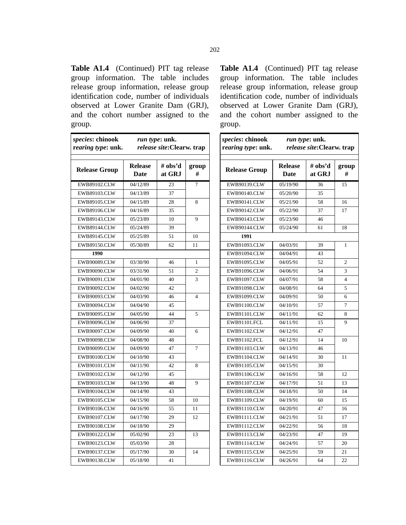**Table A1.4** (Continued) PIT tag release group information. The table includes release group information, release group identification code, number of individuals observed at Lower Granite Dam (GRJ), and the cohort number assigned to the group.

| species: chinook<br>rearing type: unk. | run type: unk.<br>release site: Clearw. trap |                   |                |
|----------------------------------------|----------------------------------------------|-------------------|----------------|
| <b>Release Group</b>                   | <b>Release</b><br><b>Date</b>                | # obs'd<br>at GRJ | group<br>#     |
| EWB89102.CLW                           | 04/12/89                                     | 23                | $\overline{7}$ |
| EWB89103.CLW                           | 04/13/89                                     | 37                |                |
| EWB89105.CLW                           | 04/15/89                                     | 28                | 8              |
| <b>EWB89106.CLW</b>                    | 04/16/89                                     | 35                |                |
| <b>EWB89143.CLW</b>                    | 05/23/89                                     | 10                | 9              |
| <b>EWB89144.CLW</b>                    | 05/24/89                                     | 39                |                |
| <b>EWB89145.CLW</b>                    | 05/25/89                                     | 51                | 10             |
| EWB89150.CLW                           | 05/30/89                                     | 62                | 11             |
| 1990                                   |                                              |                   |                |
| <b>EWB90089.CLW</b>                    | 03/30/90                                     | 46                | 1              |
| <b>EWB90090.CLW</b>                    | 03/31/90                                     | 51                | $\overline{c}$ |
| EWB90091.CLW                           | 04/01/90                                     | 40                | 3              |
| <b>EWB90092.CLW</b>                    | 04/02/90                                     | 42                |                |
| EWB90093.CLW                           | 04/03/90                                     | 46                | 4              |
| <b>EWB90094.CLW</b>                    | 04/04/90                                     | 45                |                |
| EWB90095.CLW                           | 04/05/90                                     | 44                | 5              |
| EWB90096.CLW                           | 04/06/90                                     | 37                |                |
| <b>EWB90097.CLW</b>                    | 04/09/90                                     | 40                | 6              |
| <b>EWB90098.CLW</b>                    | 04/08/90                                     | 48                |                |
| <b>EWB90099.CLW</b>                    | 04/09/90                                     | 47                | 7              |
| EWB90100.CLW                           | 04/10/90                                     | 43                |                |
| <b>EWB90101.CLW</b>                    | 04/11/90                                     | 42                | 8              |
| EWB90102.CLW                           | 04/12/90                                     | 45                |                |
| EWB90103.CLW                           | 04/13/90                                     | 48                | 9              |
| EWB90104.CLW                           | 04/14/90                                     | 43                |                |
| EWB90105.CLW                           | 04/15/90                                     | 58                | 10             |
| EWB90106.CLW                           | 04/16/90                                     | 55                | 11             |
| EWB90107.CLW                           | 04/17/90                                     | 29                | 12             |
| <b>EWB90108.CLW</b>                    | 04/18/90                                     | 29                |                |
| EWB90122.CLW                           | 05/02/90                                     | 23                | 13             |
| <b>EWB90123.CLW</b>                    | 05/03/90                                     | 28                |                |
| EWB90137.CLW                           | 05/17/90                                     | 30                | 14             |
| EWB90138.CLW                           | 05/18/90                                     | 41                |                |

**Table A1.4** (Continued) PIT tag release group information. The table includes release group information, release group identification code, number of individuals observed at Lower Granite Dam (GRJ), and the cohort number assigned to the group.

| species: chinook<br>rearing type: unk. | run type: unk.<br>release site: Clearw. trap |                   |                |
|----------------------------------------|----------------------------------------------|-------------------|----------------|
| <b>Release Group</b>                   | <b>Release</b><br><b>Date</b>                | # obs'd<br>at GRJ | group<br>#     |
| EWB90139.CLW                           | 05/19/90                                     | 36                | 15             |
| <b>EWB90140.CLW</b>                    | 05/20/90                                     | 35                |                |
| EWB90141.CLW                           | 05/21/90                                     | 58                | 16             |
| <b>EWB90142.CLW</b>                    | 05/22/90                                     | 37                | 17             |
| <b>EWB90143.CLW</b>                    | 05/23/90                                     | 46                |                |
| <b>EWB90144.CLW</b>                    | 05/24/90                                     | 61                | 18             |
| 1991                                   |                                              |                   |                |
| EWB91093.CLW                           | 04/03/91                                     | 39                | 1              |
| <b>EWB91094.CLW</b>                    | 04/04/91                                     | 43                |                |
| EWB91095.CLW                           | 04/05/91                                     | 52                | $\overline{2}$ |
| EWB91096.CLW                           | 04/06/91                                     | 54                | 3              |
| EWB91097.CLW                           | 04/07/91                                     | 58                | 4              |
| EWB91098.CLW                           | 04/08/91                                     | 64                | 5              |
| EWB91099.CLW                           | 04/09/91                                     | 50                | 6              |
| <b>EWB91100.CLW</b>                    | 04/10/91                                     | 57                | 7              |
| <b>EWB91101.CLW</b>                    | 04/11/91                                     | 62                | 8              |
| EWB91101.FCL                           | 04/11/91                                     | 15                | 9              |
| <b>EWB91102.CLW</b>                    | 04/12/91                                     | 47                |                |
| EWB91102.FCL                           | 04/12/91                                     | 14                | 10             |
| EWB91103.CLW                           | 04/13/91                                     | 46                |                |
| EWB91104.CLW                           | 04/14/91                                     | 30                | 11             |
| EWB91105.CLW                           | 04/15/91                                     | 30                |                |
| EWB91106.CLW                           | 04/16/91                                     | 58                | 12             |
| EWB91107.CLW                           | 04/17/91                                     | 51                | 13             |
| <b>EWB91108.CLW</b>                    | 04/18/91                                     | 50                | 14             |
| EWB91109.CLW                           | 04/19/91                                     | 60                | 15             |
| EWB91110.CLW                           | 04/20/91                                     | 47                | 16             |
| EWB91111.CLW                           | 04/21/91                                     | 51                | 17             |
| EWB91112.CLW                           | 04/22/91                                     | 56                | 18             |
| EWB91113.CLW                           | 04/23/91                                     | 47                | 19             |
| EWB91114.CLW                           | 04/24/91                                     | 57                | 20             |
| EWB91115.CLW                           | 04/25/91                                     | 59                | 21             |
| EWB91116.CLW                           | 04/26/91                                     | 64                | 22             |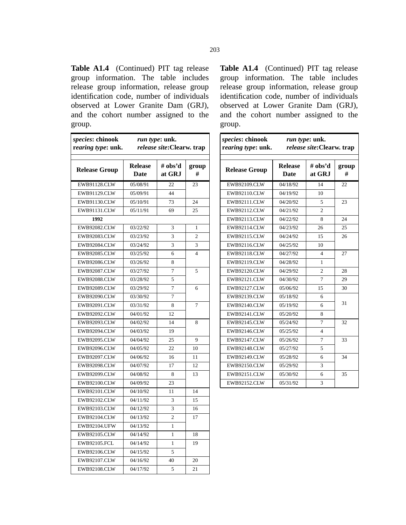**Table A1.4** (Continued) PIT tag release group information. The table includes release group information, release group identification code, number of individuals observed at Lower Granite Dam (GRJ), and the cohort number assigned to the group.

| species: chinook<br>rearing type: unk. |                        | run type: unk.<br>release site: Clearw. trap |                |
|----------------------------------------|------------------------|----------------------------------------------|----------------|
| <b>Release Group</b>                   | <b>Release</b><br>Date | # obs'd<br>at GRJ                            | group<br>#     |
| EWB91128.CLW                           | 05/08/91               | 22                                           | 23             |
| EWB91129.CLW                           | 05/09/91               | 44                                           |                |
| EWB91130.CLW                           | 05/10/91               | 73                                           | 24             |
| EWB91131.CLW                           | 05/11/91               | 69                                           | 25             |
| 1992                                   |                        |                                              |                |
| <b>EWB92082.CLW</b>                    | 03/22/92               | 3                                            | 1              |
| EWB92083.CLW                           | 03/23/92               | 3                                            | $\overline{2}$ |
| <b>EWB92084.CLW</b>                    | 03/24/92               | 3                                            | 3              |
| <b>EWB92085.CLW</b>                    | 03/25/92               | 6                                            | $\overline{4}$ |
| EWB92086.CLW                           | 03/26/92               | 8                                            |                |
| <b>EWB92087.CLW</b>                    | 03/27/92               | 7                                            | 5              |
| <b>EWB92088.CLW</b>                    | 03/28/92               | 5                                            |                |
| EWB92089.CLW                           | 03/29/92               | $\overline{7}$                               | 6              |
| EWB92090.CLW                           | 03/30/92               | 7                                            |                |
| EWB92091.CLW                           | 03/31/92               | 8                                            | 7              |
| EWB92092.CLW                           | 04/01/92               | 12                                           |                |
| EWB92093.CLW                           | 04/02/92               | 14                                           | 8              |
| <b>EWB92094.CLW</b>                    | 04/03/92               | 19                                           |                |
| EWB92095.CLW                           | 04/04/92               | 25                                           | 9              |
| EWB92096.CLW                           | 04/05/92               | 22                                           | 10             |
| EWB92097.CLW                           | 04/06/92               | 16                                           | 11             |
| EWB92098.CLW                           | 04/07/92               | 17                                           | 12             |
| <b>EWB92099.CLW</b>                    | 04/08/92               | 8                                            | 13             |
| EWB92100.CLW                           | 04/09/92               | 23                                           |                |
| <b>EWB92101.CLW</b>                    | 04/10/92               | 11                                           | 14             |
| EWB92102.CLW                           | 04/11/92               | 3                                            | 15             |
| EWB92103.CLW                           | 04/12/92               | 3                                            | 16             |
| EWB92104.CLW                           | 04/13/92               | $\overline{2}$                               | 17             |
| EWB92104.UFW                           | 04/13/92               | 1                                            |                |
| EWB92105.CLW                           | 04/14/92               | 1                                            | 18             |
| EWB92105.FCL                           | 04/14/92               | 1                                            | 19             |
| EWB92106.CLW                           | 04/15/92               | 5                                            |                |
| <b>EWB92107.CLW</b>                    | 04/16/92               | 40                                           | 20             |
| <b>EWB92108.CLW</b>                    | 04/17/92               | 5                                            | 21             |

**Table A1.4** (Continued) PIT tag release group information. The table includes release group information, release group identification code, number of individuals observed at Lower Granite Dam (GRJ), and the cohort number assigned to the group.

| species: chinook<br>rearing type: unk. | run type: unk.<br>release site: Clearw. trap |                   |            |
|----------------------------------------|----------------------------------------------|-------------------|------------|
| <b>Release Group</b>                   | <b>Release</b><br><b>Date</b>                | # obs'd<br>at GRJ | group<br># |
| EWB92109.CLW                           | 04/18/92                                     | 14                | 22         |
| EWB92110.CLW                           | 04/19/92                                     | 10                |            |
| EWB92111.CLW                           | 04/20/92                                     | 5                 | 23         |
| EWB92112.CLW                           | 04/21/92                                     | $\overline{c}$    |            |
| EWB92113.CLW                           | 04/22/92                                     | 8                 | 24         |
| <b>EWB92114.CLW</b>                    | 04/23/92                                     | 26                | 25         |
| EWB92115.CLW                           | 04/24/92                                     | 15                | 26         |
| <b>EWB92116.CLW</b>                    | 04/25/92                                     | 10                |            |
| <b>EWB92118.CLW</b>                    | 04/27/92                                     | 4                 | 27         |
| <b>EWB92119.CLW</b>                    | 04/28/92                                     | 1                 |            |
| EWB92120.CLW                           | 04/29/92                                     | $\overline{c}$    | 28         |
| <b>EWB92121.CLW</b>                    | 04/30/92                                     | 7                 | 29         |
| <b>EWB92127.CLW</b>                    | 05/06/92                                     | 15                | 30         |
| EWB92139.CLW                           | 05/18/92                                     | 6                 |            |
| <b>EWB92140.CLW</b>                    | 05/19/92                                     | 6                 | 31         |
| EWB92141.CLW                           | 05/20/92                                     | 8                 |            |
| EWB92145.CLW                           | 05/24/92                                     | 7                 | 32         |
| EWB92146.CLW                           | 05/25/92                                     | $\overline{4}$    |            |
| <b>EWB92147.CLW</b>                    | 05/26/92                                     | 7                 | 33         |
| <b>EWB92148.CLW</b>                    | 05/27/92                                     | 5                 |            |
| EWB92149.CLW                           | 05/28/92                                     | 6                 | 34         |
| EWB92150.CLW                           | 05/29/92                                     | 3                 |            |
| EWB92151.CLW                           | 05/30/92                                     | 6                 | 35         |
| EWB92152.CLW                           | 05/31/92                                     | 3                 |            |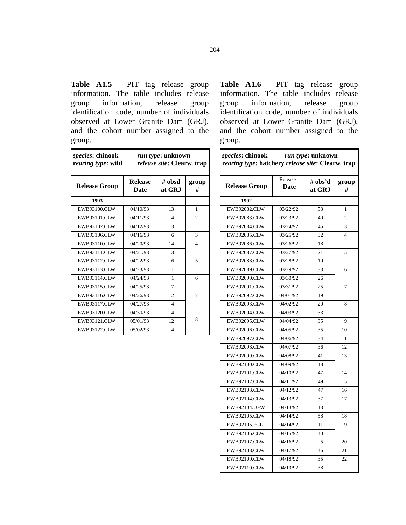| <b>Table A1.5</b> PIT tag release group    |  |  |  |  |
|--------------------------------------------|--|--|--|--|
| information. The table includes release    |  |  |  |  |
| group information, release group           |  |  |  |  |
| identification code, number of individuals |  |  |  |  |
| observed at Lower Granite Dam (GRJ),       |  |  |  |  |
| and the cohort number assigned to the      |  |  |  |  |
| group.                                     |  |  |  |  |

| <i>species:</i> chinook<br>rearing type: wild | <i>run type</i> : unknown<br>release site: Clearw. trap |                          |                |
|-----------------------------------------------|---------------------------------------------------------|--------------------------|----------------|
| <b>Release Group</b>                          | <b>Release</b><br>Date                                  | # obsd<br>at GRJ         | group<br>#     |
| 1993                                          |                                                         |                          |                |
| EWB93100.CLW                                  | 04/10/93                                                | 13                       | 1              |
| EWB93101.CLW                                  | 04/11/93                                                | $\overline{4}$           | $\overline{c}$ |
| <b>EWB93102.CLW</b>                           | 04/12/93                                                | 3                        |                |
| EWB93106.CLW                                  | 04/16/93                                                | 6                        | 3              |
| EWB93110.CLW                                  | 04/20/93                                                | 14                       | $\overline{4}$ |
| EWB93111.CLW                                  | 04/21/93                                                | 3                        |                |
| EWB93112.CLW                                  | 04/22/93                                                | 6                        | 5              |
| <b>EWB93113.CLW</b>                           | 04/23/93                                                | $\mathbf{1}$             |                |
| <b>EWB93114.CLW</b>                           | 04/24/93                                                | 1                        | 6              |
| <b>EWB93115.CLW</b>                           | 04/25/93                                                | 7                        |                |
| <b>EWB93116.CLW</b>                           | 04/26/93                                                | 12.                      | 7              |
| <b>EWB93117.CLW</b>                           | 04/27/93                                                | $\overline{\mathcal{A}}$ |                |
| <b>EWB93120.CLW</b>                           | 04/30/93                                                | $\overline{4}$           |                |
| <b>EWB93121.CLW</b>                           | 05/01/93                                                | 12                       | 8              |
| <b>EWB93122.CLW</b>                           | 05/02/93                                                | $\overline{4}$           |                |

Table A1.6 PIT tag release group information. The table includes release group information, release group identification code, number of individuals observed at Lower Granite Dam (GRJ), and the cohort number assigned to the group.

| species: chinook<br>rearing type: hatchery release site: Clearw. trap |                 | run type: unknown |                         |
|-----------------------------------------------------------------------|-----------------|-------------------|-------------------------|
| <b>Release Group</b>                                                  | Release<br>Date | # obs'd<br>at GRJ | group<br>#              |
| 1992                                                                  |                 |                   |                         |
| <b>EWB92082.CLW</b>                                                   | 03/22/92        | 53                | 1                       |
| <b>EWB92083.CLW</b>                                                   | 03/23/92        | 49                | $\overline{c}$          |
| <b>EWB92084.CLW</b>                                                   | 03/24/92        | 45                | 3                       |
| <b>EWB92085.CLW</b>                                                   | 03/25/92        | 32                | $\overline{\mathbf{4}}$ |
| <b>EWB92086.CLW</b>                                                   | 03/26/92        | 18                |                         |
| <b>EWB92087.CLW</b>                                                   | 03/27/92        | 21                | 5                       |
| <b>EWB92088.CLW</b>                                                   | 03/28/92        | 19                |                         |
| <b>EWB92089.CLW</b>                                                   | 03/29/92        | 33                | 6                       |
| EWB92090.CLW                                                          | 03/30/92        | 26                |                         |
| <b>EWB92091.CLW</b>                                                   | 03/31/92        | 25                | 7                       |
| <b>EWB92092.CLW</b>                                                   | 04/01/92        | 19                |                         |
| <b>EWB92093.CLW</b>                                                   | 04/02/92        | 20                | 8                       |
| <b>EWB92094.CLW</b>                                                   | 04/03/92        | 33                |                         |
| <b>EWB92095.CLW</b>                                                   | 04/04/92        | 35                | 9                       |
| <b>EWB92096.CLW</b>                                                   | 04/05/92        | 35                | 10                      |
| <b>EWB92097.CLW</b>                                                   | 04/06/92        | 34                | 11                      |
| <b>EWB92098.CLW</b>                                                   | 04/07/92        | 36                | 12                      |
| <b>EWB92099.CLW</b>                                                   | 04/08/92        | 41                | 13                      |
| <b>EWB92100.CLW</b>                                                   | 04/09/92        | 18                |                         |
| <b>EWB92101.CLW</b>                                                   | 04/10/92        | 47                | 14                      |
| <b>EWB92102.CLW</b>                                                   | 04/11/92        | 49                | 15                      |
| EWB92103.CLW                                                          | 04/12/92        | 47                | 16                      |
| EWB92104.CLW                                                          | 04/13/92        | 37                | 17                      |
| <b>EWB92104.UFW</b>                                                   | 04/13/92        | 13                |                         |
| <b>EWB92105.CLW</b>                                                   | 04/14/92        | 58                | 18                      |
| <b>EWB92105.FCL</b>                                                   | 04/14/92        | 11                | 19                      |
| EWB92106.CLW                                                          | 04/15/92        | 40                |                         |
| <b>EWB92107.CLW</b>                                                   | 04/16/92        | 5                 | 20                      |
| <b>EWB92108.CLW</b>                                                   | 04/17/92        | 46                | 21                      |
| EWB92109.CLW                                                          | 04/18/92        | 35                | 22                      |
| EWB92110.CLW                                                          | 04/19/92        | 38                |                         |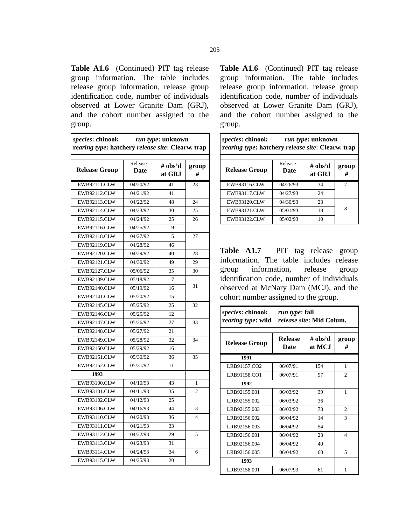Table A1.6 (Continued) PIT tag release group information. The table includes release group information, release group identification code, number of individuals observed at Lower Granite Dam (GRJ), and the cohort number assigned to the group.

| species: chinook<br>run type: unknown<br>rearing type: hatchery release site: Clearw. trap |                 |                   |                |
|--------------------------------------------------------------------------------------------|-----------------|-------------------|----------------|
| <b>Release Group</b>                                                                       | Release<br>Date | # obs'd<br>at GRJ | group<br>#     |
| <b>EWB92111.CLW</b>                                                                        | 04/20/92        | 41                | 23             |
| EWB92112.CLW                                                                               | 04/21/92        | 41                |                |
| <b>EWB92113.CLW</b>                                                                        | 04/22/92        | 48                | 24             |
| EWB92114.CLW                                                                               | 04/23/92        | 30                | 25             |
| <b>EWB92115.CLW</b>                                                                        | 04/24/92        | 25                | 26             |
| EWB92116.CLW                                                                               | 04/25/92        | 9                 |                |
| <b>EWB92118.CLW</b>                                                                        | 04/27/92        | 5                 | 27             |
| <b>EWB92119.CLW</b>                                                                        | 04/28/92        | 46                |                |
| <b>EWB92120.CLW</b>                                                                        | 04/29/92        | 40                | 28             |
| EWB92121.CLW                                                                               | 04/30/92        | 49                | 29             |
| <b>EWB92127.CLW</b>                                                                        | 05/06/92        | 35                | 30             |
| <b>EWB92139.CLW</b>                                                                        | 05/18/92        | $\overline{7}$    |                |
| EWB92140.CLW                                                                               | 05/19/92        | 16                | 31             |
| EWB92141.CLW                                                                               | 05/20/92        | 15                |                |
| <b>EWB92145.CLW</b>                                                                        | 05/25/92        | 25                | 32             |
| EWB92146.CLW                                                                               | 05/25/92        | 12                |                |
| <b>EWB92147.CLW</b>                                                                        | 05/26/92        | 27                | 33             |
| <b>EWB92148.CLW</b>                                                                        | 05/27/92        | 21                |                |
| <b>EWB92149.CLW</b>                                                                        | 05/28/92        | 32                | 34             |
| EWB92150.CLW                                                                               | 05/29/92        | 16                |                |
| <b>EWB92151.CLW</b>                                                                        | 05/30/92        | 36                | 35             |
| EWB92152.CLW                                                                               | 05/31/92        | 11                |                |
| 1993                                                                                       |                 |                   |                |
| EWB93100.CLW                                                                               | 04/10/93        | 43                | 1              |
| EWB93101.CLW                                                                               | 04/11/93        | 35                | $\overline{2}$ |
| EWB93102.CLW                                                                               | 04/12/93        | 25                |                |
| EWB93106.CLW                                                                               | 04/16/93        | 44                | 3              |
| EWB93110.CLW                                                                               | 04/20/93        | 36                | 4              |
| EWB93111.CLW                                                                               | 04/21/93        | 33                |                |
| EWB93112.CLW                                                                               | 04/22/93        | 29                | 5              |
| <b>EWB93113.CLW</b>                                                                        | 04/23/93        | 31                |                |
| EWB93114.CLW                                                                               | 04/24/93        | 34                | 6              |
| EWB93115.CLW                                                                               | 04/25/93        | 20                |                |

Table A1.6 (Continued) PIT tag release group information. The table includes release group information, release group identification code, number of individuals observed at Lower Granite Dam (GRJ), and the cohort number assigned to the group.

| species: chinook<br>run type: unknown<br>rearing type: hatchery release site: Clearw. trap |                 |                   |            |
|--------------------------------------------------------------------------------------------|-----------------|-------------------|------------|
| <b>Release Group</b>                                                                       | Release<br>Date | # obs'd<br>at GRJ | group<br># |
| <b>EWB93116.CLW</b>                                                                        | 04/26/93        | 34                | 7          |
| <b>EWB93117.CLW</b>                                                                        | 04/27/93        | 24                |            |
| EWB93120.CLW                                                                               | 04/30/93        | 23                |            |
| <b>EWB93121.CLW</b>                                                                        | 05/01/93        | 18                | 8          |
| <b>EWB93122.CLW</b>                                                                        | 05/02/93        | 10                |            |

**Table A1.7** PIT tag release group information. The table includes release group information, release group identification code, number of individuals observed at McNary Dam (MCJ), and the cohort number assigned to the group.

| <i>species</i> : chinook | run type: fall<br>rearing type: wild release site: Mid Colum. |                   |                |  |
|--------------------------|---------------------------------------------------------------|-------------------|----------------|--|
| <b>Release Group</b>     | <b>Release</b><br>Date                                        | # obs'd<br>at MCJ | group<br>#     |  |
| 1991                     |                                                               |                   |                |  |
| LRB91157.CO2             | 06/07/91                                                      | 154               | 1              |  |
| LRB91158.CO1             | 06/07/91                                                      | 97                | $\mathfrak{2}$ |  |
| 1992                     |                                                               |                   |                |  |
| LRB92155.001             | 06/03/92                                                      | 39                | 1              |  |
| LRB92155.002             | 06/03/92                                                      | 36                |                |  |
| LRB92155.003             | 06/03/92                                                      | 73                | $\overline{2}$ |  |
| LRB92156.002             | 06/04/92                                                      | 14                | 3              |  |
| LRB92156.003             | 06/04/92                                                      | 54                |                |  |
| LRB92156.001             | 06/04/92                                                      | 23                | $\Delta$       |  |
| LRB92156.004             | 06/04/92                                                      | 40                |                |  |
| LRB92156.005             | 06/04/92                                                      | 60                | 5              |  |
| 1993                     |                                                               |                   |                |  |
| LRB93158.001             | 06/07/93                                                      | 61                | 1              |  |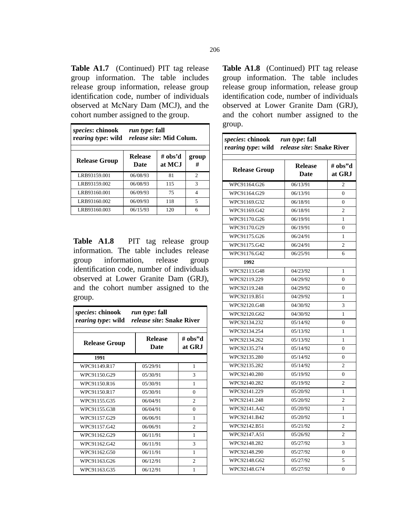Table A1.7 (Continued) PIT tag release group information. The table includes release group information, release group identification code, number of individuals observed at McNary Dam (MCJ), and the cohort number assigned to the group.

| <i>species:</i> chinook<br>rearing type: wild | <i>run type</i> : fall<br><i>release site:</i> Mid Colum. |                   |            |  |
|-----------------------------------------------|-----------------------------------------------------------|-------------------|------------|--|
| <b>Release Group</b>                          | <b>Release</b><br>Date                                    | # obs'd<br>at MCJ | group<br># |  |
| LRB93159.001                                  | 06/08/93                                                  | 81                | 2          |  |
| LRB93159.002                                  | 06/08/93                                                  | 115               | 3          |  |
| LRB93160.001                                  | 06/09/93                                                  | 75                | 4          |  |
| LRB93160.002                                  | 06/09/93                                                  | 118               | 5          |  |
| LRB93160.003                                  | 06/15/93                                                  | 120               | 6          |  |

**Table A1.8** PIT tag release group information. The table includes release group information, release group identification code, number of individuals observed at Lower Granite Dam (GRJ), and the cohort number assigned to the group.

| <i>species</i> : chinook<br>run type: fall<br><i>release site:</i> Snake River<br>rearing type: wild |                               |                   |  |  |
|------------------------------------------------------------------------------------------------------|-------------------------------|-------------------|--|--|
| <b>Release Group</b>                                                                                 | <b>Release</b><br><b>Date</b> | # obs"d<br>at GRJ |  |  |
| 1991                                                                                                 |                               |                   |  |  |
| WPC91149.R17                                                                                         | 05/29/91                      | 1                 |  |  |
| WPC91150.G29                                                                                         | 05/30/91                      | 3                 |  |  |
| WPC91150.R16                                                                                         | 05/30/91                      | 1                 |  |  |
| WPC91150.R17                                                                                         | 05/30/91                      | $\Omega$          |  |  |
| WPC91155.G35                                                                                         | 06/04/91                      | $\overline{c}$    |  |  |
| WPC91155.G38                                                                                         | 06/04/91                      | $\Omega$          |  |  |
| WPC91157.G29                                                                                         | 06/06/91                      | $\mathbf{1}$      |  |  |
| WPC91157.G42                                                                                         | 06/06/91                      | $\overline{c}$    |  |  |
| WPC91162.G29                                                                                         | 06/11/91                      | 1                 |  |  |
| WPC91162.G42                                                                                         | 06/11/91                      | 3                 |  |  |
| WPC91162.G50                                                                                         | 06/11/91                      | 1                 |  |  |
| WPC91163.G26                                                                                         | 06/12/91                      | $\mathfrak{D}$    |  |  |
| WPC91163.G35                                                                                         | 06/12/91                      | 1                 |  |  |

**Table A1.8** (Continued) PIT tag release group information. The table includes release group information, release group identification code, number of individuals observed at Lower Granite Dam (GRJ), and the cohort number assigned to the group.

| species: chinook<br>run type: fall<br><i>release site:</i> Snake River<br>rearing type: wild |                               |                   |  |  |
|----------------------------------------------------------------------------------------------|-------------------------------|-------------------|--|--|
| <b>Release Group</b>                                                                         | <b>Release</b><br><b>Date</b> | # obs"d<br>at GRJ |  |  |
| WPC91164.G26                                                                                 | 06/13/91                      | $\overline{2}$    |  |  |
| WPC91164.G29                                                                                 | 06/13/91                      | $\theta$          |  |  |
| WPC91169.G32                                                                                 | 06/18/91                      | $\theta$          |  |  |
| WPC91169.G42                                                                                 | 06/18/91                      | 2                 |  |  |
| WPC91170.G26                                                                                 | 06/19/91                      | $\mathbf{1}$      |  |  |
| WPC91170.G29                                                                                 | 06/19/91                      | 0                 |  |  |
| WPC91175.G26                                                                                 | 06/24/91                      | 1                 |  |  |
| WPC91175.G42                                                                                 | 06/24/91                      | $\overline{2}$    |  |  |
| WPC91176.G42                                                                                 | 06/25/91                      | 6                 |  |  |
| 1992                                                                                         |                               |                   |  |  |
| WPC92113.G48                                                                                 | 04/23/92                      | 1                 |  |  |
| WPC92119.229                                                                                 | 04/29/92                      | $\overline{0}$    |  |  |
| WPC92119.248                                                                                 | 04/29/92                      | $\theta$          |  |  |
| WPC92119.B51                                                                                 | 04/29/92                      | 1                 |  |  |
| WPC92120.G48                                                                                 | 04/30/92                      | 3                 |  |  |
| WPC92120.G62                                                                                 | 04/30/92                      | 1                 |  |  |
| WPC92134.232                                                                                 | 05/14/92                      | 0                 |  |  |
| WPC92134.254                                                                                 | 05/13/92                      | 1                 |  |  |
| WPC92134.262                                                                                 | 05/13/92                      | 1                 |  |  |
| WPC92135.274                                                                                 | 05/14/92                      | $\overline{0}$    |  |  |
| WPC92135.280                                                                                 | 05/14/92                      | 0                 |  |  |
| WPC92135.282                                                                                 | 05/14/92                      | $\overline{2}$    |  |  |
| WPC92140.280                                                                                 | 05/19/92                      | 0                 |  |  |
| WPC92140.282                                                                                 | 05/19/92                      | $\overline{c}$    |  |  |
| WPC92141.229                                                                                 | 05/20/92                      | 1                 |  |  |
| WPC92141.248                                                                                 | 05/20/92                      | $\overline{2}$    |  |  |
| WPC92141.A42                                                                                 | 05/20/92                      | 1                 |  |  |
| WPC92141.B42                                                                                 | 05/20/92                      | 1                 |  |  |
| WPC92142.B51                                                                                 | 05/21/92                      | $\overline{c}$    |  |  |
| WPC92147.A51                                                                                 | 05/26/92                      | $\overline{c}$    |  |  |
| WPC92148.282                                                                                 | 05/27/92                      | 3                 |  |  |
| WPC92148.290                                                                                 | 05/27/92                      | $\mathbf{0}$      |  |  |
| WPC92148.G62                                                                                 | 05/27/92                      | 5                 |  |  |
| WPC92148.G74                                                                                 | 05/27/92                      | 0                 |  |  |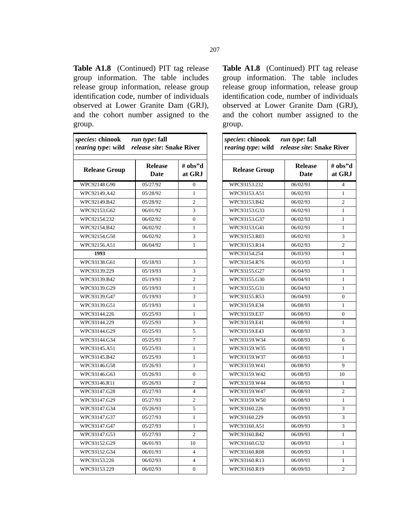**Table A1.8** (Continued) PIT tag release group information. The table includes release group information, release group identification code, number of individuals observed at Lower Granite Dam (GRJ), and the cohort number assigned to the group.

| species: chinook<br>rearing type: wild release site: Snake River | <i>run type</i> : fall |                          |
|------------------------------------------------------------------|------------------------|--------------------------|
| <b>Release Group</b>                                             | <b>Release</b><br>Date | # obs"d<br>at GRJ        |
| WPC92148.G90                                                     | 05/27/92               | $\theta$                 |
| WPC92149.A42                                                     | 05/28/92               | 1                        |
| WPC92149.B42                                                     | 05/28/92               | $\overline{c}$           |
| WPC92153.G62                                                     | 06/01/92               | 3                        |
| WPC92154.232                                                     | 06/02/92               | $\theta$                 |
| WPC92154.B42                                                     | 06/02/92               | $\mathbf{1}$             |
| WPC92154.G50                                                     | 06/02/92               | 3                        |
| WPC92156.A51                                                     | 06/04/92               | $\mathbf{1}$             |
| 1993                                                             |                        |                          |
| WPC93138.G61                                                     | 05/18/93               | 3                        |
| WPC93139.229                                                     | 05/19/93               | 3                        |
| WPC93139.B42                                                     | 05/19/93               | $\overline{c}$           |
| WPC93139.G29                                                     | 05/19/93               | $\mathbf{1}$             |
| WPC93139.G47                                                     | 05/19/93               | 3                        |
| WPC93139.G51                                                     | 05/19/93               | $\mathbf{1}$             |
| WPC93144.226                                                     | 05/25/93               | 1                        |
| WPC93144.229                                                     | 05/25/93               | 3                        |
| WPC93144.G29                                                     | 05/25/93               | 5                        |
| WPC93144.G34                                                     | 05/25/93               | 7                        |
| WPC93145.A51                                                     | 05/25/93               | 1                        |
| WPC93145.B42                                                     | 05/25/93               | 1                        |
| WPC93146.G58                                                     | 05/26/93               | $\mathbf{1}$             |
| WPC93146.G63                                                     | 05/26/93               | $\theta$                 |
| WPC93146.R11                                                     | 05/26/93               | $\overline{c}$           |
| WPC93147.G28                                                     | 05/27/93               | $\overline{\mathbf{4}}$  |
| WPC93147.G29                                                     | 05/27/93               | $\overline{2}$           |
| WPC93147.G34                                                     | 05/26/93               | 5                        |
| WPC93147.G37                                                     | 05/27/93               | $\mathbf{1}$             |
| WPC93147.G47                                                     | 05/27/93               | 1                        |
| WPC93147.G53                                                     | 05/27/93               | $\overline{2}$           |
| WPC93152.G29                                                     | 06/01/93               | 10                       |
| WPC93152.G34                                                     | 06/01/93               | $\overline{\mathcal{L}}$ |
| WPC93153.226                                                     | 06/02/93               | 4                        |
| WPC93153.229                                                     | 06/02/93               | $\theta$                 |

**Table A1.8** (Continued) PIT tag release group information. The table includes release group information, release group identification code, number of individuals observed at Lower Granite Dam (GRJ), and the cohort number assigned to the group.

| <i>species:</i> chinook <i>run type:</i> fall<br>rearing type: wild | <i>release site: Snake River</i> |                         |
|---------------------------------------------------------------------|----------------------------------|-------------------------|
| <b>Release Group</b>                                                | <b>Release</b><br><b>Date</b>    | # obs"d<br>at GRJ       |
| WPC93153.232                                                        | 06/02/93                         | $\overline{\mathbf{4}}$ |
| WPC93153.A51                                                        | 06/02/93                         | 1                       |
| WPC93153.B42                                                        | 06/02/93                         | $\overline{c}$          |
| WPC93153.G33                                                        | 06/02/93                         | 1                       |
| WPC93153.G37                                                        | 06/02/93                         | 1                       |
| WPC93153.G41                                                        | 06/02/93                         | 1                       |
| WPC93153.R03                                                        | 06/02/93                         | 3                       |
| WPC93153.R14                                                        | 06/02/93                         | $\overline{c}$          |
| WPC93154.254                                                        | 06/03/93                         | 1                       |
| WPC93154.R76                                                        | 06/03/93                         | 1                       |
| WPC93155.G27                                                        | 06/04/93                         | $\mathbf{1}$            |
| WPC93155.G30                                                        | 06/04/93                         | 1                       |
| WPC93155.G31                                                        | 06/04/93                         | 1                       |
| WPC93155.R53                                                        | 06/04/93                         | $\theta$                |
| WPC93159.E34                                                        | 06/08/93                         | 1                       |
| WPC93159.E37                                                        | 06/08/93                         | $\theta$                |
| WPC93159.E41                                                        | 06/08/93                         | 1                       |
| WPC93159.E43                                                        | 06/08/93                         | 3                       |
| WPC93159.W34                                                        | 06/08/93                         | 6                       |
| WPC93159.W35                                                        | 06/08/93                         | 1                       |
| WPC93159.W37                                                        | 06/08/93                         | 1                       |
| WPC93159.W41                                                        | 06/08/93                         | 9                       |
| WPC93159.W42                                                        | 06/08/93                         | 10                      |
| WPC93159.W44                                                        | 06/08/93                         | 1                       |
| WPC93159.W47                                                        | 06/08/93                         | $\overline{c}$          |
| WPC93159.W50                                                        | 06/08/93                         | 1                       |
| WPC93160.226                                                        | 06/09/93                         | 3                       |
| WPC93160.229                                                        | 06/09/93                         | 3                       |
| WPC93160.A51                                                        | 06/09/93                         | 3                       |
| WPC93160.B42                                                        | 06/09/93                         | $\mathbf{1}$            |
| WPC93160.G32                                                        | 06/09/93                         | 1                       |
| WPC93160.R08                                                        | 06/09/93                         | 1                       |
| WPC93160.R13                                                        | 06/09/93                         | 1                       |
| WPC93160.R19                                                        | 06/09/93                         | 2                       |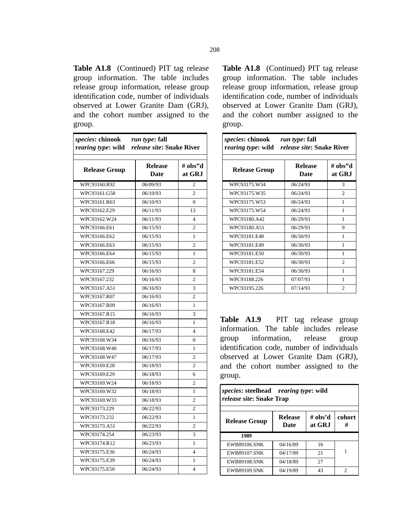**Table A1.8** (Continued) PIT tag release group information. The table includes release group information, release group identification code, number of individuals observed at Lower Granite Dam (GRJ), and the cohort number assigned to the group.

| species: chinook<br>rearing type: wild release site: Snake River | run type: fall                |                   |
|------------------------------------------------------------------|-------------------------------|-------------------|
| <b>Release Group</b>                                             | <b>Release</b><br><b>Date</b> | # obs"d<br>at GRJ |
| WPC93160.R92                                                     | 06/09/93                      | $\overline{c}$    |
| WPC93161.G58                                                     | 06/10/93                      | $\overline{c}$    |
| WPC93161.R63                                                     | 06/10/93                      | 0                 |
| WPC93162.E29                                                     | 06/11/93                      | 13                |
| WPC93162.W24                                                     | 06/11/93                      | $\overline{4}$    |
| WPC93166.E61                                                     | 06/15/93                      | $\overline{c}$    |
| WPC93166.E62                                                     | 06/15/93                      | $\mathbf{1}$      |
| WPC93166.E63                                                     | 06/15/93                      | $\overline{c}$    |
| WPC93166.E64                                                     | 06/15/93                      | 1                 |
| WPC93166.E66                                                     | 06/15/93                      | $\overline{c}$    |
| WPC93167.229                                                     | 06/16/93                      | 8                 |
| WPC93167.232                                                     | 06/16/93                      | $\overline{c}$    |
| WPC93167.A51                                                     | 06/16/93                      | 3                 |
| WPC93167.R07                                                     | 06/16/93                      | $\overline{c}$    |
| WPC93167.R09                                                     | 06/16/93                      | 1                 |
| WPC93167.R15                                                     | 06/16/93                      | 3                 |
| WPC93167.R18                                                     | 06/16/93                      | 1                 |
| WPC93168.E42                                                     | 06/17/93                      | $\overline{4}$    |
| WPC93168.W34                                                     | 06/16/93                      | $\overline{0}$    |
| WPC93168.W40                                                     | 06/17/93                      | 1                 |
| WPC93168.W47                                                     | 06/17/93                      | $\overline{c}$    |
| WPC93169.E28                                                     | 06/18/93                      | $\overline{c}$    |
| WPC93169.E29                                                     | 06/18/93                      | 6                 |
| WPC93169.W24                                                     | 06/18/93                      | $\overline{c}$    |
| WPC93169.W32                                                     | 06/18/93                      | $\mathbf{1}$      |
| WPC93169.W33                                                     | 06/18/93                      | $\overline{2}$    |
| WPC93173.229                                                     | 06/22/93                      | 2                 |
| WPC93173.232                                                     | 06/22/93                      | 1                 |
| WPC93173.A51                                                     | 06/22/93                      | 2                 |
| WPC93174.254                                                     | 06/23/93                      | 3                 |
| WPC93174.R12                                                     | 06/23/93                      | $\mathbf{1}$      |
| WPC93175.E36                                                     | 06/24/93                      | $\overline{4}$    |
| WPC93175.E39                                                     | 06/24/93                      | 1                 |
| WPC93175.E50                                                     | 06/24/93                      | $\overline{4}$    |

**Table A1.8** (Continued) PIT tag release group information. The table includes release group information, release group identification code, number of individuals observed at Lower Granite Dam (GRJ), and the cohort number assigned to the group.

| species: chinook<br><i>run type</i> : fall<br><i>release site:</i> Snake River<br>r <i>earing type</i> : wild |                        |                   |  |  |
|---------------------------------------------------------------------------------------------------------------|------------------------|-------------------|--|--|
| <b>Release Group</b>                                                                                          | <b>Release</b><br>Date | # obs"d<br>at GRJ |  |  |
| WPC93175.W34                                                                                                  | 06/24/93               | 3                 |  |  |
| WPC93175.W35                                                                                                  | 06/24/93               | $\overline{c}$    |  |  |
| WPC93175.W53                                                                                                  | 06/24/93               | 1                 |  |  |
| WPC93175.W54                                                                                                  | 06/24/93               | 1                 |  |  |
| WPC93180.A42                                                                                                  | 06/29/93               | 1                 |  |  |
| WPC93180.A51                                                                                                  | 06/29/93               | 9                 |  |  |
| WPC93181.F48                                                                                                  | 06/30/93               | 1                 |  |  |
| WPC93181.F49                                                                                                  | 06/30/93               | 1                 |  |  |
| WPC93181.E50                                                                                                  | 06/30/93               | 1                 |  |  |
| WPC93181.E52                                                                                                  | 06/30/93               | $\mathfrak{D}$    |  |  |
| WPC93181.E54                                                                                                  | 06/30/93               | 1                 |  |  |
| WPC93188.226                                                                                                  | 07/07/93               | 1                 |  |  |
| WPC93195.226                                                                                                  | 07/14/93               | $\overline{c}$    |  |  |

Table A1.9 PIT tag release group information. The table includes release group information, release group identification code, number of individuals observed at Lower Granite Dam (GRJ), and the cohort number assigned to the group.

| <i>species:</i> steelhead rearing type: wild<br><i>release site:</i> Snake Trap |                               |                   |                |
|---------------------------------------------------------------------------------|-------------------------------|-------------------|----------------|
| <b>Release Group</b>                                                            | <b>Release</b><br><b>Date</b> | # obs'd<br>at GRJ | cohort<br>#    |
| 1989                                                                            |                               |                   |                |
| <b>EWB89106.SNK</b>                                                             | 04/16/89                      | 16                |                |
| <b>EWB89107.SNK</b>                                                             | 04/17/89                      | 21                | 1              |
| <b>EWB89108.SNK</b>                                                             | 04/18/89                      | 27                |                |
| <b>EWB89109.SNK</b>                                                             | 04/19/89                      | 43                | $\mathfrak{D}$ |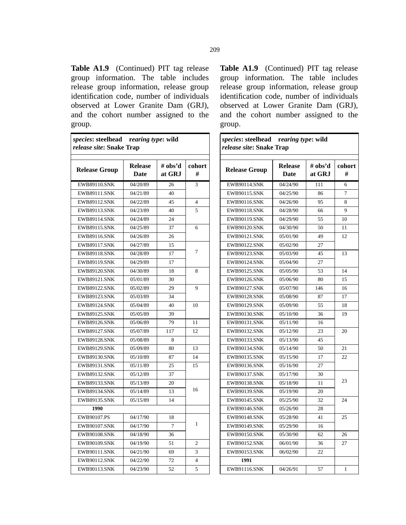Table A1.9 (Continued) PIT tag release group information. The table includes release group information, release group identification code, number of individuals observed at Lower Granite Dam (GRJ), and the cohort number assigned to the group.

*species***: steelhead r***earing type***: wild**

| release site: Snake Trap |                        |                   |             |  |
|--------------------------|------------------------|-------------------|-------------|--|
| <b>Release Group</b>     | <b>Release</b><br>Date | # obs'd<br>at GRJ | cohort<br># |  |
| <b>EWB89110.SNK</b>      | 04/20/89               | 26                | 3           |  |
| EWB89111.SNK             | 04/21/89               | 40                |             |  |
| <b>EWB89112.SNK</b>      | 04/22/89               | 45                | 4           |  |
| <b>EWB89113.SNK</b>      | 04/23/89               | 40                | 5           |  |
| <b>EWB89114.SNK</b>      | 04/24/89               | 24                |             |  |
| <b>EWB89115.SNK</b>      | 04/25/89               | 37                | 6           |  |
| <b>EWB89116.SNK</b>      | 04/26/89               | 26                |             |  |
| <b>EWB89117.SNK</b>      | 04/27/89               | 15                |             |  |
| <b>EWB89118.SNK</b>      | 04/28/89               | 17                | 7           |  |
| <b>EWB89119.SNK</b>      | 04/29/89               | 17                |             |  |
| <b>EWB89120.SNK</b>      | 04/30/89               | 18                | 8           |  |
| <b>EWB89121.SNK</b>      | 05/01/89               | 30                |             |  |
| <b>EWB89122.SNK</b>      | 05/02/89               | 29                | 9           |  |
| <b>EWB89123.SNK</b>      | 05/03/89               | 34                |             |  |
| <b>EWB89124.SNK</b>      | 05/04/89               | 40                | 10          |  |
| <b>EWB89125.SNK</b>      | 05/05/89               | 39                |             |  |
| <b>EWB89126.SNK</b>      | 05/06/89               | 79                | 11          |  |
| <b>EWB89127.SNK</b>      | 05/07/89               | 117               | 12          |  |
| <b>EWB89128.SNK</b>      | 05/08/89               | 8                 |             |  |
| <b>EWB89129.SNK</b>      | 05/09/89               | 80                | 13          |  |
| EWB89130.SNK             | 05/10/89               | 87                | 14          |  |
| <b>EWB89131.SNK</b>      | 05/11/89               | 25                | 15          |  |
| EWB89132.SNK             | 05/12/89               | 37                |             |  |
| <b>EWB89133.SNK</b>      | 05/13/89               | 20                |             |  |
| <b>EWB89134.SNK</b>      | 05/14/89               | 13                | 16          |  |
| <b>EWB89135.SNK</b>      | 05/15/89               | 14                |             |  |
| 1990                     |                        |                   |             |  |
| EWB90107.PS              | 04/17/90               | 18                |             |  |
| <b>EWB90107.SNK</b>      | 04/17/90               | 7                 | 1           |  |
| <b>EWB90108.SNK</b>      | 04/18/90               | 36                |             |  |
| <b>EWB90109.SNK</b>      | 04/19/90               | 51                | 2           |  |
| <b>EWB90111.SNK</b>      | 04/21/90               | 69                | 3           |  |
| EWB90112.SNK             | 04/22/90               | 72                | 4           |  |
| <b>EWB90113.SNK</b>      | 04/23/90               | 52                | 5           |  |

**Table A1.9** (Continued) PIT tag release group information. The table includes release group information, release group identification code, number of individuals observed at Lower Granite Dam (GRJ), and the cohort number assigned to the group.

| species: steelhead rearing type: wild<br>release site: Snake Trap |                        |                   |             |
|-------------------------------------------------------------------|------------------------|-------------------|-------------|
| <b>Release Group</b>                                              | <b>Release</b><br>Date | # obs'd<br>at GRJ | cohort<br># |
| <b>EWB90114.SNK</b>                                               | 04/24/90               | 111               | 6           |
| <b>EWB90115.SNK</b>                                               | 04/25/90               | 86                | 7           |
| <b>EWB90116.SNK</b>                                               | 04/26/90               | 95                | 8           |
| <b>EWB90118.SNK</b>                                               | 04/28/90               | 66                | 9           |
| EWB90119.SNK                                                      | 04/29/90               | 55                | 10          |
| <b>EWB90120.SNK</b>                                               | 04/30/90               | 50                | 11          |
| EWB90121.SNK                                                      | 05/01/90               | 49                | 12          |
| <b>EWB90122.SNK</b>                                               | 05/02/90               | 27                |             |
| EWB90123.SNK                                                      | 05/03/90               | 45                | 13          |
| <b>EWB90124.SNK</b>                                               | 05/04/90               | 27                |             |
| EWB90125.SNK                                                      | 05/05/90               | 53                | 14          |
| <b>EWB90126.SNK</b>                                               | 05/06/90               | 80                | 15          |
| <b>EWB90127.SNK</b>                                               | 05/07/90               | 146               | 16          |
| <b>EWB90128.SNK</b>                                               | 05/08/90               | 87                | 17          |
| <b>EWB90129.SNK</b>                                               | 05/09/90               | 55                | 18          |
| <b>EWB90130.SNK</b>                                               | 05/10/90               | 36                | 19          |
| <b>EWB90131.SNK</b>                                               | 05/11/90               | 16                |             |
| EWB90132.SNK                                                      | 05/12/90               | 23                | 20          |
| <b>EWB90133.SNK</b>                                               | 05/13/90               | 45                |             |
| <b>EWB90134.SNK</b>                                               | 05/14/90               | 50                | 21          |
| <b>EWB90135.SNK</b>                                               | 05/15/90               | 17                | 22          |
| <b>EWB90136.SNK</b>                                               | 05/16/90               | 27                |             |
| <b>EWB90137.SNK</b>                                               | 05/17/90               | 30                |             |
| <b>EWB90138.SNK</b>                                               | 05/18/90               | 11                | 23          |
| EWB90139.SNK                                                      | 05/19/90               | 20                |             |
| <b>EWB90145.SNK</b>                                               | 05/25/90               | 32                | 24          |
| <b>EWB90146.SNK</b>                                               | 05/26/90               | 28                |             |
| <b>EWB90148.SNK</b>                                               | 05/28/90               | 41                | 25          |
| <b>EWB90149.SNK</b>                                               | 05/29/90               | 16                |             |
| EWB90150.SNK                                                      | 05/30/90               | 62                | 26          |
| EWB90152.SNK                                                      | 06/01/90               | 36                | 27          |
| EWB90153.SNK                                                      | 06/02/90               | 22                |             |
| 1991                                                              |                        |                   |             |
| <b>EWB91116.SNK</b>                                               | 04/26/91               | 57                | 1           |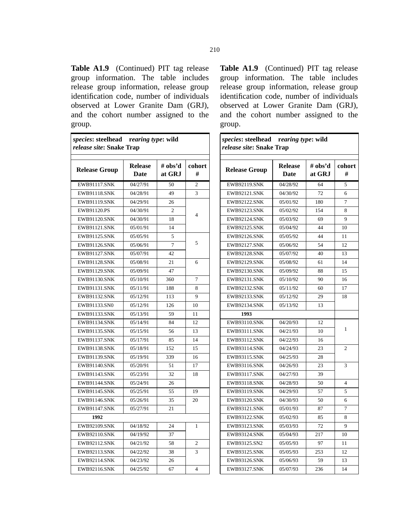Table A1.9 (Continued) PIT tag release group information. The table includes release group information, release group identification code, number of individuals observed at Lower Granite Dam (GRJ), and the cohort number assigned to the group.

| species: steelhead rearing type: wild<br><i>release site: Snake Trap</i> |                        |                   |                |
|--------------------------------------------------------------------------|------------------------|-------------------|----------------|
| <b>Release Group</b>                                                     | <b>Release</b><br>Date | # obs'd<br>at GRJ | cohort<br>#    |
| EWB91117.SNK                                                             | 04/27/91               | 50                | $\overline{2}$ |
| <b>EWB91118.SNK</b>                                                      | 04/28/91               | 49                | 3              |
| <b>EWB91119.SNK</b>                                                      | 04/29/91               | 26                |                |
| EWB91120.PS                                                              | 04/30/91               | $\overline{c}$    | $\overline{4}$ |
| <b>EWB91120.SNK</b>                                                      | 04/30/91               | 18                |                |
| <b>EWB91121.SNK</b>                                                      | 05/01/91               | 14                |                |
| EWB91125.SNK                                                             | 05/05/91               | 5                 |                |
| <b>EWB91126.SNK</b>                                                      | 05/06/91               | 7                 | 5              |
| <b>EWB91127.SNK</b>                                                      | 05/07/91               | 42                |                |
| <b>EWB91128.SNK</b>                                                      | 05/08/91               | 21                | 6              |
| <b>EWB91129.SNK</b>                                                      | 05/09/91               | 47                |                |
| EWB91130.SNK                                                             | 05/10/91               | 360               | $\overline{7}$ |
| <b>EWB91131.SNK</b>                                                      | 05/11/91               | 188               | 8              |
| <b>EWB91132.SNK</b>                                                      | 05/12/91               | 113               | 9              |
| EWB91133.SN0                                                             | 05/12/91               | 126               | 10             |
| EWB91133.SNK                                                             | 05/13/91               | 59                | 11             |
| <b>EWB91134.SNK</b>                                                      | 05/14/91               | 84                | 12             |
| <b>EWB91135.SNK</b>                                                      | 05/15/91               | 56                | 13             |
| <b>EWB91137.SNK</b>                                                      | 05/17/91               | 85                | 14             |
| <b>EWB91138.SNK</b>                                                      | 05/18/91               | 152               | 15             |
| <b>EWB91139.SNK</b>                                                      | 05/19/91               | 339               | 16             |
| <b>EWB91140.SNK</b>                                                      | 05/20/91               | 51                | 17             |
| <b>EWB91143.SNK</b>                                                      | 05/23/91               | 32                | 18             |
| <b>EWB91144.SNK</b>                                                      | 05/24/91               | 26                |                |
| <b>EWB91145.SNK</b>                                                      | 05/25/91               | 55                | 19             |
| <b>EWB91146.SNK</b>                                                      | 05/26/91               | 35                | 20             |
| EWB91147.SNK                                                             | 05/27/91               | 21                |                |
| 1992                                                                     |                        |                   |                |
| <b>EWB92109.SNK</b>                                                      | 04/18/92               | 24                | 1              |
| <b>EWB92110.SNK</b>                                                      | 04/19/92               | 37                |                |
| <b>EWB92112.SNK</b>                                                      | 04/21/92               | 58                | 2              |
| EWB92113.SNK                                                             | 04/22/92               | 38                | 3              |
| EWB92114.SNK                                                             | 04/23/92               | 26                |                |
| <b>EWB92116.SNK</b>                                                      | 04/25/92               | 67                | $\overline{4}$ |

**Table A1.9** (Continued) PIT tag release group information. The table includes release group information, release group identification code, number of individuals observed at Lower Granite Dam (GRJ), and the cohort number assigned to the group.

| species: steelhead rearing type: wild<br>release site: Snake Trap |                               |                   |             |
|-------------------------------------------------------------------|-------------------------------|-------------------|-------------|
| <b>Release Group</b>                                              | <b>Release</b><br><b>Date</b> | # obs'd<br>at GRJ | cohort<br># |
| <b>EWB92119.SNK</b>                                               | 04/28/92                      | 64                | 5           |
| <b>EWB92121.SNK</b>                                               | 04/30/92                      | 72                | 6           |
| <b>EWB92122.SNK</b>                                               | 05/01/92                      | 180               | 7           |
| <b>EWB92123.SNK</b>                                               | 05/02/92                      | 154               | 8           |
| <b>EWB92124.SNK</b>                                               | 05/03/92                      | 69                | 9           |
| EWB92125.SNK                                                      | 05/04/92                      | 44                | 10          |
| <b>EWB92126.SNK</b>                                               | 05/05/92                      | 44                | 11          |
| <b>EWB92127.SNK</b>                                               | 05/06/92                      | 54                | 12          |
| <b>EWB92128.SNK</b>                                               | 05/07/92                      | 40                | 13          |
| <b>EWB92129.SNK</b>                                               | 05/08/92                      | 61                | 14          |
| <b>EWB92130.SNK</b>                                               | 05/09/92                      | 88                | 15          |
| <b>EWB92131.SNK</b>                                               | 05/10/92                      | 90                | 16          |
| <b>EWB92132.SNK</b>                                               | 05/11/92                      | 60                | 17          |
| <b>EWB92133.SNK</b>                                               | 05/12/92                      | 29                | 18          |
| <b>EWB92134.SNK</b>                                               | 05/13/92                      | 13                |             |
| 1993                                                              |                               |                   |             |
| EWB93110.SNK                                                      | 04/20/93                      | 12                |             |
| <b>EWB93111.SNK</b>                                               | 04/21/93                      | 10                | 1           |
| <b>EWB93112.SNK</b>                                               | 04/22/93                      | 16                |             |
| <b>EWB93114.SNK</b>                                               | 04/24/93                      | 23                | 2           |
| <b>EWB93115.SNK</b>                                               | 04/25/93                      | 28                |             |
| <b>EWB93116.SNK</b>                                               | 04/26/93                      | 23                | 3           |
| <b>EWB93117.SNK</b>                                               | 04/27/93                      | 39                |             |
| <b>EWB93118.SNK</b>                                               | 04/28/93                      | 50                | 4           |
| <b>EWB93119.SNK</b>                                               | 04/29/93                      | 57                | 5           |
| <b>EWB93120.SNK</b>                                               | 04/30/93                      | 50                | 6           |
| EWB93121.SNK                                                      | 05/01/93                      | 87                | 7           |
| <b>EWB93122.SNK</b>                                               | 05/02/93                      | 85                | 8           |
| <b>EWB93123.SNK</b>                                               | 05/03/93                      | 72                | 9           |
| EWB93124.SNK                                                      | 05/04/93                      | 217               | 10          |
| EWB93125.SN2                                                      | 05/05/93                      | 97                | 11          |
| <b>EWB93125.SNK</b>                                               | 05/05/93                      | 253               | 12          |
| <b>EWB93126.SNK</b>                                               | 05/06/93                      | 59                | 13          |
| <b>EWB93127.SNK</b>                                               | 05/07/93                      | 236               | 14          |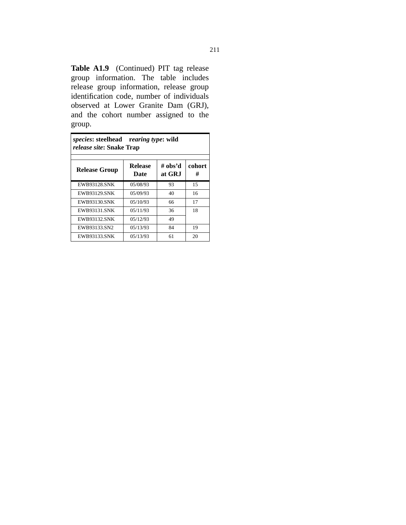Table A1.9 (Continued) PIT tag release group information. The table includes release group information, release group identification code, number of individuals observed at Lower Granite Dam (GRJ), and the cohort number assigned to the group.

| <i>species:</i> steelhead rearing type: wild<br><i>release site: Snake Trap</i> |                        |                   |             |
|---------------------------------------------------------------------------------|------------------------|-------------------|-------------|
| <b>Release Group</b>                                                            | <b>Release</b><br>Date | # obs'd<br>at GRJ | cohort<br># |
| <b>EWB93128.SNK</b>                                                             | 05/08/93               | 93                | 15          |
| <b>EWB93129.SNK</b>                                                             | 05/09/93               | 40                | 16          |
| <b>EWB93130.SNK</b>                                                             | 05/10/93               | 66                | 17          |
| <b>EWB93131 SNK</b>                                                             | 05/11/93               | 36                | 18          |
| <b>EWB93132.SNK</b>                                                             | 05/12/93               | 49                |             |
| EWB93133.SN2                                                                    | 05/13/93               | 84                | 19          |
| <b>EWB93133 SNK</b>                                                             | 05/13/93               | 61                | 20          |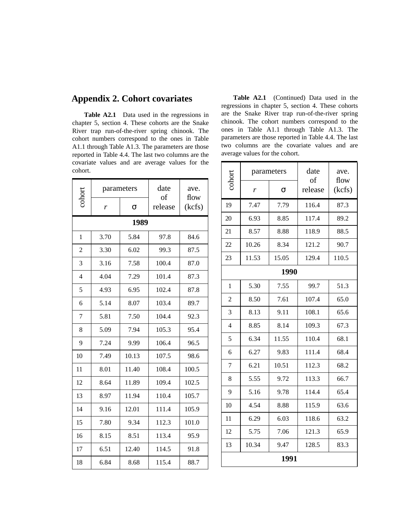## **Appendix 2. Cohort covariates**

**Table A2.1** Data used in the regressions in chapter 5, section 4. These cohorts are the Snake River trap run-of-the-river spring chinook. The cohort numbers correspond to the ones in Table A1.1 through Table A1.3. The parameters are those reported in Table 4.4. The last two columns are the covariate values and are average values for the cohort.

|                | parameters |          | date<br>of | ave.           |
|----------------|------------|----------|------------|----------------|
| cohort         | r          | $\sigma$ | release    | flow<br>(kcfs) |
|                |            | 1989     |            |                |
| $\mathbf{1}$   | 3.70       | 5.84     | 97.8       | 84.6           |
| 2              | 3.30       | 6.02     | 99.3       | 87.5           |
| $\overline{3}$ | 3.16       | 7.58     | 100.4      | 87.0           |
| $\overline{4}$ | 4.04       | 7.29     | 101.4      | 87.3           |
| 5              | 4.93       | 6.95     | 102.4      | 87.8           |
| 6              | 5.14       | 8.07     | 103.4      | 89.7           |
| $\overline{7}$ | 5.81       | 7.50     | 104.4      | 92.3           |
| 8              | 5.09       | 7.94     | 105.3      | 95.4           |
| 9              | 7.24       | 9.99     | 106.4      | 96.5           |
| 10             | 7.49       | 10.13    | 107.5      | 98.6           |
| 11             | 8.01       | 11.40    | 108.4      | 100.5          |
| 12             | 8.64       | 11.89    | 109.4      | 102.5          |
| 13             | 8.97       | 11.94    | 110.4      | 105.7          |
| 14             | 9.16       | 12.01    | 111.4      | 105.9          |
| 15             | 7.80       | 9.34     | 112.3      | 101.0          |
| 16             | 8.15       | 8.51     | 113.4      | 95.9           |
| 17             | 6.51       | 12.40    | 114.5      | 91.8           |
| 18             | 6.84       | 8.68     | 115.4      | 88.7           |

Table A2.1 (Continued) Data used in the regressions in chapter 5, section 4. These cohorts are the Snake River trap run-of-the-river spring chinook. The cohort numbers correspond to the ones in Table A1.1 through Table A1.3. The parameters are those reported in Table 4.4. The last two columns are the covariate values and are average values for the cohort.

|                | date<br>parameters |       | ave.          |                |
|----------------|--------------------|-------|---------------|----------------|
| cohort         | r                  | σ     | of<br>release | flow<br>(kcfs) |
| 19             | 7.47               | 7.79  | 116.4         | 87.3           |
| 20             | 6.93               | 8.85  | 117.4         | 89.2           |
| 21             | 8.57               | 8.88  | 118.9         | 88.5           |
| 22             | 10.26              | 8.34  | 121.2         | 90.7           |
| 23             | 11.53              | 15.05 | 129.4         | 110.5          |
|                |                    | 1990  |               |                |
| $\mathbf{1}$   | 5.30               | 7.55  | 99.7          | 51.3           |
| $\overline{2}$ | 8.50               | 7.61  | 107.4         | 65.0           |
| 3              | 8.13               | 9.11  | 108.1         | 65.6           |
| $\overline{4}$ | 8.85               | 8.14  | 109.3         | 67.3           |
| 5              | 6.34               | 11.55 | 110.4         | 68.1           |
| 6              | 6.27               | 9.83  | 111.4         | 68.4           |
| 7              | 6.21               | 10.51 | 112.3         | 68.2           |
| 8              | 5.55               | 9.72  | 113.3         | 66.7           |
| 9              | 5.16               | 9.78  | 114.4         | 65.4           |
| 10             | 4.54               | 8.88  | 115.9         | 63.6           |
| 11             | 6.29               | 6.03  | 118.6         | 63.2           |
| 12             | 5.75               | 7.06  | 121.3         | 65.9           |
| 13             | 10.34              | 9.47  | 128.5         | 83.3           |
| 1991           |                    |       |               |                |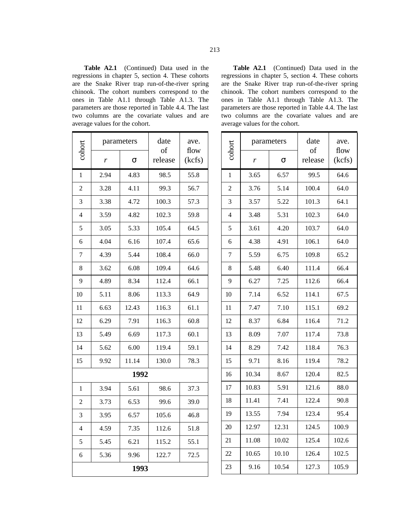**Table A2.1** (Continued) Data used in the regressions in chapter 5, section 4. These cohorts are the Snake River trap run-of-the-river spring chinook. The cohort numbers correspond to the ones in Table A1.1 through Table A1.3. The parameters are those reported in Table 4.4. The last two columns are the covariate values and are average values for the cohort.

|                | parameters |          | date          | ave.           |
|----------------|------------|----------|---------------|----------------|
| cohor          | r          | $\sigma$ | of<br>release | flow<br>(kcfs) |
| $\mathbf{1}$   | 2.94       | 4.83     | 98.5          | 55.8           |
| $\overline{2}$ | 3.28       | 4.11     | 99.3          | 56.7           |
| 3              | 3.38       | 4.72     | 100.3         | 57.3           |
| $\overline{4}$ | 3.59       | 4.82     | 102.3         | 59.8           |
| 5              | 3.05       | 5.33     | 105.4         | 64.5           |
| 6              | 4.04       | 6.16     | 107.4         | 65.6           |
| 7              | 4.39       | 5.44     | 108.4         | 66.0           |
| 8              | 3.62       | 6.08     | 109.4         | 64.6           |
| 9              | 4.89       | 8.34     | 112.4         | 66.1           |
| 10             | 5.11       | 8.06     | 113.3         | 64.9           |
| 11             | 6.63       | 12.43    | 116.3         | 61.1           |
| 12             | 6.29       | 7.91     | 116.3         | 60.8           |
| 13             | 5.49       | 6.69     | 117.3         | 60.1           |
| 14             | 5.62       | 6.00     | 119.4         | 59.1           |
| 15             | 9.92       | 11.14    | 130.0         | 78.3           |
|                |            | 1992     |               |                |
| 1              | 3.94       | 5.61     | 98.6          | 37.3           |
| 2              | 3.73       | 6.53     | 99.6          | 39.0           |
| 3              | 3.95       | 6.57     | 105.6         | 46.8           |
| $\overline{4}$ | 4.59       | 7.35     | 112.6         | 51.8           |
| 5              | 5.45       | 6.21     | 115.2         | 55.1           |
| 6              | 5.36       | 9.96     | 122.7         | 72.5           |
| 1993           |            |          |               |                |

**Table A2.1** (Continued) Data used in the regressions in chapter 5, section 4. These cohorts are the Snake River trap run-of-the-river spring chinook. The cohort numbers correspond to the ones in Table A1.1 through Table A1.3. The parameters are those reported in Table 4.4. The last two columns are the covariate values and are average values for the cohort.

| cohort                   | parameters |       | date<br>of | ave.<br>flow |
|--------------------------|------------|-------|------------|--------------|
|                          | r          | σ     | release    | (kcfs)       |
| $\mathbf{1}$             | 3.65       | 6.57  | 99.5       | 64.6         |
| $\overline{2}$           | 3.76       | 5.14  | 100.4      | 64.0         |
| 3                        | 3.57       | 5.22  | 101.3      | 64.1         |
| $\overline{\mathcal{A}}$ | 3.48       | 5.31  | 102.3      | 64.0         |
| 5                        | 3.61       | 4.20  | 103.7      | 64.0         |
| 6                        | 4.38       | 4.91  | 106.1      | 64.0         |
| 7                        | 5.59       | 6.75  | 109.8      | 65.2         |
| 8                        | 5.48       | 6.40  | 111.4      | 66.4         |
| 9                        | 6.27       | 7.25  | 112.6      | 66.4         |
| 10                       | 7.14       | 6.52  | 114.1      | 67.5         |
| 11                       | 7.47       | 7.10  | 115.1      | 69.2         |
| 12                       | 8.37       | 6.84  | 116.4      | 71.2         |
| 13                       | 8.09       | 7.07  | 117.4      | 73.8         |
| 14                       | 8.29       | 7.42  | 118.4      | 76.3         |
| 15                       | 9.71       | 8.16  | 119.4      | 78.2         |
| 16                       | 10.34      | 8.67  | 120.4      | 82.5         |
| 17                       | 10.83      | 5.91  | 121.6      | 88.0         |
| 18                       | 11.41      | 7.41  | 122.4      | 90.8         |
| 19                       | 13.55      | 7.94  | 123.4      | 95.4         |
| 20                       | 12.97      | 12.31 | 124.5      | 100.9        |
| 21                       | 11.08      | 10.02 | 125.4      | 102.6        |
| 22                       | 10.65      | 10.10 | 126.4      | 102.5        |
| 23                       | 9.16       | 10.54 | 127.3      | 105.9        |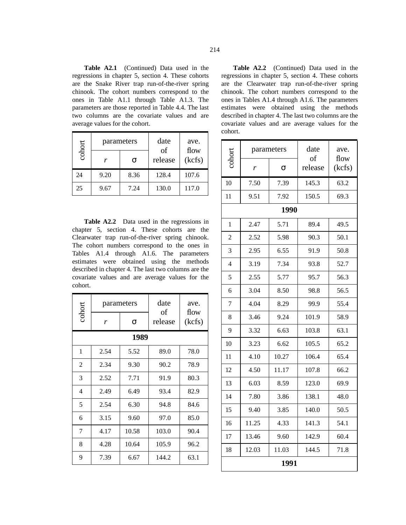**Table A2.1** (Continued) Data used in the regressions in chapter 5, section 4. These cohorts are the Snake River trap run-of-the-river spring chinook. The cohort numbers correspond to the ones in Table A1.1 through Table A1.3. The parameters are those reported in Table 4.4. The last two columns are the covariate values and are average values for the cohort.

| cohort | parameters |      | date          | ave.           |
|--------|------------|------|---------------|----------------|
|        | r          | σ    | of<br>release | flow<br>(kcfs) |
| 24     | 9.20       | 8.36 | 128.4         | 107.6          |
| 25     | 9.67       | 7.24 | 130.0         | 117.0          |

**Table A2.2** Data used in the regressions in chapter 5, section 4. These cohorts are the Clearwater trap run-of-the-river spring chinook. The cohort numbers correspond to the ones in Tables A1.4 through A1.6. The parameters estimates were obtained using the methods described in chapter 4. The last two columns are the covariate values and are average values for the cohort.

| cohort         | parameters |       | date          | ave.           |  |  |
|----------------|------------|-------|---------------|----------------|--|--|
|                | r          | σ     | of<br>release | flow<br>(kcfs) |  |  |
|                | 1989       |       |               |                |  |  |
| 1              | 2.54       | 5.52  | 89.0          | 78.0           |  |  |
| $\overline{2}$ | 2.34       | 9.30  | 90.2          | 78.9           |  |  |
| 3              | 2.52       | 7.71  | 91.9          | 80.3           |  |  |
| 4              | 2.49       | 6.49  | 93.4          | 82.9           |  |  |
| 5              | 2.54       | 6.30  | 94.8          | 84.6           |  |  |
| 6              | 3.15       | 9.60  | 97.0          | 85.0           |  |  |
| 7              | 4.17       | 10.58 | 103.0         | 90.4           |  |  |
| 8              | 4.28       | 10.64 | 105.9         | 96.2           |  |  |
| 9              | 7.39       | 6.67  | 144.2         | 63.1           |  |  |

**Table A2.2** (Continued) Data used in the regressions in chapter 5, section 4. These cohorts are the Clearwater trap run-of-the-river spring chinook. The cohort numbers correspond to the ones in Tables A1.4 through A1.6. The parameters estimates were obtained using the methods described in chapter 4. The last two columns are the covariate values and are average values for the cohort.

|                | parameters |       | date<br>of | ave.           |  |
|----------------|------------|-------|------------|----------------|--|
| cohort         | r          | σ     | release    | flow<br>(kcfs) |  |
| 10             | 7.50       | 7.39  | 145.3      | 63.2           |  |
| 11             | 9.51       | 7.92  | 150.5      | 69.3           |  |
|                |            | 1990  |            |                |  |
| 1              | 2.47       | 5.71  | 89.4       | 49.5           |  |
| $\overline{2}$ | 2.52       | 5.98  | 90.3       | 50.1           |  |
| 3              | 2.95       | 6.55  | 91.9       | 50.8           |  |
| $\overline{4}$ | 3.19       | 7.34  | 93.8       | 52.7           |  |
| 5              | 2.55       | 5.77  | 95.7       | 56.3           |  |
| 6              | 3.04       | 8.50  | 98.8       | 56.5           |  |
| 7              | 4.04       | 8.29  | 99.9       | 55.4           |  |
| 8              | 3.46       | 9.24  | 101.9      | 58.9           |  |
| 9              | 3.32       | 6.63  | 103.8      | 63.1           |  |
| 10             | 3.23       | 6.62  | 105.5      | 65.2           |  |
| 11             | 4.10       | 10.27 | 106.4      | 65.4           |  |
| 12             | 4.50       | 11.17 | 107.8      | 66.2           |  |
| 13             | 6.03       | 8.59  | 123.0      | 69.9           |  |
| 14             | 7.80       | 3.86  | 138.1      | 48.0           |  |
| 15             | 9.40       | 3.85  | 140.0      | 50.5           |  |
| 16             | 11.25      | 4.33  | 141.3      | 54.1           |  |
| 17             | 13.46      | 9.60  | 142.9      | 60.4           |  |
| 18             | 12.03      | 11.03 | 144.5      | 71.8           |  |
|                | 1991       |       |            |                |  |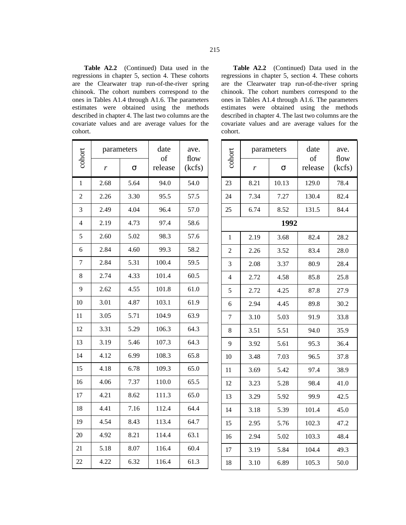**Table A2.2** (Continued) Data used in the regressions in chapter 5, section 4. These cohorts are the Clearwater trap run-of-the-river spring chinook. The cohort numbers correspond to the ones in Tables A1.4 through A1.6. The parameters estimates were obtained using the methods described in chapter 4. The last two columns are the covariate values and are average values for the cohort.

| color          | parameters |      | date<br>of | ave.<br>flow |
|----------------|------------|------|------------|--------------|
|                | r          | σ    | release    | (kcfs)       |
| $\mathbf{1}$   | 2.68       | 5.64 | 94.0       | 54.0         |
| $\overline{2}$ | 2.26       | 3.30 | 95.5       | 57.5         |
| $\overline{3}$ | 2.49       | 4.04 | 96.4       | 57.0         |
| $\overline{4}$ | 2.19       | 4.73 | 97.4       | 58.6         |
| 5              | 2.60       | 5.02 | 98.3       | 57.6         |
| 6              | 2.84       | 4.60 | 99.3       | 58.2         |
| $\overline{7}$ | 2.84       | 5.31 | 100.4      | 59.5         |
| 8              | 2.74       | 4.33 | 101.4      | 60.5         |
| 9              | 2.62       | 4.55 | 101.8      | 61.0         |
| 10             | 3.01       | 4.87 | 103.1      | 61.9         |
| 11             | 3.05       | 5.71 | 104.9      | 63.9         |
| 12             | 3.31       | 5.29 | 106.3      | 64.3         |
| 13             | 3.19       | 5.46 | 107.3      | 64.3         |
| 14             | 4.12       | 6.99 | 108.3      | 65.8         |
| 15             | 4.18       | 6.78 | 109.3      | 65.0         |
| 16             | 4.06       | 7.37 | 110.0      | 65.5         |
| 17             | 4.21       | 8.62 | 111.3      | 65.0         |
| 18             | 4.41       | 7.16 | 112.4      | 64.4         |
| 19             | 4.54       | 8.43 | 113.4      | 64.7         |
| 20             | 4.92       | 8.21 | 114.4      | 63.1         |
| 21             | 5.18       | 8.07 | 116.4      | 60.4         |
| 22             | 4.22       | 6.32 | 116.4      | 61.3         |

**Table A2.2** (Continued) Data used in the regressions in chapter 5, section 4. These cohorts are the Clearwater trap run-of-the-river spring chinook. The cohort numbers correspond to the ones in Tables A1.4 through A1.6. The parameters estimates were obtained using the methods described in chapter 4. The last two columns are the covariate values and are average values for the cohort.

| cohort         | parameters |       | date<br>of | ave.<br>flow |
|----------------|------------|-------|------------|--------------|
|                | r          | σ     | release    | (kcfs)       |
| 23             | 8.21       | 10.13 | 129.0      | 78.4         |
| 24             | 7.34       | 7.27  | 130.4      | 82.4         |
| 25             | 6.74       | 8.52  | 131.5      | 84.4         |
|                |            | 1992  |            |              |
| 1              | 2.19       | 3.68  | 82.4       | 28.2         |
| $\overline{c}$ | 2.26       | 3.52  | 83.4       | 28.0         |
| $\overline{3}$ | 2.08       | 3.37  | 80.9       | 28.4         |
| $\overline{4}$ | 2.72       | 4.58  | 85.8       | 25.8         |
| 5              | 2.72       | 4.25  | 87.8       | 27.9         |
| 6              | 2.94       | 4.45  | 89.8       | 30.2         |
| 7              | 3.10       | 5.03  | 91.9       | 33.8         |
| 8              | 3.51       | 5.51  | 94.0       | 35.9         |
| 9              | 3.92       | 5.61  | 95.3       | 36.4         |
| 10             | 3.48       | 7.03  | 96.5       | 37.8         |
| 11             | 3.69       | 5.42  | 97.4       | 38.9         |
| 12             | 3.23       | 5.28  | 98.4       | 41.0         |
| 13             | 3.29       | 5.92  | 99.9       | 42.5         |
| 14             | 3.18       | 5.39  | 101.4      | 45.0         |
| 15             | 2.95       | 5.76  | 102.3      | 47.2         |
| 16             | 2.94       | 5.02  | 103.3      | 48.4         |
| 17             | 3.19       | 5.84  | 104.4      | 49.3         |
| 18             | 3.10       | 6.89  | 105.3      | 50.0         |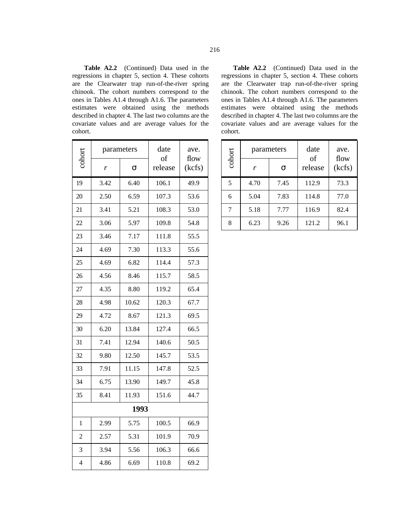**Table A2.2** (Continued) Data used in the regressions in chapter 5, section 4. These cohorts are the Clearwater trap run-of-the-river spring chinook. The cohort numbers correspond to the ones in Tables A1.4 through A1.6. The parameters estimates were obtained using the methods described in chapter 4. The last two columns are the covariate values and are average values for the cohort.

|                | parameters |       | date          | ave.<br>flow |
|----------------|------------|-------|---------------|--------------|
| cohort         | r          | σ     | of<br>release | (kcfs)       |
| 19             | 3.42       | 6.40  | 106.1         | 49.9         |
| 20             | 2.50       | 6.59  | 107.3         | 53.6         |
| 21             | 3.41       | 5.21  | 108.3         | 53.0         |
| 22             | 3.06       | 5.97  | 109.8         | 54.8         |
| 23             | 3.46       | 7.17  | 111.8         | 55.5         |
| 24             | 4.69       | 7.30  | 113.3         | 55.6         |
| 25             | 4.69       | 6.82  | 114.4         | 57.3         |
| 26             | 4.56       | 8.46  | 115.7         | 58.5         |
| 27             | 4.35       | 8.80  | 119.2         | 65.4         |
| 28             | 4.98       | 10.62 | 120.3         | 67.7         |
| 29             | 4.72       | 8.67  | 121.3         | 69.5         |
| 30             | 6.20       | 13.84 | 127.4         | 66.5         |
| 31             | 7.41       | 12.94 | 140.6         | 50.5         |
| 32             | 9.80       | 12.50 | 145.7         | 53.5         |
| 33             | 7.91       | 11.15 | 147.8         | 52.5         |
| 34             | 6.75       | 13.90 | 149.7         | 45.8         |
| 35             | 8.41       | 11.93 | 151.6         | 44.7         |
| 1993           |            |       |               |              |
| 1              | 2.99       | 5.75  | 100.5         | 66.9         |
| $\overline{2}$ | 2.57       | 5.31  | 101.9         | 70.9         |
| 3              | 3.94       | 5.56  | 106.3         | 66.6         |
| $\overline{4}$ | 4.86       | 6.69  | 110.8         | 69.2         |

**Table A2.2** (Continued) Data used in the regressions in chapter 5, section 4. These cohorts are the Clearwater trap run-of-the-river spring chinook. The cohort numbers correspond to the ones in Tables A1.4 through A1.6. The parameters estimates were obtained using the methods described in chapter 4. The last two columns are the covariate values and are average values for the cohort.

| cohort | parameters |      | date<br>of | ave.<br>flow |
|--------|------------|------|------------|--------------|
|        | r          | σ    | release    | (kcfs)       |
| 5      | 4.70       | 7.45 | 112.9      | 73.3         |
| 6      | 5.04       | 7.83 | 114.8      | 77.0         |
| 7      | 5.18       | 7.77 | 116.9      | 82.4         |
| 8      | 6.23       | 9.26 | 121.2      | 96.1         |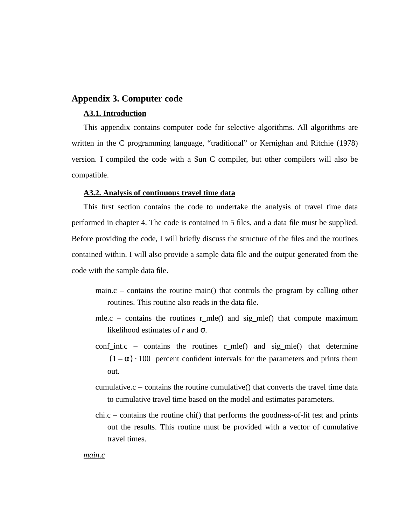## **Appendix 3. Computer code**

## **A3.1. Introduction**

This appendix contains computer code for selective algorithms. All algorithms are written in the C programming language, "traditional" or Kernighan and Ritchie (1978) version. I compiled the code with a Sun C compiler, but other compilers will also be compatible.

## **A3.2. Analysis of continuous travel time data**

This first section contains the code to undertake the analysis of travel time data performed in chapter 4. The code is contained in 5 files, and a data file must be supplied. Before providing the code, I will briefly discuss the structure of the files and the routines contained within. I will also provide a sample data file and the output generated from the code with the sample data file.

- main.c contains the routine main() that controls the program by calling other routines. This routine also reads in the data file.
- mle.c contains the routines  $r_m$ le() and sig\_mle() that compute maximum likelihood estimates of *r* and σ.
- conf\_int.c contains the routines  $r_m$ mle() and sig\_mle() that determine  $(1 - \alpha) \cdot 100$  percent confident intervals for the parameters and prints them out.
- cumulative. $c$  contains the routine cumulative() that converts the travel time data to cumulative travel time based on the model and estimates parameters.
- chi.c contains the routine chi() that performs the goodness-of-fit test and prints out the results. This routine must be provided with a vector of cumulative travel times.

### *main.c*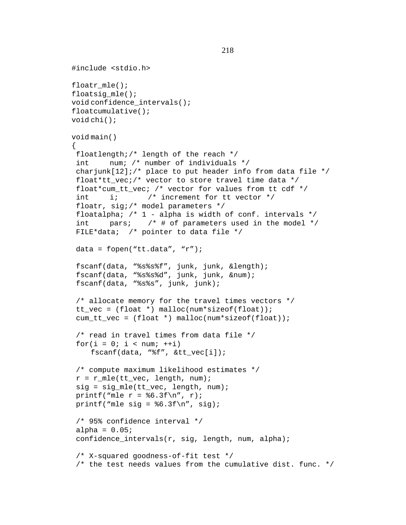```
#include <stdio.h>
floatr mle();
floatsig mle();
void confidence_intervals();
floatcumulative();
void chi();
void main()
{
 floatlength;/* length of the reach */
  int num; /* number of individuals */
charjunk[12];/* place to put header info from data file */
 float*tt vec;/* vector to store travel time data */
  float*cum_tt_vec; /* vector for values from tt cdf */
 int i; \frac{1}{x} increment for tt vector \frac{x}{x} floatr, sig;/* model parameters */
 floatalpha; /* 1 - alpha is width of conf. intervals * /int pars; \frac{1}{2} \frac{1}{2} \frac{1}{2} for parameters used in the model \frac{1}{2} FILE*data; /* pointer to data file */
 data = fopen("tt.data", "r");
  fscanf(data, "%s%s%f", junk, junk, &length);
  fscanf(data, "%s%s%d", junk, junk, &num);
  fscanf(data, "%s%s", junk, junk);
  /* allocate memory for the travel times vectors */
 tt vec = (float *) malloc(num*sizeof(float));
 cum_t_t_vec = (float *) malloc(num*sizeof(float));
  /* read in travel times from data file */
 for(i = 0; i < num; ++i)
    fscanf(data, "%f", &tt_vec[i]);
  /* compute maximum likelihood estimates */
r = r_mle(tt_vec, length, num);
 sig = sig_mle(tt_vec, length, num);
printf("mle r = 86.3f\(n", r);printf("mle sig = 6.3f\n'', sig);
 /* 95% confidence interval */
alpha = 0.05;
 confidence_intervals(r, sig, length, num, alpha);
 /* X-squared goodness-of-fit test */
 \gamma^* the test needs values from the cumulative dist. func. \gamma
```

```
 218
```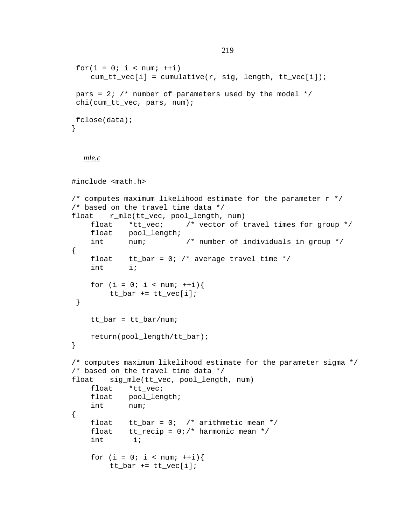```
for(i = 0; i < num; ++i)
    cum_t_t\_vec[i] = cumulative(r, sig, length, tt\_vec[i]);pars = 2; /* number of parameters used by the model */ chi(cum_tt_vec, pars, num);
 fclose(data);
}
  mle.c
#include <math.h>
\gamma^* computes maximum likelihood estimate for the parameter r * \gamma/* based on the travel time data */
float r_mle(tt_vec, pool_length, num)
    float *tt_vec; /* vector of travel times for group */
    float pool_length;
    int num; /* number of individuals in group */
{
    float tt_bar = 0; /* average travel time */
    int i;
    for (i = 0; i < num; ++i) {
        tt\_bar += tt\_vec[i]; }
    tt\_bar = tt\_bar/num;return(pool_length/tt_bar);
}
/* computes maximum likelihood estimate for the parameter sigma */
/* based on the travel time data */
float sig_mle(tt_vec, pool_length, num)
    float *tt_vec;
    float pool_length;
    int num;
{
    float tt_bar = 0; /* arithmetic mean */
    float tt_recip = 0i /* harmonic mean */
    int i;
    for (i = 0; i < num; ++i)tt_bar += tt_vec[i];
```

```
 219
```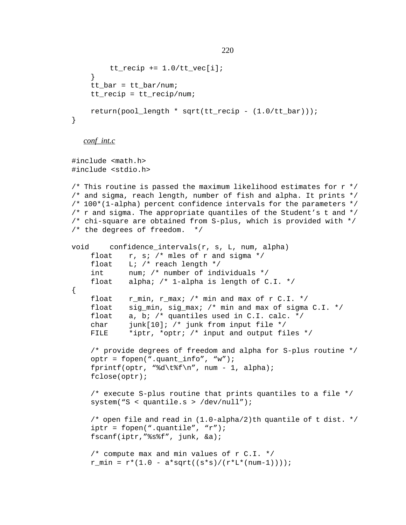```
tt\_recip += 1.0/tt\_vec[i];}
    tt bar = tt bar/num;
    tt recip = tt recip/num;
    return(pool_length * sqrt(tt_recip - (1.0/tt_bar)));
}
  conf_int.c
#include <math.h>
#include <stdio.h>
/* This routine is passed the maximum likelihood estimates for r \star/
/* and sigma, reach length, number of fish and alpha. It prints */
/* 100*(1-alpha) percent confidence intervals for the parameters */
/* r and sigma. The appropriate quantiles of the Student's t and *//* chi-square are obtained from S-plus, which is provided with */
/* the degrees of freedom. */
void confidence_intervals(r, s, L, num, alpha)
    float r, s; /* mles of r and sigma */
    float L; /* reach length */int num; /* number of individuals */
    float alpha; /* 1-alpha is length of C.I. */
{
    float r_{min}, r_{max}; /* min and max of r C.I. */
    float sig_min, sig_max; /* min and max of sigma C.I. */
    float a, b; /* quantiles used in C.I. calc. */
    char junk[10]; /* junk from input file */
    FILE *iptr, *optr; /* input and output files */
    /* provide degrees of freedom and alpha for S-plus routine */
    optr = fopen(".quant_info", "w");
    fprintf(optr, "%d\t%f\n", num - 1, alpha);
    fclose(optr);
    /* execute S-plus routine that prints quantiles to a file */
    system("S < quantile.s > /dev/null");
```

```
/* open file and read in (1.0-alpha/2)th quantile of t dist. */
iptr = fopen("quantile", "r");
fscanf(iptr,"%s%f", junk, &a);
```

```
/* compute max and min values of r C.I. */
r_{min} = r*(1.0 - a*sqrt((s*s)/(r*L*(num-1))));
```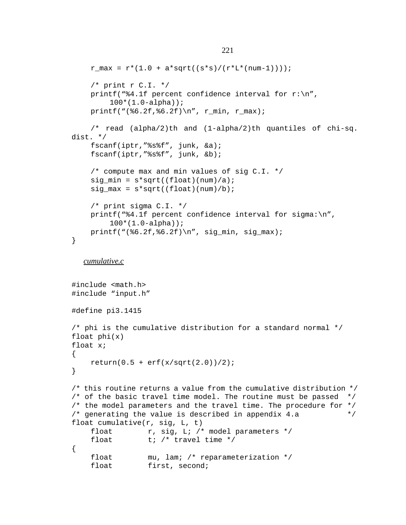```
r_{max} = r*(1.0 + a*sqrt((s* s)/(r* L*(num-1))));/* print r C.I. */printf("$4.1f percent confidence interval for r:\n",
        100*(1.0-alpha));
    printf("(%6.2f,%6.2f)\n", r_min, r_max);
    /* read (alpha/2)th and (1-alpha/2)th quantiles of chi-sq.
dist. */
    fscanf(iptr,"%s%f", junk, &a);
    fscanf(iptr,"%s%f", junk, &b);
    /* compute max and min values of sig C.I. */
    sig\_min = s*sqrt((float)(num)/a);
    sig_max = s*sqrt((float)(num)/b);
    /* print sigma C.I. */
    printf("%4.1f percent confidence interval for sigma:\n",
        100*(1.0-alpha));
    printf("(\$6.2f, \6.2f, \n", sig_min, sig_max);
}
  cumulative.c
#include <math.h>
#include "input.h"
#define pi3.1415
/* phi is the cumulative distribution for a standard normal */
float phi(x)
float x;
{
    return(0.5 + erf(x/sqrt(2.0))/2);}
/* this routine returns a value from the cumulative distribution */
/* of the basic travel time model. The routine must be passed */\gamma^* the model parameters and the travel time. The procedure for \gamma/* generating the value is described in appendix 4.a */
float cumulative(r, sig, L, t)
    float r, sig, L; \prime* model parameters */
    float t; /* travel time */
{
    float mu, lam; /* reparameterization */
    float first, second;
```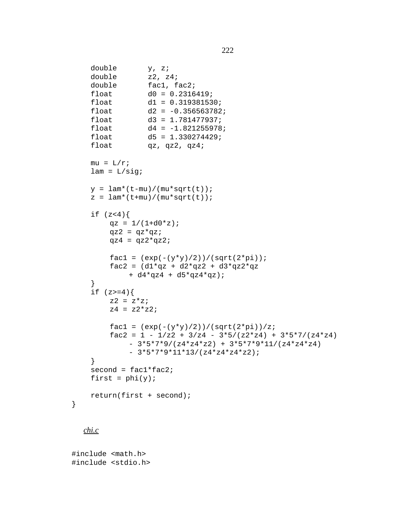```
double y, z;
double z2, z4;
double fac1, fac2;
float d0 = 0.2316419;
float d1 = 0.319381530;
float d2 = -0.356563782;
float d3 = 1.781477937;float d4 = -1.821255978;
float d5 = 1.330274429;
float qz, qz2, qz4;
mu = L/r;
lam = L/sig;y = \text{lam}*(t-mu) / (mu * sqrt(t));z = \text{lam}*(t+mu)/(mu*sqrt(t));if (z<4) {
    qz = 1/(1+d0*z);
    qz2 = qz*qz;
    qz4 = qz2*qz2;
    fac1 = (exp(-(y*y)/2))/(sqrt(2*pi));fac2 = (d1*qz + d2*qz2 + d3*qz2*qz)+ d4*qz4 + d5*qz4*qz);
}
if (z)=4}
    z2 = z*z;z4 = z2*z2;fac1 = (exp(-(y*y)/2))/(sqrt(2*pi))/z;fac2 = 1 - 1/z2 + 3/z4 - 3*5/(z2*z4) + 3*5*7/(z4*z4)-3*5*7*9/(z4*z4*z2) + 3*5*7*9*11/(z4*z4*z4)-3*5*7*9*11*13/(z4*z4*z2);}
second = fact*fac2;first = phi(y);
return(first + second);
```
# *chi.c*

}

#include <math.h> #include <stdio.h>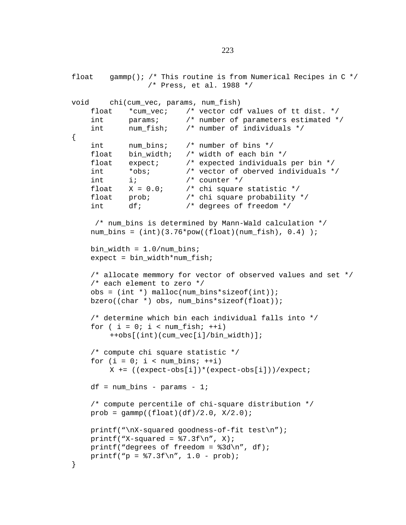```
float gammp(); /* This routine is from Numerical Recipes in C \cdot/
                   /* Press, et al. 1988 */
void chi(cum_vec, params, num_fish)
    float *cum yec; /* vector cdf values of tt dist. */
    int params; /* number of parameters estimated */
    int num_fish; /* number of individuals */
{
    int num_bins; /* number of bins */
    float bin_width; /* width of each bin */
    float expect; /* expected individuals per bin */
    int *obs; /* vector of oberved individuals */
    int i; \frac{1}{2} \frac{1}{2} \frac{1}{2} \frac{1}{2} \frac{1}{2} \frac{1}{2} \frac{1}{2} \frac{1}{2} \frac{1}{2} \frac{1}{2} \frac{1}{2} \frac{1}{2} \frac{1}{2} \frac{1}{2} \frac{1}{2} \frac{1}{2} \frac{1}{2} \frac{1}{2} \frac{1}{2} \frac{1}{2} \frac{1}{2} \float X = 0.0; /* chi square statistic */
    float prob; /* chi square probability */
    int df; /* degrees of freedom */
     /* num bins is determined by Mann-Wald calculation */num\_bins = (int)(3.76*pow((float)(num\_fish), 0.4) );
    bin width = 1.0/num \, bins;
    expect = bin_width*num_fish;
    /* allocate memmory for vector of observed values and set */
    /* each element to zero */
    obs = (int * ) malloc(num_bins*sizeof(int));
    bzero((char *) obs, num_bins*sizeof(float));
    /* determine which bin each individual falls into */
    for ( i = 0; i < num fish; ++i)
         ++obs[(int)(cum_vec[i]/bin_width)];
    /* compute chi square statistic */
    for (i = 0; i < num\_bins; ++i)X = ((expect - obs[i]) * (expect - obs[i])) / expect;
    df = num\_bins - params - 1;/* compute percentile of chi-square distribution */
    prob = \text{qamm}((\text{float})(df)/2.0, X/2.0);printf("\nX-squared goodness-of-fit test\n");
    printf("X-squared = 87.3f\(n", X);printf("degrees of freedom = 3d\pi", df);
    printf("p = 87.3f\n", 1.0 - prob);
}
```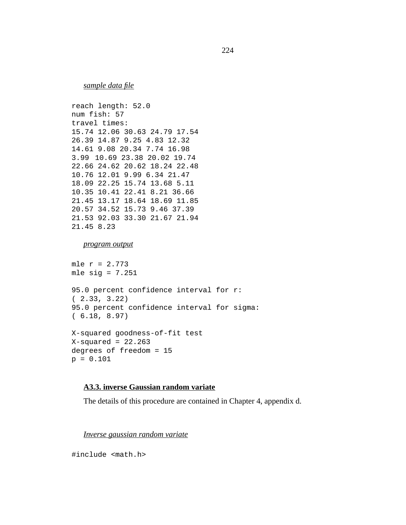*sample data file*

```
reach length: 52.0
num fish: 57
travel times:
15.74 12.06 30.63 24.79 17.54
26.39 14.87 9.25 4.83 12.32
14.61 9.08 20.34 7.74 16.98
3.99 10.69 23.38 20.02 19.74
22.66 24.62 20.62 18.24 22.48
10.76 12.01 9.99 6.34 21.47
18.09 22.25 15.74 13.68 5.11
10.35 10.41 22.41 8.21 36.66
21.45 13.17 18.64 18.69 11.85
20.57 34.52 15.73 9.46 37.39
21.53 92.03 33.30 21.67 21.94
21.45 8.23
```
#### *program output*

mle  $r = 2.773$ mle sig =  $7.251$ 95.0 percent confidence interval for r: ( 2.33, 3.22) 95.0 percent confidence interval for sigma: ( 6.18, 8.97) X-squared goodness-of-fit test  $X$ -squared = 22.263 degrees of freedom = 15 p = 0.101

## **A3.3. inverse Gaussian random variate**

The details of this procedure are contained in Chapter 4, appendix d.

*Inverse gaussian random variate*

#include <math.h>